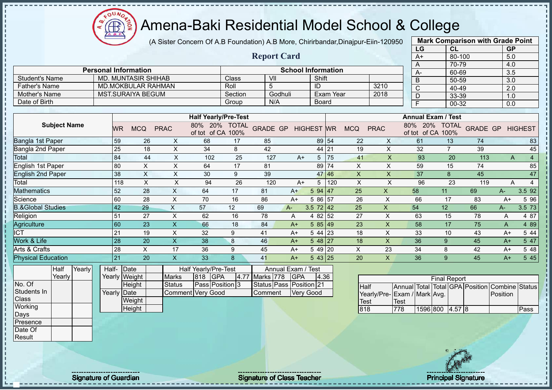$12\mu\text{V}$ 

|                              |                             |               |                            |                           | (A Sister Concern Of A.B Foundation) A.B More, Chirirbandar, Dinajpur-Eiin-120950 |         |           |                           |                  |           |                           |                |                                         |                     | <b>Mark Comparison with Grade Point</b> |                  |                |
|------------------------------|-----------------------------|---------------|----------------------------|---------------------------|-----------------------------------------------------------------------------------|---------|-----------|---------------------------|------------------|-----------|---------------------------|----------------|-----------------------------------------|---------------------|-----------------------------------------|------------------|----------------|
|                              |                             |               |                            |                           |                                                                                   |         |           |                           |                  |           |                           |                | LG                                      | CL                  |                                         | GP               |                |
|                              |                             |               |                            |                           |                                                                                   |         |           | <b>Report Card</b>        |                  |           |                           |                | $A+$                                    | 80-100              |                                         | 5.0              |                |
|                              |                             |               |                            |                           |                                                                                   |         |           |                           |                  |           |                           |                | A                                       | 70-79               |                                         | 4.0              |                |
|                              | <b>Personal Information</b> |               |                            |                           |                                                                                   |         |           | <b>School Information</b> |                  |           |                           |                | A-                                      | 60-69               |                                         | $\overline{3.5}$ |                |
| <b>Student's Name</b>        |                             |               | <b>MD. MUNTASIR SHIHAB</b> |                           |                                                                                   | Class   | VII       |                           | Shift            |           |                           |                | $\overline{B}$                          | 50-59               |                                         | 3.0              |                |
| <b>Father's Name</b>         |                             |               | <b>MD.MOKBULAR RAHMAN</b>  |                           |                                                                                   | Roll    | 5         |                           | ID               |           |                           | 3210           | $\overline{C}$                          | 40-49               |                                         | $\overline{2.0}$ |                |
| Mother's Name                |                             |               | <b>MST.SURAIYA BEGUM</b>   |                           |                                                                                   | Section |           | Godhuli                   |                  | Exam Year |                           | 2018           | $\overline{D}$                          | 33-39               |                                         | 1.0              |                |
| Date of Birth                |                             |               |                            |                           |                                                                                   | Group   |           | N/A                       | <b>Board</b>     |           |                           |                | $\overline{F}$                          | $00 - 32$           |                                         | 0.0              |                |
|                              |                             |               |                            |                           | <b>Half Yearly/Pre-Test</b>                                                       |         |           |                           |                  |           |                           |                | <b>Annual Exam / Test</b>               |                     |                                         |                  |                |
| <b>Subject Name</b>          |                             |               |                            |                           | 80% 20% TOTAL                                                                     |         |           |                           |                  |           |                           |                |                                         |                     |                                         |                  |                |
|                              |                             | WR.           | <b>MCQ</b>                 | <b>PRAC</b>               | of tot of CA 100%                                                                 |         |           | GRADE GP HIGHEST WR       |                  |           | <b>MCQ</b>                | <b>PRAC</b>    | 80% 20% TOTAL<br>of tot of CA 100%      |                     | <b>GRADE GP HIGHEST</b>                 |                  |                |
| Bangla 1st Paper             |                             | 59            | 26                         | X                         | 68                                                                                | 17      | 85        |                           | 89 54            |           | 22                        | X              | 61                                      | 13                  | 74                                      |                  | 83             |
| Bangla 2nd Paper             |                             | 25            | 18                         | X                         | 34                                                                                | 8       | 42        |                           | 44 21            |           | 19                        | X              | 32                                      | $\overline{7}$      | 39                                      |                  | 45             |
| <b>Total</b>                 |                             | 84            | 44                         | $\mathsf{X}$              | 102                                                                               | 25      | 127       | $A+$                      | $5 \mid 75$      |           | 41                        | $\mathsf{X}$   | 93                                      | 20                  | 113                                     | $\mathsf{A}$     | $\overline{4}$ |
| <b>English 1st Paper</b>     |                             | 80            | X                          | X                         | 64                                                                                | 17      | 81        |                           | 89 74            |           | X                         | $\mathsf{X}$   | 59                                      | 15                  | 74                                      |                  | 85             |
| <b>English 2nd Paper</b>     |                             | 38            | $\boldsymbol{\mathsf{X}}$  | $\mathsf{X}$              | 30                                                                                | 9       | 39        |                           | 47 46            |           | $\boldsymbol{\mathsf{X}}$ | $\mathsf{X}$   | 37                                      | 8                   | 45                                      |                  | 47             |
| Total                        |                             | 118           | $\times$                   | $\mathsf{X}$              | 94                                                                                | 26      | 120       | $A+$                      | 5                | 120       | $\mathsf{X}$              | $\times$       | 96                                      | 23                  | 119                                     | A                | $\overline{4}$ |
| <b>Mathematics</b>           |                             | 52            | 28                         | $\boldsymbol{\mathsf{X}}$ | 64                                                                                | 17      | 81        | $A+$                      | 594   47         |           | 25                        | $\mathsf X$    | 58                                      | 11                  | 69                                      | $A-$             | 3.5 92         |
| Science                      |                             | 60            | 28                         | $\boldsymbol{\mathsf{X}}$ | 70                                                                                | 16      | 86        | $A+$                      | 5 86 57          |           | 26                        | $\pmb{\times}$ | 66                                      | 17                  | 83                                      | $A+$             | 5 9 6          |
| <b>B.&amp;Global Studies</b> |                             | 42            | 29                         | $\mathsf{X}$              | 57                                                                                | 12      | 69        | A-                        | $3.5$ 72 42      |           | 25                        | $\pmb{\times}$ | 54                                      | 12                  | 66                                      | $A-$             | 3.5 73         |
| Religion                     |                             | 51            | 27                         | $\pmb{\times}$            | 62                                                                                | 16      | 78        | Α                         | 4 82 52          |           | 27                        | X              | 63                                      | 15                  | 78                                      | A                | 4 87           |
| Agriculture                  |                             | 60            | 23                         | $\boldsymbol{\mathsf{X}}$ | 66                                                                                | 18      | 84        | $A+$                      | 585 49           |           | 23                        | $\pmb{\times}$ | 58                                      | 17                  | 75                                      | A                | 4 8 9          |
| <b>ICT</b>                   |                             | 21            | 19                         | $\pmb{\times}$            | 32                                                                                | 9       | 41        | $A+$                      | 5 44 23          |           | 18                        | $\pmb{\times}$ | 33                                      | 10                  | 43                                      | $A+$             | 5 44           |
| Work & Life                  |                             | 28            | 20                         | $\boldsymbol{\mathsf{X}}$ | 38                                                                                | 8       | 46        | $A+$                      | 548 27           |           | 18                        | $\pmb{\times}$ | 36                                      | 9                   | 45                                      | $A+$             | 5 47           |
| Arts & Crafts                |                             | 28            | X                          | 17                        | 36                                                                                | 9       | 45        | $A+$                      | 5 49 20          |           | $\sf X$                   | 23             | 34                                      | 8                   | 42                                      | $A+$             | 5 48           |
| <b>Physical Education</b>    |                             | 21            | 20                         | $\overline{\mathsf{x}}$   | 33                                                                                | 8       | 41        | $A+$                      | 543 25           |           | 20                        | $\mathsf{X}$   | 36                                      | 9                   | 45                                      | $A+$             | 5 45           |
| Yearly<br>Half               |                             | Half- Date    |                            |                           | Half Yearly/Pre-Test                                                              |         |           | Annual Exam / Test        |                  |           |                           |                |                                         |                     |                                         |                  |                |
| Yearly                       |                             | Yearly Weight |                            | <b>Marks</b>              | <b>GPA</b><br>818                                                                 | 4.77    | Marks 778 | <b>GPA</b>                | 4.36             |           |                           |                |                                         | <b>Final Report</b> |                                         |                  |                |
| No. Of                       |                             |               | Height                     | <b>Status</b>             | Pass Position 3                                                                   |         |           | Status Pass Position 21   |                  |           | <b>Half</b>               |                | Annual Total Total GPA Position Combine |                     |                                         |                  | <b>Status</b>  |
| Students In                  |                             | Yearly Date   |                            |                           | <b>Comment Very Good</b>                                                          |         | Comment   |                           | <b>Very Good</b> |           |                           |                | Yearly/Pre-Exam / Mark Avg.             |                     |                                         | Position         |                |
| Class                        |                             |               | Weight                     |                           |                                                                                   |         |           |                           |                  |           | <b>Test</b>               | Test           |                                         |                     |                                         |                  |                |
| Working                      |                             |               | Height                     |                           |                                                                                   |         |           |                           |                  |           | 818                       | 778            |                                         | 1596 800 4.57 8     |                                         |                  | Pass           |
| Days                         |                             |               |                            |                           |                                                                                   |         |           |                           |                  |           |                           |                |                                         |                     |                                         |                  |                |
| Presence                     |                             |               |                            |                           |                                                                                   |         |           |                           |                  |           |                           |                |                                         |                     |                                         |                  |                |
| Date Of                      |                             |               |                            |                           |                                                                                   |         |           |                           |                  |           |                           |                |                                         |                     |                                         |                  |                |
| Result                       |                             |               |                            |                           |                                                                                   |         |           |                           |                  |           |                           |                |                                         |                     |                                         |                  |                |
|                              |                             |               |                            |                           |                                                                                   |         |           |                           |                  |           |                           |                |                                         |                     |                                         |                  |                |

Signature of Guardian Signature of Class Teacher Principal Signature of Class Teacher Principal Signature of Class Teacher Principal Signature of Class Teacher Principal Signature of Class Teacher Principal Signature of Cl

л

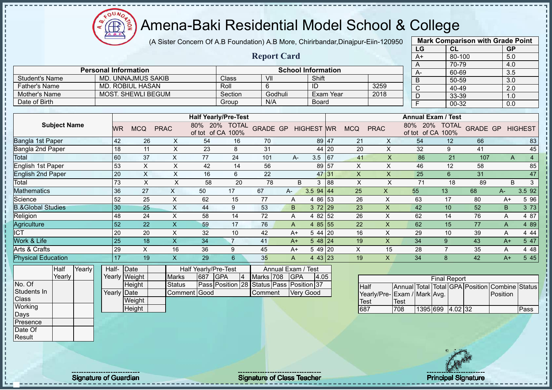(A Sister Concern Of A.B Foundation) A.B More, Chirirbandar,Dinajpur-Eiin-120950

 $12\mu\text{V}$ 

**CB** 

| <b>Report Card</b><br>5.0<br>80-100<br>$A+$<br>70-79<br>4.0<br>A<br><b>Personal Information</b><br><b>School Information</b><br>60-69<br>A-<br>3.5<br><b>Student's Name</b><br><b>MD. UNNAJMUS SAKIB</b><br>VII<br>Shift<br>Class<br>$\mathsf B$<br>50-59<br>3.0<br><b>MD. ROBIUL HASAN</b><br>3259<br><b>Father's Name</b><br>Roll<br>6<br>ID<br>$\overline{\mathsf{C}}$<br>40-49<br>2.0<br><b>MOST. SHEWLI BEGUM</b><br><b>Mother's Name</b><br>Godhuli<br>2018<br>Section<br><b>Exam Year</b><br>$\overline{D}$<br>33-39<br>1.0<br>Date of Birth<br>N/A<br>Group<br><b>Board</b><br>$\overline{F}$<br>00-32<br>0.0<br><b>Half Yearly/Pre-Test</b><br><b>Annual Exam / Test</b><br><b>Subject Name</b><br>80% 20% TOTAL<br>80% 20% TOTAL<br><b>GRADE GP</b><br><b>GRADE GP</b><br><b>PRAC</b><br><b>HIGHEST WR</b><br><b>MCQ</b><br><b>PRAC</b><br><b>HIGHEST</b><br><b>WR</b><br><b>MCQ</b><br>of tot of CA 100%<br>of tot of CA 100%<br>54<br>54<br>42<br>26<br>89 47<br>66<br>X<br>16<br>70<br>21<br>X<br>12<br>83<br>$\mathsf X$<br>23<br>$\pmb{\times}$<br>45<br>18<br>11<br>8<br>31<br>20<br>32<br>9<br>44 20<br>41<br>$\boldsymbol{\mathsf{X}}$<br>$\overline{\mathsf{x}}$<br>77<br>21<br>$\overline{4}$<br>60<br>37<br>24<br>101<br>$3.5$ 67<br>41<br>86<br>$A -$<br>107<br>$\overline{A}$<br>53<br>89 57<br>$\pmb{\times}$<br>85<br>X<br>X<br>42<br>14<br>56<br>X<br>46<br>12<br>58<br>$\overline{X}$<br>20<br>$\mathsf X$<br>$\overline{22}$<br>47<br>16<br>$6\,$<br>$\pmb{\mathsf{X}}$<br>$\mathsf X$<br>25<br>$6\phantom{1}$<br>31<br>47 31<br>$\mathbf{3}$<br>73<br>$\boldsymbol{\mathsf{X}}$<br>$\pmb{\times}$<br>20<br>78<br>88<br>$\boldsymbol{\mathsf{X}}$<br>$\boldsymbol{\mathsf{X}}$<br>71<br>58<br>B<br>3<br>18<br>89<br>B<br>36<br>27<br>$\mathsf X$<br>3.5 92<br>50<br>17<br>67<br>$3.5$ 94 44<br>25<br>$\boldsymbol{\mathsf{X}}$<br>55<br>13<br>68<br>A-<br>А-<br>52<br>25<br>$\times$<br>62<br>77<br>26<br>$\times$<br>63<br>15<br>4 86 53<br>17<br>80<br>5 96<br>A<br>$A+$<br>$\times$<br>30<br>53<br>3 72 29<br>23<br>$\boldsymbol{\mathsf{X}}$<br>42<br>52<br>25<br>44<br>9<br>10<br>B<br>3 7 3<br>B<br>48<br>$\pmb{\times}$<br>58<br>14<br>72<br>4 82 52<br>26<br>$\pmb{\times}$<br>62<br>4 87<br>24<br>14<br>76<br>Α<br>Α<br>$\overline{\mathsf{X}}$<br>52<br>22<br>59<br>4 85 55<br>22<br>$\boldsymbol{\mathsf{X}}$<br>17<br>76<br>62<br>15<br>77<br>4 8 9<br>A<br>A<br>20<br>$\pmb{\times}$<br>X<br>29<br>20<br>32<br>10<br>42<br>5 44 20<br>16<br>10<br>4 4 4<br>$A+$<br>39<br>Α<br>$\boldsymbol{\mathsf{X}}$<br>$\boldsymbol{\mathsf{X}}$<br>25<br>18<br>34<br>$\overline{7}$<br>$548$ 24<br>19<br>34<br>9<br>5 47<br>41<br>43<br>$A+$<br>A+<br>29<br>$\pmb{\times}$<br>16<br>36<br>9<br>45<br>5 49 20<br>X<br>15<br>28<br>$\overline{7}$<br>4 4 8<br>35<br>$A+$<br>Α<br>17<br>$\mathsf{X}$<br>19<br>29<br>35<br>$\mathsf{X}$<br>34<br>8<br>42<br>5 45<br>6<br>4 43 23<br>19<br>$A+$<br>A<br>Half<br>Yearly<br>Half-<br>Date<br>Half Yearly/Pre-Test<br>Annual Exam / Test<br>Yearly<br><b>GPA</b><br><b>GPA</b><br>Yearly Weight<br>687<br>$\vert 4 \vert$<br>Marks 708<br>4.05<br><b>Marks</b><br><b>Final Report</b><br>Pass Position 28 Status Pass Position 37<br>Height<br><b>Status</b><br>Annual Total Total GPA Position Combine Status<br><b>Half</b><br>Yearly Date<br>Comment Good<br>Comment<br><b>Very Good</b><br>Yearly/Pre- Exam / Mark Avg.<br>Position<br>Weight<br>Test<br>Test<br>Height<br>1395 699 4.02 32<br>687<br>708<br>Pass<br>Presence<br>Date Of<br>Result |                              |  |  |  |  |  | LG | CL | <b>GP</b> |  |
|------------------------------------------------------------------------------------------------------------------------------------------------------------------------------------------------------------------------------------------------------------------------------------------------------------------------------------------------------------------------------------------------------------------------------------------------------------------------------------------------------------------------------------------------------------------------------------------------------------------------------------------------------------------------------------------------------------------------------------------------------------------------------------------------------------------------------------------------------------------------------------------------------------------------------------------------------------------------------------------------------------------------------------------------------------------------------------------------------------------------------------------------------------------------------------------------------------------------------------------------------------------------------------------------------------------------------------------------------------------------------------------------------------------------------------------------------------------------------------------------------------------------------------------------------------------------------------------------------------------------------------------------------------------------------------------------------------------------------------------------------------------------------------------------------------------------------------------------------------------------------------------------------------------------------------------------------------------------------------------------------------------------------------------------------------------------------------------------------------------------------------------------------------------------------------------------------------------------------------------------------------------------------------------------------------------------------------------------------------------------------------------------------------------------------------------------------------------------------------------------------------------------------------------------------------------------------------------------------------------------------------------------------------------------------------------------------------------------------------------------------------------------------------------------------------------------------------------------------------------------------------------------------------------------------------------------------------------------------------------------------------------------------------------------------------------------------------------------------------------------------------------------------------------------------------------------------------------------------------------------------------------------------------------------------------------------------------------------------------------------------------------------------------------------------------------------------------------------------------------------------------------------------|------------------------------|--|--|--|--|--|----|----|-----------|--|
|                                                                                                                                                                                                                                                                                                                                                                                                                                                                                                                                                                                                                                                                                                                                                                                                                                                                                                                                                                                                                                                                                                                                                                                                                                                                                                                                                                                                                                                                                                                                                                                                                                                                                                                                                                                                                                                                                                                                                                                                                                                                                                                                                                                                                                                                                                                                                                                                                                                                                                                                                                                                                                                                                                                                                                                                                                                                                                                                                                                                                                                                                                                                                                                                                                                                                                                                                                                                                                                                                                                              |                              |  |  |  |  |  |    |    |           |  |
|                                                                                                                                                                                                                                                                                                                                                                                                                                                                                                                                                                                                                                                                                                                                                                                                                                                                                                                                                                                                                                                                                                                                                                                                                                                                                                                                                                                                                                                                                                                                                                                                                                                                                                                                                                                                                                                                                                                                                                                                                                                                                                                                                                                                                                                                                                                                                                                                                                                                                                                                                                                                                                                                                                                                                                                                                                                                                                                                                                                                                                                                                                                                                                                                                                                                                                                                                                                                                                                                                                                              |                              |  |  |  |  |  |    |    |           |  |
|                                                                                                                                                                                                                                                                                                                                                                                                                                                                                                                                                                                                                                                                                                                                                                                                                                                                                                                                                                                                                                                                                                                                                                                                                                                                                                                                                                                                                                                                                                                                                                                                                                                                                                                                                                                                                                                                                                                                                                                                                                                                                                                                                                                                                                                                                                                                                                                                                                                                                                                                                                                                                                                                                                                                                                                                                                                                                                                                                                                                                                                                                                                                                                                                                                                                                                                                                                                                                                                                                                                              |                              |  |  |  |  |  |    |    |           |  |
|                                                                                                                                                                                                                                                                                                                                                                                                                                                                                                                                                                                                                                                                                                                                                                                                                                                                                                                                                                                                                                                                                                                                                                                                                                                                                                                                                                                                                                                                                                                                                                                                                                                                                                                                                                                                                                                                                                                                                                                                                                                                                                                                                                                                                                                                                                                                                                                                                                                                                                                                                                                                                                                                                                                                                                                                                                                                                                                                                                                                                                                                                                                                                                                                                                                                                                                                                                                                                                                                                                                              |                              |  |  |  |  |  |    |    |           |  |
|                                                                                                                                                                                                                                                                                                                                                                                                                                                                                                                                                                                                                                                                                                                                                                                                                                                                                                                                                                                                                                                                                                                                                                                                                                                                                                                                                                                                                                                                                                                                                                                                                                                                                                                                                                                                                                                                                                                                                                                                                                                                                                                                                                                                                                                                                                                                                                                                                                                                                                                                                                                                                                                                                                                                                                                                                                                                                                                                                                                                                                                                                                                                                                                                                                                                                                                                                                                                                                                                                                                              |                              |  |  |  |  |  |    |    |           |  |
|                                                                                                                                                                                                                                                                                                                                                                                                                                                                                                                                                                                                                                                                                                                                                                                                                                                                                                                                                                                                                                                                                                                                                                                                                                                                                                                                                                                                                                                                                                                                                                                                                                                                                                                                                                                                                                                                                                                                                                                                                                                                                                                                                                                                                                                                                                                                                                                                                                                                                                                                                                                                                                                                                                                                                                                                                                                                                                                                                                                                                                                                                                                                                                                                                                                                                                                                                                                                                                                                                                                              |                              |  |  |  |  |  |    |    |           |  |
|                                                                                                                                                                                                                                                                                                                                                                                                                                                                                                                                                                                                                                                                                                                                                                                                                                                                                                                                                                                                                                                                                                                                                                                                                                                                                                                                                                                                                                                                                                                                                                                                                                                                                                                                                                                                                                                                                                                                                                                                                                                                                                                                                                                                                                                                                                                                                                                                                                                                                                                                                                                                                                                                                                                                                                                                                                                                                                                                                                                                                                                                                                                                                                                                                                                                                                                                                                                                                                                                                                                              |                              |  |  |  |  |  |    |    |           |  |
|                                                                                                                                                                                                                                                                                                                                                                                                                                                                                                                                                                                                                                                                                                                                                                                                                                                                                                                                                                                                                                                                                                                                                                                                                                                                                                                                                                                                                                                                                                                                                                                                                                                                                                                                                                                                                                                                                                                                                                                                                                                                                                                                                                                                                                                                                                                                                                                                                                                                                                                                                                                                                                                                                                                                                                                                                                                                                                                                                                                                                                                                                                                                                                                                                                                                                                                                                                                                                                                                                                                              |                              |  |  |  |  |  |    |    |           |  |
|                                                                                                                                                                                                                                                                                                                                                                                                                                                                                                                                                                                                                                                                                                                                                                                                                                                                                                                                                                                                                                                                                                                                                                                                                                                                                                                                                                                                                                                                                                                                                                                                                                                                                                                                                                                                                                                                                                                                                                                                                                                                                                                                                                                                                                                                                                                                                                                                                                                                                                                                                                                                                                                                                                                                                                                                                                                                                                                                                                                                                                                                                                                                                                                                                                                                                                                                                                                                                                                                                                                              |                              |  |  |  |  |  |    |    |           |  |
|                                                                                                                                                                                                                                                                                                                                                                                                                                                                                                                                                                                                                                                                                                                                                                                                                                                                                                                                                                                                                                                                                                                                                                                                                                                                                                                                                                                                                                                                                                                                                                                                                                                                                                                                                                                                                                                                                                                                                                                                                                                                                                                                                                                                                                                                                                                                                                                                                                                                                                                                                                                                                                                                                                                                                                                                                                                                                                                                                                                                                                                                                                                                                                                                                                                                                                                                                                                                                                                                                                                              |                              |  |  |  |  |  |    |    |           |  |
|                                                                                                                                                                                                                                                                                                                                                                                                                                                                                                                                                                                                                                                                                                                                                                                                                                                                                                                                                                                                                                                                                                                                                                                                                                                                                                                                                                                                                                                                                                                                                                                                                                                                                                                                                                                                                                                                                                                                                                                                                                                                                                                                                                                                                                                                                                                                                                                                                                                                                                                                                                                                                                                                                                                                                                                                                                                                                                                                                                                                                                                                                                                                                                                                                                                                                                                                                                                                                                                                                                                              | Bangla 1st Paper             |  |  |  |  |  |    |    |           |  |
|                                                                                                                                                                                                                                                                                                                                                                                                                                                                                                                                                                                                                                                                                                                                                                                                                                                                                                                                                                                                                                                                                                                                                                                                                                                                                                                                                                                                                                                                                                                                                                                                                                                                                                                                                                                                                                                                                                                                                                                                                                                                                                                                                                                                                                                                                                                                                                                                                                                                                                                                                                                                                                                                                                                                                                                                                                                                                                                                                                                                                                                                                                                                                                                                                                                                                                                                                                                                                                                                                                                              | Bangla 2nd Paper             |  |  |  |  |  |    |    |           |  |
|                                                                                                                                                                                                                                                                                                                                                                                                                                                                                                                                                                                                                                                                                                                                                                                                                                                                                                                                                                                                                                                                                                                                                                                                                                                                                                                                                                                                                                                                                                                                                                                                                                                                                                                                                                                                                                                                                                                                                                                                                                                                                                                                                                                                                                                                                                                                                                                                                                                                                                                                                                                                                                                                                                                                                                                                                                                                                                                                                                                                                                                                                                                                                                                                                                                                                                                                                                                                                                                                                                                              | <b>Total</b>                 |  |  |  |  |  |    |    |           |  |
|                                                                                                                                                                                                                                                                                                                                                                                                                                                                                                                                                                                                                                                                                                                                                                                                                                                                                                                                                                                                                                                                                                                                                                                                                                                                                                                                                                                                                                                                                                                                                                                                                                                                                                                                                                                                                                                                                                                                                                                                                                                                                                                                                                                                                                                                                                                                                                                                                                                                                                                                                                                                                                                                                                                                                                                                                                                                                                                                                                                                                                                                                                                                                                                                                                                                                                                                                                                                                                                                                                                              | <b>English 1st Paper</b>     |  |  |  |  |  |    |    |           |  |
|                                                                                                                                                                                                                                                                                                                                                                                                                                                                                                                                                                                                                                                                                                                                                                                                                                                                                                                                                                                                                                                                                                                                                                                                                                                                                                                                                                                                                                                                                                                                                                                                                                                                                                                                                                                                                                                                                                                                                                                                                                                                                                                                                                                                                                                                                                                                                                                                                                                                                                                                                                                                                                                                                                                                                                                                                                                                                                                                                                                                                                                                                                                                                                                                                                                                                                                                                                                                                                                                                                                              | <b>English 2nd Paper</b>     |  |  |  |  |  |    |    |           |  |
|                                                                                                                                                                                                                                                                                                                                                                                                                                                                                                                                                                                                                                                                                                                                                                                                                                                                                                                                                                                                                                                                                                                                                                                                                                                                                                                                                                                                                                                                                                                                                                                                                                                                                                                                                                                                                                                                                                                                                                                                                                                                                                                                                                                                                                                                                                                                                                                                                                                                                                                                                                                                                                                                                                                                                                                                                                                                                                                                                                                                                                                                                                                                                                                                                                                                                                                                                                                                                                                                                                                              | Total                        |  |  |  |  |  |    |    |           |  |
|                                                                                                                                                                                                                                                                                                                                                                                                                                                                                                                                                                                                                                                                                                                                                                                                                                                                                                                                                                                                                                                                                                                                                                                                                                                                                                                                                                                                                                                                                                                                                                                                                                                                                                                                                                                                                                                                                                                                                                                                                                                                                                                                                                                                                                                                                                                                                                                                                                                                                                                                                                                                                                                                                                                                                                                                                                                                                                                                                                                                                                                                                                                                                                                                                                                                                                                                                                                                                                                                                                                              | <b>Mathematics</b>           |  |  |  |  |  |    |    |           |  |
|                                                                                                                                                                                                                                                                                                                                                                                                                                                                                                                                                                                                                                                                                                                                                                                                                                                                                                                                                                                                                                                                                                                                                                                                                                                                                                                                                                                                                                                                                                                                                                                                                                                                                                                                                                                                                                                                                                                                                                                                                                                                                                                                                                                                                                                                                                                                                                                                                                                                                                                                                                                                                                                                                                                                                                                                                                                                                                                                                                                                                                                                                                                                                                                                                                                                                                                                                                                                                                                                                                                              | Science                      |  |  |  |  |  |    |    |           |  |
|                                                                                                                                                                                                                                                                                                                                                                                                                                                                                                                                                                                                                                                                                                                                                                                                                                                                                                                                                                                                                                                                                                                                                                                                                                                                                                                                                                                                                                                                                                                                                                                                                                                                                                                                                                                                                                                                                                                                                                                                                                                                                                                                                                                                                                                                                                                                                                                                                                                                                                                                                                                                                                                                                                                                                                                                                                                                                                                                                                                                                                                                                                                                                                                                                                                                                                                                                                                                                                                                                                                              | <b>B.&amp;Global Studies</b> |  |  |  |  |  |    |    |           |  |
|                                                                                                                                                                                                                                                                                                                                                                                                                                                                                                                                                                                                                                                                                                                                                                                                                                                                                                                                                                                                                                                                                                                                                                                                                                                                                                                                                                                                                                                                                                                                                                                                                                                                                                                                                                                                                                                                                                                                                                                                                                                                                                                                                                                                                                                                                                                                                                                                                                                                                                                                                                                                                                                                                                                                                                                                                                                                                                                                                                                                                                                                                                                                                                                                                                                                                                                                                                                                                                                                                                                              | Religion                     |  |  |  |  |  |    |    |           |  |
|                                                                                                                                                                                                                                                                                                                                                                                                                                                                                                                                                                                                                                                                                                                                                                                                                                                                                                                                                                                                                                                                                                                                                                                                                                                                                                                                                                                                                                                                                                                                                                                                                                                                                                                                                                                                                                                                                                                                                                                                                                                                                                                                                                                                                                                                                                                                                                                                                                                                                                                                                                                                                                                                                                                                                                                                                                                                                                                                                                                                                                                                                                                                                                                                                                                                                                                                                                                                                                                                                                                              | <b>Agriculture</b>           |  |  |  |  |  |    |    |           |  |
|                                                                                                                                                                                                                                                                                                                                                                                                                                                                                                                                                                                                                                                                                                                                                                                                                                                                                                                                                                                                                                                                                                                                                                                                                                                                                                                                                                                                                                                                                                                                                                                                                                                                                                                                                                                                                                                                                                                                                                                                                                                                                                                                                                                                                                                                                                                                                                                                                                                                                                                                                                                                                                                                                                                                                                                                                                                                                                                                                                                                                                                                                                                                                                                                                                                                                                                                                                                                                                                                                                                              | <b>ICT</b>                   |  |  |  |  |  |    |    |           |  |
|                                                                                                                                                                                                                                                                                                                                                                                                                                                                                                                                                                                                                                                                                                                                                                                                                                                                                                                                                                                                                                                                                                                                                                                                                                                                                                                                                                                                                                                                                                                                                                                                                                                                                                                                                                                                                                                                                                                                                                                                                                                                                                                                                                                                                                                                                                                                                                                                                                                                                                                                                                                                                                                                                                                                                                                                                                                                                                                                                                                                                                                                                                                                                                                                                                                                                                                                                                                                                                                                                                                              | Work & Life                  |  |  |  |  |  |    |    |           |  |
|                                                                                                                                                                                                                                                                                                                                                                                                                                                                                                                                                                                                                                                                                                                                                                                                                                                                                                                                                                                                                                                                                                                                                                                                                                                                                                                                                                                                                                                                                                                                                                                                                                                                                                                                                                                                                                                                                                                                                                                                                                                                                                                                                                                                                                                                                                                                                                                                                                                                                                                                                                                                                                                                                                                                                                                                                                                                                                                                                                                                                                                                                                                                                                                                                                                                                                                                                                                                                                                                                                                              | Arts & Crafts                |  |  |  |  |  |    |    |           |  |
|                                                                                                                                                                                                                                                                                                                                                                                                                                                                                                                                                                                                                                                                                                                                                                                                                                                                                                                                                                                                                                                                                                                                                                                                                                                                                                                                                                                                                                                                                                                                                                                                                                                                                                                                                                                                                                                                                                                                                                                                                                                                                                                                                                                                                                                                                                                                                                                                                                                                                                                                                                                                                                                                                                                                                                                                                                                                                                                                                                                                                                                                                                                                                                                                                                                                                                                                                                                                                                                                                                                              | <b>Physical Education</b>    |  |  |  |  |  |    |    |           |  |
|                                                                                                                                                                                                                                                                                                                                                                                                                                                                                                                                                                                                                                                                                                                                                                                                                                                                                                                                                                                                                                                                                                                                                                                                                                                                                                                                                                                                                                                                                                                                                                                                                                                                                                                                                                                                                                                                                                                                                                                                                                                                                                                                                                                                                                                                                                                                                                                                                                                                                                                                                                                                                                                                                                                                                                                                                                                                                                                                                                                                                                                                                                                                                                                                                                                                                                                                                                                                                                                                                                                              |                              |  |  |  |  |  |    |    |           |  |
|                                                                                                                                                                                                                                                                                                                                                                                                                                                                                                                                                                                                                                                                                                                                                                                                                                                                                                                                                                                                                                                                                                                                                                                                                                                                                                                                                                                                                                                                                                                                                                                                                                                                                                                                                                                                                                                                                                                                                                                                                                                                                                                                                                                                                                                                                                                                                                                                                                                                                                                                                                                                                                                                                                                                                                                                                                                                                                                                                                                                                                                                                                                                                                                                                                                                                                                                                                                                                                                                                                                              |                              |  |  |  |  |  |    |    |           |  |
|                                                                                                                                                                                                                                                                                                                                                                                                                                                                                                                                                                                                                                                                                                                                                                                                                                                                                                                                                                                                                                                                                                                                                                                                                                                                                                                                                                                                                                                                                                                                                                                                                                                                                                                                                                                                                                                                                                                                                                                                                                                                                                                                                                                                                                                                                                                                                                                                                                                                                                                                                                                                                                                                                                                                                                                                                                                                                                                                                                                                                                                                                                                                                                                                                                                                                                                                                                                                                                                                                                                              | No. Of                       |  |  |  |  |  |    |    |           |  |
|                                                                                                                                                                                                                                                                                                                                                                                                                                                                                                                                                                                                                                                                                                                                                                                                                                                                                                                                                                                                                                                                                                                                                                                                                                                                                                                                                                                                                                                                                                                                                                                                                                                                                                                                                                                                                                                                                                                                                                                                                                                                                                                                                                                                                                                                                                                                                                                                                                                                                                                                                                                                                                                                                                                                                                                                                                                                                                                                                                                                                                                                                                                                                                                                                                                                                                                                                                                                                                                                                                                              | Students In                  |  |  |  |  |  |    |    |           |  |
|                                                                                                                                                                                                                                                                                                                                                                                                                                                                                                                                                                                                                                                                                                                                                                                                                                                                                                                                                                                                                                                                                                                                                                                                                                                                                                                                                                                                                                                                                                                                                                                                                                                                                                                                                                                                                                                                                                                                                                                                                                                                                                                                                                                                                                                                                                                                                                                                                                                                                                                                                                                                                                                                                                                                                                                                                                                                                                                                                                                                                                                                                                                                                                                                                                                                                                                                                                                                                                                                                                                              | Class                        |  |  |  |  |  |    |    |           |  |
|                                                                                                                                                                                                                                                                                                                                                                                                                                                                                                                                                                                                                                                                                                                                                                                                                                                                                                                                                                                                                                                                                                                                                                                                                                                                                                                                                                                                                                                                                                                                                                                                                                                                                                                                                                                                                                                                                                                                                                                                                                                                                                                                                                                                                                                                                                                                                                                                                                                                                                                                                                                                                                                                                                                                                                                                                                                                                                                                                                                                                                                                                                                                                                                                                                                                                                                                                                                                                                                                                                                              | Working                      |  |  |  |  |  |    |    |           |  |
|                                                                                                                                                                                                                                                                                                                                                                                                                                                                                                                                                                                                                                                                                                                                                                                                                                                                                                                                                                                                                                                                                                                                                                                                                                                                                                                                                                                                                                                                                                                                                                                                                                                                                                                                                                                                                                                                                                                                                                                                                                                                                                                                                                                                                                                                                                                                                                                                                                                                                                                                                                                                                                                                                                                                                                                                                                                                                                                                                                                                                                                                                                                                                                                                                                                                                                                                                                                                                                                                                                                              | Days                         |  |  |  |  |  |    |    |           |  |
|                                                                                                                                                                                                                                                                                                                                                                                                                                                                                                                                                                                                                                                                                                                                                                                                                                                                                                                                                                                                                                                                                                                                                                                                                                                                                                                                                                                                                                                                                                                                                                                                                                                                                                                                                                                                                                                                                                                                                                                                                                                                                                                                                                                                                                                                                                                                                                                                                                                                                                                                                                                                                                                                                                                                                                                                                                                                                                                                                                                                                                                                                                                                                                                                                                                                                                                                                                                                                                                                                                                              |                              |  |  |  |  |  |    |    |           |  |
|                                                                                                                                                                                                                                                                                                                                                                                                                                                                                                                                                                                                                                                                                                                                                                                                                                                                                                                                                                                                                                                                                                                                                                                                                                                                                                                                                                                                                                                                                                                                                                                                                                                                                                                                                                                                                                                                                                                                                                                                                                                                                                                                                                                                                                                                                                                                                                                                                                                                                                                                                                                                                                                                                                                                                                                                                                                                                                                                                                                                                                                                                                                                                                                                                                                                                                                                                                                                                                                                                                                              |                              |  |  |  |  |  |    |    |           |  |
|                                                                                                                                                                                                                                                                                                                                                                                                                                                                                                                                                                                                                                                                                                                                                                                                                                                                                                                                                                                                                                                                                                                                                                                                                                                                                                                                                                                                                                                                                                                                                                                                                                                                                                                                                                                                                                                                                                                                                                                                                                                                                                                                                                                                                                                                                                                                                                                                                                                                                                                                                                                                                                                                                                                                                                                                                                                                                                                                                                                                                                                                                                                                                                                                                                                                                                                                                                                                                                                                                                                              |                              |  |  |  |  |  |    |    |           |  |

Signature of Guardian **State of Class Teacher Principal Signature Class Teacher Principal Signature 2014** 

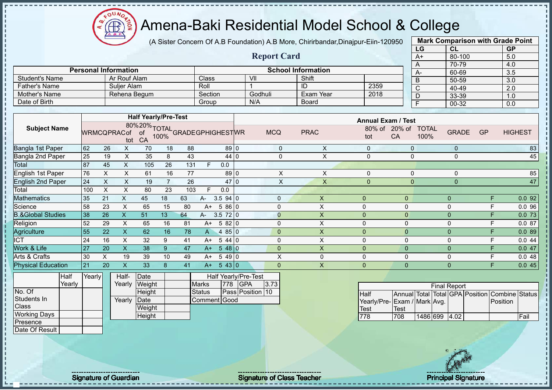

(A Sister Concern Of A.B Foundation) A.B More, Chirirbandar,Dinajpur-Eiin-120950

**Report Card**

|      | <b>Mark Comparison with Grade Point</b> |           |
|------|-----------------------------------------|-----------|
| LG   | CL                                      | <b>GP</b> |
| $A+$ | 80-100                                  | 5.0       |
| A    | 70-79                                   | 4.0       |
| А-   | 60-69                                   | 3.5       |
| B    | 50-59                                   | 3.0       |
| C    | 40-49                                   | 2.0       |
| D    | 33-39                                   | 1.0       |
| F    | 00-32                                   | 0.0       |

|                      |                             |         |         |                           |      |      | $70-$  |
|----------------------|-----------------------------|---------|---------|---------------------------|------|------|--------|
|                      | <b>Personal Information</b> |         |         | <b>School Information</b> |      | $A-$ | 60-    |
| Student's Name       | Ar Rouf Alam                | Class   | VII     | Shift                     |      |      | $50-$  |
| <b>Father's Name</b> | Sulier Alam                 | Roll    |         | ID                        | 2359 |      | $40 -$ |
| Mother's Name        | Rehena Begum                | Section | Godhuli | Exam Year                 | 2018 |      | $33 -$ |
| Date of Birth        |                             | Group   | N/A     | <b>Board</b>              |      |      | $00 -$ |

|                              |     |                    |    | <b>Half Yearly/Pre-Test</b>                   |    |     |      |           |              |             | <b>Annual Exam / Test</b> |                |                                      |           |                |
|------------------------------|-----|--------------------|----|-----------------------------------------------|----|-----|------|-----------|--------------|-------------|---------------------------|----------------|--------------------------------------|-----------|----------------|
| <b>Subject Name</b>          |     | <b>WRMCQPRACof</b> |    | 80%20% TOTAL<br>ACof of 100% GRADEGPHIGHESTWR |    |     |      |           | <b>MCQ</b>   | <b>PRAC</b> | 80% of<br>tot             | 20% of<br>CA   | <b>TOTAL</b><br><b>GRADE</b><br>100% | <b>GP</b> | <b>HIGHEST</b> |
| Bangla 1st Paper             | 62  | 26                 | X. | 70                                            | 18 | 88  |      | $89$ 0    | $\mathbf{0}$ | X           | $\Omega$                  | $\Omega$       | $\mathbf{0}$                         |           | 83             |
| Bangla 2nd Paper             | 25  | 19                 | X. | 35                                            | 8  | 43  |      | 44 0      | 0            | X           | $\Omega$                  |                | 0                                    |           | 45             |
| Total                        | 87  | 45                 | X. | 105                                           | 26 | 131 |      | 0.0       |              |             |                           |                |                                      |           |                |
| <b>English 1st Paper</b>     | 76  | X.                 | X. | 61                                            | 16 | 77  |      | $89$ 0    | X            | X           | $\Omega$                  | $\mathbf{0}$   | 0                                    |           | 85             |
| <b>English 2nd Paper</b>     | 24  | X                  | X. | 19                                            |    | 26  |      | 47 0      | X            | X           | $\Omega$                  | 0              | $\mathbf 0$                          |           | 47             |
| Total                        | 100 | X                  | x  | 80                                            | 23 | 103 | F.   | 0.0       |              |             |                           |                |                                      |           |                |
| <b>Aathematics</b>           | 35  | 21                 | X  | 45                                            | 18 | 63  | A-   | 3.594 0   | $\Omega$     | X           | $\Omega$                  | $\overline{0}$ | $\Omega$                             | F         | 0.092          |
| Science                      | 58  | 23                 | X  | 65                                            | 15 | 80  | $A+$ | 5 86 0    | $\Omega$     | X           | 0                         | 0              | 0                                    | F         | 0.096          |
| <b>B.&amp;Global Studies</b> | 38  | 26                 | Х  | 51                                            | 13 | 64  | A-   | 3.572 0   | $\mathbf{0}$ | X.          | 0                         | $\overline{0}$ | $\Omega$                             | F         | 0.0 73         |
| Religion                     | 52  | 29                 | X. | 65                                            | 16 | 81  | A+   | 582 0     | $\Omega$     | X           | 0                         | 0              | $\mathbf 0$                          | F         | 0.087          |
| Agriculture                  | 55  | 22                 | X  | 62                                            | 16 | 78  | A    | 485 0     | $\mathbf{0}$ | X           | 0                         | $\mathbf{0}$   | $\mathbf 0$                          | F         | 0.089          |
| <b>ICT</b>                   | 24  | 16                 | X. | 32                                            | 9  | 41  | A+   | 544 0     | $\Omega$     | X           | 0                         | 0              | $\mathbf 0$                          | F         | 0.044          |
| Work & Life                  | 27  | 20                 | X. | 38                                            | 9  | 47  | $A+$ | $548$   0 | $\Omega$     | X           | $\Omega$                  | $\mathbf{0}$   | $\Omega$                             | F         | 0.047          |
| Arts & Crafts                | 30  | X.                 | 19 | 39                                            | 10 | 49  | $A+$ | $549$ 0   | X            | 0           | 0                         | 0              | 0                                    | F         | 0.048          |
| <b>Physical Education</b>    | 21  | 20                 | X. | 33                                            | 8  | 41  | $A+$ | 543 0     | $\mathbf{0}$ | X           | $\overline{0}$            | $\overline{0}$ | $\overline{0}$                       | F         | 0.045          |
|                              |     |                    |    |                                               |    |     |      |           |              |             |                           |                |                                      |           |                |

|                     | <b>Half</b> | Yearly | Half-  | Date   |               |     | <b>Half Yearly/Pre-Test</b> |      |
|---------------------|-------------|--------|--------|--------|---------------|-----|-----------------------------|------|
|                     | Yearly      |        | Yearly | Weight | <b>Marks</b>  | 778 | <b>IGPA</b>                 | 3.73 |
| No. Of              |             |        |        | Height | <b>Status</b> |     | Pass Position 10            |      |
| Students In         |             |        | Yearly | Date   | Comment Good  |     |                             |      |
| <b>Class</b>        |             |        |        | Weight |               |     |                             |      |
| <b>Working Days</b> |             |        |        | Height |               |     |                             |      |
| Presence            |             |        |        |        |               |     |                             |      |
| Date Of Result      |             |        |        |        |               |     |                             |      |

|                             |      |               | <b>Final Report</b> |  |                                                |       |
|-----------------------------|------|---------------|---------------------|--|------------------------------------------------|-------|
| Half                        |      |               |                     |  | Annual Total Total GPA Position Combine Status |       |
| Yearly/Pre-Exam / Mark Avg. |      |               |                     |  | Position                                       |       |
| <b>Test</b>                 | Test |               |                     |  |                                                |       |
| 778                         | 708  | 1486 699 4.02 |                     |  |                                                | lFail |

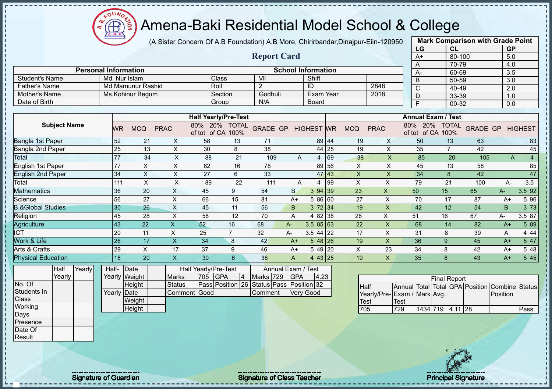(A Sister Concern Of A.B Foundation) A.B More, Chirirbandar,Dinajpur-Eiin-120950

 $12\mu\text{V}$ 

|                              |               |                           |                           |                                    |                 |                                          |                |                           |    |                           |                           | LG                                 | CL                  |                 | <b>GP</b>        |                |
|------------------------------|---------------|---------------------------|---------------------------|------------------------------------|-----------------|------------------------------------------|----------------|---------------------------|----|---------------------------|---------------------------|------------------------------------|---------------------|-----------------|------------------|----------------|
|                              |               |                           |                           |                                    |                 | <b>Report Card</b>                       |                |                           |    |                           |                           | $A+$                               | 80-100              |                 | 5.0              |                |
|                              |               |                           |                           |                                    |                 |                                          |                |                           |    |                           |                           | $\overline{A}$                     | 70-79               |                 | 4.0              |                |
| <b>Personal Information</b>  |               |                           |                           |                                    |                 |                                          |                | <b>School Information</b> |    |                           |                           | $A -$                              | 60-69               |                 | 3.5              |                |
| <b>Student's Name</b>        | Md. Nur Islam |                           |                           | Class                              |                 | V <sub>II</sub>                          |                | Shift                     |    |                           |                           | $\overline{B}$                     | $50 - 59$           |                 | $\overline{3.0}$ |                |
| <b>Father's Name</b>         |               | Md.Mamunur Rashid         |                           | Roll                               |                 | $\overline{2}$                           |                | ID                        |    |                           | 2848                      | $\overline{\mathsf{C}}$            | 40-49               |                 | 2.0              |                |
| <b>Mother's Name</b>         |               | Ms.Kohinur Begum          |                           | Section                            |                 | Godhuli                                  |                | <b>Exam Year</b>          |    |                           | 2018                      | $\overline{D}$                     | 33-39               |                 | 1.0              |                |
| Date of Birth                |               |                           |                           | Group                              |                 | N/A                                      |                | <b>Board</b>              |    |                           |                           | $\overline{F}$                     | $00 - 32$           |                 | $\overline{0.0}$ |                |
|                              |               |                           |                           | <b>Half Yearly/Pre-Test</b>        |                 |                                          |                |                           |    |                           |                           | <b>Annual Exam / Test</b>          |                     |                 |                  |                |
| <b>Subject Name</b>          |               |                           |                           |                                    |                 |                                          |                |                           |    |                           |                           |                                    |                     |                 |                  |                |
|                              | <b>WR</b>     | <b>MCQ</b>                | <b>PRAC</b>               | 80% 20% TOTAL<br>of tot of CA 100% |                 | <b>GRADE GP</b>                          |                | <b>HIGHEST WR</b>         |    | <b>MCQ</b>                | <b>PRAC</b>               | 80% 20% TOTAL<br>of tot of CA 100% |                     | <b>GRADE GP</b> |                  | <b>HIGHEST</b> |
| Bangla 1st Paper             | 52            | 21                        | $\pmb{\times}$            | 58                                 | 13              | 71                                       |                | 89 44                     |    | 19                        | X                         | 50                                 | 13                  | 63              |                  | 83             |
| <b>Bangla 2nd Paper</b>      | 25            | 13                        | $\boldsymbol{\mathsf{X}}$ | 30                                 | 8               | 38                                       |                | 44 25                     |    | 19                        | $\pmb{\times}$            | 35                                 | $\overline{7}$      | 42              |                  | 45             |
| Total                        | 77            | 34                        | $\mathsf X$               | 88                                 | 21              | 109                                      | A              | 4                         | 69 | 38                        | $\boldsymbol{\mathsf{X}}$ | 85                                 | 20                  | 105             | A                | $\overline{4}$ |
| English 1st Paper            | 77            | $\boldsymbol{\mathsf{X}}$ | $\mathsf X$               | 62                                 | 16              | 78                                       |                | 89 56                     |    | $\mathsf X$               | $\mathsf{x}$              | 45                                 | 13                  | 58              |                  | 85             |
| <b>English 2nd Paper</b>     | 34            | $\boldsymbol{\mathsf{X}}$ | $\mathsf X$               | 27                                 | $\,6\,$         | 33                                       |                | 47 43                     |    | $\boldsymbol{\mathsf{X}}$ | $\mathsf X$               | 34                                 | $\bf 8$             | 42              |                  | 47             |
| Total                        | 111           | $\boldsymbol{\mathsf{X}}$ | $\times$                  | 89                                 | 22              | 111                                      | A              | 4                         | 99 | $\pmb{\times}$            | $\boldsymbol{\mathsf{X}}$ | 79                                 | 21                  | 100             | A-               | 3.5            |
| <b>Mathematics</b>           | 36            | 20                        | $\boldsymbol{\mathsf{X}}$ | 45                                 | 9               | 54                                       | B.             | 3 94 39                   |    | 23                        | $\pmb{\times}$            | 50                                 | 15                  | 65              | A-               | 3.5 92         |
| Science                      | 56            | 27                        | $\pmb{\times}$            | 66                                 | 15              | 81                                       | $A+$           | 5 86 60                   |    | 27                        | X                         | 70                                 | 17                  | 87              | $A+$             | 5 9 6          |
| <b>B.&amp;Global Studies</b> | 30            | 26                        | $\times$                  | 45                                 | 11              | 56                                       | B              | 372 34                    |    | 19                        | $\boldsymbol{\mathsf{X}}$ | 42                                 | 12                  | 54              | B                | 3 7 3          |
| Religion                     | 45            | 28                        | $\times$                  | 58                                 | 12              | 70                                       | A              | 4 82 38                   |    | 26                        | $\pmb{\times}$            | 51                                 | 16                  | 67              | А-               | 3.5 87         |
| Agriculture                  | 43            | 22                        | $\mathsf{X}$              | 52                                 | 16              | 68                                       | A-             | $3.585$ 63                |    | 22                        | $\mathsf{X}$              | 68                                 | 14                  | 82              | $A+$             | 5 89           |
| <b>ICT</b>                   | 20            | 11                        | $\mathsf X$               | 25                                 | $\overline{7}$  | 32                                       | $A-$           | $3.544$ 22                |    | 17                        | $\boldsymbol{\mathsf{X}}$ | 31                                 | 8                   | 39              | Α                | 4 4 4          |
| Work & Life                  | 26            | 17                        | $\boldsymbol{\mathsf{X}}$ | 34                                 | 8               | 42                                       | $A+$           | 5 48 26                   |    | 19                        | $\mathsf{X}$              | 36                                 | 9                   | 45              | $A+$             | 5 47           |
| Arts & Crafts                | 29            | $\boldsymbol{\mathsf{X}}$ | 17                        | 37                                 | 9               | 46                                       | $A+$           | 5 49 20                   |    | $\pmb{\times}$            | 23                        | 34                                 | 8                   | 42              | $A+$             | 5 48           |
| <b>Physical Education</b>    | 18            | $\overline{20}$           | $\boldsymbol{\mathsf{X}}$ | 30                                 | 6               | 36                                       | $\overline{A}$ | $443$ 25                  |    | 19                        | $\mathsf{X}$              | 35                                 | 8                   | 43              | $A+$             | 5 4 5          |
| Half<br>Yearly               | Half-         | Date                      |                           | Half Yearly/Pre-Test               |                 | Annual Exam / Test                       |                |                           |    |                           |                           |                                    |                     |                 |                  |                |
| Yearly                       |               | Yearly Weight             | <b>Marks</b>              | <b>GPA</b><br>705                  | $\vert 4 \vert$ | Marks 729                                | <b>GPA</b>     | 4.23                      |    |                           |                           |                                    | <b>Final Report</b> |                 |                  |                |
| No. Of                       |               | <b>Height</b>             | <b>Status</b>             |                                    |                 | Pass Position 26 Status Pass Position 32 |                |                           |    |                           | Half                      | Annual Total Total GPA Position    |                     |                 | Combine Status   |                |
| Students In                  | Yearly Date   |                           |                           | Comment Good                       |                 | Comment                                  |                | <b>Very Good</b>          |    |                           |                           | Yearly/Pre-Exam / Mark Avg.        |                     |                 | Position         |                |
| Class                        |               | Weight                    |                           |                                    |                 |                                          |                |                           |    | Test                      |                           | Test                               |                     |                 |                  |                |
| Working                      |               | Height                    |                           |                                    |                 |                                          |                |                           |    | 705                       |                           | 1434 719<br>729                    | $4.11$ 28           |                 |                  | Pass           |
| Days                         |               |                           |                           |                                    |                 |                                          |                |                           |    |                           |                           |                                    |                     |                 |                  |                |
| Presence                     |               |                           |                           |                                    |                 |                                          |                |                           |    |                           |                           |                                    |                     |                 |                  |                |
| Date Of                      |               |                           |                           |                                    |                 |                                          |                |                           |    |                           |                           |                                    |                     |                 |                  |                |
| Result                       |               |                           |                           |                                    |                 |                                          |                |                           |    |                           |                           |                                    |                     |                 |                  |                |

Signature of Guardian Signature of Class Teacher Principal Signature 4/477 Principal Signature

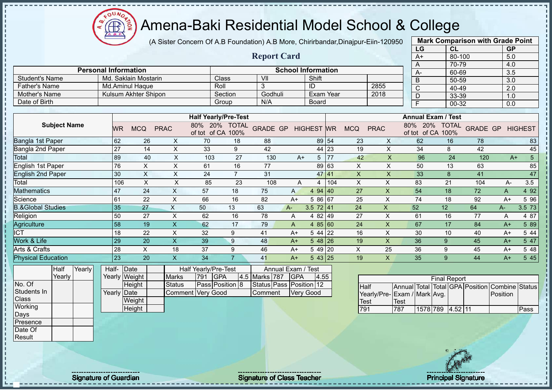$12\mu\text{V}$ **CB** ğ

## Amena-Baki Residential Model School & College

(A Sister Concern Of A.B Foundation) A.B More, Chirirbandar,Dinajpur-Eiin-120950

|                              |                     |        |                             |               |                      |                         |                                    |                 |                         |             |                           |       |                           |                           |      | LG                                 | <b>CL</b>           |                                 | <b>GP</b>             |                 |
|------------------------------|---------------------|--------|-----------------------------|---------------|----------------------|-------------------------|------------------------------------|-----------------|-------------------------|-------------|---------------------------|-------|---------------------------|---------------------------|------|------------------------------------|---------------------|---------------------------------|-----------------------|-----------------|
|                              |                     |        |                             |               |                      |                         |                                    |                 | <b>Report Card</b>      |             |                           |       |                           |                           |      | $A+$                               | $80 - 100$          |                                 | 5.0                   |                 |
|                              |                     |        |                             |               |                      |                         |                                    |                 |                         |             |                           |       |                           |                           |      | A                                  | 70-79               |                                 | 4.0                   |                 |
|                              |                     |        | <b>Personal Information</b> |               |                      |                         |                                    |                 |                         |             | <b>School Information</b> |       |                           |                           |      | А-                                 | 60-69               |                                 | 3.5                   |                 |
| <b>Student's Name</b>        |                     |        |                             |               | Md. Saklain Mostarin |                         |                                    | Class           | $\overline{\mathsf{V}}$ |             | Shift                     |       |                           |                           |      | B                                  | 50-59               |                                 | 3.0                   |                 |
| <b>Father's Name</b>         |                     |        |                             |               | Md.Aminul Haque      |                         |                                    | Roll            | 3                       |             | ID                        |       |                           | 2855                      |      | $\overline{\text{c}}$              | 40-49               |                                 | $\overline{2.0}$      |                 |
| Mother's Name                |                     |        |                             |               | Kulsum Akhter Shipon |                         |                                    | Section         | Godhuli                 |             | <b>Exam Year</b>          |       |                           | 2018                      |      | D                                  | 33-39               |                                 | 1.0                   |                 |
| Date of Birth                |                     |        |                             |               |                      |                         |                                    | Group           | N/A                     |             | <b>Board</b>              |       |                           |                           |      | Е                                  | 00-32               |                                 | 0.0                   |                 |
|                              |                     |        |                             |               |                      |                         | <b>Half Yearly/Pre-Test</b>        |                 |                         |             |                           |       |                           |                           |      | <b>Annual Exam / Test</b>          |                     |                                 |                       |                 |
|                              | <b>Subject Name</b> |        |                             |               |                      |                         |                                    |                 |                         |             |                           |       |                           |                           |      |                                    |                     |                                 |                       |                 |
|                              |                     |        |                             | <b>WR</b>     | <b>MCQ</b>           | <b>PRAC</b>             | 80% 20% TOTAL<br>of tot of CA 100% |                 | <b>GRADE GP</b>         |             | <b>HIGHEST WR</b>         |       | <b>MCQ</b>                | <b>PRAC</b>               |      | 80% 20% TOTAL<br>of tot of CA 100% |                     | <b>GRADE GP</b>                 |                       | <b>HIGHEST</b>  |
| <b>Bangla 1st Paper</b>      |                     |        |                             | 62            | 26                   | $\times$                | 70                                 | 18              | 88                      |             | 89 54                     |       | 23                        | X                         |      | 62                                 | 16                  | 78                              |                       | 83              |
| Bangla 2nd Paper             |                     |        |                             | 27            | 14                   | $\pmb{\times}$          | 33                                 | 9               | 42                      |             |                           | 44 23 | 19                        | X                         |      | 34                                 | 8                   | 42                              |                       | 45              |
| Total                        |                     |        |                             | 89            | 40                   | X                       | 103                                | 27              | 130                     | $A+$        | 5                         | 77    | 42                        | $\overline{\mathsf{X}}$   |      | 96                                 | 24                  | 120                             | $A+$                  | $\overline{5}$  |
| English 1st Paper            |                     |        |                             | 76            | $\pmb{\times}$       | $\times$                | 61                                 | 16              | 77                      |             | 89 63                     |       | $\boldsymbol{\mathsf{X}}$ | $\boldsymbol{\mathsf{X}}$ |      | 50                                 | 13                  | 63                              |                       | 85              |
| <b>English 2nd Paper</b>     |                     |        |                             | 30            | $\sf X$              | $\times$                | 24                                 | $\overline{7}$  | 31                      |             | 47 41                     |       | $\mathsf{X}$              | $\mathsf X$               |      | 33                                 | 8                   | 41                              |                       | $\overline{47}$ |
| Total                        |                     |        |                             | 106           | $\sf X$              | $\sf X$                 | 85                                 | 23              | 108                     | A           | $\overline{4}$            | 104   | X                         | X                         |      | 83                                 | 21                  | 104                             | А-                    | 3.5             |
| Mathematics                  |                     |        |                             | 47            | 24                   | $\sf X$                 | 57                                 | 18              | 75                      | A           | 494 40                    |       | 27                        | X                         |      | 54                                 | 18                  | 72                              | A                     | 4 9 2           |
| Science                      |                     |        |                             | 61            | 22                   | X                       | 66                                 | 16              | 82                      | $A+$        | 5 86 67                   |       | 25                        | X                         |      | 74                                 | 18                  | 92                              | $A+$                  | 5 96            |
| <b>B.&amp;Global Studies</b> |                     |        |                             | 35            | 27                   | $\pmb{\times}$          | 50                                 | 13              | 63                      | A-          | 3.5 $72 \mid 41$          |       | 24                        | X                         |      | 52                                 | 12                  | 64                              | $A -$                 | 3.5 73          |
| Religion                     |                     |        |                             | 50            | 27                   | $\sf X$                 | 62                                 | 16              | 78                      | A           | 4 82 49                   |       | 27                        | $\mathsf{X}$              |      | 61                                 | 16                  | 77                              | A                     | 4 87            |
| Agriculture                  |                     |        |                             | 58            | 19                   | $\overline{\mathsf{X}}$ | 62                                 | 17              | 79                      | A           | 4 $85 60$                 |       | 24                        | $\mathsf X$               |      | 67                                 | 17                  | 84                              | $A+$                  | 5 89            |
| <b>ICT</b>                   |                     |        |                             | 18            | 22                   | X                       | 32                                 | 9               | 41                      | $A+$        | $544$ 22                  |       | 16                        | X                         |      | 30                                 | 10                  | 40                              | $A+$                  | 5 4 4           |
| Work & Life                  |                     |        |                             | 29            | 20                   | $\sf X$                 | 39                                 | 9               | 48                      | $A+$        | $548$ 26                  |       | 19                        | X                         |      | 36                                 | 9                   | 45                              | $A+$                  | 5 47            |
| Arts & Crafts                |                     |        |                             | 28            | X                    | 18                      | 37                                 | 9               | 46                      | $A+$        | 5 49 20                   |       | X                         | 25                        |      | 36                                 | 9                   | 45                              | $A+$                  | 5 48            |
| <b>Physical Education</b>    |                     |        |                             | 23            | 20                   | X                       | 34                                 | $\overline{7}$  | 41                      | $A+$        | 543 25                    |       | 19                        | X                         |      | 35                                 | 9                   | 44                              | $A+$                  | 545             |
|                              | Half                | Yearly | Half-                       | Date          |                      |                         | Half Yearly/Pre-Test               |                 |                         | Annual Exam | Test                      |       |                           |                           |      |                                    |                     |                                 |                       |                 |
|                              | Yearly              |        |                             | Yearly Weight |                      | <b>Marks</b>            | 791<br><b>GPA</b>                  |                 | 4.5 Marks 787           | GPA         | 4.55                      |       |                           |                           |      |                                    | <b>Final Report</b> |                                 |                       |                 |
| No. Of                       |                     |        |                             | Height        |                      | <b>Status</b>           |                                    | Pass Position 8 | Status Pass Position 12 |             |                           |       | <b>Half</b>               |                           |      |                                    |                     | Annual Total Total GPA Position | <b>Combine Status</b> |                 |
| Students In                  |                     |        |                             | Yearly Date   |                      |                         | Comment Very Good                  |                 | Comment                 |             | <b>Very Good</b>          |       |                           | Yearly/Pre-               |      | Exam / Mark Avg.                   |                     |                                 | Position              |                 |
| Class                        |                     |        |                             |               | Weight               |                         |                                    |                 |                         |             |                           |       | Test                      |                           | Test |                                    |                     |                                 |                       |                 |
| Working                      |                     |        |                             |               | Height               |                         |                                    |                 |                         |             |                           |       | 791                       |                           | 787  | 1578 789                           | 4.52 11             |                                 |                       | Pass            |
| Days                         |                     |        |                             |               |                      |                         |                                    |                 |                         |             |                           |       |                           |                           |      |                                    |                     |                                 |                       |                 |



**Mark Comparison with Grade Point**

Presence Date Of **Result** 

J.  $\mathbf I$ 

 $\mathbf I$ 

Signature of Guardian Signature of Class Teacher **Signature of Class Teacher** Principal Signature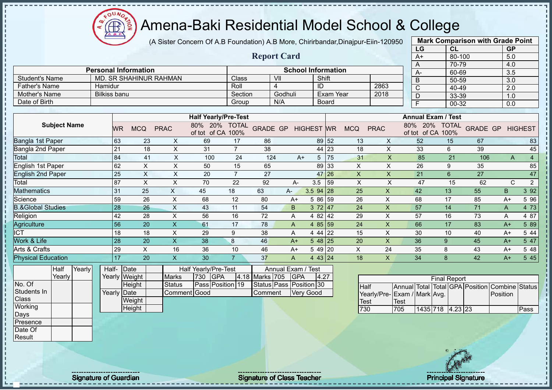(A Sister Concern Of A.B Foundation) A.B More, Chirirbandar,Dinajpur-Eiin-120950

 $12\mu\text{V}$ 

**CB** 

|                              |                             |                               |                           |                                    |                |                 |                         |                           |                  |                           |                           | LG                              | CL                                 |                 | <b>GP</b>        |                |
|------------------------------|-----------------------------|-------------------------------|---------------------------|------------------------------------|----------------|-----------------|-------------------------|---------------------------|------------------|---------------------------|---------------------------|---------------------------------|------------------------------------|-----------------|------------------|----------------|
|                              |                             |                               |                           |                                    |                |                 | <b>Report Card</b>      |                           |                  |                           |                           | $A+$                            | 80-100                             |                 | 5.0              |                |
|                              |                             |                               |                           |                                    |                |                 |                         |                           |                  |                           |                           | A                               | 70-79                              |                 | 4.0              |                |
|                              | <b>Personal Information</b> |                               |                           |                                    |                |                 |                         | <b>School Information</b> |                  |                           |                           | A-                              | 60-69                              |                 | $\overline{3.5}$ |                |
| <b>Student's Name</b>        |                             | <b>MD. SR SHAHINUR RAHMAN</b> |                           |                                    | Class          |                 | VII                     | Shift                     |                  |                           |                           | $\overline{B}$                  | 50-59                              |                 | $\overline{3.0}$ |                |
| <b>Father's Name</b>         | Hamidur                     |                               |                           |                                    | Roll           |                 | 4                       | ID                        |                  |                           | 2863                      | $\overline{C}$                  | 40-49                              |                 | $\overline{2.0}$ |                |
| <b>Mother's Name</b>         | <b>Bilkiss banu</b>         |                               |                           |                                    | Section        |                 | Godhuli                 |                           | <b>Exam Year</b> |                           | 2018                      | $\overline{D}$                  | 33-39                              |                 | 1.0              |                |
| Date of Birth                |                             |                               |                           |                                    | Group          |                 | N/A                     |                           | <b>Board</b>     |                           |                           | $\overline{\mathsf{F}}$         | 00-32                              |                 | 0.0              |                |
|                              |                             |                               |                           |                                    |                |                 |                         |                           |                  |                           |                           |                                 |                                    |                 |                  |                |
|                              |                             |                               |                           | <b>Half Yearly/Pre-Test</b>        |                |                 |                         |                           |                  |                           |                           |                                 | <b>Annual Exam / Test</b>          |                 |                  |                |
| <b>Subject Name</b>          | <b>WR</b>                   | <b>MCQ</b>                    | <b>PRAC</b>               | 80% 20% TOTAL<br>of tot of CA 100% |                | <b>GRADE GP</b> |                         | <b>HIGHEST WR</b>         |                  | <b>MCQ</b>                | <b>PRAC</b>               |                                 | 80% 20% TOTAL<br>of tot of CA 100% | <b>GRADE GP</b> |                  | <b>HIGHEST</b> |
| Bangla 1st Paper             | 63                          | 23                            | $\pmb{\times}$            | 69                                 | 17             | 86              |                         |                           | 89 52            | 13                        | X                         | 52                              | 15                                 | 67              |                  | 83             |
| Bangla 2nd Paper             | 21                          | 18                            | $\pmb{\times}$            | 31                                 | $\overline{7}$ | 38              |                         |                           | 44 23            | 18                        | X                         | 33                              | 6                                  | 39              |                  | 45             |
| <b>Total</b>                 | 84                          | 41                            | $\boldsymbol{\mathsf{X}}$ | 100                                | 24             | 124             | $A+$                    |                           | 5 75             | 31                        | $\mathsf X$               | 85                              | 21                                 | 106             | $\overline{A}$   | $\overline{4}$ |
| <b>English 1st Paper</b>     | 62                          | $\boldsymbol{\mathsf{X}}$     | $\pmb{\times}$            | 50                                 | 15             | 65              |                         |                           | 89 33            | X                         | $\pmb{\times}$            | 26                              | 9                                  | 35              |                  | 85             |
| <b>English 2nd Paper</b>     | 25                          | $\boldsymbol{\mathsf{X}}$     | $\boldsymbol{\mathsf{X}}$ | 20                                 | $\overline{7}$ | 27              |                         |                           | 47 26            | $\mathsf{X}$              | $\mathsf{X}$              | 21                              | 6                                  | 27              |                  | 47             |
| Total                        | 87                          | $\boldsymbol{\mathsf{X}}$     | $\mathsf X$               | 70                                 | 22             | 92              | А-                      | 3.5                       | 59               | $\boldsymbol{\mathsf{X}}$ | $\sf X$                   | 47                              | 15                                 | 62              | $\mathsf{C}$     | $\overline{2}$ |
| <b>Mathematics</b>           | 31                          | 25                            | $\mathsf X$               | 45                                 | 18             | 63              | A-                      | 3.5 94 28                 |                  | 25                        | $\boldsymbol{\mathsf{X}}$ | 42                              | 13                                 | 55              | B                | 3 9 2          |
| Science                      | 59                          | 26                            | $\boldsymbol{\mathsf{X}}$ | 68                                 | 12             | 80              | $A+$                    | 5 86 59                   |                  | 26                        | $\boldsymbol{\mathsf{X}}$ | 68                              | 17                                 | 85              | $A+$             | 5 9 6          |
| <b>B.&amp;Global Studies</b> | 28                          | 26                            | $\boldsymbol{\mathsf{X}}$ | 43                                 | 11             | 54              | B                       | 372 47                    |                  | 24                        | $\boldsymbol{\mathsf{X}}$ | 57                              | 14                                 | $\overline{71}$ | A                | 4 73           |
| Religion                     | 42                          | 28                            | $\times$                  | 56                                 | 16             | 72              | A                       | 4 82 42                   |                  | 29                        | $\boldsymbol{\mathsf{X}}$ | 57                              | 16                                 | 73              | Α                | 4 87           |
| Agriculture                  | 56                          | 20                            | $\mathsf{X}$              | 61                                 | 17             | 78              | A                       | 4 $85 59$                 |                  | 24                        | $\pmb{\times}$            | 66                              | 17                                 | 83              | $A+$             | 5 89           |
| <b>ICT</b>                   | 18                          | 18                            | $\sf X$                   | 29                                 | 9              | 38              | A                       | 4 44 22                   |                  | 15                        | $\boldsymbol{\mathsf{X}}$ | 30                              | 10                                 | 40              | $A+$             | 5 4 4          |
| Work & Life                  | 28                          | 20                            | $\overline{\mathsf{X}}$   | 38                                 | 8              | 46              | $A+$                    | $548$ 25                  |                  | 20                        | $\boldsymbol{\mathsf{X}}$ | 36                              | 9                                  | 45              | $A+$             | 5 47           |
| Arts & Crafts                | 29                          | X                             | 16                        | 36                                 | 10             | 46              | $A+$                    | 5 49 20                   |                  | $\mathsf X$               | 24                        | 35                              | 8                                  | 43              | $A+$             | 5 48           |
| <b>Physical Education</b>    | 17                          | 20                            | $\overline{\mathsf{x}}$   | 30                                 | $\overline{7}$ | 37              | $\mathsf{A}$            | 4 43 24                   |                  | 18                        | $\mathsf{X}$              | 34                              | 8                                  | 42              | $A+$             | 5 45           |
| Yearly<br>Half               | Half-Date                   |                               |                           | Half Yearly/Pre-Test               |                |                 | Annual Exam / Test      |                           |                  |                           |                           |                                 |                                    |                 |                  |                |
| Yearly                       |                             | Yearly Weight                 | <b>Marks</b>              | <b>GPA</b><br>730                  |                | 4.18 Marks 705  | <b>GPA</b>              | 4.27                      |                  |                           |                           |                                 | <b>Final Report</b>                |                 |                  |                |
| No. Of                       |                             | Height                        | <b>Status</b>             | Pass Position 19                   |                |                 | Status Pass Position 30 |                           |                  | Half                      |                           | Annual Total Total GPA Position |                                    |                 | Combine Status   |                |
| Students In                  | Yearly Date                 |                               |                           | Comment Good                       |                | Comment         |                         | <b>Very Good</b>          |                  |                           |                           | Yearly/Pre-Exam / Mark Avg.     |                                    |                 | Position         |                |
| Class                        |                             | Weight                        |                           |                                    |                |                 |                         |                           |                  | <b>Test</b>               |                           | <b>Test</b>                     |                                    |                 |                  |                |
| Working                      |                             | Height                        |                           |                                    |                |                 |                         |                           |                  | 730                       |                           | 705                             | 1435 718 4.23 23                   |                 |                  | Pass           |
| Days                         |                             |                               |                           |                                    |                |                 |                         |                           |                  |                           |                           |                                 |                                    |                 |                  |                |
| Presence                     |                             |                               |                           |                                    |                |                 |                         |                           |                  |                           |                           |                                 |                                    |                 |                  |                |
| Date Of                      |                             |                               |                           |                                    |                |                 |                         |                           |                  |                           |                           |                                 |                                    |                 |                  |                |
| Result                       |                             |                               |                           |                                    |                |                 |                         |                           |                  |                           |                           |                                 |                                    |                 |                  |                |
|                              |                             |                               |                           |                                    |                |                 |                         |                           |                  |                           |                           |                                 |                                    |                 |                  |                |

л

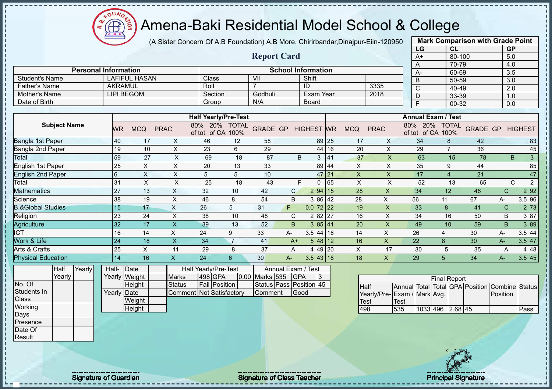

#### Amena-Baki Residential Model School & College

(A Sister Concern Of A.B Foundation) A.B More, Chirirbandar,Dinajpur-Eiin-120950 **Mark Comparison with Grade Point**

|                             |                |                      |             | (A Sister Coricerti Of A.D Fouridation) A.D More, Chillinghidal,Dirialpul-Ellii-T20930 |    |                     |                           |           |    |            |             |                              |                           | <b>Main Companson With Craug I Ollit</b> |                  |    |
|-----------------------------|----------------|----------------------|-------------|----------------------------------------------------------------------------------------|----|---------------------|---------------------------|-----------|----|------------|-------------|------------------------------|---------------------------|------------------------------------------|------------------|----|
|                             |                |                      |             |                                                                                        |    | <b>Report Card</b>  |                           |           |    |            |             | LG<br>A+                     | CL<br>80-100              |                                          | <b>GP</b><br>5.0 |    |
|                             |                |                      |             |                                                                                        |    |                     |                           |           |    |            |             |                              | 70-79                     |                                          | 4.0              |    |
| <b>Personal Information</b> |                |                      |             |                                                                                        |    |                     | <b>School Information</b> |           |    |            |             | $A-$                         | 60-69                     |                                          | 3.5              |    |
| Student's Name              |                | <b>LAFIFUL HASAN</b> |             | <b>Class</b>                                                                           |    | VII                 |                           | Shift     |    |            |             | B                            | 50-59                     |                                          | 3.0              |    |
| <b>Father's Name</b>        | <b>AKRAMUL</b> |                      |             | Roll                                                                                   |    |                     | ID                        |           |    |            | 3335        | $\mathsf{C}$                 | 40-49                     |                                          | 2.0              |    |
| Mother's Name               |                | LIPI BEGOM           |             | Section                                                                                |    | Godhuli             |                           | Exam Year |    |            | 2018        |                              | 33-39                     |                                          | 1.0              |    |
| Date of Birth               |                |                      |             | Group                                                                                  |    | N/A                 |                           | Board     |    |            |             |                              | 00-32                     |                                          | 0.0              |    |
|                             |                |                      |             |                                                                                        |    |                     |                           |           |    |            |             |                              |                           |                                          |                  |    |
|                             |                |                      |             | <b>Half Yearly/Pre-Test</b>                                                            |    |                     |                           |           |    |            |             |                              | <b>Annual Exam / Test</b> |                                          |                  |    |
| <b>Subject Name</b>         | <b>WR</b>      | <b>MCQ</b>           | <b>PRAC</b> | 80% 20% TOTAL<br>of tot of CA 100%                                                     |    | GRADE GP HIGHEST WR |                           |           |    | <b>MCQ</b> | <b>PRAC</b> | 80% 20%<br>of tot of CA 100% | <b>TOTAL</b>              | <b>GRADE GP HIGHEST</b>                  |                  |    |
| Bangla 1st Paper            | 40             | 17                   | X.          | 46                                                                                     | 12 | 58                  |                           | 89 25     |    | 17         | X           | 34                           |                           | 42                                       |                  | 83 |
| 3angla 2nd Paper            | 19             | 10                   | X.          | 23                                                                                     | 6  | 29                  |                           | 44 16     |    | 20         | X           | 29                           |                           | 36                                       |                  | 45 |
| otal.                       | 59             | 27                   | X           | 69                                                                                     | 18 | 87                  | B.                        | 3         | 41 | 37         | X           | 63                           | 15                        | 78                                       | B.               | 3  |
| Inglish 1st Paper           | 25             | X.                   | X.          | 20                                                                                     | 13 | 33                  |                           | 89 44     |    | X.         | X           | 35                           |                           | 44                                       |                  | 85 |
|                             |                |                      |             |                                                                                        |    |                     |                           |           |    |            |             |                              |                           |                                          |                  |    |

| Date of Birth                |        |                 |            |             | Group                         |                      | N/A             |              | Board              |             |    |            |             | $\mathsf{F}$ |                           | 00-32          |                 |              | 0.0                 |
|------------------------------|--------|-----------------|------------|-------------|-------------------------------|----------------------|-----------------|--------------|--------------------|-------------|----|------------|-------------|--------------|---------------------------|----------------|-----------------|--------------|---------------------|
|                              |        |                 |            |             |                               |                      |                 |              |                    |             |    |            |             |              |                           |                |                 |              |                     |
|                              |        |                 |            |             | <b>Half Yearly/Pre-Test</b>   |                      |                 |              |                    |             |    |            |             |              | <b>Annual Exam / Test</b> |                |                 |              |                     |
| <b>Subject Name</b>          |        | WR              | <b>MCQ</b> | <b>PRAC</b> | 80%<br>20%<br>of CA<br>of tot | <b>TOTAL</b><br>100% | <b>GRADE GP</b> |              | <b>HIGHEST WR</b>  |             |    | <b>MCQ</b> | <b>PRAC</b> | 80%          | 20%<br>of tot of CA 100%  | <b>TOTAL</b>   | <b>GRADE GP</b> |              | <b>HIGHEST</b>      |
| Bangla 1st Paper             |        | 40              | 17         | X           | 46                            | 12                   | 58              |              |                    | 89 25       |    | 17         | X           | 34           |                           | 8              | 42              |              | 83                  |
| Bangla 2nd Paper             |        | 19              | 10         | X           | 23                            | 6                    | 29              |              |                    | 44 16       |    | 20         | X           | 29           |                           | $\overline{7}$ | 36              |              | 45                  |
| Total                        |        | 59              | 27         | X           | 69                            | 18                   | 87              |              | B                  | 3           | 41 | 37         | X           | 63           |                           | 15             | 78              |              | $\mathbf{3}$<br>B   |
| English 1st Paper            |        | 25              | X          | X           | 20                            | 13                   | 33              |              |                    | 89 44       |    | X          | X           | 35           |                           | 9              | 44              |              | 85                  |
| <b>English 2nd Paper</b>     |        | $6\phantom{1}6$ | X          | X           | 5                             | 5                    | 10              |              |                    | 47 21       |    | X          | X           | 17           |                           | 4              | 21              |              | 47                  |
| Total                        |        | 31              | X          | X           | 25                            | 18                   | 43              |              | F                  | 0           | 65 | X          | X           | 52           |                           | 13             | 65              |              | $\overline{2}$<br>C |
| <b>Mathematics</b>           |        | 27              | 13         | X           | 32                            | 10                   | 42              | $\mathsf{C}$ |                    | 294   15    |    | 28         | X           | 34           |                           | 12             | 46              | $\mathsf{C}$ | 2 9 2               |
| Science                      |        | 38              | 19         | X           | 46                            | 8                    | 54              | B            |                    | 3 86 42     |    | 28         | X.          | 56           |                           | 11             | 67              | A-           | 3.5 96              |
| <b>3.&amp;Global Studies</b> |        | 15              | 17         | X           | 26                            | 5                    | 31              | F.           |                    | $0.072$ 22  |    | 19         | X           | 33           |                           | 8              | 41              | $\mathsf{C}$ | 2 73                |
| Religion                     |        | 23              | 24         | X           | 38                            | 10                   | 48              | C            |                    | 2 82 27     |    | 16         | X           | 34           |                           | 16             | 50              | $\sf B$      | 3 87                |
| Agriculture                  |        | 32              | 17         | X.          | 39                            | 13                   | 52              | B.           |                    | 385 41      |    | 20         | X           | 49           |                           | 10             | 59              | B            | 3 8 9               |
| ICT                          |        | 16              | 14         | X           | 24                            | 9                    | 33              | A-           |                    | $3.5$ 44 18 |    | 14         | X.          | 26           |                           | 4              | 30              | А-           | 3.5 44              |
| Work & Life                  |        | 24              | 18         | X           | 34                            | $\overline{7}$       | 41              | $A+$         |                    | $548$ 12    |    | 16         | X.          | 22           |                           | 8              | 30              | A-           | 3.5 47              |
| Arts & Crafts                |        | 25              | X          | 11          | 29                            | 8                    | 37              | A            |                    | 4 49 20     |    | X          | 17          | 30           |                           | 5              | 35              | A            | 4 4 8               |
| <b>Physical Education</b>    |        | 14              | 16         | X           | 24                            | 6                    | 30              | $A -$        |                    | $3.543$ 18  |    | 18         | X.          | 29           |                           | 5              | 34              | A-           | 3.5 45              |
| Half                         | Yearly | Half-           | Date       |             | Half Yearly/Pre-Test          |                      |                 |              | Annual Exam / Test |             |    |            |             |              |                           |                |                 |              |                     |

| <b>Half</b> | Yearly | Half-       | <b>IDate</b>    |                          | Half Yearly/Pre-Test |                    | Annual Exam / Test      |  |
|-------------|--------|-------------|-----------------|--------------------------|----------------------|--------------------|-------------------------|--|
| Yearly      |        |             | Yearly Weight I | <b>Marks</b>             | 498 GPA              | 0.00 Marks 535 GPA |                         |  |
|             |        |             | Height          | <b>Status</b>            | <b>Fail Position</b> |                    | Status Pass Position 45 |  |
|             |        | Yearly Date |                 | Comment Not Satisfactory |                      | <b>Comment</b>     | lGood                   |  |
|             |        |             | Weight          |                          |                      |                    |                         |  |
|             |        |             | Height          |                          |                      |                    |                         |  |

|                             |      |                  | <b>Final Report</b> |  |                                                |      |
|-----------------------------|------|------------------|---------------------|--|------------------------------------------------|------|
| IHalf                       |      |                  |                     |  | Annual Total Total GPA Position Combine Status |      |
| Yearly/Pre-Exam / Mark Avg. |      |                  |                     |  | <b>Position</b>                                |      |
| Test                        | Test |                  |                     |  |                                                |      |
| 498                         | 535  | 1033 496 2.68 45 |                     |  |                                                | Pass |

No. Of Students In **Class Working** Days Presence Date Of Result

J. Ŧ  $\mathbf{I}$ 

Signature of Guardian Signature Signature of Class Teacher Principal Signature 7/477 Principal Signature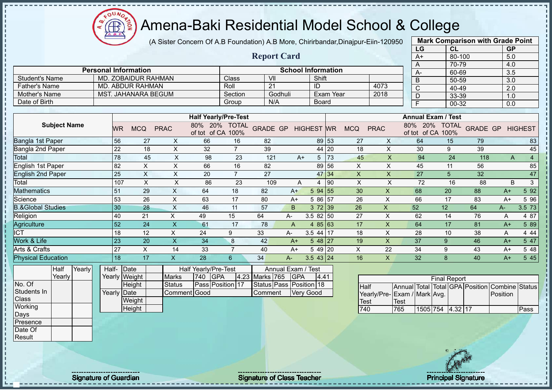(A Sister Concern Of A.B Foundation) A.B More, Chirirbandar,Dinajpur-Eiin-120950

 $12\mu\text{V}$ 

**CB** 

|                              |                             |                 |                            |                           |                                              |                |                 |                           |                   |             |                           |                           | LG                                      | CL                                         |     | <b>GP</b>               |                |
|------------------------------|-----------------------------|-----------------|----------------------------|---------------------------|----------------------------------------------|----------------|-----------------|---------------------------|-------------------|-------------|---------------------------|---------------------------|-----------------------------------------|--------------------------------------------|-----|-------------------------|----------------|
|                              |                             |                 |                            |                           |                                              |                |                 | <b>Report Card</b>        |                   |             |                           |                           | $A+$                                    | 80-100                                     |     | 5.0                     |                |
|                              |                             |                 |                            |                           |                                              |                |                 |                           |                   |             |                           |                           | A                                       | 70-79                                      |     | 4.0                     |                |
|                              | <b>Personal Information</b> |                 |                            |                           |                                              |                |                 | <b>School Information</b> |                   |             |                           |                           | А-                                      | 60-69                                      |     | 3.5                     |                |
| <b>Student's Name</b>        |                             |                 | MD. ZOBAIDUR RAHMAN        |                           |                                              | Class          | V <sub>II</sub> |                           | Shift             |             |                           |                           | $\overline{B}$                          | 50-59                                      |     | 3.0                     |                |
| <b>Father's Name</b>         |                             |                 | <b>MD. ABDUR RAHMAN</b>    |                           |                                              | Roll           | 21              |                           | ID                |             |                           | 4073                      | $\overline{C}$                          | 40-49                                      |     | $\overline{2.0}$        |                |
| Mother's Name                |                             |                 | <b>MST. JAHANARA BEGUM</b> |                           |                                              | Section        |                 | Godhuli                   |                   | Exam Year   |                           | 2018                      | D                                       | 33-39                                      |     | 1.0                     |                |
| Date of Birth                |                             |                 |                            |                           |                                              | Group          | N/A             |                           | <b>Board</b>      |             |                           |                           | $\overline{F}$                          | 00-32                                      |     | 0.0                     |                |
|                              |                             |                 |                            |                           |                                              |                |                 |                           |                   |             |                           |                           |                                         |                                            |     |                         |                |
| <b>Subject Name</b>          |                             | <b>WR</b>       | <b>MCQ</b>                 | <b>PRAC</b>               | <b>Half Yearly/Pre-Test</b><br>80% 20% TOTAL |                | <b>GRADE GP</b> |                           | <b>HIGHEST WR</b> |             | <b>MCQ</b>                | <b>PRAC</b>               |                                         | <b>Annual Exam / Test</b><br>80% 20% TOTAL |     | <b>GRADE GP HIGHEST</b> |                |
|                              |                             |                 |                            |                           | of tot of CA 100%                            |                |                 |                           |                   |             |                           |                           | of tot of CA 100%                       |                                            |     |                         |                |
| Bangla 1st Paper             |                             | 56              | 27                         | X                         | 66                                           | 16             | 82              |                           |                   | 89 53       | 27                        | X                         | 64                                      | 15                                         | 79  |                         | 83             |
| Bangla 2nd Paper             |                             | 22              | 18                         | $\boldsymbol{\mathsf{X}}$ | 32                                           | $\overline{7}$ | 39              |                           |                   | 44 20       | 18                        | $\times$                  | 30                                      | 9                                          | 39  |                         | 45             |
| <b>Total</b>                 |                             | 78              | 45                         | $\mathsf{X}$              | 98                                           | 23             | 121             | $A+$                      |                   | $5 \mid 73$ | 45                        | $\times$                  | 94                                      | 24                                         | 118 | $\mathsf{A}$            | $\overline{4}$ |
| <b>English 1st Paper</b>     |                             | 82              | $\boldsymbol{\mathsf{X}}$  | $\boldsymbol{\mathsf{X}}$ | 66                                           | 16             | 82              |                           |                   | 89 56       | $\times$                  | $\times$                  | 45                                      | 11                                         | 56  |                         | 85             |
| <b>English 2nd Paper</b>     |                             | 25              | $\boldsymbol{\mathsf{X}}$  | $\boldsymbol{\mathsf{X}}$ | 20                                           | $\overline{7}$ | 27              |                           |                   | 47 34       | $\pmb{\times}$            | $\mathsf{X}$              | 27                                      | 5                                          | 32  |                         | 47             |
| Total                        |                             | 107             | $\boldsymbol{\mathsf{X}}$  | $\boldsymbol{\mathsf{X}}$ | 86                                           | 23             | 109             | Α                         | 4                 | 90          | $\boldsymbol{\mathsf{X}}$ | $\pmb{\times}$            | 72                                      | 16                                         | 88  | B                       | 3              |
| <b>Mathematics</b>           |                             | 51              | 29                         | $\mathsf{X}$              | 64                                           | 18             | 82              | $A+$                      | 5 94 55           |             | 30                        | $\boldsymbol{\mathsf{X}}$ | 68                                      | 20                                         | 88  | $A+$                    | 5 92           |
| Science                      |                             | 53              | 26                         | $\times$                  | 63                                           | 17             | 80              | $A+$                      | 5 86 57           |             | 26                        | $\boldsymbol{\mathsf{X}}$ | 66                                      | 17                                         | 83  | $A+$                    | 5 9 6          |
| <b>B.&amp;Global Studies</b> |                             | 30              | 28                         | $\times$                  | 46                                           | 11             | 57              | B                         | 372 39            |             | 26                        | $\boldsymbol{\mathsf{X}}$ | 52                                      | 12                                         | 64  | $A -$                   | 3.5 73         |
| Religion                     |                             | 40              | 21                         | $\mathsf X$               | 49                                           | 15             | 64              | A-                        | $3.582$ 50        |             | 27                        | X                         | 62                                      | 14                                         | 76  | A                       | 4 87           |
| Agriculture                  |                             | $\overline{52}$ | 24                         | $\boldsymbol{\mathsf{X}}$ | 61                                           | 17             | 78              | $\overline{A}$            | 4 $85 63$         |             | 17                        | $\boldsymbol{\mathsf{X}}$ | 64                                      | 17                                         | 81  | $A+$                    | 5 89           |
| <b>ICT</b>                   |                             | 18              | 12                         | X                         | 24                                           | 9              | 33              | A-                        | $3.544$ 17        |             | 18                        | X                         | 28                                      | 10                                         | 38  | A                       | 4 4 4          |
| Work & Life                  |                             | 23              | 20                         | $\boldsymbol{\mathsf{X}}$ | 34                                           | 8              | 42              | $A+$                      | $548$   27        |             | 19                        | $\pmb{\times}$            | 37                                      | 9                                          | 46  | $A+$                    | 5 47           |
| Arts & Crafts                |                             | $\overline{27}$ | $\pmb{\times}$             | 14                        | 33                                           | $\overline{7}$ | 40              | $A+$                      | 5 49 20           |             | $\pmb{\times}$            | 22                        | 34                                      | 9                                          | 43  | $A+$                    | 5 48           |
| <b>Physical Education</b>    |                             | 18              | 17                         | $\mathsf{x}$              | 28                                           | 6              | 34              | $A-$                      | $3.543$   24      |             | 16                        | $\mathsf{X}$              | 32                                      | 8                                          | 40  | $A+$                    | 5 45           |
| Yearly<br>Half               |                             | Half- Date      |                            |                           | <b>Half Yearly/Pre-Test</b>                  |                |                 | Annual Exam / Test        |                   |             |                           |                           |                                         |                                            |     |                         |                |
| Yearly                       |                             | Yearly Weight   |                            | <b>Marks</b>              | 740<br><b>GPA</b>                            |                | 4.23 Marks 765  | <b>GPA</b>                | 4.41              |             |                           |                           |                                         | <b>Final Report</b>                        |     |                         |                |
| No. Of                       |                             |                 | Height                     | <b>Status</b>             | Pass Position 17                             |                |                 | Status Pass Position 18   |                   |             | <b>Half</b>               |                           | Annual Total Total GPA Position Combine |                                            |     |                         | <b>Status</b>  |
| Students In                  |                             | Yearly Date     |                            |                           | Comment Good                                 |                | Comment         |                           | <b>Very Good</b>  |             |                           |                           | Yearly/Pre-Exam / Mark Avg.             |                                            |     | Position                |                |
| Class                        |                             |                 | Weight                     |                           |                                              |                |                 |                           |                   |             | Test                      |                           | <b>Test</b>                             |                                            |     |                         |                |
| Working                      |                             |                 | Height                     |                           |                                              |                |                 |                           |                   |             | 740                       |                           | 765                                     | 1505 754 4.32 17                           |     |                         | Pass           |
| Days                         |                             |                 |                            |                           |                                              |                |                 |                           |                   |             |                           |                           |                                         |                                            |     |                         |                |
| Presence                     |                             |                 |                            |                           |                                              |                |                 |                           |                   |             |                           |                           |                                         |                                            |     |                         |                |
| Date Of                      |                             |                 |                            |                           |                                              |                |                 |                           |                   |             |                           |                           |                                         |                                            |     |                         |                |
| Result                       |                             |                 |                            |                           |                                              |                |                 |                           |                   |             |                           |                           |                                         |                                            |     |                         |                |
|                              |                             |                 |                            |                           |                                              |                |                 |                           |                   |             |                           |                           |                                         |                                            |     |                         |                |

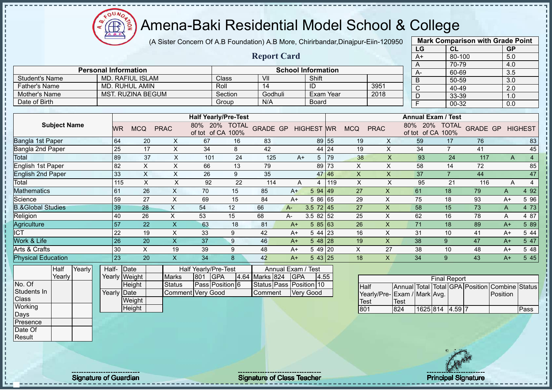$12\mu\text{V}$ **CB** 

## Amena-Baki Residential Model School & College

(A Sister Concern Of A.B Foundation) A.B More, Chirirbandar,Dinajpur-Eiin-120950

|                              |        |                 |                             |                           |                             |                 |                         |                    |                           |       |                           |                           | LG                              |                           | CL                  |                 | <b>GP</b>        |                |
|------------------------------|--------|-----------------|-----------------------------|---------------------------|-----------------------------|-----------------|-------------------------|--------------------|---------------------------|-------|---------------------------|---------------------------|---------------------------------|---------------------------|---------------------|-----------------|------------------|----------------|
|                              |        |                 |                             |                           |                             |                 | <b>Report Card</b>      |                    |                           |       |                           |                           | $A+$                            |                           | 80-100              |                 | 5.0              |                |
|                              |        |                 | <b>Personal Information</b> |                           |                             |                 |                         |                    |                           |       |                           |                           | A                               |                           | 70-79               |                 | 4.0              |                |
|                              |        |                 |                             |                           |                             |                 |                         |                    | <b>School Information</b> |       |                           |                           | $A-$                            |                           | 60-69               |                 | $\overline{3.5}$ |                |
| <b>Student's Name</b>        |        |                 | <b>MD. RAFIUL ISLAM</b>     |                           |                             | Class           | VII                     |                    | Shift                     |       |                           |                           | B                               |                           | 50-59               |                 | $\overline{3.0}$ |                |
| <b>Father's Name</b>         |        |                 | <b>MD. RUHUL AMIN</b>       |                           |                             | Roll            | 14                      |                    | ID                        |       |                           | 3951                      | $\overline{\text{c}}$           |                           | 40-49               |                 | $\overline{2.0}$ |                |
| Mother's Name                |        |                 | <b>MST. RUZINA BEGUM</b>    |                           |                             | Section         | Godhuli                 |                    | <b>Exam Year</b>          |       |                           | 2018                      | D                               |                           | 33-39               |                 | 1.0              |                |
| Date of Birth                |        |                 |                             |                           |                             | Group           | N/A                     |                    | <b>Board</b>              |       |                           |                           | F                               |                           | $00 - 32$           |                 | $\overline{0.0}$ |                |
|                              |        |                 |                             |                           | <b>Half Yearly/Pre-Test</b> |                 |                         |                    |                           |       |                           |                           |                                 | <b>Annual Exam / Test</b> |                     |                 |                  |                |
| <b>Subject Name</b>          |        |                 |                             |                           | 80% 20% TOTAL               |                 |                         |                    |                           |       |                           |                           |                                 | 80% 20% TOTAL             |                     |                 |                  |                |
|                              |        | WR              | <b>MCQ</b>                  | <b>PRAC</b>               | of tot of CA 100%           |                 | <b>GRADE GP</b>         |                    | <b>HIGHEST</b> WR         |       | <b>MCQ</b>                | <b>PRAC</b>               |                                 | of tot of CA 100%         |                     | <b>GRADE GP</b> |                  | <b>HIGHEST</b> |
| Bangla 1st Paper             |        | 64              | 20                          | X                         | 67                          | 16              | 83                      |                    |                           | 89 55 | 19                        | X                         | 59                              |                           | 17                  | 76              |                  | 83             |
| Bangla 2nd Paper             |        | 25              | 17                          | $\pmb{\times}$            | 34                          | 8               | 42                      |                    |                           | 44 24 | 19                        | $\pmb{\times}$            | 34                              |                           | $\overline{7}$      | 41              |                  | 45             |
| Total                        |        | 89              | 37                          | X                         | 101                         | 24              | 125                     | $A+$               | 5 <sup>5</sup>            | 79    | 38                        | X                         |                                 | 93                        | 24                  | 117             | A                | $\overline{4}$ |
| <b>English 1st Paper</b>     |        | $\overline{82}$ | $\boldsymbol{\mathsf{X}}$   | $\boldsymbol{\mathsf{X}}$ | 66                          | 13              | 79                      |                    |                           | 89 73 | X                         | $\pmb{\times}$            | 58                              |                           | 14                  | 72              |                  | 85             |
| <b>English 2nd Paper</b>     |        | 33              | $\boldsymbol{\mathsf{X}}$   | $\boldsymbol{\mathsf{X}}$ | 26                          | 9               | 35                      |                    |                           | 47 46 | $\boldsymbol{\mathsf{X}}$ | $\pmb{\times}$            | 37                              |                           | $\overline{7}$      | 44              |                  | 47             |
| Total                        |        | 115             | $\boldsymbol{\mathsf{X}}$   | X                         | 92                          | 22              | 114                     | Α                  | 4                         | 119   | $\boldsymbol{\mathsf{X}}$ | $\pmb{\mathsf{X}}$        |                                 | 95                        | 21                  | 116             | A                | $\overline{4}$ |
| <b>Mathematics</b>           |        | 61              | 26                          | $\boldsymbol{\mathsf{X}}$ | 70                          | 15              | 85                      | $A+$               | 5 94 49                   |       | 27                        | $\mathsf{X}$              | 61                              |                           | 18                  | 79              | A                | 4 9 2          |
| Science                      |        | 59              | $\overline{27}$             | $\sf X$                   | 69                          | $\overline{15}$ | 84                      | $A+$               | 5 86 65                   |       | 29                        | $\times$                  | 75                              |                           | 18                  | 93              | $A+$             | 5 96           |
| <b>B.&amp;Global Studies</b> |        | 39              | 28                          | $\boldsymbol{\mathsf{X}}$ | 54                          | 12              | 66                      | $A -$              | $3.5 \ 72 \ 45$           |       | 27                        | $\mathsf{X}$              | 58                              |                           | 15                  | 73              | A                | 4 73           |
| Religion                     |        | 40              | 26                          | $\mathsf{X}$              | 53                          | 15              | 68                      | $A -$              | $3.582$ 52                |       | 25                        | X                         | 62                              |                           | 16                  | 78              | Α                | 4 87           |
| <b>Agriculture</b>           |        | 57              | 22                          | $\sf X$                   | 63                          | 18              | 81                      | $A+$               | 585 63                    |       | 26                        | $\boldsymbol{\mathsf{X}}$ | 71                              |                           | 18                  | 89              | $A+$             | 5 89           |
| <b>ICT</b>                   |        | 22              | 19                          | $\mathsf X$               | 33                          | 9               | 42                      | $A+$               | 5 44 23                   |       | 16                        | $\mathsf{X}$              | 31                              |                           | 10                  | 41              | $A+$             | 5 44           |
| Work & Life                  |        | 26              | 20                          | $\overline{\mathsf{X}}$   | 37                          | 9               | 46                      | $A+$               | $548$  28                 |       | 19                        | $\mathsf{X}$              | 38                              |                           | 9                   | 47              | $A+$             | 5 47           |
| Arts & Crafts                |        | 30              | $\pmb{\times}$              | 19                        | 39                          | 9               | 48                      | $A+$               | 5 49 20                   |       | $\times$                  | 27                        | 38                              |                           | 10                  | 48              | $A+$             | 5 48           |
| <b>Physical Education</b>    |        | 23              | 20                          | $\pmb{\times}$            | 34                          | 8               | 42                      | $A+$               | 543 25                    |       | 18                        | $\mathsf{X}$              | 34                              |                           | 9                   | 43              | $A+$             | 5 4 5          |
| Half                         | Yearly |                 | Half-Date                   |                           | Half Yearly/Pre-Test        |                 |                         | Annual Exam / Test |                           |       |                           |                           |                                 |                           |                     |                 |                  |                |
| Yearly                       |        |                 | Yearly Weight               | <b>Marks</b>              | 801<br><b>GPA</b>           |                 | 4.64 Marks 824          | <b>GPA</b>         | 4.55                      |       |                           |                           |                                 |                           | <b>Final Report</b> |                 |                  |                |
| No. Of                       |        |                 | Height                      | <b>Status</b>             | Pass Position 6             |                 | Status Pass Position 10 |                    |                           |       |                           | Half                      | Annual Total Total GPA Position |                           |                     |                 | Combine Status   |                |
| Students In                  |        |                 | Yearly Date                 |                           | <b>Comment Very Good</b>    |                 | Comment                 |                    | <b>Very Good</b>          |       |                           | Yearly/Pre-               | Exam / Mark Avg.                |                           |                     |                 | Position         |                |
| Class                        |        |                 | Weight                      |                           |                             |                 |                         |                    |                           |       |                           | <b>Test</b>               | <b>Test</b>                     |                           |                     |                 |                  |                |
| Working                      |        |                 | Height                      |                           |                             |                 |                         |                    |                           |       | 801                       |                           | 824                             | 1625 814 4.59 7           |                     |                 |                  | Pass           |
| Days                         |        |                 |                             |                           |                             |                 |                         |                    |                           |       |                           |                           |                                 |                           |                     |                 |                  |                |
| Presence                     |        |                 |                             |                           |                             |                 |                         |                    |                           |       |                           |                           |                                 |                           |                     |                 |                  |                |
| Date Of                      |        |                 |                             |                           |                             |                 |                         |                    |                           |       |                           |                           |                                 |                           |                     |                 |                  |                |
| Result                       |        |                 |                             |                           |                             |                 |                         |                    |                           |       |                           |                           |                                 |                           |                     |                 |                  |                |

**Mark Comparison with Grade Point**

Signature of Guardian Signature of Class Teacher Principal Signature Principal Signature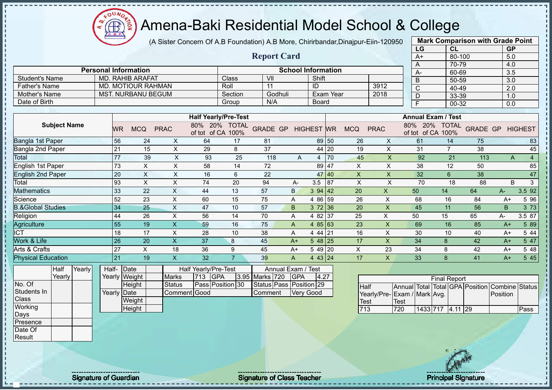(A Sister Concern Of A.B Foundation) A.B More, Chirirbandar,Dinajpur-Eiin-120950

 $12\mu\text{V}$ 

**CB** 

|                              |             |                             |                           |                                    |                |                         |                           |                   |       |                           |                           | LG                                 | CL                  |                 | <b>GP</b>        |                |
|------------------------------|-------------|-----------------------------|---------------------------|------------------------------------|----------------|-------------------------|---------------------------|-------------------|-------|---------------------------|---------------------------|------------------------------------|---------------------|-----------------|------------------|----------------|
|                              |             |                             |                           |                                    |                | <b>Report Card</b>      |                           |                   |       |                           |                           | $A+$                               | $80 - 100$          |                 | 5.0              |                |
|                              |             |                             |                           |                                    |                |                         |                           |                   |       |                           |                           | A                                  | 70-79               |                 | 4.0              |                |
|                              |             | <b>Personal Information</b> |                           |                                    |                |                         | <b>School Information</b> |                   |       |                           |                           | A-                                 | 60-69               |                 | 3.5              |                |
| <b>Student's Name</b>        |             | <b>MD. RAHIB ARAFAT</b>     |                           |                                    | Class          | VII                     |                           | Shift             |       |                           |                           | $\overline{B}$                     | 50-59               |                 | $\overline{3.0}$ |                |
| <b>Father's Name</b>         |             | <b>MD. MOTIOUR RAHMAN</b>   |                           |                                    | Roll           | 11                      |                           | ID                |       |                           | 3912                      | $\overline{C}$                     | 40-49               |                 | 2.0              |                |
| <b>Mother's Name</b>         |             | <b>MST. NURBANU BEGUM</b>   |                           |                                    | Section        | Godhuli                 |                           | <b>Exam Year</b>  |       |                           | 2018                      | $\overline{D}$                     | 33-39               |                 | 1.0              |                |
| Date of Birth                |             |                             |                           |                                    | Group          | N/A                     |                           | <b>Board</b>      |       |                           |                           | $\overline{F}$                     | 00-32               |                 | 0.0              |                |
|                              |             |                             |                           |                                    |                |                         |                           |                   |       |                           |                           |                                    |                     |                 |                  |                |
|                              |             |                             |                           | <b>Half Yearly/Pre-Test</b>        |                |                         |                           |                   |       |                           |                           | <b>Annual Exam / Test</b>          |                     |                 |                  |                |
| <b>Subject Name</b>          | <b>WR</b>   | <b>MCQ</b>                  | <b>PRAC</b>               | 80% 20% TOTAL<br>of tot of CA 100% |                | <b>GRADE GP</b>         |                           | <b>HIGHEST WR</b> |       | <b>MCQ</b>                | <b>PRAC</b>               | 80% 20% TOTAL<br>of tot of CA 100% |                     | <b>GRADE GP</b> |                  | <b>HIGHEST</b> |
| Bangla 1st Paper             | 56          | 24                          | X                         | 64                                 | 17             | 81                      |                           | 89 50             |       | 26                        | X                         | 61                                 | 14                  | 75              |                  | 83             |
| Bangla 2nd Paper             | 21          | 15                          | $\boldsymbol{\mathsf{X}}$ | 29                                 | 8              | 37                      |                           |                   | 44 20 | 19                        | $\pmb{\times}$            | 31                                 | $\overline{7}$      | 38              |                  | 45             |
| <b>Total</b>                 | 77          | 39                          | X                         | 93                                 | 25             | 118                     | A                         | 4                 | 70    | 45                        | $\mathsf{X}$              | 92                                 | 21                  | 113             | A                | $\overline{4}$ |
| <b>English 1st Paper</b>     | 73          | $\boldsymbol{\mathsf{X}}$   | $\boldsymbol{\mathsf{X}}$ | 58                                 | 14             | 72                      |                           | 89 47             |       | X                         | X                         | 38                                 | 12                  | 50              |                  | 85             |
| <b>English 2nd Paper</b>     | 20          | $\overline{X}$              | $\boldsymbol{\mathsf{X}}$ | 16                                 | 6              | $\overline{22}$         |                           | 47 40             |       | $\mathsf X$               | $\pmb{\times}$            | 32                                 | $6\phantom{1}$      | 38              |                  | 47             |
| Total                        | 93          | $\boldsymbol{\mathsf{X}}$   | $\boldsymbol{\mathsf{X}}$ | 74                                 | 20             | 94                      | А-                        | 3.5               | 87    | $\boldsymbol{\mathsf{X}}$ | $\mathsf X$               | 70                                 | 18                  | 88              | B                | $\mathbf{3}$   |
| <b>Mathematics</b>           | 33          | 22                          | $\boldsymbol{\mathsf{X}}$ | 44                                 | 13             | 57                      | B.                        | 394   42          |       | 20                        | $\boldsymbol{\mathsf{X}}$ | 50                                 | 14                  | 64              | $A-$             | 3.5 92         |
| Science                      | 52          | 23                          | $\boldsymbol{\mathsf{X}}$ | 60                                 | 15             | 75                      | A                         | 4 86 59           |       | 26                        | $\boldsymbol{\mathsf{X}}$ | 68                                 | 16                  | 84              | $A+$             | 5 9 6          |
| <b>B.&amp;Global Studies</b> | 34          | 25                          | $\mathsf{X}$              | 47                                 | 10             | 57                      | B                         | $3\,72$ 36        |       | 20                        | $\boldsymbol{\mathsf{X}}$ | 45                                 | 11                  | 56              | B                | 3 7 3          |
| Religion                     | 44          | 26                          | X                         | 56                                 | 14             | 70                      | A                         | 4 82 37           |       | 25                        | X                         | 50                                 | 15                  | 65              | $A -$            | 3.5 87         |
| Agriculture                  | 55          | 19                          | $\overline{\mathsf{X}}$   | 59                                 | 16             | 75                      | $\mathsf{A}$              | 4 $85 63$         |       | 23                        | $\boldsymbol{\mathsf{X}}$ | 69                                 | 16                  | 85              | $A+$             | 5 89           |
| <b>ICT</b>                   | 18          | 17                          | X                         | 28                                 | 10             | 38                      | A                         | 4 44 21           |       | 16                        | X                         | 30                                 | 10                  | 40              | $A+$             | 5 4 4          |
| Work & Life                  | 26          | 20                          | $\mathsf X$               | 37                                 | 8              | 45                      | $A+$                      | $548$ 25          |       | 17                        | $\pmb{\times}$            | 34                                 | 8                   | 42              | $A+$             | 5 47           |
| Arts & Crafts                | 27          | $\times$                    | 18                        | 36                                 | 9              | 45                      | $A+$                      | 5 49 20           |       | $\pmb{\times}$            | 23                        | 34                                 | 8                   | 42              | $A+$             | 5 48           |
| <b>Physical Education</b>    | 21          | 19                          | $\overline{\mathsf{X}}$   | 32                                 | $\overline{7}$ | 39                      | $\overline{A}$            | 4 43 24           |       | 17                        | $\mathsf{X}$              | 33                                 | 8                   | 41              | $A+$             | 5 4 5          |
| Yearly<br>Half               | Half- Date  |                             |                           | Half Yearly/Pre-Test               |                | Annual Exam / Test      |                           |                   |       |                           |                           |                                    |                     |                 |                  |                |
| Yearly                       |             | Yearly Weight               | <b>Marks</b>              | 713<br><b>GPA</b>                  |                | 3.95 Marks 720          | <b>GPA</b>                | 4.27              |       |                           |                           |                                    | <b>Final Report</b> |                 |                  |                |
| No. Of                       |             | Height                      | <b>Status</b>             | Pass Position 30                   |                | Status Pass Position 29 |                           |                   |       | <b>Half</b>               |                           | Annual Total Total GPA Position    |                     |                 | Combine          | <b>Status</b>  |
| Students In                  | Yearly Date |                             | Comment Good              |                                    |                | Comment                 | <b>Very Good</b>          |                   |       |                           |                           | Yearly/Pre-Exam / Mark Avg.        |                     |                 | Position         |                |
| Class                        |             | Weight                      |                           |                                    |                |                         |                           |                   |       | <b>Test</b>               |                           | <b>Test</b>                        |                     |                 |                  |                |
| Working                      |             | Height                      |                           |                                    |                |                         |                           |                   |       | 713                       |                           | 720                                | 1433 717 4.11 29    |                 |                  | Pass           |
| Days                         |             |                             |                           |                                    |                |                         |                           |                   |       |                           |                           |                                    |                     |                 |                  |                |
| Presence                     |             |                             |                           |                                    |                |                         |                           |                   |       |                           |                           |                                    |                     |                 |                  |                |
| Date Of                      |             |                             |                           |                                    |                |                         |                           |                   |       |                           |                           |                                    |                     |                 |                  |                |
| Result                       |             |                             |                           |                                    |                |                         |                           |                   |       |                           |                           |                                    |                     |                 |                  |                |
|                              |             |                             |                           |                                    |                |                         |                           |                   |       |                           |                           |                                    |                     |                 |                  |                |

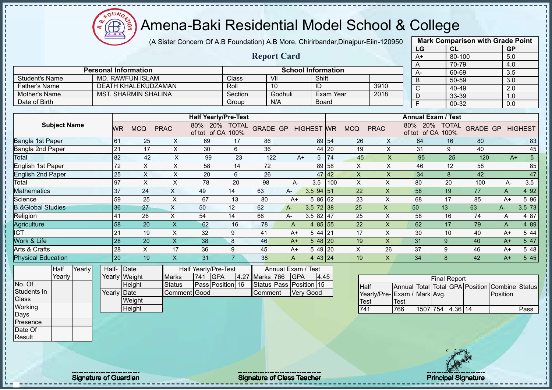(A Sister Concern Of A.B Foundation) A.B More, Chirirbandar,Dinajpur-Eiin-120950

 $12\mu\text{V}$ 

Æ

|                                           |                             |                             |                           |                                                                   |                |                 |                                  |                           |                  |                     |                           | LG                                                              | CL                  |                                                | <b>GP</b>        |                |
|-------------------------------------------|-----------------------------|-----------------------------|---------------------------|-------------------------------------------------------------------|----------------|-----------------|----------------------------------|---------------------------|------------------|---------------------|---------------------------|-----------------------------------------------------------------|---------------------|------------------------------------------------|------------------|----------------|
|                                           |                             |                             |                           |                                                                   |                |                 | <b>Report Card</b>               |                           |                  |                     |                           | $A+$                                                            |                     | 80-100                                         | 5.0              |                |
|                                           |                             |                             |                           |                                                                   |                |                 |                                  |                           |                  |                     |                           | A                                                               |                     | 70-79                                          | 4.0              |                |
|                                           | <b>Personal Information</b> |                             |                           |                                                                   |                |                 |                                  | <b>School Information</b> |                  |                     |                           | A-                                                              |                     | 60-69                                          | 3.5              |                |
| <b>Student's Name</b>                     |                             | <b>MD. RAWFUN ISLAM</b>     |                           |                                                                   | Class          | V <sub>II</sub> |                                  | Shift                     |                  |                     |                           | $\overline{B}$                                                  |                     | 50-59                                          | 3.0              |                |
| <b>Father's Name</b>                      |                             | <b>DEATH KHALEKUDZAMAN</b>  |                           |                                                                   | Roll           | 10              |                                  | $\overline{ID}$           |                  |                     | 3910                      | $\overline{\text{C}}$                                           |                     | 40-49                                          | $\overline{2.0}$ |                |
| Mother's Name                             |                             | <b>MST. SHARMIN SHALINA</b> |                           |                                                                   | Section        |                 | Godhuli                          |                           | <b>Exam Year</b> |                     | 2018                      | D                                                               |                     | 33-39                                          | 1.0              |                |
| Date of Birth                             |                             |                             |                           |                                                                   | Group          |                 | N/A                              | <b>Board</b>              |                  |                     |                           | F                                                               |                     | $00 - 32$                                      | $\overline{0.0}$ |                |
|                                           |                             |                             |                           |                                                                   |                |                 |                                  |                           |                  |                     |                           |                                                                 |                     |                                                |                  |                |
| <b>Subject Name</b>                       | WR.                         | <b>MCQ</b>                  | <b>PRAC</b>               | <b>Half Yearly/Pre-Test</b><br>80% 20% TOTAL<br>of tot of CA 100% |                |                 | <b>GRADE GP HIGHEST WR</b>       |                           |                  | <b>MCQ</b>          | <b>PRAC</b>               | <b>Annual Exam / Test</b><br>80% 20% TOTAL<br>of tot of CA 100% |                     | <b>GRADE GP</b>                                |                  | <b>HIGHEST</b> |
| <b>Bangla 1st Paper</b>                   | 61                          | 25                          | X                         | 69                                                                | 17             | 86              |                                  |                           | 89 54            | 26                  | X                         | 64                                                              | 16                  | 80                                             |                  | 83             |
| Bangla 2nd Paper                          | 21                          | 17                          | $\times$                  | 30                                                                | 6              | 36              |                                  |                           | 44 20            | 19                  | $\times$                  | 31                                                              | 9                   | 40                                             |                  | 45             |
| Total                                     | 82                          | 42                          | X                         | 99                                                                | 23             | 122             | $A+$                             | 5 <sup>5</sup>            | 74               | 45                  | X                         | 95                                                              | 25                  | 120                                            | $A+$             | 5 <sup>5</sup> |
| <b>English 1st Paper</b>                  | 72                          | $\boldsymbol{\mathsf{X}}$   | $\mathsf X$               | 58                                                                | 14             | 72              |                                  |                           | 89 58            | X                   | $\pmb{\times}$            | 46                                                              | 12                  | 58                                             |                  | 85             |
| <b>English 2nd Paper</b>                  | 25                          | $\boldsymbol{\mathsf{X}}$   | $\boldsymbol{\mathsf{X}}$ | 20                                                                | 6              | 26              |                                  |                           | 47 42            | $\mathsf X$         | $\pmb{\times}$            | 34                                                              | $\bf 8$             | 42                                             |                  | 47             |
| Total                                     | 97                          | $\boldsymbol{\mathsf{X}}$   | $\pmb{\times}$            | 78                                                                | 20             | 98              | A-                               | 3.5                       | 100              | X                   | $\pmb{\times}$            | 80                                                              | 20                  | 100                                            | A-               | 3.5            |
| <b>Mathematics</b>                        | 37                          | 24                          | $\times$                  | 49                                                                | 14             | 63              | A-                               | 3.5 94 51                 |                  | 22                  | $\boldsymbol{\mathsf{X}}$ | 58                                                              | 19                  | 77                                             | A                | 4 9 2          |
| Science                                   | 59                          | 25                          | $\times$                  | 67                                                                | 13             | 80              | $A+$                             | 5 86 62                   |                  | 23                  | $\boldsymbol{\mathsf{X}}$ | 68                                                              | 17                  | 85                                             | $A+$             | 5 9 6          |
| <b>B.&amp;Global Studies</b>              | 36                          | 27                          | $\mathsf{X}$              | 50                                                                | 12             | 62              | $A -$                            | $3.5$ 72 38               |                  | 25                  | $\boldsymbol{\mathsf{X}}$ | 50                                                              | 13                  | 63                                             | $A -$            | 3.5 73         |
| Religion                                  | 41                          | 26                          | X                         | 54                                                                | 14             | 68              | A-                               | 3.5 82 $ 47$              |                  | 25                  | $\times$                  | 58                                                              | 16                  | 74                                             | A                | 4 87           |
| Agriculture                               | 58                          | 20                          | $\mathsf{X}$              | 62                                                                | 16             | 78              | A                                | 4 $85$ 55                 |                  | 22                  | $\mathsf{X}$              | 62                                                              | 17                  | 79                                             | A                | 4 8 9          |
| <b>ICT</b>                                | 21                          | 19                          | X                         | 32                                                                | 9              | 41              | $A+$                             | 5 44 21                   |                  | 17                  | X                         | 30                                                              | 10                  | 40                                             | $A+$             | 5 4 4          |
| Work & Life                               | 28                          | $\overline{20}$             | $\overline{X}$            | 38                                                                | 8              | 46              | $A+$                             | $548$  20                 |                  | 19                  | $\mathsf{X}$              | 31                                                              | 9                   | 40                                             | $A+$             | 5 47           |
| Arts & Crafts                             | 28                          | $\boldsymbol{\mathsf{X}}$   | 17                        | 36                                                                | 9              | 45              | $A+$                             | 5 49 20                   |                  | $\pmb{\times}$      | 26                        | 37                                                              | 9                   | 46                                             | $A+$             | 5 48           |
| <b>Physical Education</b>                 | 20                          | 19                          | $\boldsymbol{\mathsf{X}}$ | 31                                                                | $\overline{7}$ | 38              | $\overline{A}$                   | 4 43 24                   |                  | 19                  | $\boldsymbol{\mathsf{X}}$ | 34                                                              | 8                   | 42                                             | $A+$             | 5 45           |
| Yearly<br>Half<br>Yearly                  | Half-Date<br>Yearly Weight  |                             | <b>Marks</b>              | Half Yearly/Pre-Test<br><b>GPA</b><br>741                         | 4.27           | Marks 766       | Annual Exam / Test<br><b>GPA</b> | 4.45                      |                  |                     |                           |                                                                 | <b>Final Report</b> |                                                |                  |                |
| No. Of<br>Students In<br>Class<br>Working | <b>Yearly Date</b>          | Height<br>Weight            | <b>Status</b>             | Pass Position 16<br><b>Comment Good</b>                           |                | Comment         | Status Pass Position 15          | <b>Very Good</b>          |                  | <b>Half</b><br>Test | Yearly/Pre-               | Exam / Mark Avg.<br>Test                                        |                     | Annual Total Total GPA Position Combine Status | Position         |                |
|                                           |                             | Height                      |                           |                                                                   |                |                 |                                  |                           |                  | 741                 |                           | 766                                                             | 1507 754 4.36 14    |                                                |                  | Pass           |
| Days<br>Presence<br>Date Of<br>Result     |                             |                             |                           |                                                                   |                |                 |                                  |                           |                  |                     |                           |                                                                 |                     |                                                |                  |                |
|                                           |                             |                             |                           |                                                                   |                |                 |                                  |                           |                  |                     |                           |                                                                 |                     |                                                |                  |                |

Signature of Guardian Signature of Class Teacher Principal Signature of Class Teacher Principal Signature 11/47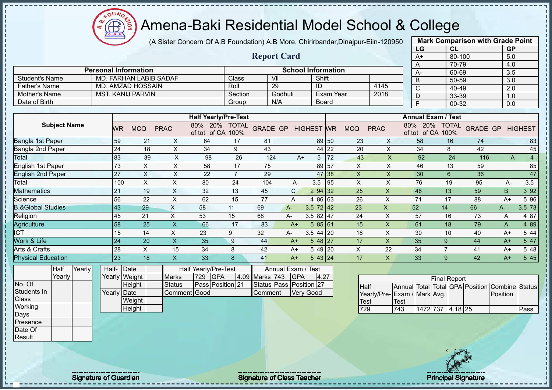(A Sister Concern Of A.B Foundation) A.B More, Chirirbandar,Dinajpur-Eiin-120950

 $12\mu\text{V}$ 

**CB** 

|                              |                 |                               |                           |                                    |                |                         |                           |                   |                  |                           |                           | LG                                 | CL                  |                    | <b>GP</b>        |                |
|------------------------------|-----------------|-------------------------------|---------------------------|------------------------------------|----------------|-------------------------|---------------------------|-------------------|------------------|---------------------------|---------------------------|------------------------------------|---------------------|--------------------|------------------|----------------|
|                              |                 |                               |                           |                                    |                | <b>Report Card</b>      |                           |                   |                  |                           |                           | $A+$                               | $80 - 100$          |                    | 5.0              |                |
|                              |                 |                               |                           |                                    |                |                         |                           |                   |                  |                           |                           | A                                  | $70 - 79$           |                    | 4.0              |                |
|                              |                 | <b>Personal Information</b>   |                           |                                    |                |                         | <b>School Information</b> |                   |                  |                           |                           | $A -$                              | $60 - 69$           |                    | 3.5              |                |
| <b>Student's Name</b>        |                 | <b>MD. FARHAN LABIB SADAF</b> |                           |                                    | Class          | $\overline{\mathsf{V}}$ |                           | Shift             |                  |                           |                           | $\overline{B}$                     | 50-59               |                    | $\overline{3.0}$ |                |
| <b>Father's Name</b>         |                 | <b>MD. AMZAD HOSSAIN</b>      |                           |                                    | Roll           | 29                      |                           | ID                |                  |                           | 4145                      | $\overline{C}$                     | 40-49               |                    | 2.0              |                |
| <b>Mother's Name</b>         |                 | <b>MST. KANIJ PARVIN</b>      |                           |                                    | Section        |                         | Godhuli                   |                   | <b>Exam Year</b> |                           | 2018                      | $\overline{D}$                     | $33 - 39$           |                    | 1.0              |                |
| Date of Birth                |                 |                               |                           |                                    | Group          |                         | N/A                       |                   | Board            |                           |                           | Ē                                  | $00 - 32$           |                    | 0.0              |                |
|                              |                 |                               |                           | <b>Half Yearly/Pre-Test</b>        |                |                         |                           |                   |                  |                           |                           | <b>Annual Exam / Test</b>          |                     |                    |                  |                |
|                              |                 |                               |                           |                                    |                |                         |                           |                   |                  |                           |                           |                                    |                     |                    |                  |                |
| <b>Subject Name</b>          | WR.             | <b>MCQ</b>                    | <b>PRAC</b>               | 80% 20% TOTAL<br>of tot of CA 100% |                | <b>GRADE GP</b>         |                           | <b>HIGHEST WR</b> |                  | <b>MCQ</b>                | <b>PRAC</b>               | 80% 20% TOTAL<br>of tot of CA 100% |                     | <b>GRADE GP</b>    |                  | <b>HIGHEST</b> |
| Bangla 1st Paper             | 59              | 21                            | $\mathsf{X}$              | 64                                 | 17             | 81                      |                           |                   | 89 50            | 23                        | $\boldsymbol{\mathsf{X}}$ | 58                                 | 16                  | 74                 |                  | 83             |
| Bangla 2nd Paper             | 24              | 18                            | $\mathsf X$               | 34                                 | 9              | 43                      |                           |                   | 44 22            | 20                        | $\times$                  | 34                                 | 8                   | 42                 |                  | 45             |
| Total                        | 83              | 39                            | $\pmb{\times}$            | 98                                 | 26             | 124                     | $A+$                      | 5 <sub>1</sub>    | 172              | 43                        | X                         | 92                                 | 24                  | 116                | A                | $\overline{4}$ |
| <b>English 1st Paper</b>     | 73              | $\sf X$                       | $\pmb{\times}$            | 58                                 | 17             | 75                      |                           |                   | 89 57            | $\mathsf{X}$              | $\mathsf{X}$              | 46                                 | 13                  | 59                 |                  | 85             |
| <b>English 2nd Paper</b>     | $\overline{27}$ | $\times$                      | $\times$                  | 22                                 | $\overline{7}$ | 29                      |                           |                   | 47 38            | $\boldsymbol{\mathsf{X}}$ | $\mathsf{X}$              | 30                                 | $6\phantom{1}6$     | 36                 |                  | 47             |
| Total                        | 100             | $\boldsymbol{\mathsf{X}}$     | $\times$                  | 80                                 | 24             | 104                     | A-                        | 3.5               | 95               | X                         | X                         | 76                                 | 19                  | 95                 | A-               | 3.5            |
| <b>Mathematics</b>           | 21              | 19                            | $\sf X$                   | 32                                 | 13             | 45                      | $\mathsf{C}$              | 2 94 32           |                  | 25                        | $\mathsf{X}$              | 46                                 | 13                  | 59                 | B                | 3 9 2          |
| Science                      | 56              | 22                            | $\times$                  | 62                                 | 15             | 77                      | $\overline{A}$            | 4 86 63           |                  | 26                        | X                         | 71                                 | 17                  | 88                 | $A+$             | 5 96           |
| <b>B.&amp;Global Studies</b> | 43              | 29                            | $\mathsf X$               | 58                                 | 11             | 69                      | $A -$                     | $3.5 \ 72 \ 42$   |                  | 23                        | X                         | 52                                 | 14                  | 66                 | A-               | 3.5 73         |
| Religion                     | 45              | 21                            | $\boldsymbol{\mathsf{X}}$ | 53                                 | 15             | 68                      | A-                        | 3.5 82 47         |                  | 24                        | $\times$                  | 57                                 | 16                  | 73                 | A                | 4 87           |
| Agriculture                  | 58              | 25                            | $\mathsf{X}$              | 66                                 | 17             | 83                      | $A+$                      | 585 61            |                  | 15                        | $\pmb{\times}$            | 61                                 | 18                  | 79                 | A                | 4 8 9          |
| <b>ICT</b>                   | 15              | 14                            | $\boldsymbol{\mathsf{X}}$ | 23                                 | 9              | 32                      | A-                        | $3.544$ 20        |                  | 18                        | $\boldsymbol{\mathsf{X}}$ | 30                                 | 10                  | 40                 | $A+$             | 5 4 4          |
| Work & Life                  | 24              | 20                            | $\mathsf{X}$              | 35                                 | 9              | 44                      | $A+$                      | $548$ 27          |                  | 17                        | X                         | 35                                 | 9                   | 44                 | $A+$             | 5 47           |
| Arts & Crafts                | 28              | X                             | 15                        | 34                                 | 8              | 42                      | $A+$                      | 5 49 20           |                  | X                         | 22                        | 34                                 | $\overline{7}$      | 41                 | $A+$             | 5 48           |
| <b>Physical Education</b>    | $\overline{23}$ | 18                            | $\overline{\mathsf{X}}$   | 33                                 | 8              | 41                      | $A+$                      | 543 24            |                  | 17                        | $\mathsf{X}$              | 33                                 | 9                   | 42                 | $A+$             | 5 4 5          |
| Half<br>Yearly               |                 | Half-Date                     |                           | Half Yearly/Pre-Test               |                |                         | Annual Exam /             | Test              |                  |                           |                           |                                    |                     |                    |                  |                |
| Yearly                       |                 | Yearly Weight                 | <b>Marks</b>              | <b>GPA</b><br>729                  |                | 4.09 Marks 743          | GPA                       | 4.27              |                  |                           |                           |                                    | <b>Final Report</b> |                    |                  |                |
| No. Of                       |                 | Height                        | <b>Status</b>             | Pass Position 21                   |                |                         | Status Pass Position 27   |                   |                  | Half                      |                           | Annual Total                       |                     | Total GPA Position | Combine          | <b>Status</b>  |
| Students In                  |                 | Yearly Date                   |                           | Comment Good                       |                | Comment                 |                           | <b>Very Good</b>  |                  |                           |                           | Yearly/Pre-Exam / Mark Avg.        |                     |                    | Position         |                |
| Class                        |                 | Weight                        |                           |                                    |                |                         |                           |                   |                  | Test                      |                           | Test                               |                     |                    |                  |                |
| Working                      |                 | Height                        |                           |                                    |                |                         |                           |                   |                  | 729                       |                           | 1472 737<br>743                    | $4.18$ 25           |                    |                  | Pass           |
| Days                         |                 |                               |                           |                                    |                |                         |                           |                   |                  |                           |                           |                                    |                     |                    |                  |                |
| Presence                     |                 |                               |                           |                                    |                |                         |                           |                   |                  |                           |                           |                                    |                     |                    |                  |                |
| Date Of                      |                 |                               |                           |                                    |                |                         |                           |                   |                  |                           |                           |                                    |                     |                    |                  |                |
| Result                       |                 |                               |                           |                                    |                |                         |                           |                   |                  |                           |                           |                                    |                     |                    |                  |                |

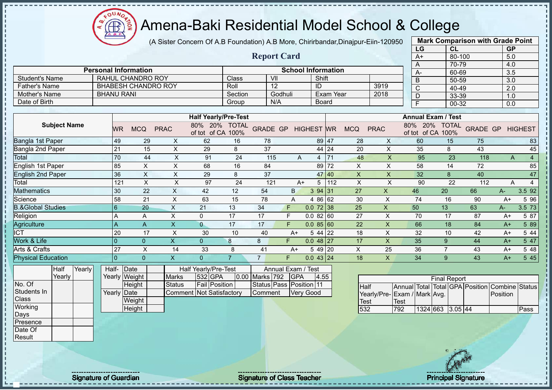$12\mu\text{V}$ 

Æ

|                                           |                             |                                           |                                                 | (A Sister Concern Of A.B Foundation) A.B More, Chirirbandar, Dinajpur-Eiin-120950 |                  | <b>Mark Comparison with Grade Point</b> |                                  |                           |           |                           |                           |                                                                                       |                           |                 |                            |                |
|-------------------------------------------|-----------------------------|-------------------------------------------|-------------------------------------------------|-----------------------------------------------------------------------------------|------------------|-----------------------------------------|----------------------------------|---------------------------|-----------|---------------------------|---------------------------|---------------------------------------------------------------------------------------|---------------------------|-----------------|----------------------------|----------------|
|                                           |                             |                                           |                                                 |                                                                                   |                  |                                         |                                  |                           |           |                           |                           | LG                                                                                    | CL                        |                 | GP                         |                |
|                                           |                             |                                           |                                                 |                                                                                   |                  | <b>Report Card</b>                      |                                  |                           |           |                           |                           | $A+$                                                                                  | 80-100                    |                 | 5.0                        |                |
|                                           | <b>Personal Information</b> |                                           |                                                 |                                                                                   |                  |                                         |                                  |                           |           |                           |                           | $\overline{A}$                                                                        | $70 - 79$                 |                 | 4.0                        |                |
|                                           |                             |                                           |                                                 |                                                                                   |                  | V <sub>II</sub>                         |                                  | <b>School Information</b> |           |                           |                           | $A -$                                                                                 | 60-69                     |                 | 3.5                        |                |
| <b>Student's Name</b>                     |                             |                                           | RAHUL CHANDRO ROY<br><b>BHABESH CHANDRO ROY</b> |                                                                                   | Class            | $\overline{12}$                         |                                  | Shift                     |           |                           | 3919                      | $\overline{B}$                                                                        | 50-59                     |                 | 3.0                        |                |
| <b>Father's Name</b><br>Mother's Name     | <b>BHANU RANI</b>           |                                           |                                                 |                                                                                   | Roll<br>Section  |                                         | Godhuli                          | ID                        | Exam Year |                           | 2018                      | $\overline{C}$                                                                        | 40-49                     |                 | 2.0                        |                |
| Date of Birth                             |                             |                                           |                                                 |                                                                                   | Group            | N/A                                     |                                  | <b>Board</b>              |           |                           |                           | $\overline{D}$                                                                        | 33-39                     |                 | 1.0                        |                |
|                                           |                             |                                           |                                                 |                                                                                   |                  |                                         |                                  |                           |           |                           |                           | $\overline{F}$                                                                        | $00 - 32$                 |                 | 0.0                        |                |
|                                           |                             |                                           |                                                 | <b>Half Yearly/Pre-Test</b>                                                       |                  |                                         |                                  |                           |           |                           |                           |                                                                                       | <b>Annual Exam / Test</b> |                 |                            |                |
| <b>Subject Name</b>                       |                             | <b>MCQ</b><br><b>WR</b>                   | <b>PRAC</b>                                     | 80% 20% TOTAL<br>of tot of CA 100%                                                |                  | <b>GRADE GP</b>                         |                                  | <b>HIGHEST WR</b>         |           | <b>MCQ</b>                | <b>PRAC</b>               | of tot of CA 100%                                                                     | 80% 20% TOTAL             | <b>GRADE GP</b> |                            | <b>HIGHEST</b> |
| Bangla 1st Paper                          |                             | 49                                        | 29                                              | 62<br>X                                                                           | 16               | 78                                      |                                  |                           | 89 47     | 28                        | $\times$                  | 60                                                                                    | 15                        | 75              |                            | 83             |
| Bangla 2nd Paper                          | 21                          |                                           | 15                                              | X<br>29                                                                           | 8                | 37                                      |                                  |                           | 44 24     | 20                        | $\mathsf{X}$              | 35                                                                                    | 8                         | 43              |                            | 45             |
| Total                                     |                             | 70                                        | 44                                              | $\pmb{\times}$<br>91                                                              | 24               | 115                                     | A                                |                           | 4 71      | 48                        | $\pmb{\times}$            | 95                                                                                    | 23                        | 118             | A                          | $\overline{4}$ |
| <b>English 1st Paper</b>                  |                             | 85                                        | $\mathsf X$                                     | $\mathsf X$<br>68                                                                 | 16               | 84                                      |                                  |                           | 89 72     | $\pmb{\times}$            | $\mathsf{x}$              | 58                                                                                    | 14                        | 72              |                            | 85             |
| <b>English 2nd Paper</b>                  |                             | 36                                        | $\boldsymbol{\mathsf{X}}$                       | $\mathsf X$<br>29                                                                 | 8                | 37                                      |                                  |                           | 47 40     | $\boldsymbol{\mathsf{X}}$ | $\pmb{\times}$            | 32                                                                                    | $\boldsymbol{8}$          | 40              |                            | 47             |
| Total                                     |                             | 121                                       | $\boldsymbol{\mathsf{X}}$                       | $\times$<br>97                                                                    | 24               | 121                                     | $A+$                             | 5                         | 112       | $\times$                  | $\times$                  | 90                                                                                    | 22                        | 112             | A                          | $\overline{4}$ |
| <b>Mathematics</b>                        |                             | 30                                        | 22                                              | $\boldsymbol{\mathsf{X}}$<br>42                                                   | 12               | 54                                      | B.                               | 394 31                    |           | 27                        | $\pmb{\times}$            | 46                                                                                    | 20                        | 66              | A-                         | 3.5 92         |
| Science                                   |                             | 58                                        | 21                                              | $\times$<br>63                                                                    | 15               | 78                                      | A                                | 4 86 62                   |           | 30                        | $\boldsymbol{\mathsf{X}}$ | 74                                                                                    | 16                        | 90              | $A+$                       | 5 9 6          |
| <b>B.&amp;Global Studies</b>              | 6                           |                                           | 20                                              | $\overline{X}$<br>21                                                              | 13               | 34                                      | F                                | $0.072$ 38                |           | 25                        | $\pmb{\times}$            | 50                                                                                    | 13                        | 63              | $A-$                       | 3.5 73         |
| Religion                                  | A                           |                                           | A                                               | $\mathsf X$<br>$\mathbf 0$                                                        | $\overline{17}$  | $\overline{17}$                         | $\mathsf F$                      | 0.08260                   |           | $\overline{27}$           | $\boldsymbol{\mathsf{X}}$ | $\overline{70}$                                                                       | 17                        | 87              | $A+$                       | 5 87           |
| Agriculture                               | $\overline{A}$              |                                           | A                                               | $\mathsf X$<br>$\overline{0}$                                                     | 17               | 17                                      | F                                | 0.085 60                  |           | 22                        | $\boldsymbol{\mathsf{X}}$ | 66                                                                                    | 18                        | 84              | $A+$                       | 5 89           |
| <b>ICT</b>                                |                             | 20                                        | 17                                              | $\times$<br>30                                                                    | 10               | 40                                      | $A+$                             | 5 44 22                   |           | 18                        | $\boldsymbol{\mathsf{X}}$ | 32                                                                                    | 10                        | 42              | $A+$                       | 5 44           |
| Work & Life                               | $\overline{0}$              |                                           | $\overline{0}$                                  | $\mathsf{X}$<br>$\overline{0}$                                                    | $\boldsymbol{8}$ | 8                                       | F.                               | $0.048$ 27                |           | 17                        | $\boldsymbol{\mathsf{X}}$ | 35                                                                                    | 9                         | 44              | $A+$                       | 5 47           |
| Arts & Crafts                             | 27                          |                                           | $\boldsymbol{\mathsf{X}}$                       | 33<br>14                                                                          | 8                | 41                                      | $A+$                             | 5 49 20                   |           | X                         | 25                        | 36                                                                                    | $\overline{7}$            | 43              | A+                         | 5 48           |
| <b>Physical Education</b>                 | $\overline{0}$              |                                           | $\overline{0}$                                  | $\mathsf{X}$<br>$\overline{0}$                                                    | $\overline{7}$   | $\overline{7}$                          | F.                               | $0.043$ 24                |           | 18                        | $\mathsf{X}$              | 34                                                                                    | 9                         | 43              | $A+$                       | 5 4 5          |
| Yearly<br>Half<br>Yearly                  |                             | Half- Date<br>Yearly Weight               |                                                 | Half Yearly/Pre-Test<br>532 GPA<br><b>Marks</b>                                   |                  | 0.00 Marks 792                          | Annual Exam / Test<br><b>GPA</b> | 4.55                      |           |                           |                           |                                                                                       | <b>Final Report</b>       |                 |                            |                |
| No. Of<br>Students In<br>Class<br>Working |                             | Height<br>Yearly Date<br>Weight<br>Height |                                                 | <b>Fail Position</b><br><b>Status</b><br><b>Comment Not Satisfactory</b>          |                  | Status Pass Position 11<br>Comment      |                                  | <b>Very Good</b>          |           | Half<br>Test<br>532       |                           | Annual Total Total GPA Position<br>Yearly/Pre- Exam / Mark Avg.<br><b>Test</b><br>792 | 1324 663 3.05 44          |                 | Combine Status<br>Position | Pass           |
| Days<br>Presence<br>Date Of<br>Result     |                             |                                           |                                                 |                                                                                   |                  |                                         |                                  |                           |           |                           |                           |                                                                                       |                           |                 |                            |                |

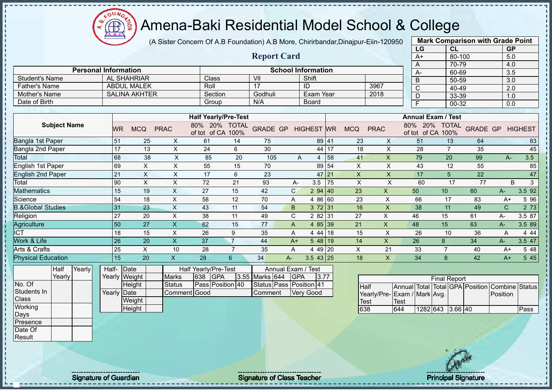$12\mu\text{V}$ Æ

## Amena-Baki Residential Model School & College

(A Sister Concern Of A.B Foundation) A.B More, Chirirbandar,Dinajpur-Eiin-120950

|                              |        |                             |                      |                           |                                                           |                      |                         |                |                           |     |              |                             |              | LG             | CL                                |                    | <b>GP</b>        |                         |
|------------------------------|--------|-----------------------------|----------------------|---------------------------|-----------------------------------------------------------|----------------------|-------------------------|----------------|---------------------------|-----|--------------|-----------------------------|--------------|----------------|-----------------------------------|--------------------|------------------|-------------------------|
|                              |        |                             |                      |                           |                                                           |                      | <b>Report Card</b>      |                |                           |     |              |                             |              | $A+$           | 80-100                            |                    | 5.0              |                         |
|                              |        |                             |                      |                           |                                                           |                      |                         |                |                           |     |              |                             |              | A              | 70-79                             |                    | 4.0              |                         |
|                              |        | <b>Personal Information</b> |                      |                           |                                                           |                      |                         |                | <b>School Information</b> |     |              |                             |              | А-             | 60-69                             |                    | 3.5              |                         |
| <b>Student's Name</b>        |        |                             | <b>AL SHAHRIAR</b>   |                           | Class                                                     |                      | VII                     |                | Shift                     |     |              |                             |              | B              | 50-59                             |                    | 3.0              |                         |
| <b>Father's Name</b>         |        |                             | <b>ABDUL MALEK</b>   |                           | Roll                                                      |                      | 17                      |                | ID                        |     |              | 3967                        |              | $\overline{C}$ | 40-49                             |                    | $\overline{2.0}$ |                         |
| Mother's Name                |        |                             | <b>SALINA AKHTER</b> |                           | Section                                                   |                      | Godhuli                 |                | <b>Exam Year</b>          |     |              | 2018                        |              | D              | 33-39                             |                    | 1.0              |                         |
| Date of Birth                |        |                             |                      |                           | Group                                                     |                      | N/A                     |                | <b>Board</b>              |     |              |                             |              | E              | 00-32                             |                    | 0.0              |                         |
|                              |        |                             |                      |                           |                                                           |                      |                         |                |                           |     |              |                             |              |                | <b>Annual Exam / Test</b>         |                    |                  |                         |
| <b>Subject Name</b>          |        | <b>WR</b>                   | <b>MCQ</b>           | <b>PRAC</b>               | <b>Half Yearly/Pre-Test</b><br>20%<br>80%<br>of tot of CA | <b>TOTAL</b><br>100% | <b>GRADE GP</b>         |                | <b>HIGHEST WR</b>         |     | <b>MCQ</b>   | <b>PRAC</b>                 |              | 80% 20%        | <b>TOTAL</b><br>of tot of CA 100% |                    |                  | <b>GRADE GP HIGHEST</b> |
| Bangla 1st Paper             |        | 51                          | 25                   | X                         | 61                                                        | 14                   | 75                      |                | 89                        | 41  | 23           | X                           |              | 51             | 13                                | 64                 |                  | 83                      |
| Bangla 2nd Paper             |        | 17                          | 13                   | X                         | 24                                                        | 6                    | 30                      |                | 44                        | 17  | 18           | $\mathsf X$                 |              | 28             |                                   | 35                 |                  | 45                      |
| Total                        |        | 68                          | 38                   | $\mathsf X$               | 85                                                        | 20                   | 105                     | $\overline{A}$ | $\overline{4}$            | 58  | 41           | $\overline{\mathsf{X}}$     |              | 79             | 20                                | 99                 | $A-$             | 3.5                     |
| English 1st Paper            |        | 69                          | $\pmb{\times}$       | $\mathsf X$               | 55                                                        | 15                   | 70                      |                | 89                        | 54  | X            | $\boldsymbol{\mathsf{X}}$   |              | 43             | 12                                | 55                 |                  | 85                      |
| <b>English 2nd Paper</b>     |        | 21                          | $\mathsf{X}$         | $\times$                  | 17                                                        | 6                    | 23                      |                | 47                        | 21  | $\mathsf{X}$ | $\pmb{\times}$              |              | 17             | 5                                 | 22                 |                  | 47                      |
| Total                        |        | 90                          | X                    | X                         | 72                                                        | 21                   | 93                      | $A-$           | 3.5                       | 75  | X            | X                           |              | 60             | 17                                | 77                 |                  | B<br>3                  |
| Mathematics                  |        | 15                          | 19                   | X                         | 27                                                        | 15                   | 42                      | $\mathsf{C}$   | 2 94                      | 140 | 23           | X.                          |              | 50             | 10 <sup>1</sup>                   | 60                 | А-               | 3.5 92                  |
| Science                      |        | 54                          | 18                   | X                         | 58                                                        | 12                   | 70                      | A              | 4 8 6                     | 60  | 23           | X                           |              | 66             | 17                                | 83                 | $A+$             | 5 9 6                   |
| <b>B.&amp;Global Studies</b> |        | 31                          | 23                   | X                         | 43                                                        | 11                   | 54                      | B              | 3 7 2                     | 31  | 16           | X                           |              | 38             | 11                                | 49                 | $\mathsf{C}$     | 2 73                    |
| Religion                     |        | 27                          | 20                   | X                         | 38                                                        | 11                   | 49                      | C              | 2 8 2                     | 31  | 27           | X                           |              | 46             | 15                                | 61                 | А-               | 3.5 87                  |
| Agriculture                  |        | 50                          | 27                   | $\boldsymbol{\mathsf{X}}$ | 62                                                        | 15                   | 77                      | A              | 4 8 5                     | 39  | 21           | $\pmb{\times}$              |              | 48             | 15                                | 63                 | A-               | 3.5 89                  |
| $\overline{\text{CT}}$       |        | 18                          | 15                   | $\mathsf{X}$              | 26                                                        | 9                    | 35                      | Α              | 4 44 18                   |     | 15           | X                           |              | 26             | 10                                | 36                 | A                | 4 4 4                   |
| Work & Life                  |        | 26                          | 20                   | $\boldsymbol{\mathsf{X}}$ | 37                                                        | $\overline{7}$       | 44                      | $A+$           | 5 48                      | 19  | 14           | X                           |              | 26             | 8                                 | 34                 | А-               | 3.5 47                  |
| Arts & Crafts                |        | 25                          | $\pmb{\times}$       | 10                        | 28                                                        | $\overline{7}$       | 35                      | A              | 4 4 9                     | 20  | X            | 21                          |              | 33             | $\overline{7}$                    | 40                 | $A+$             | 5 48                    |
| <b>Physical Education</b>    |        | 15                          | 20                   | $\boldsymbol{\mathsf{X}}$ | 28                                                        | $6^{\circ}$          | 34                      | A-             | $3.543$   25              |     | 18           | $\mathsf{X}$                |              | 34             | 8                                 | 42                 | $A+$             | 5 4 5                   |
| <b>Half</b>                  | Yearly | Half-                       | Date                 |                           | Half Yearly/Pre-Test                                      |                      |                         |                | Annual Exam / Test        |     |              |                             |              |                |                                   |                    |                  |                         |
| Yearly                       |        |                             | Yearly Weight        | <b>Marks</b>              | 638<br><b>GPA</b>                                         |                      | 3.55 Marks 644          | <b>GPA</b>     | 3.77                      |     |              |                             |              |                | <b>Final Report</b>               |                    |                  |                         |
| No. Of                       |        |                             | Height               | <b>Status</b>             |                                                           | Pass Position 40     | Status Pass Position 41 |                |                           |     | Half         |                             | Annual Total |                |                                   | Total GPA Position |                  | Combine Status          |
| Students In                  |        | Yearly                      | Date                 | Comment                   | Good                                                      |                      | Comment                 |                | <b>Very Good</b>          |     |              | Yearly/Pre-Exam / Mark Avg. |              |                |                                   |                    | Position         |                         |
| Class                        |        |                             | Weight               |                           |                                                           |                      |                         |                |                           |     | Test         |                             | Test         |                |                                   |                    |                  |                         |
| Working                      |        |                             | <b>Height</b>        |                           |                                                           |                      |                         |                |                           |     | <b>R38</b>   |                             | 611          |                | $1282643$ $366110$                |                    |                  | D <sub>2</sub>          |

638 644 1282 643 3.66 40 Pass

**Mark Comparison with Grade Point**

**Height** 

Days Presence Date Of Result

Signature of Guardian Signature of Class Teacher Principal Signature of Class Teacher Principal Signature

638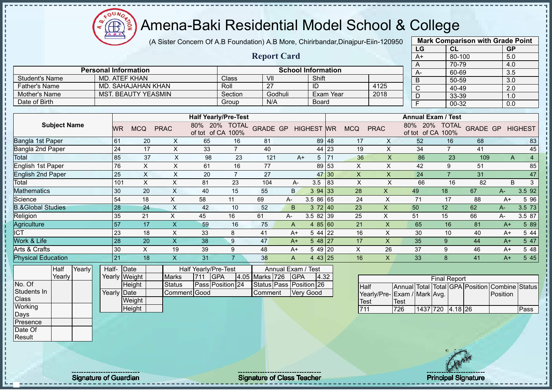(A Sister Concern Of A.B Foundation) A.B More, Chirirbandar,Dinajpur-Eiin-120950

 $12\mu\text{V}$ 

Æ

|                              |    |                                 |                           |                      |                                    |                         |                           |                   |    |                           |                           | LG                                 | CL                  |     | <b>GP</b>               |                |
|------------------------------|----|---------------------------------|---------------------------|----------------------|------------------------------------|-------------------------|---------------------------|-------------------|----|---------------------------|---------------------------|------------------------------------|---------------------|-----|-------------------------|----------------|
|                              |    |                                 |                           |                      |                                    | <b>Report Card</b>      |                           |                   |    |                           |                           | $A+$                               | 80-100              |     | 5.0                     |                |
|                              |    |                                 |                           |                      |                                    |                         |                           |                   |    |                           |                           | A                                  | 70-79               |     | 4.0                     |                |
|                              |    | <b>Personal Information</b>     |                           |                      |                                    |                         | <b>School Information</b> |                   |    |                           |                           | A-                                 | 60-69               |     | 3.5                     |                |
| <b>Student's Name</b>        |    | <b>MD. ATEF KHAN</b>            |                           |                      | Class                              | V <sub>II</sub>         |                           | Shift             |    |                           |                           | $\overline{B}$                     | 50-59               |     | 3.0                     |                |
| <b>Father's Name</b>         |    | <b>MD. SAHAJAHAN KHAN</b>       |                           |                      | Roll                               | $\overline{27}$         |                           | $\overline{1}$    |    |                           | 4125                      | $\overline{C}$                     | 40-49               |     | 2.0                     |                |
| Mother's Name                |    | <b>MST. BEAUTY YEASMIN</b>      |                           |                      | Section                            | Godhuli                 |                           | <b>Exam Year</b>  |    |                           | 2018                      | $\overline{D}$                     | 33-39               |     | 1.0                     |                |
| Date of Birth                |    |                                 |                           |                      | Group                              | N/A                     |                           | Board             |    |                           |                           | $\overline{F}$                     | 00-32               |     | 0.0                     |                |
|                              |    |                                 |                           |                      | <b>Half Yearly/Pre-Test</b>        |                         |                           |                   |    |                           |                           | <b>Annual Exam / Test</b>          |                     |     |                         |                |
| <b>Subject Name</b>          |    | <b>MCQ</b><br>WR.               | <b>PRAC</b>               |                      | 80% 20% TOTAL<br>of tot of CA 100% | <b>GRADE GP</b>         |                           | <b>HIGHEST WR</b> |    | <b>MCQ</b>                | <b>PRAC</b>               | 80% 20% TOTAL<br>of tot of CA 100% |                     |     | <b>GRADE GP HIGHEST</b> |                |
| Bangla 1st Paper             | 61 | 20                              | X                         | 65                   | 16                                 | 81                      |                           | 89 48             |    | 17                        | X                         | 52                                 | 16                  | 68  |                         | 83             |
| Bangla 2nd Paper             |    | 24<br>17                        | $\boldsymbol{\mathsf{X}}$ | 33                   | $\overline{7}$                     | 40                      |                           | 44 23             |    | 19                        | X                         | 34                                 | $\overline{7}$      | 41  |                         | 45             |
| Total                        |    | 85<br>37                        | $\mathsf X$               | 98                   | 23                                 | 121                     | $A+$                      | $5 \mid 71$       |    | 36                        | $\boldsymbol{\mathsf{X}}$ | 86                                 | 23                  | 109 | A                       | $\overline{4}$ |
| <b>English 1st Paper</b>     |    | 76<br>$\boldsymbol{\mathsf{X}}$ | $\pmb{\times}$            | 61                   | 16                                 | 77                      |                           | 89 53             |    | $\pmb{\times}$            | $\pmb{\times}$            | 42                                 | 9                   | 51  |                         | 85             |
| <b>English 2nd Paper</b>     |    | 25<br>$\boldsymbol{\mathsf{X}}$ | $\pmb{\times}$            | 20                   | $\overline{7}$                     | 27                      |                           | 47 30             |    | $\boldsymbol{\mathsf{X}}$ | $\pmb{\times}$            | 24                                 | $\overline{7}$      | 31  |                         | 47             |
| Total                        |    | 101<br>X                        | $\times$                  | 81                   | 23                                 | 104                     | A-                        | 3.5               | 83 | $\times$                  | X                         | 66                                 | 16                  | 82  | <sub>B</sub>            | 3              |
| <b>Mathematics</b>           |    | 30<br>20                        | $\boldsymbol{\mathsf{X}}$ | 40                   | 15                                 | 55                      | <sub>B</sub>              | 394 33            |    | 28                        | X                         | 49                                 | 18                  | 67  | A-                      | 3.5 92         |
| Science                      |    | 54<br>18                        | $\mathsf{X}$              | 58                   | 11                                 | 69                      | $A-$                      | 3.5 86 65         |    | 24                        | $\boldsymbol{\mathsf{X}}$ | 71                                 | 17                  | 88  | $A+$                    | 5 9 6          |
| <b>B.&amp;Global Studies</b> | 28 | 24                              | $\times$                  | 42                   | 10                                 | 52                      | B                         | 372 40            |    | 23                        | $\pmb{\times}$            | 50                                 | 12                  | 62  | $A-$                    | 3.5 73         |
| Religion                     |    | 35<br>21                        | X                         | 45                   | 16                                 | 61                      | A-                        | 3.5 82 39         |    | 25                        | $\pmb{\times}$            | 51                                 | 15                  | 66  | A-                      | 3.5 87         |
| Agriculture                  | 57 | 17                              | $\boldsymbol{\mathsf{X}}$ | 59                   | 16                                 | 75                      | A                         | 4 $85 60$         |    | 21                        | $\mathsf{X}$              | 65                                 | 16                  | 81  | $A+$                    | 5 89           |
| <b>ICT</b>                   |    | 23<br>18                        | $\pmb{\times}$            | 33                   | 8                                  | 41                      | $A+$                      | 5 44 22           |    | 16                        | X                         | 30                                 | 10                  | 40  | $A+$                    | 5 44           |
| Work & Life                  |    | 28<br>20                        | $\boldsymbol{\mathsf{X}}$ | 38                   | 9                                  | 47                      | $A+$                      | $548$   27        |    | 17                        | $\boldsymbol{\mathsf{X}}$ | 35                                 | 9                   | 44  | $A+$                    | 5 47           |
| Arts & Crafts                |    | $\sf X$<br>30                   | 19                        | 39                   | 9                                  | 48                      | $A+$                      | 5 49 20           |    | $\pmb{\times}$            | 26                        | 37                                 | 9                   | 46  | $A+$                    | 5 48           |
| <b>Physical Education</b>    | 21 | 18                              | $\boldsymbol{\mathsf{X}}$ | 31                   | 7 <sup>1</sup>                     | 38                      | $\overline{A}$            | 4 43 25           |    | 16                        | $\boldsymbol{\mathsf{X}}$ | 33                                 | 8                   | 41  | $A+$                    | 5 4 5          |
| Yearly<br>Half               |    | Half-Date                       |                           | Half Yearly/Pre-Test |                                    |                         | Annual Exam               | <b>Test</b>       |    |                           |                           |                                    |                     |     |                         |                |
| Yearly                       |    | Yearly Weight                   | <b>Marks</b>              | 711<br><b>GPA</b>    |                                    | 4.05 Marks 726          | GPA                       | 4.32              |    |                           |                           |                                    | <b>Final Report</b> |     |                         |                |
| No. Of                       |    | Height                          | <b>Status</b>             |                      | Pass Position 24                   | Status Pass Position 26 |                           |                   |    | Half                      |                           | Annual Total Total GPA Position    |                     |     | Combine Status          |                |
| Students In                  |    | Yearly Date                     |                           | Comment Good         |                                    | Comment                 |                           | <b>Very Good</b>  |    |                           |                           | Yearly/Pre- Exam / Mark Avg.       |                     |     | Position                |                |
| Class                        |    | Weight                          |                           |                      |                                    |                         |                           |                   |    | Test                      |                           | <b>Test</b>                        |                     |     |                         |                |
| Working<br>Days              |    | Height                          |                           |                      |                                    |                         |                           |                   |    | 711                       |                           | 726                                | 1437 720 4.18 26    |     |                         | Pass           |
| Presence                     |    |                                 |                           |                      |                                    |                         |                           |                   |    |                           |                           |                                    |                     |     |                         |                |
| Date Of                      |    |                                 |                           |                      |                                    |                         |                           |                   |    |                           |                           |                                    |                     |     |                         |                |
| Result                       |    |                                 |                           |                      |                                    |                         |                           |                   |    |                           |                           |                                    |                     |     |                         |                |
|                              |    |                                 |                           |                      |                                    |                         |                           |                   |    |                           |                           |                                    |                     |     |                         |                |
|                              |    |                                 |                           |                      |                                    |                         |                           |                   |    |                           |                           |                                    | 10 7 22 32          |     |                         |                |

Signature of Guardian Signature of Class Teacher Principal Signature of Class Teacher Principal Signature 15/47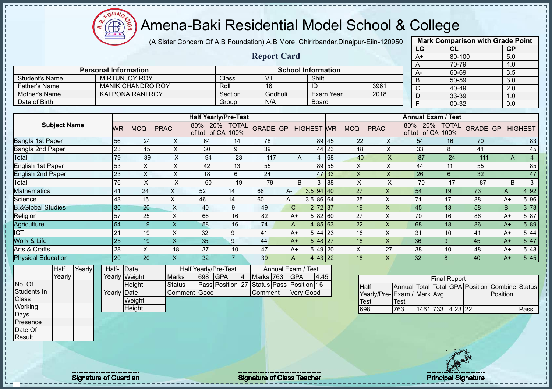(A Sister Concern Of A.B Foundation) A.B More, Chirirbandar,Dinajpur-Eiin-120950

 $12\mu\text{V}$ 

Æ

|                              |           |                             |                           |                      |                                    |                                          |                |                           |       |                           |                           | LG                                      | CL                        |                 | <b>GP</b>        |                |
|------------------------------|-----------|-----------------------------|---------------------------|----------------------|------------------------------------|------------------------------------------|----------------|---------------------------|-------|---------------------------|---------------------------|-----------------------------------------|---------------------------|-----------------|------------------|----------------|
|                              |           |                             |                           |                      |                                    | <b>Report Card</b>                       |                |                           |       |                           |                           | $A+$                                    | 80-100                    |                 | 5.0              |                |
|                              |           |                             |                           |                      |                                    |                                          |                |                           |       |                           |                           | A                                       | 70-79                     |                 | 4.0              |                |
|                              |           | <b>Personal Information</b> |                           |                      |                                    |                                          |                | <b>School Information</b> |       |                           |                           | A-                                      | 60-69                     |                 | 3.5              |                |
| <b>Student's Name</b>        |           | <b>MIRTUNJOY ROY</b>        |                           |                      | Class                              | VII                                      |                | Shift                     |       |                           |                           | $\mathsf B$                             | 50-59                     |                 | 3.0              |                |
| <b>Father's Name</b>         |           | <b>MANIK CHANDRO ROY</b>    |                           |                      | Roll                               | $\overline{16}$                          |                | ID                        |       |                           | 3961                      | $\overline{\mathsf{C}}$                 | 40-49                     |                 | $\overline{2.0}$ |                |
| Mother's Name                |           | <b>KALPONA RANI ROY</b>     |                           |                      | Section                            | Godhuli                                  |                | <b>Exam Year</b>          |       |                           | 2018                      | $\overline{D}$                          | 33-39                     |                 | 1.0              |                |
| Date of Birth                |           |                             |                           |                      | Group                              | N/A                                      |                | <b>Board</b>              |       |                           |                           | F                                       | 00-32                     |                 | 0.0              |                |
|                              |           |                             |                           |                      |                                    |                                          |                |                           |       |                           |                           |                                         |                           |                 |                  |                |
|                              |           |                             |                           |                      | <b>Half Yearly/Pre-Test</b>        |                                          |                |                           |       |                           |                           |                                         | <b>Annual Exam / Test</b> |                 |                  |                |
| <b>Subject Name</b>          | <b>WR</b> | <b>MCQ</b>                  | <b>PRAC</b>               |                      | 80% 20% TOTAL<br>of tot of CA 100% | <b>GRADE GP</b>                          |                | <b>HIGHEST WR</b>         |       | <b>MCQ</b>                | <b>PRAC</b>               | of tot of CA 100%                       | 80% 20% TOTAL             | <b>GRADE GP</b> |                  | <b>HIGHEST</b> |
| Bangla 1st Paper             | 56        | 24                          | X                         | 64                   | 14                                 | 78                                       |                |                           | 89 45 | 22                        | X                         | 54                                      | 16                        | 70              |                  | 83             |
| Bangla 2nd Paper             | 23        | 15                          | $\boldsymbol{\mathsf{X}}$ | 30                   | 9                                  | 39                                       |                |                           | 44 23 | 18                        | $\pmb{\times}$            | 33                                      | 8                         | 41              |                  | 45             |
| <b>Total</b>                 | 79        | 39                          | $\sf X$                   | 94                   | 23                                 | 117                                      | A              | 4 68                      |       | 40                        | $\mathsf{X}$              | 87                                      | 24                        | 111             | A                | $\overline{4}$ |
| <b>English 1st Paper</b>     | 53        | X                           | X                         | 42                   | 13                                 | 55                                       |                | 89 55                     |       | X                         | X                         | 44                                      | 11                        | 55              |                  | 85             |
| <b>English 2nd Paper</b>     | 23        | $\overline{X}$              | $\boldsymbol{\mathsf{X}}$ | 18                   | $6\phantom{1}$                     | $\overline{24}$                          |                | 47 33                     |       | $\pmb{\mathsf{X}}$        | $\pmb{\times}$            | 26                                      | $6\phantom{1}$            | 32              |                  | 47             |
| Total                        | 76        | $\boldsymbol{\mathsf{X}}$   | $\pmb{\times}$            | 60                   | 19                                 | 79                                       | B              | 3                         | 88    | $\boldsymbol{\mathsf{X}}$ | $\boldsymbol{\mathsf{X}}$ | 70                                      | 17                        | 87              | B                | $\mathbf{3}$   |
| <b>Mathematics</b>           | 41        | 24                          | $\mathsf{X}$              | 52                   | 14                                 | 66                                       | A-             | $3.594$ 40                |       | 27                        | $\boldsymbol{X}$          | 54                                      | 19                        | 73              | A                | 4 9 2          |
| Science                      | 43        | 15                          | $\mathsf X$               | 46                   | 14                                 | 60                                       | А-             | 3.5 86 64                 |       | 25                        | $\boldsymbol{\mathsf{X}}$ | 71                                      | 17                        | 88              | $A+$             | 5 96           |
| <b>B.&amp;Global Studies</b> | 30        | 20                          | $\times$                  | 40                   | 9                                  | 49                                       | $\mathbf C$    | 272 37                    |       | 19                        | $\boldsymbol{\mathsf{X}}$ | 45                                      | 13                        | 58              | $\sf B$          | 3 7 3          |
| Religion                     | 57        | 25                          | X                         | 66                   | 16                                 | 82                                       | $A+$           | 5 82 60                   |       | 27                        | X                         | 70                                      | 16                        | 86              | $A+$             | 5 87           |
| Agriculture                  | 54        | 19                          | $\mathsf{X}$              | 58                   | 16                                 | 74                                       | A              | 4 85 63                   |       | 22                        | $\boldsymbol{\mathsf{X}}$ | 68                                      | 18                        | 86              | $A+$             | 5 89           |
| <b>ICT</b>                   | 21        | 19                          | $\pmb{\times}$            | 32                   | 9                                  | 41                                       | $A+$           | $544$ 23                  |       | 16                        | X                         | 31                                      | 10                        | 41              | $A+$             | 5 44           |
| Work & Life                  | 25        | 19                          | $\boldsymbol{\mathsf{X}}$ | 35                   | 9                                  | 44                                       | $A+$           | $548$   27                |       | 18                        | $\boldsymbol{\mathsf{X}}$ | 36                                      | 9                         | 45              | $A+$             | 5 47           |
| Arts & Crafts                | 28        | $\mathsf X$                 | 18                        | 37                   | 10                                 | 47                                       | $A+$           | 5 49 20                   |       | $\pmb{\times}$            | 27                        | 38                                      | 10                        | 48              | $A+$             | 5 48           |
| <b>Physical Education</b>    | 20        | 20                          | $\mathsf{X}$              | 32                   | $\overline{7}$                     | 39                                       | $\overline{A}$ | 4 43 22                   |       | 18                        | $\mathsf{X}$              | 32                                      | 8                         | 40              | $A+$             | 5 45           |
| Half<br>Yearly               | Half-     | Date                        |                           | Half Yearly/Pre-Test |                                    | Annual Exam / Test                       |                |                           |       |                           |                           |                                         |                           |                 |                  |                |
| Yearly                       |           | Yearly Weight               | <b>Marks</b>              | 698                  | <b>GPA</b><br>$\vert 4 \vert$      | Marks 763                                | <b>GPA</b>     | 4.45                      |       |                           |                           |                                         | <b>Final Report</b>       |                 |                  |                |
| No. Of                       |           | Height                      | <b>Status</b>             |                      |                                    | Pass Position 27 Status Pass Position 16 |                |                           |       | <b>Half</b>               |                           | Annual Total Total GPA Position Combine |                           |                 |                  | <b>Status</b>  |
| Students In                  |           | Yearly Date                 | Comment                   | dcood                |                                    | Comment                                  |                | <b>Very Good</b>          |       |                           |                           | Yearly/Pre- Exam / Mark Avg.            |                           |                 | Position         |                |
| <b>Class</b>                 |           | Weight                      |                           |                      |                                    |                                          |                |                           |       | Test                      |                           | Test                                    |                           |                 |                  |                |
| Working                      |           | Height                      |                           |                      |                                    |                                          |                |                           |       | 698                       |                           | 763                                     | 1461 733 4.23 22          |                 |                  | Pass           |
| Days                         |           |                             |                           |                      |                                    |                                          |                |                           |       |                           |                           |                                         |                           |                 |                  |                |
| Presence                     |           |                             |                           |                      |                                    |                                          |                |                           |       |                           |                           |                                         |                           |                 |                  |                |
| Date Of                      |           |                             |                           |                      |                                    |                                          |                |                           |       |                           |                           |                                         |                           |                 |                  |                |
| Result                       |           |                             |                           |                      |                                    |                                          |                |                           |       |                           |                           |                                         |                           |                 |                  |                |
|                              |           |                             |                           |                      |                                    |                                          |                |                           |       |                           |                           |                                         |                           |                 |                  |                |

Signature of Guardian Signature of Class Teacher Number of Class Teacher Principal Signature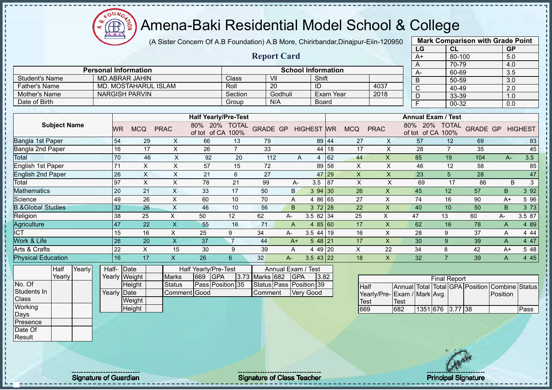$12\mu\text{V}$ 

Æ

|                              |                             |                           | (A Sister Concern Of A.B Foundation) A.B More, Chirirbandar, Dinajpur-Eiin-120950 |                |                         | <b>Mark Comparison with Grade Point</b> |                   |           |                           |                           |                                                                               |                     |     |                         |              |
|------------------------------|-----------------------------|---------------------------|-----------------------------------------------------------------------------------|----------------|-------------------------|-----------------------------------------|-------------------|-----------|---------------------------|---------------------------|-------------------------------------------------------------------------------|---------------------|-----|-------------------------|--------------|
|                              |                             |                           |                                                                                   |                |                         |                                         |                   |           |                           |                           | LG                                                                            | CL                  |     | GP                      |              |
|                              |                             |                           |                                                                                   |                | <b>Report Card</b>      |                                         |                   |           |                           |                           | $A+$                                                                          | 80-100              |     | 5.0                     |              |
|                              | <b>Personal Information</b> |                           |                                                                                   |                |                         | <b>School Information</b>               |                   |           |                           |                           | Α                                                                             | 70-79               |     | 4.0                     |              |
| <b>Student's Name</b>        | <b>MD.ABRAR JAHIN</b>       |                           |                                                                                   | Class          | VII                     |                                         | Shift             |           |                           |                           | $A -$                                                                         | 60-69               |     | $\overline{3.5}$        |              |
| <b>Father's Name</b>         | <b>MD. MOSTAHARUL ISLAM</b> |                           |                                                                                   | Roll           | $\overline{20}$         |                                         | $\overline{1}$    |           |                           | 4037                      | B                                                                             | $50 - 59$           |     | 3.0                     |              |
| Mother's Name                | <b>NARGISH PARVIN</b>       |                           |                                                                                   | Section        |                         | Godhuli                                 |                   | Exam Year |                           | 2018                      | $\overline{C}$                                                                | 40-49               |     | 2.0                     |              |
| Date of Birth                |                             |                           |                                                                                   | Group          | N/A                     |                                         | <b>Board</b>      |           |                           |                           | $\overline{D}$<br>$\overline{F}$                                              | 33-39               |     | 1.0                     |              |
|                              |                             |                           |                                                                                   |                |                         |                                         |                   |           |                           |                           |                                                                               | 00-32               |     | 0.0                     |              |
|                              |                             |                           | <b>Half Yearly/Pre-Test</b>                                                       |                |                         |                                         |                   |           |                           |                           | <b>Annual Exam / Test</b>                                                     |                     |     |                         |              |
| <b>Subject Name</b>          | <b>MCQ</b><br>WR.           | <b>PRAC</b>               | 80% 20% TOTAL<br>of tot of CA 100%                                                |                | <b>GRADE GP</b>         |                                         | <b>HIGHEST WR</b> |           | <b>MCQ</b><br><b>PRAC</b> |                           | 80% 20% TOTAL<br>of tot of CA 100%                                            |                     |     | <b>GRADE GP HIGHEST</b> |              |
| Bangla 1st Paper             | 54<br>29                    | X                         | 66                                                                                | 13             | 79                      |                                         | 89 44             |           | 27                        | X                         | 57                                                                            | 12                  | 69  |                         | 83           |
| Bangla 2nd Paper             | 16<br>17                    | X                         | 26                                                                                | $\overline{7}$ | 33                      |                                         | 44 18             |           | 17                        | $\pmb{\times}$            | 28                                                                            | $\overline{7}$      | 35  |                         | 45           |
| <b>Total</b>                 | 70<br>46                    | $\mathsf X$               | 92                                                                                | 20             | 112                     | A                                       | 4 62              |           | 44                        | $\boldsymbol{\mathsf{X}}$ | 85                                                                            | 19                  | 104 | $A-$                    | 3.5          |
| <b>English 1st Paper</b>     | 71<br>$\mathsf X$           | $\pmb{\times}$            | 57                                                                                | 15             | 72                      |                                         | 89 58             |           | $\boldsymbol{\mathsf{X}}$ | $\pmb{\times}$            | 46                                                                            | 12                  | 58  |                         | 85           |
| <b>English 2nd Paper</b>     | $\mathsf X$<br>26           | $\boldsymbol{\mathsf{X}}$ | 21                                                                                | $6\phantom{a}$ | 27                      |                                         | 47 29             |           | $\mathsf X$               | $\boldsymbol{\mathsf{X}}$ | 23                                                                            | $5\phantom{.}$      | 28  |                         | 47           |
| Total                        | 97<br>$\pmb{\times}$        | $\boldsymbol{\mathsf{X}}$ | 78                                                                                | 21             | 99                      | A-                                      | $3.5$ 87          |           | $\mathsf{X}$              | $\mathsf{X}$              | 69                                                                            | 17                  | 86  | B                       | $\mathbf{3}$ |
| <b>Mathematics</b>           | 20<br>21                    | $\mathsf X$               | 33                                                                                | 17             | 50                      | B.                                      | 3 94 30           |           | 26                        | $\boldsymbol{\mathsf{X}}$ | 45                                                                            | 12                  | 57  | B                       | 3 9 2        |
| Science                      | 49<br>26                    | $\pmb{\times}$            | 60                                                                                | 10             | 70                      | Α                                       | 4 86 65           |           | 27                        | X                         | 74                                                                            | 16                  | 90  | $A+$                    | 5 96         |
| <b>B.&amp;Global Studies</b> | 32<br>26                    | $\boldsymbol{\mathsf{X}}$ | 46                                                                                | 10             | 56                      | B                                       | $372$ 28          |           | 22                        | $\boldsymbol{\mathsf{X}}$ | 40                                                                            | 10                  | 50  | B                       | 3 7 3        |
| Religion                     | 38<br>25                    | X                         | 50                                                                                | 12             | 62                      | A-                                      | $3.582$ 34        |           | 25                        | X                         | 47                                                                            | 13                  | 60  | A-                      | 3.5 87       |
| Agriculture                  | 47<br>22                    | $\boldsymbol{\mathsf{X}}$ | 55                                                                                | 16             | 71                      | $\overline{A}$                          | 485 60            |           | 17                        | $\boldsymbol{X}$          | 62                                                                            | 16                  | 78  | A                       | 4 8 9        |
| <b>ICT</b>                   | 15<br>16                    | X                         | 25                                                                                | 9              | 34                      | А-                                      | $3.544$ 19        |           | 16                        | $\mathsf{X}$              | 28                                                                            | 9                   | 37  | A                       | 4 4 4        |
| Work & Life                  | 26<br>20                    | $\mathsf{X}$              | 37                                                                                | $\overline{7}$ | 44                      | $A+$                                    | 5 48 21           |           | 17                        | $\mathsf{X}$              | 30                                                                            | 9                   | 39  | A                       | 4 47         |
| Arts & Crafts                | 22<br>X                     | 15                        | 30                                                                                | 9              | 39                      | A                                       | 4 49 20           |           | X                         | 22                        | 34                                                                            | 8                   | 42  | $A+$                    | 5 48         |
| <b>Physical Education</b>    | 16<br>17                    | $\mathsf{X}$              | 26                                                                                | $6\phantom{1}$ | 32                      | $A -$                                   | $3.543$   22      |           | 18                        | $\mathsf{X}$              | 32                                                                            | $\overline{7}$      | 39  | A                       | 4 4 5        |
| Yearly<br>Half<br>Yearly     | Half- Date<br>Yearly Weight |                           | Half Yearly/Pre-Test<br><b>GPA</b><br>669                                         |                | 3.73 Marks 682          | Annual Exam / Test                      |                   |           |                           |                           |                                                                               |                     |     |                         |              |
| No. Of                       | Height                      | <b>Marks</b><br>Status    | Pass Position 35                                                                  |                | Status Pass Position 39 | <b>GPA</b>                              | 3.82              |           |                           |                           |                                                                               | <b>Final Report</b> |     |                         |              |
| Students In<br>Class         | Yearly Date<br>Weight       |                           | Comment Good                                                                      |                | Comment                 |                                         | <b>Very Good</b>  |           | Half                      |                           | Annual Total Total GPA Position Combine Status<br>Yearly/Pre-Exam / Mark Avg. |                     |     | Position                |              |
| Working                      | Height                      |                           |                                                                                   |                |                         |                                         |                   |           | Test<br>669               | Test<br>682               |                                                                               | 1351 676 3.77 38    |     |                         | Pass         |
| Days                         |                             |                           |                                                                                   |                |                         |                                         |                   |           |                           |                           |                                                                               |                     |     |                         |              |
| Presence                     |                             |                           |                                                                                   |                |                         |                                         |                   |           |                           |                           |                                                                               |                     |     |                         |              |
| Date Of                      |                             |                           |                                                                                   |                |                         |                                         |                   |           |                           |                           |                                                                               |                     |     |                         |              |
| Result                       |                             |                           |                                                                                   |                |                         |                                         |                   |           |                           |                           |                                                                               |                     |     |                         |              |
|                              |                             |                           |                                                                                   |                |                         |                                         |                   |           |                           |                           |                                                                               |                     |     |                         |              |

Signature of Guardian Signature of Class Teacher Principal Signature of Class Teacher Principal Signature 17/47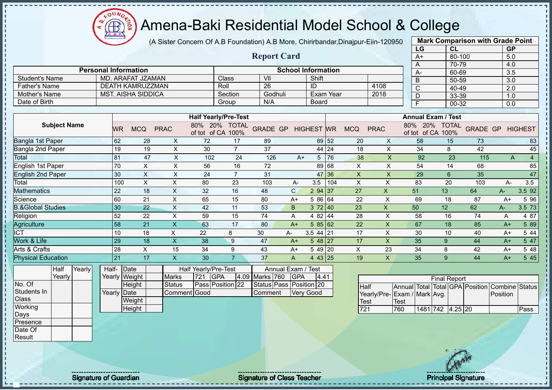$12\mu\text{V}$ **AB** 

## Amena-Baki Residential Model School & College

(A Sister Concern Of A.B Foundation) A.B More, Chirirbandar,Dinajpur-Eiin-120950

|                              |             |                             |                                 |                                    |                         |                           |                   |       |                |                           | LG                                 | CL                  |                 | <b>GP</b>        |                |
|------------------------------|-------------|-----------------------------|---------------------------------|------------------------------------|-------------------------|---------------------------|-------------------|-------|----------------|---------------------------|------------------------------------|---------------------|-----------------|------------------|----------------|
|                              |             |                             |                                 |                                    | <b>Report Card</b>      |                           |                   |       |                |                           | $A+$                               | 80-100              |                 | 5.0              |                |
|                              |             |                             |                                 |                                    |                         |                           |                   |       |                |                           | A                                  | $70 - 79$           |                 | 4.0              |                |
|                              |             | <b>Personal Information</b> |                                 |                                    |                         | <b>School Information</b> |                   |       |                |                           | A-                                 | $60 - 69$           |                 | $\overline{3.5}$ |                |
| <b>Student's Name</b>        |             | MD. ARAFAT JZAMAN           |                                 | Class                              | $\overline{\mathsf{v}}$ |                           | Shift             |       |                |                           | $\overline{B}$                     | 50-59               |                 | $\overline{3.0}$ |                |
| <b>Father's Name</b>         |             | <b>DEATH KAMRUZZMAN</b>     |                                 | Roll                               | $\overline{26}$         |                           | ID                |       |                | 4108                      | $\overline{\text{c}}$              | 40-49               |                 | $\overline{2.0}$ |                |
| <b>Mother's Name</b>         |             | <b>MST. AISHA SIDDICA</b>   |                                 | Section                            | Godhuli                 |                           | Exam Year         |       |                | 2018                      | $\overline{D}$                     | 33-39               |                 | 1.0              |                |
| Date of Birth                |             |                             |                                 | Group                              | N/A                     |                           | <b>Board</b>      |       |                |                           | $\overline{\mathsf{F}}$            | $00 - 32$           |                 | $\overline{0.0}$ |                |
|                              |             |                             |                                 |                                    |                         |                           |                   |       |                |                           |                                    |                     |                 |                  |                |
|                              |             |                             |                                 | <b>Half Yearly/Pre-Test</b>        |                         |                           |                   |       |                |                           | <b>Annual Exam / Test</b>          |                     |                 |                  |                |
| <b>Subject Name</b>          | WR.         | <b>MCQ</b>                  | <b>PRAC</b>                     | 80% 20% TOTAL<br>of tot of CA 100% | <b>GRADE GP</b>         |                           | <b>HIGHEST WR</b> |       | <b>MCQ</b>     | <b>PRAC</b>               | 80% 20% TOTAL<br>of tot of CA 100% |                     | <b>GRADE GP</b> |                  | <b>HIGHEST</b> |
| Bangla 1st Paper             | 62          | 28                          | 72<br>$\boldsymbol{\mathsf{X}}$ | 17                                 | 89                      |                           |                   | 89 52 | 20             | $\boldsymbol{\mathsf{X}}$ | 58                                 | 15                  | 73              |                  | 83             |
| Bangla 2nd Paper             | 19          | 19                          | $\mathsf X$<br>30               | $\overline{7}$                     | 37                      |                           | 44 24             |       | 18             | $\pmb{\times}$            | 34                                 | 8                   | 42              |                  | 45             |
| Total                        | 81          | 47                          | $\boldsymbol{\mathsf{X}}$       | 102<br>24                          | 126                     | $A+$                      | 5 <sup>5</sup>    | 76    | 38             | $\pmb{\mathsf{X}}$        | 92                                 | 23                  | 115             | A                | $\overline{4}$ |
| <b>English 1st Paper</b>     | 70          | $\boldsymbol{\mathsf{X}}$   | $\boldsymbol{\mathsf{X}}$<br>56 | 16                                 | 72                      |                           | 89 68             |       | $\pmb{\times}$ | $\mathsf{X}$              | 54                                 | 14                  | 68              |                  | 85             |
| <b>English 2nd Paper</b>     | 30          | $\boldsymbol{\mathsf{X}}$   | $\boldsymbol{\mathsf{X}}$<br>24 | $\overline{7}$                     | 31                      |                           | 47 36             |       | $\mathsf X$    | $\pmb{\times}$            | 29                                 | $\,6\,$             | 35              |                  | 47             |
| Total                        | 100         | $\boldsymbol{\mathsf{X}}$   | $\pmb{\times}$<br>80            | 23                                 | 103                     | A-                        | 3.5               | 104   | X              | $\boldsymbol{\mathsf{X}}$ | 83                                 | 20                  | 103             | A-               | 3.5            |
| <b>Mathematics</b>           | 22          | 18                          | $\boldsymbol{\mathsf{X}}$<br>32 | 16                                 | 48                      | $\mathsf{C}$              | 2 94 37           |       | 27             | $\boldsymbol{\mathsf{X}}$ | 51                                 | 13                  | 64              | A-               | 3.5 92         |
| Science                      | 60          | 21                          | X<br>65                         | 15                                 | 80                      | $A+$                      | 5 86 64           |       | 22             | $\times$                  | 69                                 | 18                  | 87              | $A+$             | 5 96           |
| <b>B.&amp;Global Studies</b> | 30          | 22                          | X<br>42                         | 11                                 | 53                      | B                         | 372 40            |       | 23             | $\boldsymbol{\mathsf{X}}$ | 50                                 | 12                  | 62              | A-               | 3.5 73         |
| Religion                     | 52          | 22                          | $\boldsymbol{\mathsf{X}}$<br>59 | 15                                 | 74                      | A                         | 4 82 44           |       | 28             | $\times$                  | 58                                 | 16                  | 74              | A                | 4 87           |
| Agriculture                  | 58          | 21                          | $\boldsymbol{\mathsf{X}}$<br>63 | 17                                 | 80                      | $A+$                      | 58562             |       | 22             | $\boldsymbol{\mathsf{X}}$ | 67                                 | 18                  | 85              | $A+$             | 5 89           |
| <b>ICT</b>                   | 10          | 18                          | $\mathsf X$<br>22               | 8                                  | 30                      | A-                        | $3.544$ 21        |       | 17             | $\pmb{\times}$            | 30                                 | 10                  | 40              | $A+$             | 5 4 4          |
| Work & Life                  | 29          | 18                          | $\mathsf X$<br>38               | 9                                  | 47                      | $A+$                      | 548 27            |       | 17             | $\mathsf{X}$              | 35                                 | 9                   | 44              | $A+$             | 5 47           |
| Arts & Crafts                | 28          | X                           | 15<br>34                        | 9                                  | 43                      | $A+$                      | 5 49 20           |       | X              | 23                        | 34                                 | 8                   | 42              | $A+$             | 5 48           |
| <b>Physical Education</b>    | 21          | 17                          | $\overline{\mathsf{X}}$<br>30   | $\overline{7}$                     | 37                      | $\mathsf{A}$              | 4 43 25           |       | 19             | $\mathsf{X}$              | 35                                 | 9                   | 44              | $A+$             | 5 4 5          |
| Yearly<br>Half               | Half- Date  |                             | Half Yearly/Pre-Test            |                                    |                         | Annual Exam / Test        |                   |       |                |                           |                                    |                     |                 |                  |                |
| Yearly                       |             | Yearly Weight               | 721<br><b>Marks</b>             | <b>GPA</b>                         | 4.09 Marks 760          | <b>GPA</b>                | 4.41              |       |                |                           |                                    | <b>Final Report</b> |                 |                  |                |
| No. Of                       |             | Height                      | <b>Status</b>                   | Pass Position 22                   | Status Pass Position 20 |                           |                   |       | Half           |                           | Annual Total Total GPA Position    |                     |                 | Combine Status   |                |
| Students In                  | Yearly Date |                             | Comment Good                    |                                    | Comment                 |                           | <b>Very Good</b>  |       |                |                           | Yearly/Pre-Exam / Mark Avg.        |                     |                 | Position         |                |
| Class                        |             | Weight                      |                                 |                                    |                         |                           |                   |       | Test           |                           | Test                               |                     |                 |                  |                |
| Working                      |             | Height                      |                                 |                                    |                         |                           |                   |       | 721            |                           | 760                                | 1481 742 4.25 20    |                 |                  | Pass           |
| Days                         |             |                             |                                 |                                    |                         |                           |                   |       |                |                           |                                    |                     |                 |                  |                |
| Presence                     |             |                             |                                 |                                    |                         |                           |                   |       |                |                           |                                    |                     |                 |                  |                |
| Date Of                      |             |                             |                                 |                                    |                         |                           |                   |       |                |                           |                                    |                     |                 |                  |                |
| Result                       |             |                             |                                 |                                    |                         |                           |                   |       |                |                           |                                    |                     |                 |                  |                |

Signature of Guardian Signature of Class Teacher Principal Signature of Class Teacher Principal Signature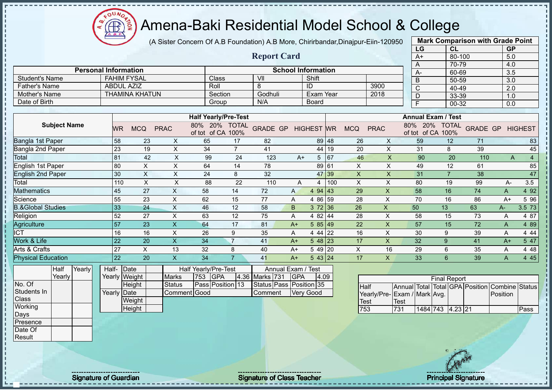$12\mu\text{V}$  $\bigoplus$ ğ  $\overline{A}$ .  $\overline{B}$ .

## Amena-Baki Residential Model School & College

(A Sister Concern Of A.B Foundation) A.B More, Chirirbandar,Dinajpur-Eiin-120950

|                              |        |                             |                |                |                                    |                |                         |                |                           |     |             |                             |             | LG             | CL                                                                    |                 | <b>GP</b> |                |
|------------------------------|--------|-----------------------------|----------------|----------------|------------------------------------|----------------|-------------------------|----------------|---------------------------|-----|-------------|-----------------------------|-------------|----------------|-----------------------------------------------------------------------|-----------------|-----------|----------------|
|                              |        |                             |                |                |                                    |                | <b>Report Card</b>      |                |                           |     |             |                             |             | $A+$           | 80-100                                                                |                 | 5.0       |                |
|                              |        |                             |                |                |                                    |                |                         |                |                           |     |             |                             |             | A              | 70-79                                                                 |                 | 4.0       |                |
|                              |        | <b>Personal Information</b> |                |                |                                    |                |                         |                | <b>School Information</b> |     |             |                             |             | A-             | 60-69                                                                 |                 | 3.5       |                |
| <b>Student's Name</b>        |        | <b>FAHIM FYSAL</b>          |                |                | Class                              |                | VII                     |                | Shift                     |     |             |                             |             | $\overline{B}$ | $50 - 59$                                                             |                 | 3.0       |                |
| <b>Father's Name</b>         |        | <b>ABDUL AZIZ</b>           |                |                | Roll                               |                | 8                       |                | ID                        |     |             | 3900                        |             | C              | 40-49                                                                 |                 | 2.0       |                |
| <b>Mother's Name</b>         |        | <b>THAMINA KHATUN</b>       |                |                | Section                            |                | Godhuli                 |                | <b>Exam Year</b>          |     |             | 2018                        |             | D              | 33-39                                                                 |                 | 1.0       |                |
| Date of Birth                |        |                             |                |                | Group                              |                | N/A                     |                | <b>Board</b>              |     |             |                             |             | F              | $00 - 32$                                                             |                 | 0.0       |                |
|                              |        |                             |                |                | <b>Half Yearly/Pre-Test</b>        |                |                         |                |                           |     |             |                             |             |                | <b>Annual Exam / Test</b>                                             |                 |           |                |
| <b>Subject Name</b>          |        |                             |                |                |                                    |                |                         |                |                           |     |             |                             |             | 20%            |                                                                       |                 |           |                |
|                              |        | <b>MCQ</b><br><b>WR</b>     | <b>PRAC</b>    |                | 80% 20% TOTAL<br>of tot of CA 100% |                | <b>GRADE GP</b>         |                | <b>HIGHEST WR</b>         |     | <b>MCQ</b>  | <b>PRAC</b>                 | 80%         |                | <b>TOTAL</b><br>of tot of CA 100%                                     | <b>GRADE GP</b> |           | <b>HIGHEST</b> |
| Bangla 1st Paper             |        | 58                          | 23             | X              | 65                                 | 17             | 82                      |                | 89 48                     |     | 26          | X                           |             | 59             | 12                                                                    | 71              |           | 83             |
| Bangla 2nd Paper             |        | 23                          | 19             | X              | 34                                 | $\overline{7}$ | 41                      |                | 44                        | 19  | 20          | X                           |             | 31             | 8                                                                     | 39              |           | 45             |
| Total                        |        | 81                          | 42             | X              | 99                                 | 24             | 123                     | $A+$           | 5                         | 67  | 46          | $\mathsf{X}$                |             | 90             | 20                                                                    | 110             | A         | $\overline{4}$ |
| English 1st Paper            |        | 80                          | X              | $\pmb{\times}$ | 64                                 | 14             | 78                      |                | 89 61                     |     | X           | X                           |             | 49             | 12                                                                    | 61              |           | 85             |
| English 2nd Paper            |        | 30                          | X              | X              | 24                                 | 8              | 32                      |                | 47                        | 39  | X           | X                           |             | 31             | $\overline{7}$                                                        | 38              |           | 47             |
| Total                        |        | 110                         | $\pmb{\times}$ | X              | 88                                 | 22             | 110                     | $\overline{A}$ | 4                         | 100 | X           | X                           |             | 80             | 19                                                                    | 99              | A-        | 3.5            |
| Mathematics                  |        | 45                          | 27             | X              | 58                                 | 14             | 72                      | $\mathsf{A}$   | 4 9 4                     | 43  | 29          | $\mathsf X$                 |             | 58             | 16                                                                    | 74              | A         | 4 9 2          |
| Science                      |        | 55                          | 23             | X              | 62                                 | 15             | 77                      | Α              | 4 86 59                   |     | 28          | X                           |             | 70             | 16                                                                    | 86              | $A+$      | 5 96           |
| <b>B.&amp;Global Studies</b> |        | 33                          | 24             | X              | 46                                 | 12             | 58                      | B              | 372 36                    |     | 26          | $\mathsf{X}$                |             | 50             | 13                                                                    | 63              | $A-$      | 3.5 73         |
| Religion                     |        | 52                          | 27             | X              | 63                                 | 12             | 75                      | A              | 4 82 44                   |     | 28          | $\times$                    |             | 58             | 15                                                                    | 73              | A         | 4 87           |
| Agriculture                  |        | 57                          | 23             | X              | 64                                 | 17             | 81                      | $A+$           | 585 49                    |     | 22          | $\overline{\mathsf{X}}$     |             | 57             | 15                                                                    | 72              | A         | 4 8 9          |
| <b>CT</b>                    |        | 16                          | 16             | X              | 26                                 | 9              | 35                      | A              | 4 4 4                     | 22  | 16          | X                           |             | 30             | 9                                                                     | 39              | A         | 4 4 4          |
| Work & Life                  |        | 22                          | 20             | $\mathsf{X}$   | 34                                 | $\overline{7}$ | 41                      | $A+$           | $548$   23                |     | 17          | $\mathsf{X}$                |             | 32             | 9                                                                     | 41              | $A+$      | 5 47           |
| Arts & Crafts                |        | 27                          | $\pmb{\times}$ | 13             | 32                                 | 8              | 40                      | $A+$           | 5 49 20                   |     | X           | 16                          |             | 29             | 6                                                                     | 35              | A         | 4 4 8          |
| <b>Physical Education</b>    |        | 22                          | 20             | X.             | 34                                 | $\overline{7}$ | 41                      | $A+$           | 5 43 24                   |     | 17          | X                           |             | 33             | 6                                                                     | 39              | A         | 4 4 5          |
| Half<br>Yearly               | Half-  | Date                        |                |                | Half Yearly/Pre-Test               |                | Annual Exam /           |                | ' Test                    |     |             |                             |             |                |                                                                       |                 |           |                |
| Yearly                       |        | Yearly Weight               |                | <b>Marks</b>   | <b>GPA</b><br>753                  |                | 4.36 Marks 731          | <b>GPA</b>     | 4.09                      |     |             |                             |             |                |                                                                       |                 |           |                |
| No. Of                       |        | Height                      |                | <b>Status</b>  | Pass Position 13                   |                | Status Pass Position 35 |                |                           |     | <b>Half</b> |                             |             |                | <b>Final Report</b><br>Annual Total Total GPA Position Combine Status |                 |           |                |
| Students In                  | Yearly | Date                        |                | Comment        | Good                               |                | Comment                 |                | <b>Very Good</b>          |     |             | Yearly/Pre-Exam / Mark Avg. |             |                |                                                                       |                 | Position  |                |
| Class                        |        | Weight                      |                |                |                                    |                |                         |                |                           |     | <b>Test</b> |                             | <b>Test</b> |                |                                                                       |                 |           |                |

1484 743 4.23 21 Pass

**Mark Comparison with Grade Point**

**Height** 

**Working** Days Presence Date Of **Result** 

j.  $\mathbf{I}$  $\mathbf{I}$ 

Signature of Guardian Signature of Class Teacher Principal Signature of Class Teacher Principal Signature 19/47

Test<br>753

Test<br>731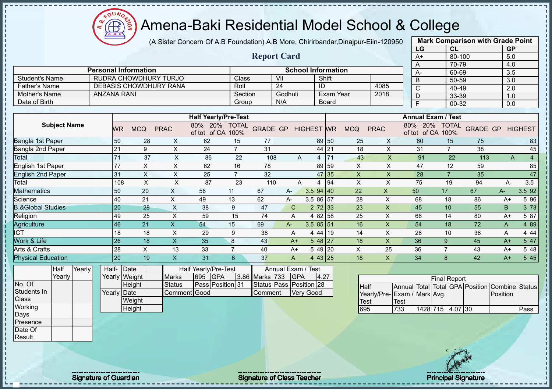(A Sister Concern Of A.B Foundation) A.B More, Chirirbandar,Dinajpur-Eiin-120950

 $12\mu\text{V}$ 

**CB** 

|                              |                    |                               |                           |                                    |                | <b>Report Card</b>      |                    |                           |                   |                           |                           | $A+$                            | 80-100              |                 | 5.0                     |                |
|------------------------------|--------------------|-------------------------------|---------------------------|------------------------------------|----------------|-------------------------|--------------------|---------------------------|-------------------|---------------------------|---------------------------|---------------------------------|---------------------|-----------------|-------------------------|----------------|
|                              |                    | <b>Personal Information</b>   |                           |                                    |                |                         |                    | <b>School Information</b> |                   |                           |                           | A                               | 70-79               |                 | 4.0                     |                |
| Student's Name               |                    | RUDRA CHOWDHURY TURJO         |                           |                                    | Class          |                         | V <sub>II</sub>    |                           | Shift             |                           |                           | A-<br>B                         | 60-69<br>50-59      |                 | $\overline{3.5}$<br>3.0 |                |
| <b>Father's Name</b>         |                    | <b>DEBASIS CHOWDHURY RANA</b> |                           |                                    | Roll           |                         | $\overline{24}$    | ID                        |                   |                           | 4085                      | $\overline{\text{c}}$           | 40-49               |                 | 2.0                     |                |
| Mother's Name                | <b>ANZANA RANI</b> |                               |                           |                                    | Section        |                         | Godhuli            |                           |                   | <b>Exam Year</b>          | 2018                      | D                               | 33-39               |                 | 1.0                     |                |
| Date of Birth                |                    |                               |                           |                                    | Group          |                         | N/A                |                           | <b>Board</b>      |                           |                           | Ē                               | $00 - 32$           |                 | $\overline{0.0}$        |                |
|                              |                    |                               |                           |                                    |                |                         |                    |                           |                   |                           |                           |                                 |                     |                 |                         |                |
|                              |                    |                               |                           | <b>Half Yearly/Pre-Test</b>        |                |                         |                    |                           |                   |                           |                           | <b>Annual Exam / Test</b>       |                     |                 |                         |                |
| <b>Subject Name</b>          | <b>WR</b>          | <b>MCQ</b>                    | <b>PRAC</b>               | 80% 20% TOTAL<br>of tot of CA 100% |                | <b>GRADE GP</b>         |                    | <b>HIGHEST WR</b>         |                   | <b>MCQ</b>                | <b>PRAC</b>               | 80% 20%<br>of tot of CA 100%    | <b>TOTAL</b>        | <b>GRADE GP</b> |                         | <b>HIGHEST</b> |
| <b>Bangla 1st Paper</b>      | 50                 | 28                            | X                         | 62                                 | 15             | 77                      |                    |                           | 89 50             | 25                        | X                         | 60                              | 15                  | 75              |                         | 83             |
| Bangla 2nd Paper             | 21                 | 9                             | $\pmb{\times}$            | 24                                 | $\overline{7}$ | 31                      |                    |                           | 44 21             | 18                        | $\boldsymbol{\mathsf{X}}$ | 31                              | $\overline{7}$      | 38              |                         | 45             |
| Total                        | 71                 | 37                            | $\pmb{\times}$            | 86                                 | 22             | 108                     | A                  |                           | $4 \overline{71}$ | 43                        | $\overline{\mathsf{x}}$   | 91                              | 22                  | 113             | A                       | $\overline{4}$ |
| English 1st Paper            | 77                 | $\sf X$                       | $\pmb{\times}$            | 62                                 | 16             | 78                      |                    |                           | 89 59             | $\boldsymbol{\mathsf{X}}$ | X                         | 47                              | 12                  | 59              |                         | 85             |
| <b>English 2nd Paper</b>     | 31                 | $\mathsf{X}$                  | $\times$                  | 25                                 | $\overline{7}$ | 32                      |                    |                           | 47 35             | $\boldsymbol{\mathsf{X}}$ | $\mathsf{X}$              | 28                              | $\overline{7}$      | 35              |                         | 47             |
| Total                        | 108                | $\times$                      | $\pmb{\times}$            | 87                                 | 23             | 110                     | A                  | $\overline{4}$            | 94                | $\times$                  | $\pmb{\times}$            | 75                              | 19                  | 94              | A-                      | 3.5            |
| <b>Mathematics</b>           | 50                 | 20                            | $\boldsymbol{\mathsf{X}}$ | 56                                 | 11             | 67                      | A-                 | $3.594$ 40                |                   | 22                        | $\pmb{\times}$            | 50                              | 17                  | 67              | $A -$                   | 3.5 92         |
| Science                      | 40                 | 21                            | $\boldsymbol{\mathsf{X}}$ | 49                                 | 13             | 62                      | A-                 | 3.5 86 57                 |                   | 28                        | X                         | 68                              | 18                  | 86              | $A+$                    | 5 9 6          |
| <b>B.&amp;Global Studies</b> | 20                 | 28                            | $\boldsymbol{\mathsf{X}}$ | 38                                 | 9              | 47                      | $\mathsf{C}$       | $2 \ 72 \ 33$             |                   | 23                        | $\pmb{\times}$            | 45                              | 10                  | 55              | B                       | 3 7 3          |
| Religion                     | 49                 | 25                            | $\sf X$                   | 59                                 | 15             | 74                      | $\overline{A}$     | 4 82 58                   |                   | 25                        | X                         | 66                              | 14                  | 80              | $A+$                    | 5 87           |
| Agriculture                  | 46                 | 21                            | $\boldsymbol{\mathsf{X}}$ | 54                                 | 15             | 69                      | A-                 | $3.585$ 5 51              |                   | 16                        | X                         | 54                              | 18                  | 72              | A                       | 4 8 9          |
| <b>ICT</b>                   | 18                 | 18                            | $\boldsymbol{\mathsf{X}}$ | 29                                 | 9              | 38                      | A                  | 4 44 19                   |                   | 14                        | X                         | 26                              | 10                  | 36              | A                       | 4 4 4          |
| Work & Life                  | 26                 | 18                            | $\overline{\mathsf{X}}$   | 35                                 | 8              | 43                      | $A+$               | 548 27                    |                   | 18                        | $\mathsf{X}$              | 36                              | 9                   | 45              | $A+$                    | 547            |
| Arts & Crafts                | 28                 | X                             | 13                        | 33                                 | $\overline{7}$ | 40                      | $A+$               | 5 49 20                   |                   | X                         | 25                        | 36                              | $\overline{7}$      | 43              | $A+$                    | 5 48           |
| <b>Physical Education</b>    | 20                 | 19                            | $\overline{\mathsf{x}}$   | 31                                 | 6              | 37                      | A                  | 4 43 25                   |                   | 18                        | $\mathsf{X}$              | 34                              | $\mathbf{8}$        | 42              | $A+$                    | 5 4 5          |
| Yearly<br>Half               | Half- Date         |                               |                           | Half Yearly/Pre-Test               |                |                         | Annual Exam / Test |                           |                   |                           |                           |                                 |                     |                 |                         |                |
| Yearly                       |                    | Yearly Weight                 | <b>Marks</b>              | <b>GPA</b><br>695                  |                | 3.86 Marks 733          | <b>GPA</b>         |                           | 4.27              |                           |                           |                                 | <b>Final Report</b> |                 |                         |                |
| No. Of                       |                    | Height                        | <b>Status</b>             | Pass Position 31                   |                | Status Pass Position 28 |                    |                           |                   | <b>Half</b>               |                           | Annual Total Total GPA Position |                     |                 | Combine Status          |                |
| Students In                  | Yearly Date        |                               | Comment Good              |                                    |                | Comment                 |                    | <b>Very Good</b>          |                   |                           | Yearly/Pre-               | Exam / Mark Avg.                |                     |                 | Position                |                |
| Class                        |                    | Weight                        |                           |                                    |                |                         |                    |                           |                   | Test                      |                           | Test                            |                     |                 |                         |                |
| Working<br>Days              |                    | Height                        |                           |                                    |                |                         |                    |                           |                   | 695                       |                           | 733                             | 1428 715 4.07 30    |                 |                         | Pass           |
| Presence                     |                    |                               |                           |                                    |                |                         |                    |                           |                   |                           |                           |                                 |                     |                 |                         |                |
| Date Of                      |                    |                               |                           |                                    |                |                         |                    |                           |                   |                           |                           |                                 |                     |                 |                         |                |



**Mark Comparison with Grade Point LG CL GP**

**Result** 

 $\mathbf I$ 

л

Signature of Guardian Signature of Class Teacher Principal Signature of Class Teacher Principal Signature 2004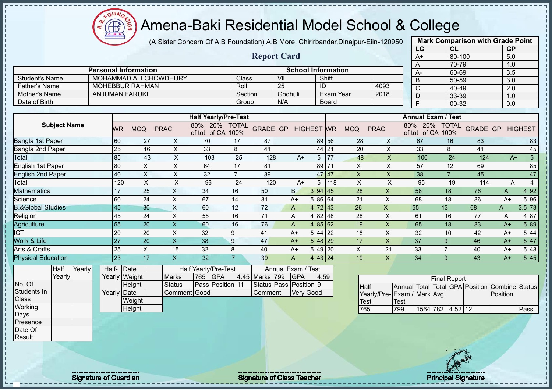(A Sister Concern Of A.B Foundation) A.B More, Chirirbandar,Dinajpur-Eiin-120950

 $12\mu\text{V}$ 

**CB** 

|                                 |                 |                             |                           |                                           |                  | <b>Report Card</b> |                                  |                   |                  |             |                         |      | $A+$                             | $80 - 100$          |                                 | 5.0              |                        |
|---------------------------------|-----------------|-----------------------------|---------------------------|-------------------------------------------|------------------|--------------------|----------------------------------|-------------------|------------------|-------------|-------------------------|------|----------------------------------|---------------------|---------------------------------|------------------|------------------------|
|                                 |                 | <b>Personal Information</b> |                           |                                           |                  |                    | <b>School Information</b>        |                   |                  |             |                         |      | Α                                | 70-79               |                                 | 4.0              |                        |
| <b>Student's Name</b>           |                 | MOHAMMAD ALI CHOWDHURY      |                           |                                           | Class            |                    | V <sub>II</sub>                  |                   | Shift            |             |                         |      | A-                               | 60-69               |                                 | $\overline{3.5}$ |                        |
| <b>Father's Name</b>            |                 | <b>MOHEBBUR RAHMAN</b>      |                           |                                           | Roll             |                    | $\overline{25}$                  | ID                |                  |             | 4093                    |      | B                                | 50-59               |                                 | 3.0              |                        |
| Mother's Name                   |                 | <b>ANJUMAN FARUKI</b>       |                           |                                           | Section          |                    | Godhuli                          |                   | <b>Exam Year</b> |             | 2018                    |      | $\overline{C}$<br>$\overline{D}$ | 40-49               |                                 | $\overline{2.0}$ |                        |
| Date of Birth                   |                 |                             |                           |                                           | Group            |                    | N/A                              |                   | <b>Board</b>     |             |                         |      | F                                | 33-39<br>$00 - 32$  |                                 | 1.0              |                        |
|                                 |                 |                             |                           |                                           |                  |                    |                                  |                   |                  |             |                         |      |                                  |                     |                                 | 0.0              |                        |
|                                 |                 |                             |                           | <b>Half Yearly/Pre-Test</b>               |                  |                    |                                  |                   |                  |             |                         |      | <b>Annual Exam / Test</b>        |                     |                                 |                  |                        |
| <b>Subject Name</b>             | WR              | <b>MCQ</b>                  | <b>PRAC</b>               | 80% 20% TOTAL<br>of tot of CA 100%        |                  | <b>GRADE GP</b>    |                                  | <b>HIGHEST WR</b> |                  | <b>MCQ</b>  | <b>PRAC</b>             |      | 80% 20%<br>of tot of CA 100%     | <b>TOTAL</b>        | <b>GRADE GP</b>                 |                  | <b>HIGHEST</b>         |
| Bangla 1st Paper                | 60              | 27                          | X                         | 70                                        | 17               | 87                 |                                  | 89                | 56               | 28          | X                       |      | 67                               | 16                  | 83                              |                  | 83                     |
| Bangla 2nd Paper                | $\overline{25}$ | 16                          | $\boldsymbol{\mathsf{X}}$ | 33                                        | 8                | 41                 |                                  | 44                | 21               | 20          | $\mathsf{X}$            |      | 33                               | 8                   | 41                              |                  | 45                     |
| Total                           | 85              | 43                          | $\mathsf{X}$              | 103                                       | 25               | 128                | $A+$                             | 5                 | 77               | 48          | $\overline{\mathsf{x}}$ |      | 100                              | 24                  | 124                             |                  | $\overline{5}$<br>$A+$ |
| <b>English 1st Paper</b>        | 80              | $\sf X$                     | X                         | 64                                        | 17               | 81                 |                                  | 89                | 71               | X           | $\times$                |      | 57                               | 12                  | 69                              |                  | 85                     |
| <b>English 2nd Paper</b>        | 40              | $\boldsymbol{\mathsf{X}}$   | X                         | 32                                        | $\overline{7}$   | 39                 |                                  | 47                | 47               | X           | X                       |      | 38                               | $\overline{7}$      | 45                              |                  | 47                     |
| Total                           | 120             | $\mathsf X$                 | $\sf X$                   | 96                                        | 24               | 120                | $A+$                             | 5                 | 118              | $\mathsf X$ | $\sf X$                 |      | 95                               | 19                  | 114                             | A                | $\overline{4}$         |
| <b>Mathematics</b>              | 17              | 25                          | $\times$                  | 34                                        | 16               | 50                 | B.                               | 3 94              | 45               | 28          | X                       |      | 58                               | 18                  | 76                              | A                | 4 9 2                  |
| Science                         | 60              | 24                          | $\pmb{\times}$            | 67                                        | 14               | 81                 | $A+$                             | 5 86 64           |                  | 21          | X                       |      | 68                               | 18                  | 86                              | $A+$             | 5 9 6                  |
| <b>B.&amp;Global Studies</b>    | 45              | 30                          | $\boldsymbol{\mathsf{X}}$ | 60                                        | 12               | 72                 | $\overline{A}$                   | 4 72 43           |                  | 26          | X                       | 55   |                                  | 13                  | 68                              | A-               | 3.5 73                 |
| Religion                        | 45              | 24                          | $\mathsf{x}$              | 55                                        | 16               | 71                 | A                                | 4 82 48           |                  | 28          | X                       |      | 61                               | 16                  | 77                              | A                | 4 87                   |
| Agriculture                     | 55              | 20                          | $\overline{\mathsf{x}}$   | 60                                        | 16               | 76                 | A                                | 4 $85 62$         |                  | 19          | $\pmb{\times}$          |      | 65                               | 18                  | 83                              | $A+$             | 5 89                   |
| <b>ICT</b>                      | 20              | 20                          | X                         | 32                                        | 9                | 41                 | $A+$                             | 5 4 4             | 22               | 18          | X                       |      | 32                               | 10                  | 42                              | $A+$             | 5 4 4                  |
| Work & Life                     | 27              | 20                          | $\boldsymbol{\mathsf{X}}$ | 38                                        | $\boldsymbol{9}$ | 47                 | $A+$                             | $548$  29         |                  | 17          | $\mathsf{X}$            |      | 37                               | 9                   | 46                              | $A+$             | 5 47                   |
| Arts & Crafts                   | 25              | X                           | 15                        | 32                                        | 8                | 40                 | $A+$                             | 5 49 20           |                  | $\times$    | 21                      |      | 33                               | $\overline{7}$      | 40                              | $A+$             | 5 48                   |
| <b>Physical Education</b>       | 23              | 17                          | $\boldsymbol{X}$          | 32                                        | $\overline{7}$   | 39                 | A                                | 4 43 24           |                  | 19          | X                       |      | 34                               | 9                   | 43                              | $A+$             | 5 4 5                  |
| Yearly<br><b>Half</b><br>Yearly | Half-<br>Yearly | Date<br><b>Weight</b>       | <b>Marks</b>              | Half Yearly/Pre-Test<br><b>GPA</b><br>765 |                  | 4.45 Marks 799     | Annual Exam / Test<br><b>GPA</b> | 4.59              |                  |             |                         |      |                                  | <b>Final Report</b> |                                 |                  |                        |
| No. Of                          |                 | Height                      | <b>Status</b>             | Pass Position 11                          |                  | Status Pass        | Position 9                       |                   |                  | Half        |                         |      |                                  |                     | Annual Total Total GPA Position | Combine          | <b>Status</b>          |
| Students In                     | Yearly Date     |                             | Comment Good              |                                           |                  | Comment            | Very Good                        |                   |                  |             |                         |      | Yearly/Pre-Exam / Mark Avg.      |                     |                                 | Position         |                        |
| <b>Class</b>                    |                 | Weight                      |                           |                                           |                  |                    |                                  |                   |                  | Test        |                         | Test |                                  |                     |                                 |                  |                        |
| Working                         |                 | Height                      |                           |                                           |                  |                    |                                  |                   |                  | 765         |                         | 799  | 1564 782 4.52 12                 |                     |                                 |                  | Pass                   |
| Days<br>Presence                |                 |                             |                           |                                           |                  |                    |                                  |                   |                  |             |                         |      |                                  |                     |                                 |                  |                        |
|                                 |                 |                             |                           |                                           |                  |                    |                                  |                   |                  |             |                         |      |                                  |                     |                                 |                  |                        |

**Mark Comparison with Grade Point LG CL GP**

Date Of **Result** 

J

Signature of Guardian Signature of Class Teacher Principal Signature of Class Teacher Principal Signature 21/47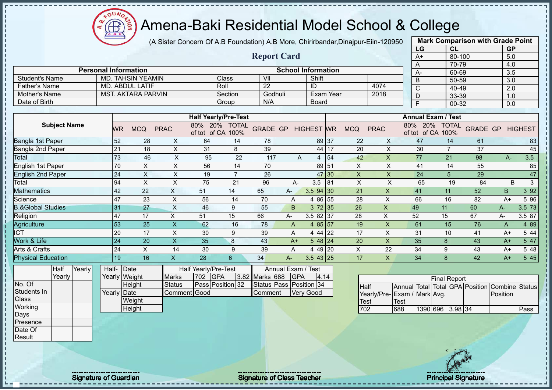$12\mu\text{V}$ **CB** ğ

## Amena-Baki Residential Model School & College

(A Sister Concern Of A.B Foundation) A.B More, Chirirbandar,Dinajpur-Eiin-120950

| <b>Report Card</b><br>80-100<br>5.0<br>$A+$<br>70-79<br>4.0<br>А<br><b>Personal Information</b><br><b>School Information</b><br>60-69<br>3.5<br>А-<br><b>Student's Name</b><br><b>MD. TAHSIN YEAMIN</b><br>Class<br>V <sub>II</sub><br>Shift<br>B<br>50-59<br>3.0<br>$\overline{22}$<br>Roll<br>4074<br><b>Father's Name</b><br>MD. ABDUL LATIF<br>ID<br>$\overline{\text{c}}$<br>40-49<br>$\overline{2.0}$<br>Mother's Name<br><b>MST. AKTARA PARVIN</b><br>Godhuli<br>Exam Year<br>2018<br>Section<br>$\overline{D}$<br>33-39<br>1.0<br>N/A<br>Date of Birth<br><b>Board</b><br>Group<br>F<br>00-32<br>0.0<br><b>Half Yearly/Pre-Test</b><br><b>Annual Exam / Test</b><br><b>Subject Name</b><br>80% 20% TOTAL<br>80% 20%<br><b>TOTAL</b><br>GRADE GP HIGHEST WR<br><b>GRADE GP</b><br><b>MCQ</b><br><b>PRAC</b><br><b>MCQ</b><br><b>PRAC</b><br><b>HIGHEST</b><br><b>WR</b><br>of tot of CA 100%<br>of tot of CA 100%<br><b>Bangla 1st Paper</b><br>52<br>$\boldsymbol{\mathsf{X}}$<br>$\times$<br>47<br>28<br>64<br>14<br>78<br>89 37<br>22<br>14<br>61<br>83<br>21<br>39<br>$\mathsf{X}$<br>18<br>X<br>31<br>8<br>17<br>20<br>30<br>$\overline{7}$<br>37<br>45<br>44<br>73<br>3.5<br>46<br>$\pmb{\times}$<br>95<br>22<br>54<br>$\mathsf{X}$<br>77<br>21<br>98<br>117<br>42<br>A<br>A-<br>$\overline{4}$<br>70<br>$\mathsf X$<br>$\boldsymbol{\mathsf{X}}$<br>56<br>89<br>$\mathsf{X}$<br>$\times$<br>55<br>14<br>70<br>51<br>41<br>85<br>14<br>24<br>$\mathsf X$<br>$\mathsf{x}$<br>47<br>X<br>19<br>$\overline{7}$<br>26<br>47<br>30<br>$\mathsf{X}$<br>24<br>5<br>29<br>94<br>X<br>X<br>X<br>X<br>B<br>3<br>75<br>21<br>96<br>3.5<br>65<br>19<br>84<br>$A -$<br>81<br><b>Mathematics</b><br>392<br>42<br>$\mathsf X$<br>$\mathsf{X}$<br>22<br>51<br>65<br>3.5 94<br>41<br>11<br>52<br>$\mathsf B$<br>14<br>21<br>A-<br>30<br>47<br>23<br>$\times$<br>55<br>$\sf X$<br>56<br>14<br>70<br>28<br>66<br>16<br>82<br>5 9 6<br>4 8 6<br>$A+$<br>A<br>31<br>27<br>$\times$<br>46<br>55<br>B<br>372 35<br>26<br>$\sf X$<br>60<br>3.5 73<br>9<br>49<br>11<br>A-<br>47<br>3.5 82 37<br>28<br>X<br>17<br>$\times$<br>51<br>15<br>66<br>52<br>15<br>67<br>3.5 87<br>А-<br>$A-$<br>53<br>$\overline{\mathsf{x}}$<br>$\overline{\mathsf{X}}$<br>25<br>62<br>4 $85 57$<br>19<br>61<br>15<br>76<br>4 8 9<br>16<br>78<br>$\overline{A}$<br>$\overline{A}$<br>$\boldsymbol{\mathsf{X}}$<br>20<br>17<br>9<br>17<br>X<br>31<br>30<br>39<br>4 4 4<br>22<br>10<br>41<br>5 4 4<br>$A+$<br>A<br>24<br>20<br>$\mathsf{X}$<br>35<br>43<br>$548$   24<br>20<br>X<br>8<br>35<br>8<br>43<br>5 47<br>$A+$<br>$A+$<br>24<br>$\mathsf X$<br>34<br>14<br>30<br>9<br>39<br>4 49 20<br>X<br>22<br>$\boldsymbol{9}$<br>43<br>5 48<br>$A+$<br>A<br>545<br>19<br>$\mathsf{X}$<br>28<br>$\mathsf{X}$<br>8<br>42<br>16<br>$6\phantom{1}$<br>$3.543$ 25<br>17<br>34<br>34<br>$A+$<br>A-<br>Yearly<br>Half<br>Half-<br>Date<br>Half Yearly/Pre-Test<br>Annual Exam / Test<br>Yearly<br>Yearly Weight<br>702<br><b>GPA</b><br>3.82<br>Marks 688<br>GPA<br>4.14<br><b>Marks</b><br><b>Final Report</b><br>No. Of<br>Pass Position 32<br>Status Pass Position 34<br><b>Status</b><br>Height<br><b>Half</b><br>Annual Total Total GPA Position<br>Combine Status<br>Students In<br>Yearly Date<br>Comment Good<br>Comment<br>Very Good<br>Yearly/Pre-Exam / Mark Avg.<br>Position<br><b>Class</b><br>Weight<br><b>Test</b><br><b>Test</b><br>Working<br>Height<br>702<br>688<br>1390 696 3.98 34<br>Pass |                              |  |  |  |  |  | LG | CL | <b>GP</b> |  |
|-------------------------------------------------------------------------------------------------------------------------------------------------------------------------------------------------------------------------------------------------------------------------------------------------------------------------------------------------------------------------------------------------------------------------------------------------------------------------------------------------------------------------------------------------------------------------------------------------------------------------------------------------------------------------------------------------------------------------------------------------------------------------------------------------------------------------------------------------------------------------------------------------------------------------------------------------------------------------------------------------------------------------------------------------------------------------------------------------------------------------------------------------------------------------------------------------------------------------------------------------------------------------------------------------------------------------------------------------------------------------------------------------------------------------------------------------------------------------------------------------------------------------------------------------------------------------------------------------------------------------------------------------------------------------------------------------------------------------------------------------------------------------------------------------------------------------------------------------------------------------------------------------------------------------------------------------------------------------------------------------------------------------------------------------------------------------------------------------------------------------------------------------------------------------------------------------------------------------------------------------------------------------------------------------------------------------------------------------------------------------------------------------------------------------------------------------------------------------------------------------------------------------------------------------------------------------------------------------------------------------------------------------------------------------------------------------------------------------------------------------------------------------------------------------------------------------------------------------------------------------------------------------------------------------------------------------------------------------------------------------------------------------------------------------------------------------------------------------------------------------------------------------------------------------------------------------------------------------------------------------------------------------------------------------------------------------------------------------------------------------------------------------------------------------------------------------------------------|------------------------------|--|--|--|--|--|----|----|-----------|--|
|                                                                                                                                                                                                                                                                                                                                                                                                                                                                                                                                                                                                                                                                                                                                                                                                                                                                                                                                                                                                                                                                                                                                                                                                                                                                                                                                                                                                                                                                                                                                                                                                                                                                                                                                                                                                                                                                                                                                                                                                                                                                                                                                                                                                                                                                                                                                                                                                                                                                                                                                                                                                                                                                                                                                                                                                                                                                                                                                                                                                                                                                                                                                                                                                                                                                                                                                                                                                                                                                   |                              |  |  |  |  |  |    |    |           |  |
|                                                                                                                                                                                                                                                                                                                                                                                                                                                                                                                                                                                                                                                                                                                                                                                                                                                                                                                                                                                                                                                                                                                                                                                                                                                                                                                                                                                                                                                                                                                                                                                                                                                                                                                                                                                                                                                                                                                                                                                                                                                                                                                                                                                                                                                                                                                                                                                                                                                                                                                                                                                                                                                                                                                                                                                                                                                                                                                                                                                                                                                                                                                                                                                                                                                                                                                                                                                                                                                                   |                              |  |  |  |  |  |    |    |           |  |
|                                                                                                                                                                                                                                                                                                                                                                                                                                                                                                                                                                                                                                                                                                                                                                                                                                                                                                                                                                                                                                                                                                                                                                                                                                                                                                                                                                                                                                                                                                                                                                                                                                                                                                                                                                                                                                                                                                                                                                                                                                                                                                                                                                                                                                                                                                                                                                                                                                                                                                                                                                                                                                                                                                                                                                                                                                                                                                                                                                                                                                                                                                                                                                                                                                                                                                                                                                                                                                                                   |                              |  |  |  |  |  |    |    |           |  |
|                                                                                                                                                                                                                                                                                                                                                                                                                                                                                                                                                                                                                                                                                                                                                                                                                                                                                                                                                                                                                                                                                                                                                                                                                                                                                                                                                                                                                                                                                                                                                                                                                                                                                                                                                                                                                                                                                                                                                                                                                                                                                                                                                                                                                                                                                                                                                                                                                                                                                                                                                                                                                                                                                                                                                                                                                                                                                                                                                                                                                                                                                                                                                                                                                                                                                                                                                                                                                                                                   |                              |  |  |  |  |  |    |    |           |  |
|                                                                                                                                                                                                                                                                                                                                                                                                                                                                                                                                                                                                                                                                                                                                                                                                                                                                                                                                                                                                                                                                                                                                                                                                                                                                                                                                                                                                                                                                                                                                                                                                                                                                                                                                                                                                                                                                                                                                                                                                                                                                                                                                                                                                                                                                                                                                                                                                                                                                                                                                                                                                                                                                                                                                                                                                                                                                                                                                                                                                                                                                                                                                                                                                                                                                                                                                                                                                                                                                   |                              |  |  |  |  |  |    |    |           |  |
|                                                                                                                                                                                                                                                                                                                                                                                                                                                                                                                                                                                                                                                                                                                                                                                                                                                                                                                                                                                                                                                                                                                                                                                                                                                                                                                                                                                                                                                                                                                                                                                                                                                                                                                                                                                                                                                                                                                                                                                                                                                                                                                                                                                                                                                                                                                                                                                                                                                                                                                                                                                                                                                                                                                                                                                                                                                                                                                                                                                                                                                                                                                                                                                                                                                                                                                                                                                                                                                                   |                              |  |  |  |  |  |    |    |           |  |
|                                                                                                                                                                                                                                                                                                                                                                                                                                                                                                                                                                                                                                                                                                                                                                                                                                                                                                                                                                                                                                                                                                                                                                                                                                                                                                                                                                                                                                                                                                                                                                                                                                                                                                                                                                                                                                                                                                                                                                                                                                                                                                                                                                                                                                                                                                                                                                                                                                                                                                                                                                                                                                                                                                                                                                                                                                                                                                                                                                                                                                                                                                                                                                                                                                                                                                                                                                                                                                                                   |                              |  |  |  |  |  |    |    |           |  |
|                                                                                                                                                                                                                                                                                                                                                                                                                                                                                                                                                                                                                                                                                                                                                                                                                                                                                                                                                                                                                                                                                                                                                                                                                                                                                                                                                                                                                                                                                                                                                                                                                                                                                                                                                                                                                                                                                                                                                                                                                                                                                                                                                                                                                                                                                                                                                                                                                                                                                                                                                                                                                                                                                                                                                                                                                                                                                                                                                                                                                                                                                                                                                                                                                                                                                                                                                                                                                                                                   |                              |  |  |  |  |  |    |    |           |  |
|                                                                                                                                                                                                                                                                                                                                                                                                                                                                                                                                                                                                                                                                                                                                                                                                                                                                                                                                                                                                                                                                                                                                                                                                                                                                                                                                                                                                                                                                                                                                                                                                                                                                                                                                                                                                                                                                                                                                                                                                                                                                                                                                                                                                                                                                                                                                                                                                                                                                                                                                                                                                                                                                                                                                                                                                                                                                                                                                                                                                                                                                                                                                                                                                                                                                                                                                                                                                                                                                   |                              |  |  |  |  |  |    |    |           |  |
|                                                                                                                                                                                                                                                                                                                                                                                                                                                                                                                                                                                                                                                                                                                                                                                                                                                                                                                                                                                                                                                                                                                                                                                                                                                                                                                                                                                                                                                                                                                                                                                                                                                                                                                                                                                                                                                                                                                                                                                                                                                                                                                                                                                                                                                                                                                                                                                                                                                                                                                                                                                                                                                                                                                                                                                                                                                                                                                                                                                                                                                                                                                                                                                                                                                                                                                                                                                                                                                                   |                              |  |  |  |  |  |    |    |           |  |
|                                                                                                                                                                                                                                                                                                                                                                                                                                                                                                                                                                                                                                                                                                                                                                                                                                                                                                                                                                                                                                                                                                                                                                                                                                                                                                                                                                                                                                                                                                                                                                                                                                                                                                                                                                                                                                                                                                                                                                                                                                                                                                                                                                                                                                                                                                                                                                                                                                                                                                                                                                                                                                                                                                                                                                                                                                                                                                                                                                                                                                                                                                                                                                                                                                                                                                                                                                                                                                                                   |                              |  |  |  |  |  |    |    |           |  |
|                                                                                                                                                                                                                                                                                                                                                                                                                                                                                                                                                                                                                                                                                                                                                                                                                                                                                                                                                                                                                                                                                                                                                                                                                                                                                                                                                                                                                                                                                                                                                                                                                                                                                                                                                                                                                                                                                                                                                                                                                                                                                                                                                                                                                                                                                                                                                                                                                                                                                                                                                                                                                                                                                                                                                                                                                                                                                                                                                                                                                                                                                                                                                                                                                                                                                                                                                                                                                                                                   | Bangla 2nd Paper             |  |  |  |  |  |    |    |           |  |
|                                                                                                                                                                                                                                                                                                                                                                                                                                                                                                                                                                                                                                                                                                                                                                                                                                                                                                                                                                                                                                                                                                                                                                                                                                                                                                                                                                                                                                                                                                                                                                                                                                                                                                                                                                                                                                                                                                                                                                                                                                                                                                                                                                                                                                                                                                                                                                                                                                                                                                                                                                                                                                                                                                                                                                                                                                                                                                                                                                                                                                                                                                                                                                                                                                                                                                                                                                                                                                                                   | Total                        |  |  |  |  |  |    |    |           |  |
|                                                                                                                                                                                                                                                                                                                                                                                                                                                                                                                                                                                                                                                                                                                                                                                                                                                                                                                                                                                                                                                                                                                                                                                                                                                                                                                                                                                                                                                                                                                                                                                                                                                                                                                                                                                                                                                                                                                                                                                                                                                                                                                                                                                                                                                                                                                                                                                                                                                                                                                                                                                                                                                                                                                                                                                                                                                                                                                                                                                                                                                                                                                                                                                                                                                                                                                                                                                                                                                                   | English 1st Paper            |  |  |  |  |  |    |    |           |  |
|                                                                                                                                                                                                                                                                                                                                                                                                                                                                                                                                                                                                                                                                                                                                                                                                                                                                                                                                                                                                                                                                                                                                                                                                                                                                                                                                                                                                                                                                                                                                                                                                                                                                                                                                                                                                                                                                                                                                                                                                                                                                                                                                                                                                                                                                                                                                                                                                                                                                                                                                                                                                                                                                                                                                                                                                                                                                                                                                                                                                                                                                                                                                                                                                                                                                                                                                                                                                                                                                   | <b>English 2nd Paper</b>     |  |  |  |  |  |    |    |           |  |
|                                                                                                                                                                                                                                                                                                                                                                                                                                                                                                                                                                                                                                                                                                                                                                                                                                                                                                                                                                                                                                                                                                                                                                                                                                                                                                                                                                                                                                                                                                                                                                                                                                                                                                                                                                                                                                                                                                                                                                                                                                                                                                                                                                                                                                                                                                                                                                                                                                                                                                                                                                                                                                                                                                                                                                                                                                                                                                                                                                                                                                                                                                                                                                                                                                                                                                                                                                                                                                                                   | Total                        |  |  |  |  |  |    |    |           |  |
|                                                                                                                                                                                                                                                                                                                                                                                                                                                                                                                                                                                                                                                                                                                                                                                                                                                                                                                                                                                                                                                                                                                                                                                                                                                                                                                                                                                                                                                                                                                                                                                                                                                                                                                                                                                                                                                                                                                                                                                                                                                                                                                                                                                                                                                                                                                                                                                                                                                                                                                                                                                                                                                                                                                                                                                                                                                                                                                                                                                                                                                                                                                                                                                                                                                                                                                                                                                                                                                                   |                              |  |  |  |  |  |    |    |           |  |
|                                                                                                                                                                                                                                                                                                                                                                                                                                                                                                                                                                                                                                                                                                                                                                                                                                                                                                                                                                                                                                                                                                                                                                                                                                                                                                                                                                                                                                                                                                                                                                                                                                                                                                                                                                                                                                                                                                                                                                                                                                                                                                                                                                                                                                                                                                                                                                                                                                                                                                                                                                                                                                                                                                                                                                                                                                                                                                                                                                                                                                                                                                                                                                                                                                                                                                                                                                                                                                                                   | Science                      |  |  |  |  |  |    |    |           |  |
|                                                                                                                                                                                                                                                                                                                                                                                                                                                                                                                                                                                                                                                                                                                                                                                                                                                                                                                                                                                                                                                                                                                                                                                                                                                                                                                                                                                                                                                                                                                                                                                                                                                                                                                                                                                                                                                                                                                                                                                                                                                                                                                                                                                                                                                                                                                                                                                                                                                                                                                                                                                                                                                                                                                                                                                                                                                                                                                                                                                                                                                                                                                                                                                                                                                                                                                                                                                                                                                                   | <b>B.&amp;Global Studies</b> |  |  |  |  |  |    |    |           |  |
|                                                                                                                                                                                                                                                                                                                                                                                                                                                                                                                                                                                                                                                                                                                                                                                                                                                                                                                                                                                                                                                                                                                                                                                                                                                                                                                                                                                                                                                                                                                                                                                                                                                                                                                                                                                                                                                                                                                                                                                                                                                                                                                                                                                                                                                                                                                                                                                                                                                                                                                                                                                                                                                                                                                                                                                                                                                                                                                                                                                                                                                                                                                                                                                                                                                                                                                                                                                                                                                                   | Religion                     |  |  |  |  |  |    |    |           |  |
|                                                                                                                                                                                                                                                                                                                                                                                                                                                                                                                                                                                                                                                                                                                                                                                                                                                                                                                                                                                                                                                                                                                                                                                                                                                                                                                                                                                                                                                                                                                                                                                                                                                                                                                                                                                                                                                                                                                                                                                                                                                                                                                                                                                                                                                                                                                                                                                                                                                                                                                                                                                                                                                                                                                                                                                                                                                                                                                                                                                                                                                                                                                                                                                                                                                                                                                                                                                                                                                                   | Agriculture                  |  |  |  |  |  |    |    |           |  |
|                                                                                                                                                                                                                                                                                                                                                                                                                                                                                                                                                                                                                                                                                                                                                                                                                                                                                                                                                                                                                                                                                                                                                                                                                                                                                                                                                                                                                                                                                                                                                                                                                                                                                                                                                                                                                                                                                                                                                                                                                                                                                                                                                                                                                                                                                                                                                                                                                                                                                                                                                                                                                                                                                                                                                                                                                                                                                                                                                                                                                                                                                                                                                                                                                                                                                                                                                                                                                                                                   | <b>ICT</b>                   |  |  |  |  |  |    |    |           |  |
|                                                                                                                                                                                                                                                                                                                                                                                                                                                                                                                                                                                                                                                                                                                                                                                                                                                                                                                                                                                                                                                                                                                                                                                                                                                                                                                                                                                                                                                                                                                                                                                                                                                                                                                                                                                                                                                                                                                                                                                                                                                                                                                                                                                                                                                                                                                                                                                                                                                                                                                                                                                                                                                                                                                                                                                                                                                                                                                                                                                                                                                                                                                                                                                                                                                                                                                                                                                                                                                                   | Work & Life                  |  |  |  |  |  |    |    |           |  |
|                                                                                                                                                                                                                                                                                                                                                                                                                                                                                                                                                                                                                                                                                                                                                                                                                                                                                                                                                                                                                                                                                                                                                                                                                                                                                                                                                                                                                                                                                                                                                                                                                                                                                                                                                                                                                                                                                                                                                                                                                                                                                                                                                                                                                                                                                                                                                                                                                                                                                                                                                                                                                                                                                                                                                                                                                                                                                                                                                                                                                                                                                                                                                                                                                                                                                                                                                                                                                                                                   | Arts & Crafts                |  |  |  |  |  |    |    |           |  |
|                                                                                                                                                                                                                                                                                                                                                                                                                                                                                                                                                                                                                                                                                                                                                                                                                                                                                                                                                                                                                                                                                                                                                                                                                                                                                                                                                                                                                                                                                                                                                                                                                                                                                                                                                                                                                                                                                                                                                                                                                                                                                                                                                                                                                                                                                                                                                                                                                                                                                                                                                                                                                                                                                                                                                                                                                                                                                                                                                                                                                                                                                                                                                                                                                                                                                                                                                                                                                                                                   | <b>Physical Education</b>    |  |  |  |  |  |    |    |           |  |
|                                                                                                                                                                                                                                                                                                                                                                                                                                                                                                                                                                                                                                                                                                                                                                                                                                                                                                                                                                                                                                                                                                                                                                                                                                                                                                                                                                                                                                                                                                                                                                                                                                                                                                                                                                                                                                                                                                                                                                                                                                                                                                                                                                                                                                                                                                                                                                                                                                                                                                                                                                                                                                                                                                                                                                                                                                                                                                                                                                                                                                                                                                                                                                                                                                                                                                                                                                                                                                                                   |                              |  |  |  |  |  |    |    |           |  |
|                                                                                                                                                                                                                                                                                                                                                                                                                                                                                                                                                                                                                                                                                                                                                                                                                                                                                                                                                                                                                                                                                                                                                                                                                                                                                                                                                                                                                                                                                                                                                                                                                                                                                                                                                                                                                                                                                                                                                                                                                                                                                                                                                                                                                                                                                                                                                                                                                                                                                                                                                                                                                                                                                                                                                                                                                                                                                                                                                                                                                                                                                                                                                                                                                                                                                                                                                                                                                                                                   |                              |  |  |  |  |  |    |    |           |  |
|                                                                                                                                                                                                                                                                                                                                                                                                                                                                                                                                                                                                                                                                                                                                                                                                                                                                                                                                                                                                                                                                                                                                                                                                                                                                                                                                                                                                                                                                                                                                                                                                                                                                                                                                                                                                                                                                                                                                                                                                                                                                                                                                                                                                                                                                                                                                                                                                                                                                                                                                                                                                                                                                                                                                                                                                                                                                                                                                                                                                                                                                                                                                                                                                                                                                                                                                                                                                                                                                   |                              |  |  |  |  |  |    |    |           |  |
|                                                                                                                                                                                                                                                                                                                                                                                                                                                                                                                                                                                                                                                                                                                                                                                                                                                                                                                                                                                                                                                                                                                                                                                                                                                                                                                                                                                                                                                                                                                                                                                                                                                                                                                                                                                                                                                                                                                                                                                                                                                                                                                                                                                                                                                                                                                                                                                                                                                                                                                                                                                                                                                                                                                                                                                                                                                                                                                                                                                                                                                                                                                                                                                                                                                                                                                                                                                                                                                                   |                              |  |  |  |  |  |    |    |           |  |
|                                                                                                                                                                                                                                                                                                                                                                                                                                                                                                                                                                                                                                                                                                                                                                                                                                                                                                                                                                                                                                                                                                                                                                                                                                                                                                                                                                                                                                                                                                                                                                                                                                                                                                                                                                                                                                                                                                                                                                                                                                                                                                                                                                                                                                                                                                                                                                                                                                                                                                                                                                                                                                                                                                                                                                                                                                                                                                                                                                                                                                                                                                                                                                                                                                                                                                                                                                                                                                                                   |                              |  |  |  |  |  |    |    |           |  |
|                                                                                                                                                                                                                                                                                                                                                                                                                                                                                                                                                                                                                                                                                                                                                                                                                                                                                                                                                                                                                                                                                                                                                                                                                                                                                                                                                                                                                                                                                                                                                                                                                                                                                                                                                                                                                                                                                                                                                                                                                                                                                                                                                                                                                                                                                                                                                                                                                                                                                                                                                                                                                                                                                                                                                                                                                                                                                                                                                                                                                                                                                                                                                                                                                                                                                                                                                                                                                                                                   |                              |  |  |  |  |  |    |    |           |  |
|                                                                                                                                                                                                                                                                                                                                                                                                                                                                                                                                                                                                                                                                                                                                                                                                                                                                                                                                                                                                                                                                                                                                                                                                                                                                                                                                                                                                                                                                                                                                                                                                                                                                                                                                                                                                                                                                                                                                                                                                                                                                                                                                                                                                                                                                                                                                                                                                                                                                                                                                                                                                                                                                                                                                                                                                                                                                                                                                                                                                                                                                                                                                                                                                                                                                                                                                                                                                                                                                   | Days<br>Presence             |  |  |  |  |  |    |    |           |  |
|                                                                                                                                                                                                                                                                                                                                                                                                                                                                                                                                                                                                                                                                                                                                                                                                                                                                                                                                                                                                                                                                                                                                                                                                                                                                                                                                                                                                                                                                                                                                                                                                                                                                                                                                                                                                                                                                                                                                                                                                                                                                                                                                                                                                                                                                                                                                                                                                                                                                                                                                                                                                                                                                                                                                                                                                                                                                                                                                                                                                                                                                                                                                                                                                                                                                                                                                                                                                                                                                   | Date Of                      |  |  |  |  |  |    |    |           |  |

**Mark Comparison with Grade Point**

Result

T

J. J.  $\mathbf{I}$  $\frac{1}{1}$  $\mathbf I$ 

Signature of Guardian Signature Signature of Class Teacher Principal Signature 22/47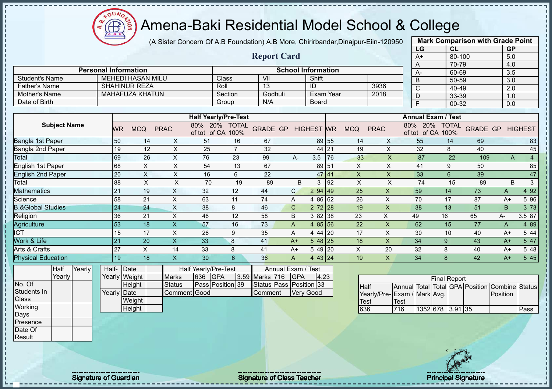$12\mu\text{V}$ Æ

## Amena-Baki Residential Model School & College

(A Sister Concern Of A.B Foundation) A.B More, Chirirbandar,Dinajpur-Eiin-120950

**Report Card**

|                       | <b>Mark Comparison with Grade Point</b> |           |
|-----------------------|-----------------------------------------|-----------|
| LG                    | CL                                      | <b>GP</b> |
| $A+$                  | 80-100                                  | 5.0       |
| А                     | 70-79                                   | 4.0       |
| A-                    | 60-69                                   | 3.5       |
| B                     | 50-59                                   | 3.0       |
| $\overline{\text{c}}$ | 40-49                                   | 2.0       |
| D                     | 33-39                                   | 1.0       |
| F                     | $00-32$                                 | 0.0       |
|                       |                                         |           |

|                | <b>Personal Information</b> |         |         | <b>School Information</b> |      |
|----------------|-----------------------------|---------|---------|---------------------------|------|
| Student's Name | MEHEDI HASAN MILU           | Classi  | VII     | Shift                     |      |
| Father's Name  | <b>SHAHINUR REZA</b>        | Roll    |         | ID                        | 3936 |
| Mother's Name  | MAHAFUZA KHATUN             | Section | Godhuli | Exam Year                 | 2018 |
| Date of Birth  |                             | Group   | N/A     | Board                     |      |

|                              |    |            |             | <b>Half Yearly/Pre-Test</b>   |                      |                 |              |                   |       |            |             | <b>Annual Exam / Test</b> |                            |                 |      |                |
|------------------------------|----|------------|-------------|-------------------------------|----------------------|-----------------|--------------|-------------------|-------|------------|-------------|---------------------------|----------------------------|-----------------|------|----------------|
| <b>Subject Name</b>          | WR | <b>MCQ</b> | <b>PRAC</b> | 80%<br>20%<br>of CA<br>of tot | <b>TOTAL</b><br>100% | <b>GRADE GP</b> |              | <b>HIGHEST WR</b> |       | <b>MCQ</b> | <b>PRAC</b> | 20%<br>80%<br>of tot      | <b>TOTAL</b><br>of CA 100% | <b>GRADE GP</b> |      | <b>HIGHEST</b> |
| Bangla 1st Paper             | 50 | 14         | X           | 51                            | 16                   | 67              |              |                   | 89 55 | 14         | X           | 55                        | 14                         | 69              |      | 83             |
| Bangla 2nd Paper             | 19 | 12         | X           | 25                            |                      | 32              |              |                   | 44 21 | 19         | X           | 32                        | 8                          | 40              |      | 45             |
| Total                        | 69 | 26         | X           | 76                            | 23                   | 99              | A-           | 3.5               | 76    | 33         | X           | 87                        | 22                         | 109             | A    | $\overline{4}$ |
| English 1st Paper            | 68 | X          | X           | 54                            | 13                   | 67              |              |                   | 89 51 | X          | X           | 41                        | 9                          | 50              |      | 85             |
| English 2nd Paper            | 20 | X          | X           | 16                            | 6                    | 22              |              |                   | 47 41 | X          | X           | 33                        | 6                          | 39              |      | 47             |
| Total                        | 88 | X          | X           | 70                            | 19                   | 89              |              | B<br>3            | 92    | X          | Χ           | 74                        | 15                         | 89              | B    | 3              |
| <b>Mathematics</b>           | 21 | 19         | X           | 32                            | 12                   | 44              | $\mathsf{C}$ | 294   49          |       | 25         | X           | 59                        | 14                         | 73              | A    | 4 9 2          |
| Science                      | 58 | 21         | X           | 63                            | 11                   | 74              | A            | 4 86 62           |       | 26         | X           | 70                        | 17                         | 87              | $A+$ | 5 96           |
| <b>B.&amp;Global Studies</b> | 24 | 24         | X           | 38                            | 8                    | 46              | C            | $2\,72$ 28        |       | 19         | X           | 38                        | 13                         | 51              | B.   | 3 7 3          |
| Religion                     | 36 | 21         | X           | 46                            | 12                   | 58              | B            | 3 82 38           |       | 23         | X.          | 49                        | 16                         | 65              | A-   | 3.5 87         |
| Agriculture                  | 53 | 18         | X           | 57                            | 16                   | 73              | A            | 4 $85$ 56         |       | 22         | X           | 62                        | 15                         | 77              | A    | 4 8 9          |
| <b>ICT</b>                   | 15 | 17         | X           | 26                            | 9                    | 35              | A            | 44120             |       | 17         | Χ           | 30                        | 10                         | 40              | $A+$ | 5 44           |
| Work & Life                  | 21 | 20         | X           | 33                            | 8                    | 41              | $A+$         | $548$ 25          |       | 18         | X.          | 34                        | 9                          | 43              | $A+$ | 5 47           |
| Arts & Crafts                | 27 | X          | 14          | 33                            | 8                    | 41              | $A+$         | 5 49 20           |       | X.         | 20          | 32                        | 8                          | 40              | A+   | 5 48           |
| <b>Physical Education</b>    | 19 | 18         |             | 30                            | 6                    | 36              | A            | 4 43 24           |       | 19         | X           | 34                        | 8                          | 42              | $A+$ | 5 4 5          |

| Half   | Yearly | Half- Date  |               |               |                | Half Yearly/Pre-Test |                    | Annual Exam / Test      |      |
|--------|--------|-------------|---------------|---------------|----------------|----------------------|--------------------|-------------------------|------|
| Yearly |        |             | Yearly Weight | <b>Marks</b>  | <b>636 GPA</b> |                      | 3.59 Marks 716 GPA |                         | 4.23 |
|        |        |             | Height        | <b>Status</b> |                | Pass Position 39     |                    | Status Pass Position 33 |      |
|        |        | Yearly Date |               | Comment Good  |                |                      | <b>Comment</b>     | <b>Verv Good</b>        |      |
|        |        |             | Weight        |               |                |                      |                    |                         |      |
|        |        |             | Height        |               |                |                      |                    |                         |      |

|                             |      |                  | <b>Final Report</b> |  |                                                |      |
|-----------------------------|------|------------------|---------------------|--|------------------------------------------------|------|
| <b>Half</b>                 |      |                  |                     |  | Annual Total Total GPA Position Combine Status |      |
| Yearly/Pre-Exam / Mark Avg. |      |                  |                     |  | <b>IPosition</b>                               |      |
| <b>Test</b>                 | Test |                  |                     |  |                                                |      |
| 636                         | 716  | 1352 678 3.91 35 |                     |  |                                                | Pass |

No. Of Students In **Class Working** Days Presence Date Of Result

j. J.  $\mathbf{I}$ Î

Signature of Guardian Signature of Class Teacher Principal Signature of Class Teacher Principal Signature 23/47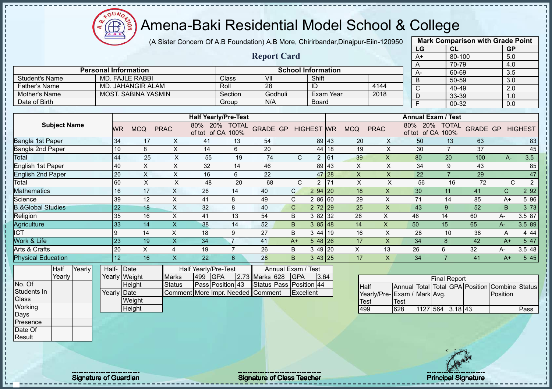(A Sister Concern Of A.B Foundation) A.B More, Chirirbandar,Dinajpur-Eiin-120950

 $12\mu\text{V}$ 

Æ

|                              |             |                             |                                   |                                    |                         |                           |                   |           |             |                           | LG                              | CL                        |                 | <b>GP</b>    |                  |
|------------------------------|-------------|-----------------------------|-----------------------------------|------------------------------------|-------------------------|---------------------------|-------------------|-----------|-------------|---------------------------|---------------------------------|---------------------------|-----------------|--------------|------------------|
|                              |             |                             |                                   |                                    | <b>Report Card</b>      |                           |                   |           |             |                           | $A+$                            | $80 - 100$                |                 | 5.0          |                  |
|                              |             |                             |                                   |                                    |                         |                           |                   |           |             |                           | A                               | 70-79                     |                 | 4.0          |                  |
|                              |             | <b>Personal Information</b> |                                   |                                    |                         | <b>School Information</b> |                   |           |             |                           | A-                              | 60-69                     |                 | 3.5          |                  |
| <b>Student's Name</b>        |             | <b>MD. FAJLE RABBI</b>      |                                   | Class                              | VII                     |                           | Shift             |           |             |                           | $\overline{B}$                  | 50-59                     |                 | 3.0          |                  |
| <b>Father's Name</b>         |             | <b>MD. JAHANGIR ALAM</b>    |                                   | Roll                               | 28                      |                           | ID                |           |             | 4144                      | $\mathsf{C}$                    | 40-49                     |                 | 2.0          |                  |
| <b>Mother's Name</b>         |             | <b>MOST. SABINA YASMIN</b>  |                                   | Section                            | Godhuli                 |                           |                   | Exam Year |             | 2018                      | $\overline{D}$                  | 33-39                     |                 | 1.0          |                  |
| Date of Birth                |             |                             |                                   | Group                              | N/A                     |                           | Board             |           |             |                           | F                               | 00-32                     |                 | 0.0          |                  |
|                              |             |                             |                                   |                                    |                         |                           |                   |           |             |                           |                                 |                           |                 |              |                  |
|                              |             |                             |                                   | <b>Half Yearly/Pre-Test</b>        |                         |                           |                   |           |             |                           |                                 | <b>Annual Exam / Test</b> |                 |              |                  |
| <b>Subject Name</b>          | <b>WR</b>   | <b>MCQ</b>                  | <b>PRAC</b>                       | 80% 20% TOTAL<br>of tot of CA 100% | <b>GRADE GP</b>         |                           | <b>HIGHEST WR</b> |           | <b>MCQ</b>  | <b>PRAC</b>               | of tot of CA 100%               | 80% 20% TOTAL             | <b>GRADE GP</b> |              | <b>HIGHEST</b>   |
| Bangla 1st Paper             | 34          | 17                          | 41<br>X                           | 13                                 | 54                      |                           | 89 43             |           | 20          | X                         | 50                              | 13                        | 63              |              | 83               |
| Bangla 2nd Paper             | 10          | $\bf 8$                     | $\boldsymbol{\mathsf{X}}$<br>14   | 6                                  | 20                      |                           | 44 18             |           | 19          | $\pmb{\times}$            | 30                              | $\overline{7}$            | 37              |              | 45               |
| <b>Total</b>                 | 44          | 25                          | X<br>55                           | 19                                 | 74                      | $\mathsf{C}$              | 2 61              |           | 39          | $\mathsf{X}$              | 80                              | 20                        | 100             | $A-$         | 3.5              |
| <b>English 1st Paper</b>     | 40          | $\boldsymbol{\mathsf{X}}$   | $\pmb{\times}$<br>32              | 14                                 | 46                      |                           | 89 43             |           | X           | $\pmb{\times}$            | 34                              | 9                         | 43              |              | 85               |
| <b>English 2nd Paper</b>     | 20          | $\boldsymbol{\mathsf{X}}$   | $\boldsymbol{\mathsf{X}}$<br>16   | 6                                  | 22                      |                           | 47 28             |           | X           | $\pmb{\times}$            | 22                              | $\overline{7}$            | 29              |              | 47               |
| Total                        | 60          | $\overline{X}$              | $\overline{X}$<br>48              | 20                                 | 68                      | $\mathsf{C}$              | $\overline{2}$    | 71        | $\sf X$     | $\sf X$                   | 56                              | 16                        | 72              | C            | $\overline{2}$   |
| <b>Mathematics</b>           | 16          | 17                          | $\mathsf X$<br>26                 | 14                                 | 40                      | $\mathsf{C}$              | 2 94 20           |           | 18          | $\mathsf{X}$              | 30                              | 11                        | 41              | $\mathsf{C}$ | 2 9 2            |
| Science                      | 39          | 12                          | $\pmb{\times}$<br>41              | 8                                  | 49                      | C                         | 2 86 60           |           | 29          | X                         | 71                              | 14                        | 85              | $A+$         | 5 96             |
| <b>B.&amp;Global Studies</b> | 22          | 18                          | $\mathsf{X}$<br>32                | 8                                  | 40                      | $\mathsf{C}$              | $272$ 29          |           | 25          | $\boldsymbol{\mathsf{X}}$ | 43                              | 9                         | $\overline{52}$ | B            | $3\overline{73}$ |
| Religion                     | 35          | 16                          | $\pmb{\times}$<br>41              | 13                                 | 54                      | B                         | $382$ 32          |           | 26          | $\boldsymbol{\mathsf{X}}$ | 46                              | 14                        | 60              | $A -$        | 3.5 87           |
| Agriculture                  | 33          | 14                          | $\sf X$<br>38                     | 14                                 | 52                      | B                         | 385 48            |           | 14          | $\boldsymbol{\mathsf{X}}$ | 50                              | 15                        | 65              | A-           | 3.5 89           |
| $\overline{ICT}$             | 9           | 14                          | $\pmb{\times}$<br>18              | 9                                  | 27                      | B                         | 3 4 4             | 19        | 16          | $\boldsymbol{\mathsf{X}}$ | 28                              | 10                        | 38              | A            | 4 4 4            |
| Work & Life                  | 23          | 19                          | $\overline{\mathsf{X}}$<br>34     | $\overline{7}$                     | 41                      | $A+$                      | $548$ 26          |           | 17          | $\boldsymbol{\mathsf{X}}$ | 34                              | 8                         | 42              | $A+$         | 5 47             |
| Arts & Crafts                | 20          | X                           | 19<br>4                           | $\overline{7}$                     | 26                      | B                         | 3 49 20           |           | X           | 13                        | 26                              | 6                         | 32              | A-           | 3.5 48           |
| <b>Physical Education</b>    | 12          | 16                          | $\overline{\mathsf{x}}$<br>22     | 6                                  | 28                      | B                         | $3 \, 43 \,   25$ |           | 17          | $\boldsymbol{\mathsf{X}}$ | 34                              | $\overline{7}$            | 41              | $A+$         | 5 45             |
| Yearly<br>Half               | Half-Date   |                             | Half Yearly/Pre-Test              |                                    | Annual Exam / Test      |                           |                   |           |             |                           |                                 |                           |                 |              |                  |
| Yearly                       |             | Yearly Weight               | <b>Marks</b><br>499               | <b>GPA</b>                         | 2.73 Marks 628          | GPA                       | 3.64              |           |             |                           |                                 | <b>Final Report</b>       |                 |              |                  |
| No. Of                       |             | Height                      | <b>Status</b>                     | Pass Position 43                   | Status Pass Position 44 |                           |                   |           | Half        |                           | Annual Total Total GPA Position |                           |                 | Combine      | <b>Status</b>    |
| Students In                  | Yearly Date |                             | Comment More Impr. Needed Comment |                                    |                         | Excellent                 |                   |           |             |                           | Yearly/Pre-Exam / Mark Avg.     |                           |                 | Position     |                  |
| Class                        |             | Weight                      |                                   |                                    |                         |                           |                   |           | <b>Test</b> |                           | <b>Test</b>                     |                           |                 |              |                  |
| Working                      |             | Height                      |                                   |                                    |                         |                           |                   |           | 499         |                           | 628                             | 1127 564 3.18 43          |                 |              | Pass             |
| Days                         |             |                             |                                   |                                    |                         |                           |                   |           |             |                           |                                 |                           |                 |              |                  |
| Presence                     |             |                             |                                   |                                    |                         |                           |                   |           |             |                           |                                 |                           |                 |              |                  |
| Date Of                      |             |                             |                                   |                                    |                         |                           |                   |           |             |                           |                                 |                           |                 |              |                  |
| Result                       |             |                             |                                   |                                    |                         |                           |                   |           |             |                           |                                 |                           |                 |              |                  |
|                              |             |                             |                                   |                                    |                         |                           |                   |           |             |                           |                                 |                           |                 |              |                  |

Signature of Guardian Signature Signature of Class Teacher Number 2004 2012 2014 2014

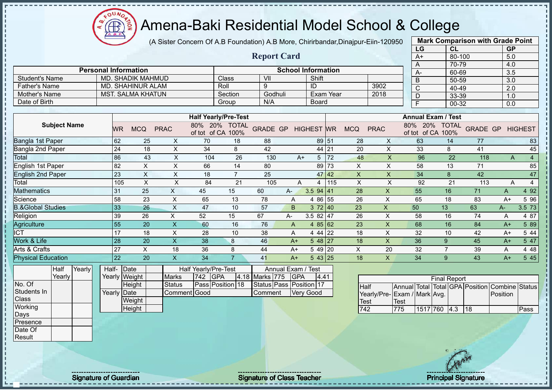$12\mu\text{V}$ **AB** 

## Amena-Baki Residential Model School & College

(A Sister Concern Of A.B Foundation) A.B More, Chirirbandar,Dinajpur-Eiin-120950

|                                           |                 |                                 |                               |                                           |                                    |                                    |                             |                   |           |                            |                           | LG                                                                            | CL                                 |                 | <b>GP</b>           |                |
|-------------------------------------------|-----------------|---------------------------------|-------------------------------|-------------------------------------------|------------------------------------|------------------------------------|-----------------------------|-------------------|-----------|----------------------------|---------------------------|-------------------------------------------------------------------------------|------------------------------------|-----------------|---------------------|----------------|
|                                           |                 |                                 |                               |                                           |                                    | <b>Report Card</b>                 |                             |                   |           |                            |                           | $A+$                                                                          | 80-100                             |                 | 5.0                 |                |
|                                           |                 |                                 |                               |                                           |                                    |                                    |                             |                   |           |                            |                           | A                                                                             | 70-79                              |                 | 4.0                 |                |
|                                           |                 | <b>Personal Information</b>     |                               |                                           |                                    |                                    | <b>School Information</b>   |                   |           |                            |                           | A-                                                                            | 60-69                              |                 | 3.5                 |                |
| <b>Student's Name</b>                     |                 | <b>MD. SHADIK MAHMUD</b>        |                               |                                           | Class                              | VII                                |                             | Shift             |           |                            |                           | B                                                                             | 50-59                              |                 | 3.0                 |                |
| <b>Father's Name</b>                      |                 | <b>MD. SHAHINUR ALAM</b>        |                               |                                           | Roll                               | 9                                  |                             | ID                |           |                            | 3902                      | C                                                                             | 40-49                              |                 | 2.0                 |                |
| Mother's Name                             |                 | <b>MST. SALMA KHATUN</b>        |                               |                                           | Section                            | Godhuli                            |                             |                   | Exam Year |                            | 2018                      | D                                                                             | 33-39                              |                 | 1.0                 |                |
| Date of Birth                             |                 |                                 |                               |                                           | Group                              | N/A                                |                             | <b>Board</b>      |           |                            |                           | Ē                                                                             | $00 - 32$                          |                 | 0.0                 |                |
|                                           |                 |                                 |                               |                                           | <b>Half Yearly/Pre-Test</b>        |                                    |                             |                   |           |                            |                           |                                                                               | <b>Annual Exam / Test</b>          |                 |                     |                |
| <b>Subject Name</b>                       | <b>WR</b>       | <b>MCQ</b>                      | <b>PRAC</b>                   |                                           | 80% 20% TOTAL<br>of tot of CA 100% | <b>GRADE GP</b>                    |                             | <b>HIGHEST WR</b> |           | <b>MCQ</b>                 | <b>PRAC</b>               |                                                                               | 80% 20% TOTAL<br>of tot of CA 100% | <b>GRADE GP</b> |                     | <b>HIGHEST</b> |
| Bangla 1st Paper                          | 62              | 25                              | X                             | 70                                        | 18                                 | 88                                 |                             | 89 51             |           | 28                         | X                         | 63                                                                            | 14                                 | 77              |                     | 83             |
| Bangla 2nd Paper                          | 24              | 18                              | $\times$                      | 34                                        | 8                                  | 42                                 |                             | 44 21             |           | 20                         | $\mathsf X$               | 33                                                                            | 8                                  | 41              |                     | 45             |
| Total                                     | 86              | 43                              | $\boldsymbol{\mathsf{X}}$     | 104                                       | 26                                 | 130                                | $A+$                        | 5 <sup>5</sup>    | 72        | 48                         | X                         | 96                                                                            | 22                                 | 118             | A                   | $\overline{4}$ |
| English 1st Paper                         | 82              | $\pmb{\times}$                  | $\times$                      | 66                                        | 14                                 | 80                                 |                             | 89                | 73        | X                          | X                         | 58                                                                            | 13                                 | 71              |                     | 85             |
| <b>English 2nd Paper</b>                  | 23              | $\boldsymbol{\mathsf{X}}$       | X                             | 18                                        | $\overline{7}$                     | 25                                 |                             | $47 \,   42$      |           | X                          | X                         | 34                                                                            | 8                                  | 42              |                     | 47             |
| Total                                     | 105             | $\boldsymbol{\mathsf{X}}$       | $\pmb{\times}$                | 84                                        | 21                                 | 105                                | A                           | $\overline{4}$    | 115       | $\boldsymbol{\mathsf{X}}$  | X                         | 92                                                                            | 21                                 | 113             | Α                   | $\overline{4}$ |
| <b>Mathematics</b>                        | 31              | 25                              | $\boldsymbol{\mathsf{X}}$     | 45                                        | 15                                 | 60                                 | $A-$                        | $3.5$ 94 41       |           | 28                         | $\boldsymbol{\mathsf{X}}$ | 55                                                                            | 16                                 | 71              | A                   | 4 9 2          |
| Science                                   | 58              | 23                              | $\boldsymbol{\mathsf{X}}$     | 65                                        | 13                                 | 78                                 | A                           | 4 86 55           |           | 26                         | X                         | 65                                                                            | 18                                 | 83              | $A+$                | 5 96           |
| <b>B.&amp;Global Studies</b>              | 33              | 26                              | $\mathsf{X}$                  | 47                                        | 10                                 | 57                                 | B                           | 372 40            |           | 23                         | X                         | 50                                                                            | 13                                 | 63              | A-                  | 3.5 73         |
| Religion                                  | 39              | 26                              | X                             | 52                                        | 15                                 | 67                                 | А-                          | 3.5 82 47         |           | 26                         | X                         | 58                                                                            | 16                                 | 74              | A                   | 4 87           |
| Agriculture                               | 55              | 20                              | $\mathsf{X}$                  | 60                                        | 16                                 | 76                                 | A                           | 4 85 62           |           | 23                         | $\mathsf X$               | 68                                                                            | 16                                 | 84              | $A+$                | 5 89           |
| $\overline{ICT}$                          | $\overline{17}$ | 18                              | $\mathsf X$                   | 28                                        | 10                                 | 38                                 | A                           | 4 44 22           |           | 18                         | X                         | 32                                                                            | 10                                 | 42              | $A+$                | 5 4 4          |
| Work & Life                               | 28              | 20                              | $\overline{\mathsf{X}}$       | 38                                        | 8                                  | 46                                 | $A+$                        | 548 27            |           | 18                         | X                         | 36                                                                            | 9                                  | 45              | $A+$                | 5 47           |
| Arts & Crafts                             | 27              | $\mathsf{X}$                    | 18                            | 36                                        | 8                                  | 44                                 | $A+$                        | 5 49 20           |           | $\pmb{\times}$             | 20                        | 32                                                                            | $\overline{7}$                     | 39              | Α                   | 4 4 8          |
| <b>Physical Education</b>                 | 22              | 20                              | $\mathsf X$                   | 34                                        | $\overline{7}$                     | 41                                 | $A+$                        | $5 \, 43 \, 25$   |           | 18                         | $\mathsf{X}$              | 34                                                                            | 9                                  | 43              | $A+$                | 5 4 5          |
| Half<br>Yearly<br>Yearly                  | Half-           | Date<br>Yearly Weight           | <b>Marks</b>                  | Half Yearly/Pre-Test<br><b>GPA</b><br>742 | 4.18                               | Marks 775                          | Annual Exam /<br><b>GPA</b> | Test<br>4.41      |           |                            |                           |                                                                               | <b>Final Report</b>                |                 |                     |                |
| No. Of<br>Students In<br>Class<br>Working |                 | Height<br>Yearly Date<br>Weight | <b>Status</b><br>Comment Good |                                           | Pass Position 18                   | Status Pass Position 17<br>Comment |                             | <b>Very Good</b>  |           | <b>Half</b><br><b>Test</b> |                           | Annual Total Total GPA Position<br>Yearly/Pre-Exam / Mark Avg.<br><b>Test</b> |                                    |                 | Combine<br>Position | Status         |
| Days                                      |                 | Height                          |                               |                                           |                                    |                                    |                             |                   |           | 742                        |                           | 775<br>1517 760                                                               | $ 4.3\rangle$                      | 18              |                     | Pass           |
| Presence                                  |                 |                                 |                               |                                           |                                    |                                    |                             |                   |           |                            |                           |                                                                               |                                    |                 |                     |                |

**Mark Comparison with Grade Point**

Date Of Result

Signature of Guardian Signature Signature of Class Teacher Principal Signature 25/47/47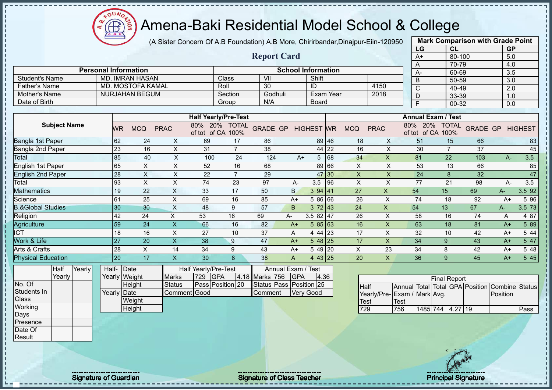(A Sister Concern Of A.B Foundation) A.B More, Chirirbandar,Dinajpur-Eiin-120950

 $12\mu\text{V}$ 

Æ

|                              |                             |                           |                           |                             |                  |                    |                            |              |           |              |                           | LG                              | CL                  |            | <b>GP</b>               |        |
|------------------------------|-----------------------------|---------------------------|---------------------------|-----------------------------|------------------|--------------------|----------------------------|--------------|-----------|--------------|---------------------------|---------------------------------|---------------------|------------|-------------------------|--------|
|                              |                             |                           |                           |                             |                  | <b>Report Card</b> |                            |              |           |              |                           | $A+$                            |                     | $80 - 100$ | 5.0                     |        |
|                              |                             |                           |                           |                             |                  |                    |                            |              |           |              |                           | A                               | 70-79               |            | 4.0                     |        |
|                              | <b>Personal Information</b> |                           |                           |                             |                  |                    | <b>School Information</b>  |              |           |              |                           | A-                              | 60-69               |            | 3.5                     |        |
| <b>Student's Name</b>        |                             | <b>MD. IMRAN HASAN</b>    |                           |                             | Class            | VII                |                            | Shift        |           |              |                           | B                               | 50-59               |            | 3.0                     |        |
| <b>Father's Name</b>         |                             | MD. MOSTOFA KAMAL         |                           |                             | Roll             | 30                 |                            | ID           |           |              | 4150                      | $\mathsf{C}$                    | 40-49               |            | 2.0                     |        |
| Mother's Name                |                             | <b>NURJAHAN BEGUM</b>     |                           |                             | Section          | Godhuli            |                            |              | Exam Year |              | 2018                      | D                               | 33-39               |            | 1.0                     |        |
| Date of Birth                |                             |                           |                           |                             | Group            | N/A                |                            | <b>Board</b> |           |              |                           | F                               | $00 - 32$           |            | $\overline{0.0}$        |        |
|                              |                             |                           |                           | <b>Half Yearly/Pre-Test</b> |                  |                    |                            |              |           |              |                           | <b>Annual Exam / Test</b>       |                     |            |                         |        |
|                              |                             |                           |                           |                             |                  |                    |                            |              |           |              |                           |                                 |                     |            |                         |        |
| <b>Subject Name</b>          | <b>WR</b>                   | <b>MCQ</b>                | <b>PRAC</b>               | of tot of CA 100%           | 80% 20% TOTAL    |                    | <b>GRADE GP HIGHEST WR</b> |              |           | <b>MCQ</b>   | <b>PRAC</b>               | 80% 20%<br>of tot of CA 100%    | <b>TOTAL</b>        |            | <b>GRADE GP HIGHEST</b> |        |
| Bangla 1st Paper             | 62                          | 24                        | $\boldsymbol{\mathsf{X}}$ | 69                          | 17               | 86                 |                            |              | 89 46     | 18           | X                         | 51                              | 15                  | 66         |                         | 83     |
| Bangla 2nd Paper             | 23                          | 16                        | $\pmb{\times}$            | 31                          | $\overline{7}$   | 38                 |                            |              | 44 22     | 16           | $\pmb{\times}$            | 30                              | $\overline{7}$      | 37         |                         | 45     |
| <b>Total</b>                 | 85                          | 40                        | $\pmb{\times}$            | 100                         | 24               | 124                | $A+$                       | 5            | 68        | 34           | $\mathsf{X}$              | 81                              | 22                  | 103        | A-                      | 3.5    |
| English 1st Paper            | 65                          | $\boldsymbol{\mathsf{X}}$ | $\pmb{\times}$            | 52                          | 16               | 68                 |                            |              | 89 66     | X            | X                         | 53                              | 13                  | 66         |                         | 85     |
| <b>English 2nd Paper</b>     | 28                          | $\boldsymbol{\mathsf{X}}$ | $\pmb{\times}$            | 22                          | $\overline{7}$   | 29                 |                            | 47           | 30        | X            | X                         | 24                              | 8                   | 32         |                         | 47     |
| Total                        | 93                          | $\times$                  | X                         | 74                          | 23               | 97                 | A-                         | 3.5          | 96        | X            | $\mathsf{X}$              | 77                              | 21                  | 98         | $A -$                   | 3.5    |
| <b>Mathematics</b>           | 19                          | 22                        | $\mathsf{X}$              | 33                          | 17               | 50                 | B                          | 394   41     |           | 27           | $\mathsf X$               | 54                              | 15                  | 69         | A-                      | 3.5 92 |
| Science                      | 61                          | 25                        | X                         | 69                          | 16               | 85                 | $A+$                       | 5 86 66      |           | 26           | X                         | 74                              | 18                  | 92         | $A+$                    | 5 96   |
| <b>B.&amp;Global Studies</b> | 30                          | 30                        | $\mathsf X$               | 48                          | 9                | 57                 | B                          | 372 43       |           | 24           | $\boldsymbol{\mathsf{X}}$ | 54                              | 13                  | 67         | $A-$                    | 3.5 73 |
| Religion                     | 42                          | 24                        | X                         | 53                          | 16               | 69                 | A-                         | 3.5 82 47    |           | 26           | $\boldsymbol{\mathsf{X}}$ | 58                              | 16                  | 74         | A                       | 4 87   |
| Agriculture                  | 59                          | 24                        | $\sf X$                   | 66                          | 16               | 82                 | $A+$                       | 585 63       |           | 16           | $\pmb{\times}$            | 63                              | 18                  | 81         | $A+$                    | 5 89   |
| $\overline{ICT}$             | 18                          | 16                        | $\pmb{\times}$            | 27                          | 10               | 37                 | A                          | 4 44 23      |           | 17           | $\pmb{\times}$            | 32                              | 10                  | 42         | $A+$                    | 5 44   |
| Work & Life                  | 27                          | 20                        | $\overline{\mathsf{X}}$   | 38                          | 9                | 47                 | $A+$                       | $548$ 25     |           | 17           | $\boldsymbol{\mathsf{X}}$ | 34                              | 9                   | 43         | $A+$                    | 5 47   |
| Arts & Crafts                | 28                          | $\times$                  | 14                        | 34                          | 9                | 43                 | $A+$                       | $549$ 20     |           | $\mathsf{X}$ | 23                        | 34                              | 8                   | 42         | $A+$                    | 5 48   |
| <b>Physical Education</b>    | 20                          | 17                        | $\boldsymbol{\mathsf{X}}$ | 30                          | 8                | 38                 | $\overline{A}$             | 4 43 25      |           | 20           | $\mathsf{X}$              | 36                              | 9                   | 45         | $A+$                    | 5 45   |
| Yearly<br>Half               | Half- Date                  |                           |                           | Half Yearly/Pre-Test        |                  |                    | Annual Exam / Test         |              |           |              |                           |                                 |                     |            |                         |        |
| Yearly                       |                             | Yearly Weight             | <b>Marks</b>              | <b>GPA</b><br>729           | 4.18             | Marks 756          | GPA                        | 4.36         |           |              |                           |                                 | <b>Final Report</b> |            |                         |        |
| No. Of                       |                             | Height                    | <b>Status</b>             |                             | Pass Position 20 |                    | Status Pass Position 25    |              |           | <b>Half</b>  |                           | Annual Total Total GPA Position |                     |            | Combine                 | Status |
| Students In                  | Yearly Date                 |                           |                           | Comment Good                |                  | Comment            | <b>Very Good</b>           |              |           |              |                           | Yearly/Pre-Exam / Mark Avg.     |                     |            | Position                |        |
| Class                        |                             | Weight                    |                           |                             |                  |                    |                            |              |           | Test         |                           | <b>Test</b>                     |                     |            |                         |        |
| Working                      |                             | Height                    |                           |                             |                  |                    |                            |              |           | 729          |                           | 756                             | 1485 744 4.27 19    |            |                         | Pass   |
| Days                         |                             |                           |                           |                             |                  |                    |                            |              |           |              |                           |                                 |                     |            |                         |        |
| Presence                     |                             |                           |                           |                             |                  |                    |                            |              |           |              |                           |                                 |                     |            |                         |        |
| Date Of                      |                             |                           |                           |                             |                  |                    |                            |              |           |              |                           |                                 |                     |            |                         |        |

**Mark Comparison with Grade Point**

Result

Signature of Guardian Signature of Class Teacher Principal Signature of Class Teacher Principal Signature 26/47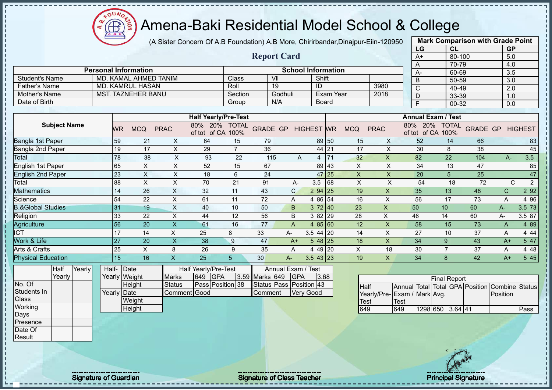$12\mu\text{V}$ 

**CB** 

|                              |                 |                                 | (A Sister Concern Of A.B Foundation) A.B More, Chirirbandar, Dinajpur-Eiin-120950 |                                    |                         |                           |                   |                            |                           |                                                                | <b>Mark Comparison with Grade Point</b> |                 |                     |                |
|------------------------------|-----------------|---------------------------------|-----------------------------------------------------------------------------------|------------------------------------|-------------------------|---------------------------|-------------------|----------------------------|---------------------------|----------------------------------------------------------------|-----------------------------------------|-----------------|---------------------|----------------|
|                              |                 |                                 |                                                                                   |                                    |                         |                           |                   |                            |                           | LG                                                             | CL                                      |                 | <b>GP</b>           |                |
|                              |                 |                                 |                                                                                   |                                    | <b>Report Card</b>      |                           |                   |                            |                           | $A+$                                                           | 80-100                                  |                 | 5.0                 |                |
|                              |                 | <b>Personal Information</b>     |                                                                                   |                                    |                         | <b>School Information</b> |                   |                            |                           | Α                                                              | $70 - 79$                               |                 | 4.0                 |                |
| <b>Student's Name</b>        |                 | MD. KAMAL AHMED TANIM           |                                                                                   | Class                              | VII                     |                           | Shift             |                            |                           | A-                                                             | 60-69                                   |                 | 3.5                 |                |
| <b>Father's Name</b>         |                 | <b>MD. KAMRUL HASAN</b>         |                                                                                   | Roll                               | 19                      | ID                        |                   |                            | 3980                      | B                                                              | 50-59                                   |                 | 3.0                 |                |
| <b>Mother's Name</b>         |                 | <b>MST. TAZNEHER BANU</b>       |                                                                                   | Section                            | Godhuli                 |                           | Exam Year         |                            | 2018                      | $\mathsf{C}$                                                   | 40-49                                   |                 | 2.0                 |                |
| Date of Birth                |                 |                                 |                                                                                   | Group                              | N/A                     |                           | <b>Board</b>      |                            |                           | D<br>F                                                         | 33-39                                   |                 | 1.0                 |                |
|                              |                 |                                 |                                                                                   |                                    |                         |                           |                   |                            |                           |                                                                | $00 - 32$                               |                 | 0.0                 |                |
|                              |                 |                                 |                                                                                   | <b>Half Yearly/Pre-Test</b>        |                         |                           |                   |                            |                           | <b>Annual Exam / Test</b>                                      |                                         |                 |                     |                |
| <b>Subject Name</b>          |                 | <b>MCQ</b><br>WR.               | <b>PRAC</b>                                                                       | 80% 20% TOTAL<br>of tot of CA 100% | <b>GRADE GP</b>         | <b>HIGHEST WR</b>         |                   | <b>MCQ</b>                 | <b>PRAC</b>               | 80% 20% TOTAL<br>of tot of CA 100%                             |                                         | <b>GRADE GP</b> |                     | <b>HIGHEST</b> |
| Bangla 1st Paper             | 59              | 21                              | 64<br>X                                                                           | 15                                 | 79                      |                           | 89 50             | 15                         | X                         | 52                                                             | 14                                      | 66              |                     | 83             |
| Bangla 2nd Paper             |                 | 19<br>17                        | $\pmb{\times}$<br>29                                                              | $\overline{7}$                     | 36                      |                           | 44 21             | 17                         | $\mathsf{X}$              | 30                                                             | 8                                       | 38              |                     | 45             |
| <b>Total</b>                 |                 | 78<br>38                        | $\pmb{\times}$<br>93                                                              | 22                                 | 115                     | A                         | $4 \overline{71}$ | 32                         | $\mathsf{X}$              | 82                                                             | 22                                      | 104             | $A-$                | 3.5            |
| <b>English 1st Paper</b>     | 65              | $\pmb{\times}$                  | X<br>52                                                                           | 15                                 | 67                      |                           | 89 43             | X                          | X                         | 34                                                             | 13                                      | 47              |                     | 85             |
| <b>English 2nd Paper</b>     | 23              | $\boldsymbol{\mathsf{X}}$       | $\pmb{\times}$<br>18                                                              | 6                                  | 24                      |                           | 25<br>47          | $\pmb{\times}$             | $\pmb{\times}$            | 20                                                             | 5                                       | 25              |                     | 47             |
| Total                        | 88              | $\pmb{\times}$                  | X<br>70                                                                           | 21                                 | 91                      | 3.5<br>A-                 | 68                | X                          | X                         | 54                                                             | 18                                      | 72              | C                   | $\overline{2}$ |
| <b>Mathematics</b>           |                 | 14<br>26                        | $\boldsymbol{\mathsf{X}}$<br>32                                                   | 11                                 | 43                      | $\mathsf{C}$              | 2 94 25           | 19                         | X                         | 35                                                             | 13                                      | 48              | $\mathsf{C}$        | 2 9 2          |
| Science                      | 54              | 22                              | X<br>61                                                                           | 11                                 | 72                      | A                         | 4 86 54           | 16                         | X                         | 56                                                             | 17                                      | 73              | A                   | 4 9 6          |
| <b>B.&amp;Global Studies</b> | 31              | 19                              | $\boldsymbol{\mathsf{X}}$<br>40                                                   | 10                                 | 50                      | B                         | 372 40            | 23                         | $\boldsymbol{\mathsf{X}}$ | 50                                                             | 10                                      | 60              | $A -$               | 3.5 73         |
| Religion                     | 33              | 22                              | $\times$<br>44                                                                    | 12                                 | 56                      | B                         | $382$ 29          | 28                         | $\times$                  | 46                                                             | 14                                      | 60              | A-                  | 3.5 87         |
| Agriculture                  | 56              | 20                              | $\mathsf X$<br>61                                                                 | 16                                 | 77                      | $\overline{A}$            | 4 $85 60$         | 12                         | $\boldsymbol{\mathsf{X}}$ | 58                                                             | 15                                      | 73              | $\overline{A}$      | 4 8 9          |
| <b>ICT</b>                   | $\overline{17}$ | 14                              | $\pmb{\times}$<br>25                                                              | 8                                  | 33                      | $3.544$ 20<br>A-          |                   | 14                         | $\pmb{\times}$            | 27                                                             | 10                                      | 37              | Α                   | 4 4 4          |
| Work & Life                  | 27              | 20                              | $\boldsymbol{\mathsf{X}}$<br>38                                                   | 9                                  | 47                      | $A+$                      | $548$ 25          | 18                         | $\boldsymbol{\mathsf{X}}$ | 34                                                             | 9                                       | 43              | $A+$                | 5 47           |
| Arts & Crafts                | 25              | X                               | 8<br>26                                                                           | 9                                  | 35                      | A                         | 4 49 20           | X                          | 18                        | 30                                                             | $\overline{7}$                          | 37              | Α                   | 4 4 8          |
| <b>Physical Education</b>    |                 | 15<br>16                        | $\pmb{\times}$<br>25                                                              | $5\overline{)}$                    | 30                      | $3.543$ 23<br>A-          |                   | 19                         | $\mathsf{X}$              | 34                                                             | 8                                       | 42              | $A+$                | 5 45           |
| Yearly<br>Half<br>Yearly     |                 | Half- Date                      | Half Yearly/Pre-Test<br><b>Marks</b>                                              | <b>GPA</b>                         | 3.59 Marks 649          | Annual Exam / Test        |                   |                            |                           |                                                                |                                         |                 |                     |                |
| No. Of                       |                 | Yearly Weight                   | 649<br><b>Status</b>                                                              | Pass Position 38                   | Status Pass Position 43 | <b>GPA</b>                | 3.68              |                            |                           |                                                                | <b>Final Report</b>                     |                 |                     |                |
| Students In<br>Class         |                 | Height<br>Yearly Date<br>Weight | Comment Good                                                                      |                                    | Comment                 | <b>Very Good</b>          |                   | <b>Half</b><br><b>Test</b> | Test                      | Annual Total Total GPA Position<br>Yearly/Pre-Exam / Mark Avg. |                                         |                 | Combine<br>Position | <b>Status</b>  |
| Working                      |                 | Height                          |                                                                                   |                                    |                         |                           |                   | 649                        | 649                       |                                                                | 1298 650 3.64 41                        |                 |                     | Pass           |
| Days                         |                 |                                 |                                                                                   |                                    |                         |                           |                   |                            |                           |                                                                |                                         |                 |                     |                |
| Presence                     |                 |                                 |                                                                                   |                                    |                         |                           |                   |                            |                           |                                                                |                                         |                 |                     |                |
| Date Of<br>Result            |                 |                                 |                                                                                   |                                    |                         |                           |                   |                            |                           |                                                                |                                         |                 |                     |                |
|                              |                 |                                 |                                                                                   |                                    |                         |                           |                   |                            |                           |                                                                |                                         |                 |                     |                |

Signature of Guardian Signature of Class Teacher Principal Signature of Class Teacher Principal Signature 27/47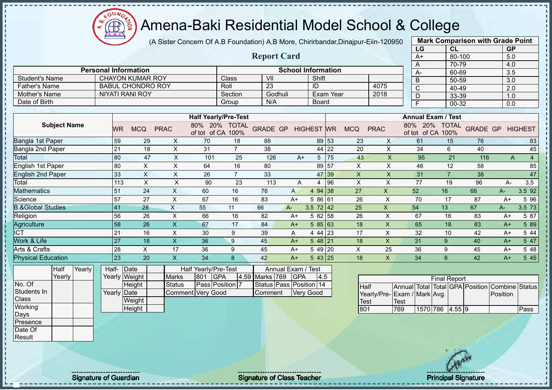$12\mu\text{V}$  $\bigoplus_{\Delta,\Delta,\sigma}$ ğ

#### Amena-Baki Residential Model School & College

(A Sister Concern Of A.B Foundation) A.B More, Chirirbandar,Dinajpur-Eiin-120950

|                              |                             |                          |             |                                 |                             |                    |                           |                   |           |              |                         | LG                              | <b>CL</b>      |                 | <b>GP</b> |                |
|------------------------------|-----------------------------|--------------------------|-------------|---------------------------------|-----------------------------|--------------------|---------------------------|-------------------|-----------|--------------|-------------------------|---------------------------------|----------------|-----------------|-----------|----------------|
|                              |                             |                          |             |                                 |                             | <b>Report Card</b> |                           |                   |           |              |                         | $A+$                            | 80-100         |                 | 5.0       |                |
|                              |                             |                          |             |                                 |                             |                    |                           |                   |           |              |                         | A                               | 70-79          |                 | 4.0       |                |
|                              | <b>Personal Information</b> |                          |             |                                 |                             |                    | <b>School Information</b> |                   |           |              |                         | A-                              | 60-69          |                 | 3.5       |                |
| <b>Student's Name</b>        |                             | <b>CHAYON KUMAR ROY</b>  |             |                                 | <b>Class</b>                | VII                |                           | Shift             |           |              |                         | B                               | 50-59          |                 | 3.0       |                |
| <b>Father's Name</b>         |                             | <b>BABUL CHONDRO ROY</b> |             |                                 | Roll                        | 23                 |                           | ID                |           |              | 4075                    | $\mathsf{C}$                    | 40-49          |                 | 2.0       |                |
| <b>Mother's Name</b>         |                             | <b>NIYATI RANI ROY</b>   |             |                                 | Section                     | Godhuli            |                           |                   | Exam Year |              | 2018                    | D                               | 33-39          |                 | 1.0       |                |
| Date of Birth                |                             |                          |             |                                 | Group                       | N/A                |                           | <b>Board</b>      |           |              |                         | F                               | 00-32          |                 | 0.0       |                |
|                              |                             |                          |             |                                 |                             |                    |                           |                   |           |              |                         |                                 |                |                 |           |                |
|                              |                             |                          |             |                                 | <b>Half Yearly/Pre-Test</b> |                    |                           |                   |           |              |                         | <b>Annual Exam / Test</b>       |                |                 |           |                |
| <b>Subject Name</b>          | <b>WR</b>                   | <b>MCQ</b>               | <b>PRAC</b> | 80%<br>20%<br>of tot of CA 100% | <b>TOTAL</b>                | <b>GRADE GP</b>    |                           | <b>HIGHEST WR</b> |           | <b>MCQ</b>   | <b>PRAC</b>             | 80%<br>20%<br>of tot of CA 100% | <b>TOTAL</b>   | <b>GRADE GP</b> |           | <b>HIGHEST</b> |
| Bangla 1st Paper             | 59                          | 29                       | X           | 70                              | 18                          | 88                 |                           |                   | 89 53     | 23           | X                       | 61                              | 15             | 76              |           | 83             |
| Bangla 2nd Paper             | 21                          | 18                       | X           | 31                              | $\overline{7}$              | 38                 |                           |                   | 44 22     | 20           | X                       | 34                              | 6              | 40              |           | 45             |
| Total                        | 80                          | 47                       | X           | 101                             | 25                          | 126                | $A+$                      | 5                 | 75        | 43           | X                       | 95                              | 21             | 116             | Α         | 4              |
| English 1st Paper            | 80                          | X                        | X           | 64                              | 16                          | 80                 |                           | 89                | 57        | X            | $\mathsf X$             | 46                              | 12             | 58              |           | 85             |
| <b>English 2nd Paper</b>     | 33                          | X                        | $\times$    | 26                              | $\overline{7}$              | 33                 |                           | 47                | 39        | $\mathsf{X}$ | $\overline{\mathsf{X}}$ | 31                              | $\overline{7}$ | 38              |           | 47             |
| Total                        | 113                         | X                        | X           | 90                              | 23                          | 113                | A                         | 4                 | 96        | X            | X                       | 77                              | 19             | 96              | A-        | 3.5            |
| <b>Mathematics</b>           | 51                          | 24                       | X           | 60                              | 16                          | 76                 | $\mathsf{A}$              | 4 94              | 38        | 27           | $\mathsf{X}$            | 52                              | 16             | 68              | $A -$     | 3.5 92         |
| Science                      | 57                          | 27                       | X           | 67                              | 16                          | 83                 | $A+$                      | 5 86 61           |           | 26           | X                       | 70                              | 17             | 87              | $A+$      | 5 96           |
| <b>B.&amp;Global Studies</b> | 41                          | 28                       | $\times$    | 55                              | 11                          | 66                 | $A -$                     | $3.5 \ 72 \ 42$   |           | 25           | $\mathsf{x}$            | 54                              | 13             | 67              | $A-$      | 3.5 73         |
| Religion                     | 56                          | 26                       | X           | 66                              | 16                          | 82                 | $A+$                      | 5 82              | 58        | 26           | X                       | 67                              | 16             | 83              | $A+$      | 5 87           |
| Agriculture                  | 58                          | 26                       | X           | 67                              | 17                          | 84                 | $A+$                      | 585 63            |           | 18           | X                       | 65                              | 18             | 83              | $A+$      | 5 89           |
| ICT                          | 21                          | 16                       | X           | 30                              | 9                           | 39                 | A                         | 4 44 23           |           | 17           | X                       | 32                              | 10             | 42              | $A+$      | 5 44           |
| Work & Life                  | 27                          | 18                       | X           | 36                              | $\boldsymbol{9}$            | 45                 | $A+$                      | $548$  21         |           | 18           | X                       | 31                              | 9              | 40              | $A+$      | 5 47           |
| Arts & Crafts                | 28                          | X                        | 17          | 36                              | 9                           | 45                 | $A+$                      | 5 49              | 20        | X            | 25                      | 36                              | 9              | 45              | $A+$      | 5 48           |
| <b>Physical Education</b>    | 23                          | 20                       | X           | 34                              | 8                           | 42                 | $A+$                      | 543 25            |           | 18           | X                       | 34                              | 8              | 42              | $A+$      | 5 4 5          |
| <b>Half</b><br><b>Yearly</b> | Half- Date                  |                          |             | <b>Half Yearly/Pre-Test</b>     |                             |                    | Annual Exam / Test        |                   |           |              |                         |                                 |                |                 |           |                |

| Half   | Yearly | Half- Date  |               |                          |      | Half Yearly/Pre-Test   |                    | Annual Exam / Test      |     |
|--------|--------|-------------|---------------|--------------------------|------|------------------------|--------------------|-------------------------|-----|
| Yearly |        |             | Yearly Weight | <b>Marks</b>             | 1801 | <b>IGPA</b>            | 4.59 Marks 769 GPA |                         | 4.5 |
|        |        |             | Height        | <b>Status</b>            |      | <b>Pass Position 7</b> |                    | Status Pass Position 14 |     |
|        |        | Yearly Date |               | <b>Comment Very Good</b> |      |                        | <b>IComment</b>    | <b>Very Good</b>        |     |
|        |        |             | Weight        |                          |      |                        |                    |                         |     |
|        |        |             | Height        |                          |      |                        |                    |                         |     |

|                             |             |                 | <b>Final Report</b> |  |                                                |      |
|-----------------------------|-------------|-----------------|---------------------|--|------------------------------------------------|------|
| <b>I</b> Half               |             |                 |                     |  | Annual Total Total GPA Position Combine Status |      |
| Yearly/Pre-Exam / Mark Avg. |             |                 |                     |  | Position                                       |      |
| Test                        | <b>Test</b> |                 |                     |  |                                                |      |
| 801                         | 769         | 1570 786 4.55 9 |                     |  |                                                | Pass |

**Mark Comparison with Grade Point**

No. Of Students In Class **Working** Days Presence Date Of **Result** 

Signature of Guardian Signature Signature of Class Teacher Principal Signature 28/47/47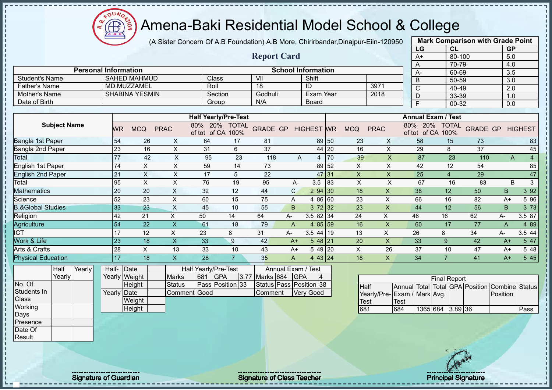

(A Sister Concern Of A.B Foundation) A.B More, Chirirbandar,Dinajpur-Eiin-120950

|                              |                 |                       |                           |                             |                |                         |                    |                           |           |                    |                             |      | LG   | CL                              |                 | <b>GP</b>        |                       |
|------------------------------|-----------------|-----------------------|---------------------------|-----------------------------|----------------|-------------------------|--------------------|---------------------------|-----------|--------------------|-----------------------------|------|------|---------------------------------|-----------------|------------------|-----------------------|
|                              |                 |                       |                           |                             |                | <b>Report Card</b>      |                    |                           |           |                    |                             |      | $A+$ | 80-100                          |                 | 5.0              |                       |
|                              |                 |                       |                           |                             |                |                         |                    |                           |           |                    |                             |      | A    | 70-79                           |                 | 4.0              |                       |
| <b>Personal Information</b>  |                 |                       |                           |                             |                |                         |                    | <b>School Information</b> |           |                    |                             |      | A-   | 60-69                           |                 | $\overline{3.5}$ |                       |
| <b>Student's Name</b>        |                 | <b>SAHED MAHMUD</b>   |                           | Class                       |                | VII                     |                    | Shift                     |           |                    |                             |      | B    | $50 - 59$                       |                 | $\overline{3.0}$ |                       |
| <b>Father's Name</b>         |                 | MD.MUZZAMEL           |                           | Roll                        |                | 18                      |                    | ID                        |           |                    | 3971                        |      | C    | 40-49                           |                 | 2.0              |                       |
| Mother's Name                |                 | <b>SHABINA YESMIN</b> |                           | Section                     |                | Godhuli                 |                    | Exam Year                 |           |                    | 2018                        |      | D    | 33-39                           |                 | 1.0              |                       |
| Date of Birth                |                 |                       |                           | Group                       |                | N/A                     |                    | <b>Board</b>              |           |                    |                             |      | E    | 00-32                           |                 | 0.0              |                       |
|                              |                 |                       |                           |                             |                |                         |                    |                           |           |                    |                             |      |      |                                 |                 |                  |                       |
|                              |                 |                       |                           | <b>Half Yearly/Pre-Test</b> |                |                         |                    |                           |           |                    |                             |      |      | <b>Annual Exam / Test</b>       |                 |                  |                       |
| <b>Subject Name</b>          | <b>WR</b>       | <b>MCQ</b>            | <b>PRAC</b>               | 80% 20% TOTAL               |                | <b>GRADE GP</b>         |                    | <b>HIGHEST WR</b>         |           | <b>MCQ</b>         | <b>PRAC</b>                 | 80%  | 20%  | <b>TOTAL</b>                    | <b>GRADE GP</b> |                  | <b>HIGHEST</b>        |
|                              |                 |                       |                           | of tot of CA                | 100%           |                         |                    |                           |           |                    |                             |      |      | of tot of CA 100%               |                 |                  |                       |
| Bangla 1st Paper             | 54              | 26                    | X                         | 64                          | 17             | 81                      |                    |                           | 89 50     | 23                 | X                           |      | 58   | 15                              | 73              |                  | 83                    |
| Bangla 2nd Paper             | 23              | 16                    | X                         | 31                          | 6              | 37                      |                    |                           | 44 20     | 16                 | $\times$                    |      | 29   | 8                               | 37              |                  | 45                    |
| Total                        | $\overline{77}$ | 42                    | $\sf X$                   | 95                          | 23             | 118                     | Α                  | 4                         | 70        | 39                 | $\mathsf X$                 |      | 87   | 23                              | 110             | A                | $\overline{4}$        |
| English 1st Paper            | 74              | X                     | X                         | 59                          | 14             | 73                      |                    | 89                        | 52        | $\pmb{\mathsf{X}}$ | X                           |      | 42   | 12                              | 54              |                  | 85                    |
| <b>English 2nd Paper</b>     | 21              | $\pmb{\times}$        | X                         | 17                          | 5              | 22                      |                    | 47                        | 131       | X                  | $\times$                    |      | 25   | $\overline{4}$                  | 29              |                  | 47                    |
| Total                        | 95              | X                     | X                         | 76                          | 19             | 95                      | А-                 | 3.5                       | 83        | $\pmb{\times}$     | X                           |      | 67   | 16                              | 83              | B                | $\sqrt{3}$            |
| Mathematics                  | 20              | 20                    | $\times$                  | 32                          | 12             | 44                      | $\mathsf{C}$       | 2 94 30                   |           | 18                 | X                           |      | 38   | 12                              | 50              | $\sf B$          | 3 9 2                 |
| Science                      | 52              | 23                    | $\times$                  | 60                          | 15             | 75                      | A                  | 4 8 6                     | 60        | 23                 | X                           |      | 66   | 16                              | 82              | $A+$             | 5 96                  |
| <b>B.&amp;Global Studies</b> | 33              | 23                    | $\pmb{\mathsf{X}}$        | 45                          | 10             | 55                      | B                  | 3 72 32                   |           | 23                 | $\overline{\mathsf{X}}$     |      | 44   | 12                              | 56              | B                | 3 7 3                 |
| Religion                     | 42              | 21                    | $\pmb{\times}$            | 50                          | 14             | 64                      | A-                 | $3.582$ 34                |           | 24                 | X                           |      | 46   | 16                              | 62              | A-               | 3.5 87                |
| Agriculture                  | 54              | 22                    | $\boldsymbol{\mathsf{X}}$ | 61                          | 18             | 79                      | A                  | 4 8 5                     | <b>59</b> | 16                 | $\mathsf{x}$                |      | 60   | 17                              | 77              | A                | 4 8 9                 |
| <b>ICT</b>                   | 17              | 12                    | X                         | 23                          | 8              | 31                      | A-                 | $3.544$ 19                |           | 13                 | $\times$                    |      | 26   | 8                               | 34              | А-               | 3.5 44                |
| Work & Life                  | 23              | 18                    | $\boldsymbol{\mathsf{X}}$ | 33                          | 9              | 42                      | $A+$               | $548$   21                |           | 20                 | $\times$                    |      | 33   | 9                               | 42              | $A+$             | 5 47                  |
| Arts & Crafts                | 28              | $\times$              | 13                        | 33                          | 10             | 43                      | $A+$               | 5 49 20                   |           | X                  | 26                          |      | 37   | 10                              | 47              | $A+$             | 5 48                  |
| <b>Physical Education</b>    | 17              | 18                    | $\mathsf{X}$              | 28                          | $\overline{7}$ | 35                      | $\overline{A}$     | 4 43 24                   |           | 18                 | X                           |      | 34   | $\overline{7}$                  | 41              | $A+$             | 5 4 5                 |
| Yearly<br>Half               | Half-           | Date                  |                           | Half Yearly/Pre-Test        |                |                         | Annual Exam / Test |                           |           |                    |                             |      |      |                                 |                 |                  |                       |
| Yearly                       | Yearly Weight   |                       | <b>Marks</b>              | 681<br><b>GPA</b>           | 3.77           | Marks 684               | <b>GPA</b>         | 14                        |           |                    |                             |      |      | <b>Final Report</b>             |                 |                  |                       |
| No. Of                       |                 | Height                | <b>Status</b>             | Pass Position 33            |                | Status Pass Position 38 |                    |                           |           | <b>Half</b>        |                             |      |      | Annual Total Total GPA Position |                 |                  | <b>Combine Status</b> |
| Students In                  | Yearly          | Date                  |                           | Comment Good                |                | Comment                 |                    | <b>Very Good</b>          |           |                    | Yearly/Pre-Exam / Mark Avg. |      |      |                                 |                 | Position         |                       |
| Class                        |                 | Weight                |                           |                             |                |                         |                    |                           |           | Test               |                             | Test |      |                                 |                 |                  |                       |

**Mark Comparison with Grade Point**

**Height** 

Working Days Presence Date Of Result

Signature of Guardian Signature Signature of Class Teacher Principal Signature 2014

681 684 1365 684 3.89 36 Pass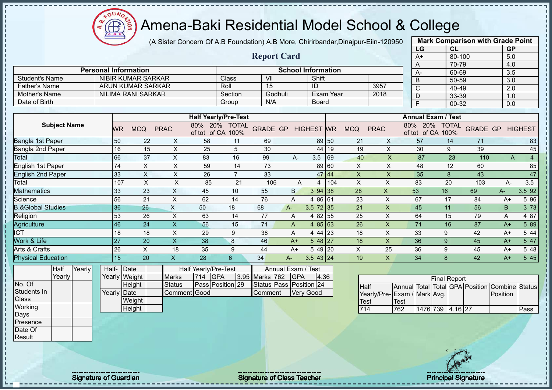(A Sister Concern Of A.B Foundation) A.B More, Chirirbandar,Dinajpur-Eiin-120950

 $12\mu\text{V}$ 

Æ

|                              |       |                 |                             |                           |                                           |                |                                 |      |                           |           |              |                             | LG             | CL                                 |                                   | <b>GP</b>               |                  |
|------------------------------|-------|-----------------|-----------------------------|---------------------------|-------------------------------------------|----------------|---------------------------------|------|---------------------------|-----------|--------------|-----------------------------|----------------|------------------------------------|-----------------------------------|-------------------------|------------------|
|                              |       |                 |                             |                           |                                           |                | <b>Report Card</b>              |      |                           |           |              |                             | $A+$           |                                    | 80-100                            | 5.0                     |                  |
|                              |       |                 |                             |                           |                                           |                |                                 |      |                           |           |              |                             | A              | 70-79                              |                                   | 4.0                     |                  |
|                              |       |                 | <b>Personal Information</b> |                           |                                           |                |                                 |      | <b>School Information</b> |           |              |                             | A-             | 60-69                              |                                   | 3.5                     |                  |
| <b>Student's Name</b>        |       |                 | <b>NIBIR KUMAR SARKAR</b>   |                           |                                           | Class          | VII                             |      | Shift                     |           |              |                             | B              | 50-59                              |                                   | $\overline{3.0}$        |                  |
| <b>Father's Name</b>         |       |                 | <b>ARUN KUMAR SARKAR</b>    |                           |                                           | Roll           | 15                              |      | ID                        |           |              | 3957                        | $\overline{C}$ | 40-49                              |                                   | $\overline{2.0}$        |                  |
| Mother's Name                |       |                 | <b>NILIMA RANI SARKAR</b>   |                           |                                           | Section        | Godhuli                         |      |                           | Exam Year |              | 2018                        | D              | 33-39                              |                                   | 1.0                     |                  |
| Date of Birth                |       |                 |                             |                           |                                           | Group          | N/A                             |      | <b>Board</b>              |           |              |                             | F              | 00-32                              |                                   | 0.0                     |                  |
|                              |       |                 |                             |                           |                                           |                |                                 |      |                           |           |              |                             |                |                                    |                                   |                         |                  |
|                              |       |                 |                             |                           | <b>Half Yearly/Pre-Test</b>               |                |                                 |      |                           |           |              |                             |                | <b>Annual Exam / Test</b>          |                                   |                         |                  |
| <b>Subject Name</b>          |       | <b>WR</b>       | <b>MCQ</b>                  | <b>PRAC</b>               | 80% 20% TOTAL<br>of tot of CA 100%        |                | <b>GRADE GP</b>                 |      | <b>HIGHEST WR</b>         |           | <b>MCQ</b>   | <b>PRAC</b>                 |                | 80% 20% TOTAL<br>of tot of CA 100% |                                   | <b>GRADE GP HIGHEST</b> |                  |
| Bangla 1st Paper             |       | 50              | 22                          | X                         | 58                                        | 11             | 69                              |      | 89                        | 50        | 21           | X                           | 57             | 14                                 | 71                                |                         | 83               |
| Bangla 2nd Paper             |       | 16              | 15                          | X                         | 25                                        | 5              | 30                              |      | 44                        | 19        | 19           | X                           | 30             | 9                                  | 39                                |                         | 45               |
| Total                        |       | 66              | 37                          | $\mathsf{X}$              | 83                                        | 16             | 99                              | $A-$ | 3.5                       | 69        | 40           | $\overline{\mathsf{X}}$     | 87             | 23                                 | 110                               | A                       | $\overline{4}$   |
| English 1st Paper            |       | 74              | $\times$                    | X                         | 59                                        | 14             | 73                              |      | 89                        | 60        | X            | X                           | 48             | 12                                 | 60                                |                         | 85               |
| <b>English 2nd Paper</b>     |       | 33              | $\times$                    | X                         | 26                                        | $\overline{7}$ | 33                              |      | 47                        | 44        | $\mathsf{X}$ | $\times$                    | 35             | 8                                  | 43                                |                         | 47               |
| Total                        |       | 107             | $\sf X$                     | $\mathsf X$               | 85                                        | 21             | 106                             | A    | 4                         | 104       | X            | Χ                           | 83             | 20                                 | 103                               | А-                      | 3.5              |
| <b>Mathematics</b>           |       | 33              | 23                          | $\mathsf{X}$              | 45                                        | 10             | 55                              | B    | 3 94                      | 38        | 28           | $\mathsf{X}$                | 53             | 16                                 | 69                                | А-                      | 3.5 92           |
| Science                      |       | 56              | 21                          | X                         | 62                                        | 14             | 76                              | A    | 4 86 61                   |           | 23           | X                           | 67             | 17                                 | 84                                | $A+$                    | 5 9 6            |
| <b>B.&amp;Global Studies</b> |       | 36              | 26                          | $\boldsymbol{\mathsf{X}}$ | 50                                        | 18             | 68                              | $A-$ | 3.5 72                    | 35        | 21           | $\pmb{\mathsf{X}}$          | 45             | 11                                 | 56                                | B.                      | 3 7 3            |
| Religion                     |       | 53              | 26                          | X                         | 63                                        | 14             | 77                              | A    | 4 8 2                     | 55        | 25           | X                           | 64             | 15                                 | 79                                | Α                       | 4 87             |
| Agriculture                  |       | 46              | 24                          | $\boldsymbol{\mathsf{X}}$ | 56                                        | 15             | 71                              | A    | 48563                     |           | 26           | X                           | 71             | 16                                 | 87                                | $A+$                    | 5 89             |
| <b>ICT</b>                   |       | 18              | 18                          | $\pmb{\times}$            | 29                                        | 9              | 38                              | Α    | 4 44 23                   |           | 18           | X                           | 33             | 9                                  | 42                                | $A+$                    | 5 4 4            |
| Work & Life                  |       | $\overline{27}$ | 20                          | $\overline{\mathsf{x}}$   | 38                                        | 8              | 46                              | $A+$ | 5 48                      | 27        | 18           | X                           | 36             | 9                                  | 45                                | $A+$                    | $5\overline{47}$ |
| Arts & Crafts                |       | 26              | $\times$                    | 18                        | 35                                        | 9              | 44                              | $A+$ | 5 49 20                   |           | X            | 25                          | 36             | 9                                  | 45                                | $A+$                    | 5 48             |
| <b>Physical Education</b>    |       | 15              | 20                          | $\boldsymbol{\mathsf{X}}$ | 28                                        | 6              | 34                              | $A-$ | $3.543$ 24                |           | 19           | $\mathsf{X}$                | 34             | $\mathbf{8}$                       | 42                                | $A+$                    | 5 4 5            |
| Half<br>Yearly<br>Yearly     | Half- |                 | Date<br>Yearly Weight       | <b>Marks</b>              | Half Yearly/Pre-Test<br><b>GPA</b><br>714 | 3.95           | Annual Exam / Test<br>Marks 762 | GPA  | 4.36                      |           |              |                             |                | <b>Final Report</b>                |                                   |                         |                  |
| No. Of                       |       |                 | Height                      | <b>Status</b>             | Pass Position 29                          |                | Status Pass Position 24         |      |                           |           | Half         |                             | Annual Total   |                                    | <b>Total GPA Position Combine</b> |                         | <b>Status</b>    |
| Students In                  |       | Yearly Date     |                             | Comment Good              |                                           |                | Comment                         |      | <b>Very Good</b>          |           |              | Yearly/Pre-Exam / Mark Avg. |                |                                    |                                   | Position                |                  |
| Class                        |       |                 | Weight                      |                           |                                           |                |                                 |      |                           |           | <b>Test</b>  |                             | <b>Test</b>    |                                    |                                   |                         |                  |
| Working                      |       |                 | Height                      |                           |                                           |                |                                 |      |                           |           | 714          |                             | 762            | 1476 739 4.16 27                   |                                   |                         | Pass             |
| Days                         |       |                 |                             |                           |                                           |                |                                 |      |                           |           |              |                             |                |                                    |                                   |                         |                  |
| Presence                     |       |                 |                             |                           |                                           |                |                                 |      |                           |           |              |                             |                |                                    |                                   |                         |                  |

**Mark Comparison with Grade Point**

Date Of Result

Signature of Guardian Signature of Class Teacher Principal Signature of Class Teacher Principal Signature 30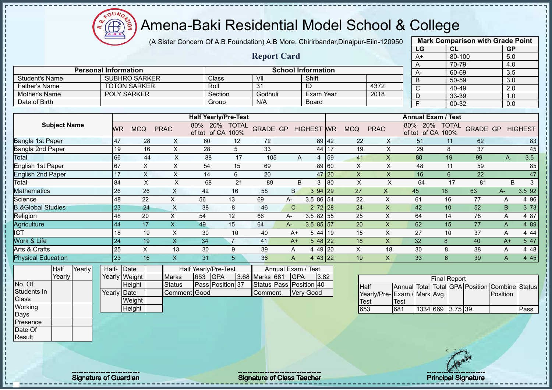

(A Sister Concern Of A.B Foundation) A.B More, Chirirbandar,Dinajpur-Eiin-120950

|                              |                             |                      |                           |                                           |                      |                    |                                  |                           |           |                |                    | LG                              | <b>CL</b>           |                 | <b>GP</b>        |                |
|------------------------------|-----------------------------|----------------------|---------------------------|-------------------------------------------|----------------------|--------------------|----------------------------------|---------------------------|-----------|----------------|--------------------|---------------------------------|---------------------|-----------------|------------------|----------------|
|                              |                             |                      |                           |                                           |                      | <b>Report Card</b> |                                  |                           |           |                |                    | $A+$                            | 80-100              |                 | 5.0              |                |
|                              |                             |                      |                           |                                           |                      |                    |                                  |                           |           |                |                    | A                               | 70-79               |                 | 4.0              |                |
|                              | <b>Personal Information</b> |                      |                           |                                           |                      |                    |                                  | <b>School Information</b> |           |                |                    | A-                              | 60-69               |                 | 3.5              |                |
| <b>Student's Name</b>        |                             | <b>SUBHRO SARKER</b> |                           | Class                                     |                      | VII                |                                  | Shift                     |           |                |                    | B                               | $50 - 59$           |                 | $\overline{3.0}$ |                |
| <b>Father's Name</b>         |                             | <b>TOTON SARKER</b>  |                           | Roll                                      |                      | 31                 |                                  | ID                        |           |                | 4372               | $\mathsf{C}$                    | 40-49               |                 | 2.0              |                |
| <b>Mother's Name</b>         | <b>POLY SARKER</b>          |                      |                           | Section                                   |                      | Godhuli            |                                  | Exam Year                 |           |                | 2018               | D                               | 33-39               |                 | 1.0              |                |
| Date of Birth                |                             |                      |                           | Group                                     |                      | N/A                |                                  | Board                     |           |                |                    | F                               | 00-32               |                 | 0.0              |                |
|                              |                             |                      |                           |                                           |                      |                    |                                  |                           |           |                |                    |                                 |                     |                 |                  |                |
|                              |                             |                      |                           | <b>Half Yearly/Pre-Test</b>               |                      |                    |                                  |                           |           |                |                    | <b>Annual Exam / Test</b>       |                     |                 |                  |                |
| <b>Subject Name</b>          | <b>WR</b>                   | <b>MCQ</b>           | <b>PRAC</b>               | 80%<br>20%<br>of tot of CA                | <b>TOTAL</b><br>100% | <b>GRADE GP</b>    |                                  | <b>HIGHEST</b>            | <b>WR</b> | <b>MCQ</b>     | <b>PRAC</b>        | 80%<br>20%<br>of tot of CA 100% | <b>TOTAL</b>        | <b>GRADE GP</b> |                  | <b>HIGHEST</b> |
| <b>Bangla 1st Paper</b>      | 47                          | 28                   | X                         | 60                                        | 12                   | 72                 |                                  | 89                        | 42        | 22             | X                  | 51                              | 11                  | 62              |                  | 83             |
| Bangla 2nd Paper             | 19                          | 16                   | X                         | 28                                        | 5                    | 33                 |                                  | 44                        | 17        | 19             | X                  | 29                              | 8                   | 37              |                  | 45             |
| Total                        | 66                          | 44                   | X                         | 88                                        | 17                   | 105                | A                                | 4                         | 59        | 41             | X                  | 80                              | 19                  | 99              | $A -$            | 3.5            |
| English 1st Paper            | 67                          | X                    | $\boldsymbol{\mathsf{X}}$ | 54                                        | 15                   | 69                 |                                  |                           | 89 60     | $\pmb{\times}$ | $\pmb{\mathsf{X}}$ | 48                              | 11                  | 59              |                  | 85             |
| <b>English 2nd Paper</b>     | 17                          | X                    | X                         | 14                                        | 6                    | 20                 |                                  |                           | 47 20     | $\times$       | $\times$           | 16                              | 6                   | 22              |                  | 47             |
| Total                        | 84                          | X                    | X                         | 68                                        | 21                   | 89                 | B.                               | 3                         | 80        | $\times$       | X                  | 64                              | 17                  | 81              | <sub>B</sub>     | 3              |
| Mathematics                  | 26                          | 26                   | X                         | 42                                        | 16                   | 58                 | B.                               | 3 94 29                   |           | 27             | $\mathsf{X}$       | 45                              | 18                  | 63              | $A -$            | 3.5 92         |
| Science                      | 48                          | 22                   | X                         | 56                                        | 13                   | 69                 | $A -$                            | 3.5 86 54                 |           | 22             | X                  | 61                              | 16                  | 77              | A                | 4 9 6          |
| <b>B.&amp;Global Studies</b> | 23                          | 24                   | Χ                         | 38                                        | 8                    | 46                 | C                                | $272$ 28                  |           | 24             | X                  | 42                              | 10                  | 52              | B                | 3 7 3          |
| Religion                     | 48                          | 20                   | X                         | 54                                        | 12                   | 66                 | $A -$                            | $3.582$ 55                |           | 25             | X                  | 64                              | 14                  | 78              | A                | 4 87           |
| Agriculture                  | 44                          | 17                   | $\mathsf{X}$              | 49                                        | 15                   | 64                 | $A-$                             | $3.585$ 57                |           | 20             | X                  | 62                              | 15                  | 77              | A                | 4 8 9          |
| ICT                          | 18                          | 19                   | X                         | 30                                        | 10                   | 40                 | $A+$                             | 5 44 19                   |           | 15             | X                  | 27                              | 10                  | 37              | A                | 4 4 4          |
| Work & Life                  | 24                          | 19                   | X                         | 34                                        | $\overline{7}$       | 41                 | $A+$                             | $548$   22                |           | 18             | X                  | 32                              | 8                   | 40              | $A+$             | 5 47           |
| Arts & Crafts                | 25                          | X                    | 13                        | 30                                        | 9                    | 39                 | Α                                | 4 49 20                   |           | X              | 18                 | 30                              | 8                   | 38              | Α                | 4 4 8          |
| <b>Physical Education</b>    | 23                          | 16                   | $\mathsf{X}$              | 31                                        | 5                    | 36                 | A                                | 443 22                    |           | 19             | X                  | 33                              | 6                   | 39              | A                | 4 4 5          |
| Yearly<br>Half<br>Yearly     | Half-<br>Yearly Weight      | Date                 | <b>Marks</b>              | Half Yearly/Pre-Test<br>653<br><b>GPA</b> |                      | 3.68 Marks 681     | Annual Exam / Test<br><b>GPA</b> | 3.82                      |           |                |                    |                                 | <b>Final Report</b> |                 |                  |                |

No. Of Students In **Class Working** Days Presence Date Of

Result

**Height** Yearly Date **Weight Height** Status | Pass | Position 37 Comment Good Status Pass Position 40 Comment Very Good

|                             |       |                  | <b>Final Report</b> |  |                                                |      |
|-----------------------------|-------|------------------|---------------------|--|------------------------------------------------|------|
| <b>Half</b>                 |       |                  |                     |  | Annual Total Total GPA Position Combine Status |      |
| Yearly/Pre-Exam / Mark Avg. |       |                  |                     |  | Position                                       |      |
| <b>I</b> Test               | 'Test |                  |                     |  |                                                |      |
| 653                         | 681   | 1334 669 3.75 39 |                     |  |                                                | Pass |

**Mark Comparison with Grade Point** 

Signature of Guardian Signature Signature of Class Teacher Number of Class Teacher Principal Signature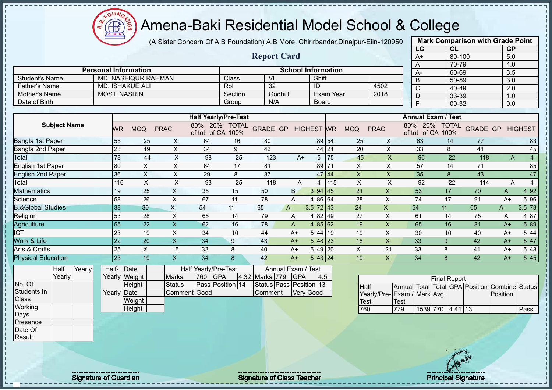(A Sister Concern Of A.B Foundation) A.B More, Chirirbandar,Dinajpur-Eiin-120950

 $12\mu\text{V}$ 

Æ

J.

|                              |        |                     |                             |                           |                                    |                  |                    |                           |                   |                  |             |                           | LG                                                  |                     | CL     |                 | <b>GP</b>                  |                |
|------------------------------|--------|---------------------|-----------------------------|---------------------------|------------------------------------|------------------|--------------------|---------------------------|-------------------|------------------|-------------|---------------------------|-----------------------------------------------------|---------------------|--------|-----------------|----------------------------|----------------|
|                              |        |                     |                             |                           |                                    |                  | <b>Report Card</b> |                           |                   |                  |             |                           | $A+$                                                |                     | 80-100 |                 | 5.0                        |                |
|                              |        |                     |                             |                           |                                    |                  |                    |                           |                   |                  |             |                           | Α                                                   |                     | 70-79  |                 | 4.0                        |                |
|                              |        |                     | <b>Personal Information</b> |                           |                                    |                  |                    | <b>School Information</b> |                   |                  |             |                           | А-                                                  |                     | 60-69  |                 | 3.5                        |                |
| <b>Student's Name</b>        |        |                     | MD. NASFIQUR RAHMAN         |                           |                                    | Class            | VII                |                           | Shift             |                  |             |                           | B                                                   |                     | 50-59  |                 | 3.0                        |                |
| <b>Father's Name</b>         |        |                     | MD. ISHAKUE ALI             |                           |                                    | Roll             | 32                 |                           | ID                |                  |             | 4502                      | C                                                   |                     | 40-49  |                 | 2.0                        |                |
| Mother's Name                |        | <b>MOST. NASRIN</b> |                             |                           |                                    | Section          |                    | Godhuli                   |                   | <b>Exam Year</b> |             | 2018                      | D                                                   |                     | 33-39  |                 | 1.0                        |                |
| Date of Birth                |        |                     |                             |                           |                                    | Group            | N/A                |                           | Board             |                  |             |                           | F                                                   |                     | 00-32  |                 | 0.0                        |                |
|                              |        |                     |                             |                           |                                    |                  |                    |                           |                   |                  |             |                           |                                                     |                     |        |                 |                            |                |
|                              |        |                     |                             |                           | <b>Half Yearly/Pre-Test</b>        |                  |                    |                           |                   |                  |             |                           | <b>Annual Exam / Test</b>                           |                     |        |                 |                            |                |
| <b>Subject Name</b>          |        | WR                  | <b>MCQ</b>                  | <b>PRAC</b>               | 80% 20% TOTAL<br>of tot of CA 100% |                  | <b>GRADE GP</b>    |                           | <b>HIGHEST WR</b> |                  | <b>MCQ</b>  | <b>PRAC</b>               | 80% 20% TOTAL<br>of tot of CA 100%                  |                     |        | <b>GRADE GP</b> |                            | <b>HIGHEST</b> |
| <b>Bangla 1st Paper</b>      |        | 55                  | 25                          | X                         | 64                                 | 16               | 80                 |                           |                   | 89 54            | 25          | X                         | 63                                                  | 14                  |        | 77              |                            | 83             |
| Bangla 2nd Paper             |        | 23                  | 19                          | $\pmb{\times}$            | 34                                 | $\boldsymbol{9}$ | 43                 |                           |                   | 44 21            | 20          | X                         | 33                                                  | 8                   |        | 41              |                            | 45             |
| Total                        |        | 78                  | 44                          | $\pmb{\times}$            | 98                                 | 25               | 123                | $A+$                      | 5                 | 75               | 45          | $\pmb{\times}$            | 96                                                  |                     | 22     | 118             | A                          | $\overline{4}$ |
| <b>English 1st Paper</b>     |        | 80                  | $\pmb{\times}$              | X                         | 64                                 | 17               | 81                 |                           |                   | 89 71            | X           | X                         | 57                                                  | 14                  |        | 71              |                            | 85             |
| <b>English 2nd Paper</b>     |        | 36                  | $\boldsymbol{\mathsf{X}}$   | $\boldsymbol{\mathsf{X}}$ | 29                                 | 8                | 37                 |                           |                   | 47 44            | $\mathsf X$ | $\pmb{\times}$            | 35                                                  | 8                   |        | 43              |                            | 47             |
| Total                        |        | 116                 | $\boldsymbol{\mathsf{X}}$   | X                         | 93                                 | 25               | 118                | A                         | 4                 | 115              | $\times$    | $\pmb{\mathsf{X}}$        | 92                                                  |                     | 22     | 114             | A                          | $\overline{4}$ |
| <b>Mathematics</b>           |        | 19                  | 25                          | $\mathsf X$               | 35                                 | 15               | 50                 | B                         | 394   45          |                  | 21          | $\boldsymbol{\mathsf{X}}$ | 53                                                  | 17                  |        | 70              | A                          | 492            |
| Science                      |        | 58                  | 26                          | $\pmb{\times}$            | 67                                 | 11               | 78                 | A                         | 4 86 64           |                  | 28          | $\pmb{\times}$            | 74                                                  | 17                  |        | 91              | $A+$                       | 5 9 6          |
| <b>B.&amp;Global Studies</b> |        | 38                  | 30                          | $\mathsf{X}$              | 54                                 | 11               | 65                 | $A -$                     | $3.5 \ 72 \ 43$   |                  | 24          | $\boldsymbol{\mathsf{X}}$ | 54                                                  | 11                  |        | 65              | $A-$                       | 3.5 73         |
| Religion                     |        | 53                  | 28                          | $\times$                  | 65                                 | 14               | 79                 | A                         | 4 82 49           |                  | 27          | $\boldsymbol{\mathsf{X}}$ | 61                                                  | 14                  |        | 75              | Α                          | 4 87           |
| Agriculture                  |        | $\overline{55}$     | 22                          | $\mathsf X$               | 62                                 | 16               | 78                 | $\overline{A}$            | 4 $85 62$         |                  | 19          | $\boldsymbol{\mathsf{X}}$ | 65                                                  | 16                  |        | 81              | $A+$                       | 5 89           |
| <b>ICT</b>                   |        | 23                  | 19                          | X                         | 34                                 | 10               | 44                 | $A+$                      | 5 4 4             | 19               | 19          | $\times$                  | 30                                                  | 10                  |        | 40              | $A+$                       | 5 44           |
| Work & Life                  |        | $\overline{22}$     | 20                          | $\overline{\mathsf{X}}$   | 34                                 | 9                | 43                 | $A+$                      | $548$ 23          |                  | 18          | $\mathsf{X}$              | 33                                                  | 9                   |        | 42              | $A+$                       | 5 47           |
| Arts & Crafts                |        | 25                  | X                           | 15                        | 32                                 | 8                | 40                 | $A+$                      | 5 49 20           |                  | X           | 21                        | 33                                                  | 8                   |        | 41              | A+                         | 5 48           |
| <b>Physical Education</b>    |        | 23                  | 19                          | $\overline{\mathsf{x}}$   | 34                                 | $\mathbf{8}$     | 42                 | $A+$                      | 543 24            |                  | 19          | $\mathsf{X}$              | 34                                                  | 8                   |        | 42              | $A+$                       | 5 4 5          |
| Half                         | Yearly | Half-               | Date                        |                           | Half Yearly/Pre-Test               |                  |                    | Annual Exam /             | <b>Test</b>       |                  |             |                           |                                                     |                     |        |                 |                            |                |
| Yearly                       |        |                     | Yearly Weight               | <b>Marks</b>              | <b>GPA</b><br>760                  | 4.32             | Marks 779          | <b>GPA</b>                | 4.5               |                  |             |                           |                                                     |                     |        |                 |                            |                |
| No. Of                       |        |                     | Height                      | <b>Status</b>             |                                    | Pass Position 14 |                    | Status Pass Position 13   |                   |                  |             |                           |                                                     | <b>Final Report</b> |        |                 |                            |                |
| Students In                  |        | <b>Yearly Date</b>  |                             |                           | Comment Good                       |                  | Comment            |                           | <b>Very Good</b>  |                  | Half        | Yearly/Pre-               | Annual Total Total GPA Position<br>Exam / Mark Avg. |                     |        |                 | Combine Status<br>Position |                |
| Class                        |        |                     | Weight                      |                           |                                    |                  |                    |                           |                   |                  | <b>Test</b> |                           | <b>Test</b>                                         |                     |        |                 |                            |                |
| Working                      |        |                     | Height                      |                           |                                    |                  |                    |                           |                   |                  | 760         |                           | 779                                                 | 1539 770 4.41 13    |        |                 |                            | Pass           |
| Days                         |        |                     |                             |                           |                                    |                  |                    |                           |                   |                  |             |                           |                                                     |                     |        |                 |                            |                |
| Presence                     |        |                     |                             |                           |                                    |                  |                    |                           |                   |                  |             |                           |                                                     |                     |        |                 |                            |                |
| Date Of                      |        |                     |                             |                           |                                    |                  |                    |                           |                   |                  |             |                           |                                                     |                     |        |                 |                            |                |
| Result                       |        |                     |                             |                           |                                    |                  |                    |                           |                   |                  |             |                           |                                                     |                     |        |                 |                            |                |

Signature of Guardian Signature of Class Teacher All Channel Construction of Class Teacher Principal Signature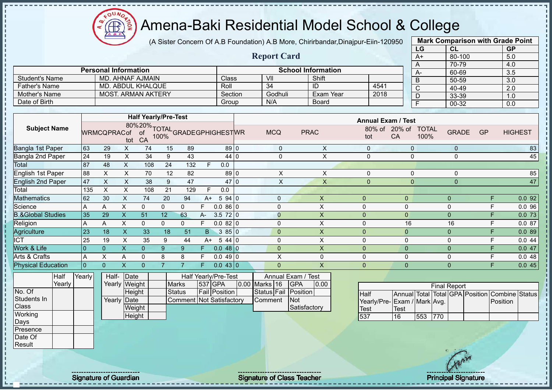$12\mu\text{V}$ **AR** 

## Amena-Baki Residential Model School & College

(A Sister Concern Of A.B Foundation) A.B More, Chirirbandar,Dinajpur-Eiin-120950

**Report Card**

|                 | <b>Mark Comparison with Grade Point</b> |           |
|-----------------|-----------------------------------------|-----------|
| LG              | <b>CL</b>                               | <b>GP</b> |
| $\overline{A+}$ | 80-100                                  | 5.0       |
| A               | 70-79                                   | 4.0       |
| A-              | 60-69                                   | 3.5       |
| B               | 50-59                                   | 3.0       |
| C               | 40-49                                   | 2.0       |
| D               | 33-39                                   | 1.0       |
| F               | $00 - 32$                               | 0.0       |
|                 |                                         |           |

|                       | <b>Personal Information</b> |         |         | <b>School Information</b> |      |
|-----------------------|-----------------------------|---------|---------|---------------------------|------|
| <b>Student's Name</b> | MD. AHNAF AJMAIN            | Class   | VII     | Shift                     |      |
| <b>Father's Name</b>  | MD. ABDUL KHALQUE           | Roll    | 34      | ID                        | 4541 |
| Mother's Name         | <b>MOST, ARMAN AKTERY</b>   | Section | Godhuli | Exam Year                 | 2018 |
| Date of Birth         |                             | Group   | N/A     | <b>Board</b>              |      |

|                              |              |                    |      | <b>Half Yearly/Pre-Test</b>                      |          |     |      |                      |                 |                    |             | <b>Annual Exam / Test</b> |                |                      |              |           |                |
|------------------------------|--------------|--------------------|------|--------------------------------------------------|----------|-----|------|----------------------|-----------------|--------------------|-------------|---------------------------|----------------|----------------------|--------------|-----------|----------------|
| <b>Subject Name</b>          |              | <b>WRMCQPRACof</b> | tot  | 80%20%TOTAL<br>Cof of 100%GRADEGPHIGHESTWR<br>CA |          |     |      |                      |                 | <b>MCQ</b>         | <b>PRAC</b> | 80% of<br>tot             | $20%$ of<br>CA | <b>TOTAL</b><br>100% | <b>GRADE</b> | <b>GP</b> | <b>HIGHEST</b> |
| Bangla 1st Paper             | 63           | 29                 | X.   | 74                                               | 15       | 89  |      | 89 0                 |                 | $\pmb{0}$          | X           | $\mathbf 0$               | $\mathbf{0}$   |                      | $\mathbf 0$  |           | 83             |
| Bangla 2nd Paper             | 24           | 19                 | X.   | 34                                               | 9        | 43  |      | 44 0                 |                 | 0                  | X           | $\mathbf 0$               | $\mathbf 0$    |                      | $\mathbf 0$  |           | 45             |
| Total                        | 87           | 48                 | X    | 108                                              | 24       | 132 |      | 0.0                  |                 |                    |             |                           |                |                      |              |           |                |
| English 1st Paper            | 88           | X.                 | X.   | 70                                               | 12       | 82  |      | $89$ 0               |                 | X                  | X           | $\Omega$                  | $\mathbf{0}$   |                      | $\Omega$     |           | 85             |
| <b>English 2nd Paper</b>     | 47           | X                  | X.   | 38                                               | 9        | 47  |      | 47                   | $\overline{10}$ | X                  | X           | $\overline{0}$            | 0              |                      | $\mathbf 0$  |           | 47             |
| Total                        | 135          | X                  | X.   | 108                                              | 21       | 129 | F.   | 0.0                  |                 |                    |             |                           |                |                      |              |           |                |
| Mathematics                  | 62           | 30                 | X    | 74                                               | 20       | 94  | $A+$ | 594 0                |                 | $\Omega$           | X           | 0                         | $\mathbf 0$    |                      | $\mathbf 0$  | F         | 0.092          |
| Science                      | A            | A                  | X    | 0                                                | $\Omega$ | 0   | F.   | $0.086$ 0            |                 | $\Omega$           | X.          | 0                         | 0              |                      | 0            | F         | 0.096          |
| <b>B.&amp;Global Studies</b> | 35           | 29                 | X    | 51                                               | 12       | 63  | A-   | 3.5<br>72 0          |                 | $\mathbf{0}$       | X           | 0                         | $\mathbf{0}$   |                      | $\mathbf 0$  | F         | 0.073          |
| Religion                     | A            | A                  | X    | $\mathbf{0}$                                     | $\Omega$ | 0   |      | $0.082$ 0            |                 | $\Omega$           | X           | 0                         | 16             |                      | 16           | F         | 0.087          |
| Agriculture                  | 23           | 18                 | X.   | 33                                               | 18       | 51  | B.   | 3850                 |                 | $\overline{0}$     | X.          | 0                         | $\mathbf{0}$   |                      | $\mathbf{0}$ | F         | 0.089          |
| <b>ICT</b>                   | 25           | 19                 | X    | 35                                               | 9        | 44  | $A+$ | 5440                 |                 | $\Omega$           | X           | 0                         | 0              |                      | 0            | F         | 0.044          |
| <b>Nork &amp; Life</b>       | $\Omega$     | $\overline{0}$     |      | $\Omega$                                         | 9        | 9   |      | $0.048$ 0            |                 | $\Omega$           | X.          | 0                         | $\mathbf{0}$   |                      | $\mathbf{0}$ | F         | 0.047          |
| Arts & Crafts                | A            | X                  | A    | $\mathbf{0}$                                     | 8        | 8   |      | $0.049$ 0            |                 | X                  | 0           | 0                         | $\mathbf{0}$   |                      | $\mathbf 0$  | F         | 0.048          |
| <b>Physical Education</b>    | $\mathbf{0}$ | $\Omega$           | X    | $\Omega$                                         |          |     | F.   | $0.043$ 0            |                 | $\Omega$           | X.          | 0                         | $\mathbf{0}$   |                      | $\mathbf{0}$ | F         | 0.045          |
| Half                         | Yearly       | Half-              | Date |                                                  |          |     |      | Half Yearly/Pre-Test |                 | Annual Exam / Test |             |                           |                |                      |              |           |                |

|              | .      | 1 vul 1 y | .            | Duw   |
|--------------|--------|-----------|--------------|-------|
|              | Yearly |           | Yearly Weigh |       |
| No. Of       |        |           |              | Heigh |
| Students In  |        |           | Yearly       | Date  |
| <b>Class</b> |        |           |              | Weigh |
| Working      |        |           |              | Heigh |
| Days         |        |           |              |       |
| Presence     |        |           |              |       |
| Date Of      |        |           |              |       |

Result

| rly | Half-       | <b>IDate</b>  |                                 | Half Yearly/Pre-Test |                   | Annual Exam / Test   |      |
|-----|-------------|---------------|---------------------------------|----------------------|-------------------|----------------------|------|
|     |             | Yearly Weight | <b>Marks</b>                    | 537 GPA              | 0.00 Marks 16 GPA |                      | 0.00 |
|     |             | Height        | <b>Status</b>                   | <b>Fail Position</b> |                   | Status Fail Position |      |
|     | Yearly Date |               | <b>Comment Not Satisfactory</b> |                      | Comment           | <b>INot</b>          |      |
|     |             | Weight        |                                 |                      |                   | Satisfactory         |      |
|     |             | Height        |                                 |                      |                   |                      |      |

| <b>Final Report</b>         |      |     |      |  |  |                                                |  |  |  |  |  |  |  |  |
|-----------------------------|------|-----|------|--|--|------------------------------------------------|--|--|--|--|--|--|--|--|
| <b>I</b> Half               |      |     |      |  |  | Annual Total Total GPA Position Combine Status |  |  |  |  |  |  |  |  |
| Yearly/Pre-Exam / Mark Avg. |      |     |      |  |  | <b>IPosition</b>                               |  |  |  |  |  |  |  |  |
| <b>Test</b>                 | Test |     |      |  |  |                                                |  |  |  |  |  |  |  |  |
| 537                         | 16   | 553 | 1770 |  |  |                                                |  |  |  |  |  |  |  |  |

Signature of Guardian Signature of Class Teacher Principal Signature of Class Teacher Principal Signature 33/47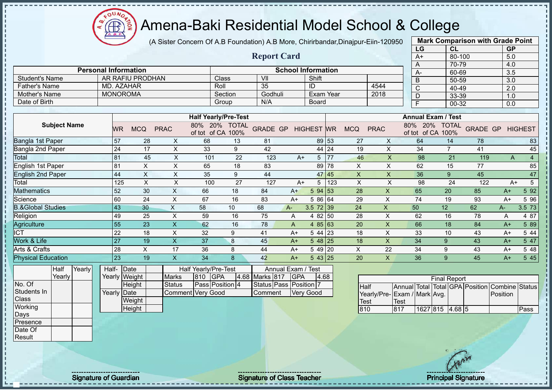$12\mu\text{V}$ **CB** 

## Amena-Baki Residential Model School & College

(A Sister Concern Of A.B Foundation) A.B More, Chirirbandar,Dinajpur-Eiin-120950

|                                       |                             |                                      |                  |                          |                                           |                  |                        |                           |                        |       |                           |                              |                      | LG                           | CL                  |                    | <b>GP</b>           |                |
|---------------------------------------|-----------------------------|--------------------------------------|------------------|--------------------------|-------------------------------------------|------------------|------------------------|---------------------------|------------------------|-------|---------------------------|------------------------------|----------------------|------------------------------|---------------------|--------------------|---------------------|----------------|
|                                       |                             |                                      |                  |                          |                                           |                  | <b>Report Card</b>     |                           |                        |       |                           |                              |                      | $A+$                         | $80 - 100$          |                    | 5.0                 |                |
|                                       |                             |                                      |                  |                          |                                           |                  |                        |                           |                        |       |                           |                              |                      | A                            | 70-79               |                    | 4.0                 |                |
|                                       | <b>Personal Information</b> |                                      |                  |                          |                                           |                  |                        | <b>School Information</b> |                        |       |                           |                              |                      | А-                           | 60-69               |                    | 3.5                 |                |
| <b>Student's Name</b>                 |                             |                                      | AR RAFIU PRODHAN |                          |                                           | Class            | VII<br>35              |                           | Shift                  |       |                           |                              |                      | B                            | 50-59               |                    | 3.0                 |                |
| <b>Father's Name</b><br>Mother's Name |                             | <b>MD. AZAHAR</b><br><b>MONOROMA</b> |                  |                          | Roll                                      |                  | Godhuli                |                           | ID<br><b>Exam Year</b> |       |                           | 4544                         |                      | $\overline{\text{c}}$        | 40-49               |                    | 2.0                 |                |
| Date of Birth                         |                             |                                      |                  |                          |                                           | Section<br>Group | N/A                    |                           | <b>Board</b>           |       |                           | 2018                         |                      | D                            | 33-39               |                    | 1.0                 |                |
|                                       |                             |                                      |                  |                          |                                           |                  |                        |                           |                        |       |                           |                              |                      | E                            | $00 - 32$           |                    | 0.0                 |                |
|                                       |                             |                                      |                  |                          | <b>Half Yearly/Pre-Test</b>               |                  |                        |                           |                        |       |                           |                              |                      | <b>Annual Exam / Test</b>    |                     |                    |                     |                |
| <b>Subject Name</b>                   |                             | <b>WR</b>                            | <b>MCQ</b>       | <b>PRAC</b>              | 80% 20% TOTAL<br>of tot of CA 100%        |                  | <b>GRADE GP</b>        |                           | <b>HIGHEST</b> WR      |       | <b>MCQ</b>                | <b>PRAC</b>                  |                      | 80% 20%<br>of tot of CA 100% | <b>TOTAL</b>        | <b>GRADE GP</b>    |                     | <b>HIGHEST</b> |
| Bangla 1st Paper                      |                             | 57                                   | 28               | X                        | 68                                        | 13               | 81                     |                           | 89 53                  |       | 27                        | X                            |                      | 64                           | 14                  | 78                 |                     | 83             |
| Bangla 2nd Paper                      |                             | 24                                   | 17               | X                        | 33                                        | 9                | 42                     |                           |                        | 44 24 | 19                        | $\mathsf{X}$                 |                      | 34                           | $\overline{7}$      | 41                 |                     | 45             |
| Total                                 |                             | 81                                   | 45               | X                        | 101                                       | 22               | 123                    | $A+$                      | 5                      | 77    | 46                        | X                            |                      | 98                           | 21                  | 119                | $\overline{A}$      | $\overline{4}$ |
| English 1st Paper                     |                             | 81                                   | $\mathsf X$      | $\times$                 | 65                                        | 18               | 83                     |                           | 89                     | 78    | X                         | $\times$                     |                      | 62                           | 15                  | 77                 |                     | 85             |
| <b>English 2nd Paper</b>              |                             | 44                                   | $\times$         | $\times$                 | 35                                        | 9                | 44                     |                           |                        | 47 45 | $\boldsymbol{\mathsf{X}}$ | $\boldsymbol{\mathsf{X}}$    |                      | 36                           | 9                   | 45                 |                     | 47             |
| Total                                 |                             | 125                                  | $\sf X$          | $\mathsf{X}$             | 100                                       | 27               | 127                    | $A+$                      | 5                      | 123   | X                         | X                            |                      | 98                           | 24                  | 122                | $A+$                | $\overline{5}$ |
| <b>Mathematics</b>                    |                             | 52                                   | 30               | X                        | 66                                        | 18               | 84                     | $A+$                      | 594 53                 |       | 28                        | X                            |                      | 65                           | 20                  | 85                 | $A+$                | 5 9 2          |
| Science                               |                             | 60                                   | 24               | X                        | 67                                        | 16               | 83                     | $A+$                      | 5 86 64                |       | 29                        | X                            |                      | 74                           | 19                  | 93                 | $A+$                | 5 96           |
| <b>B.&amp;Global Studies</b>          |                             | 43                                   | 30               | X                        | 58                                        | 10               | 68                     | $A-$                      | $3.5$ 72 39            |       | 24                        | X                            | 50                   |                              | 12                  | 62                 | A-                  | 3.5 73         |
| Religion                              |                             | 49                                   | 25               | $\mathsf X$              | 59                                        | 16               | 75                     | A                         | 4 82 50                |       | 28                        | X                            |                      | 62                           | 16                  | 78                 | A                   | 4 87           |
| Agriculture                           |                             | $\overline{55}$                      | 23               | $\overline{\mathsf{X}}$  | 62                                        | 16               | 78                     | A                         | 485 63                 |       | 20                        | X                            |                      | 66                           | 18                  | 84                 | $A+$                | 5 89           |
| $\overline{\text{ICT}}$               |                             | 22                                   | 18               | X                        | 32                                        | 9                | 41                     | $A+$                      | 5 44 23                |       | 18                        | X                            |                      | 33                           | 10                  | 43                 | $A+$                | 5 4 4          |
| Work & Life                           |                             | 27                                   | 19               | $\overline{\mathsf{X}}$  | 37                                        | $\boldsymbol{8}$ | 45                     | $A+$                      | $548$ 25               |       | 18                        | X                            |                      | 34                           | 9                   | 43                 | $A+$                | 5 47           |
| Arts & Crafts                         |                             | 28                                   | $\mathsf X$      | 17                       | 36                                        | 8                | 44                     | $A+$                      | 5 49 20                |       | X                         | 22                           |                      | 34                           | 9                   | 43                 | $A+$                | 5 48           |
| <b>Physical Education</b>             |                             | $\overline{23}$                      | 19               | X                        | 34                                        | 8                | 42                     | $A+$                      | 543 25                 |       | 20                        | X                            |                      | 36                           | 9                   | 45                 | $A+$                | 5 4 5          |
| <b>Half</b><br>Yearly<br>Yearly       |                             | Half-<br>Yearly Weight               | Date             | <b>Marks</b>             | Half Yearly/Pre-Test<br>810<br><b>GPA</b> |                  | 4.68 Marks 817         | Annual Exam<br><b>GPA</b> | <b>Test</b><br>4.68    |       |                           |                              |                      |                              | <b>Final Report</b> |                    |                     |                |
| No. Of<br>Students In<br>Class        |                             | Yearly Date                          | Height<br>Weight | <b>Status</b><br>Comment | Pass Position 4<br>Very Good              |                  | Status Pass<br>Comment | Position                  | <b>Very Good</b>       |       | <b>Half</b><br>Test       | Yearly/Pre- Exam / Mark Avg. | Annual Total<br>Test |                              |                     | Total GPA Position | Combine<br>Position | <b>Status</b>  |
| Working<br>Days                       |                             |                                      | Height           |                          |                                           |                  |                        |                           |                        |       | 810                       |                              | 817                  | 1627 815                     | 4.68 5              |                    |                     | Pass           |

**Mark Comparison with Grade Point**

**Presence** Date Of Result

Signature of Guardian Signature of Class Teacher Principal Signature of Class Teacher Principal Signature 34/47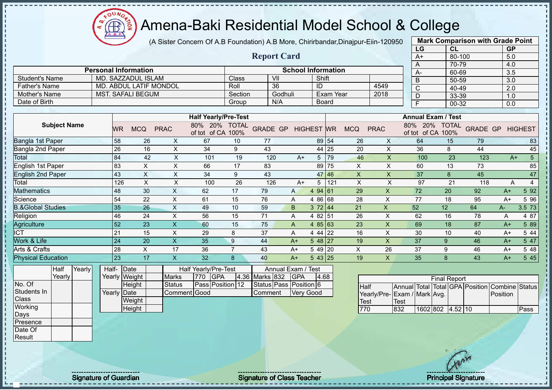(A Sister Concern Of A.B Foundation) A.B More, Chirirbandar,Dinajpur-Eiin-120950

 $12\mu\text{V}$ 

**CB** 

J.

л

|                              |        |             |                             |                           |                                    |                |                |                        |                           |                |           |                           |                           | LG                                 | CL                  |                         | <b>GP</b>             |                 |
|------------------------------|--------|-------------|-----------------------------|---------------------------|------------------------------------|----------------|----------------|------------------------|---------------------------|----------------|-----------|---------------------------|---------------------------|------------------------------------|---------------------|-------------------------|-----------------------|-----------------|
|                              |        |             |                             |                           |                                    |                |                | <b>Report Card</b>     |                           |                |           |                           |                           | $A+$                               | 80-100              |                         | 5.0                   |                 |
|                              |        |             |                             |                           |                                    |                |                |                        |                           |                |           |                           |                           | A                                  | 70-79               |                         | 4.0                   |                 |
|                              |        |             | <b>Personal Information</b> |                           |                                    |                |                |                        | <b>School Information</b> |                |           |                           |                           | $A -$                              | 60-69               |                         | 3.5                   |                 |
| <b>Student's Name</b>        |        |             | MD. SAZZADUL ISLAM          |                           |                                    | Class          |                | VII                    |                           | Shift          |           |                           |                           | B                                  | 50-59               |                         | 3.0                   |                 |
| <b>Father's Name</b>         |        |             | MD. ABDUL LATIF MONDOL      |                           |                                    | Roll           |                | $\overline{36}$        |                           | ID             |           |                           | 4549                      | $\overline{C}$                     | 40-49               |                         | 2.0                   |                 |
| <b>Mother's Name</b>         |        |             | <b>MST. SAFALI BEGUM</b>    |                           |                                    | Section        |                | Godhuli                |                           |                | Exam Year |                           | 2018                      | D                                  | 33-39               |                         | 1.0                   |                 |
| Date of Birth                |        |             |                             |                           |                                    | Group          |                | N/A                    |                           |                | Board     |                           |                           | $\overline{F}$                     | $00 - 32$           |                         | 0.0                   |                 |
|                              |        |             |                             |                           |                                    |                |                |                        |                           |                |           |                           |                           |                                    |                     |                         |                       |                 |
|                              |        |             |                             |                           | <b>Half Yearly/Pre-Test</b>        |                |                |                        |                           |                |           |                           |                           | <b>Annual Exam / Test</b>          |                     |                         |                       |                 |
| <b>Subject Name</b>          |        | <b>WR</b>   | <b>MCQ</b>                  | <b>PRAC</b>               | 80% 20% TOTAL<br>of tot of CA 100% |                |                | <b>GRADE GP</b>        | <b>HIGHEST WR</b>         |                |           | <b>MCQ</b>                | <b>PRAC</b>               | 80% 20% TOTAL<br>of tot of CA 100% |                     | <b>GRADE GP HIGHEST</b> |                       |                 |
| Bangla 1st Paper             |        | 58          | 26                          | X                         | 67                                 | 10             | 77             |                        |                           |                | 89 54     | 26                        | X                         | 64                                 | 15                  | 79                      |                       | 83              |
| Bangla 2nd Paper             |        | 26          | 16                          | $\pmb{\times}$            | 34                                 | 9              | 43             |                        |                           |                | 44 25     | 20                        | $\pmb{\times}$            | 36                                 | 8                   | 44                      |                       | 45              |
| Total                        |        | 84          | 42                          | $\boldsymbol{\mathsf{X}}$ | 101                                | 19             |                | 120                    | $A+$                      |                | 5 79      | 46                        | $\boldsymbol{\mathsf{X}}$ | 100                                | 23                  | 123                     | $A+$                  | $5\phantom{.0}$ |
| <b>English 1st Paper</b>     |        | 83          | $\boldsymbol{\mathsf{X}}$   | $\pmb{\times}$            | 66                                 | 17             | 83             |                        |                           |                | 89 75     | $\boldsymbol{\mathsf{X}}$ | $\pmb{\times}$            | 60                                 | 13                  | 73                      |                       | 85              |
| <b>English 2nd Paper</b>     |        | 43          | $\boldsymbol{\mathsf{X}}$   | $\boldsymbol{\mathsf{X}}$ | 34                                 | 9              | 43             |                        |                           |                | 47 46     | $\mathsf{X}$              | $\mathsf X$               | 37                                 | $\boldsymbol{8}$    | 45                      |                       | 47              |
| Total                        |        | 126         | $\pmb{\mathsf{X}}$          | $\boldsymbol{\mathsf{X}}$ | 100                                | 26             |                | 126                    | $A+$                      | 5 <sup>5</sup> | 121       | $\boldsymbol{\mathsf{X}}$ | $\sf X$                   | 97                                 | 21                  | 118                     | $\overline{A}$        | $\overline{4}$  |
| <b>Mathematics</b>           |        | 48          | 30                          | $\pmb{\mathsf{X}}$        | 62                                 | 17             | 79             |                        | A                         | 494 61         |           | 29                        | $\boldsymbol{\mathsf{X}}$ | 72                                 | 20                  | 92                      | $A+$                  | 5 9 2           |
| Science                      |        | 54          | 22                          | X                         | 61                                 | 15             | 76             |                        | A                         | 4 86 68        |           | 28                        | X                         | 77                                 | 18                  | 95                      | $A+$                  | 5 9 6           |
| <b>B.&amp;Global Studies</b> |        | 35          | 26                          | $\times$                  | 49                                 | 10             | 59             |                        | B                         | 372 44         |           | 21                        | $\boldsymbol{\mathsf{X}}$ | 52                                 | 12                  | 64                      | A-                    | 3.5 73          |
| Religion                     |        | 46          | 24                          | $\boldsymbol{\mathsf{X}}$ | 56                                 | 15             | 71             |                        | A                         | 4 82 51        |           | 26                        | $\times$                  | 62                                 | 16                  | 78                      | A                     | 4 87            |
| Agriculture                  |        | 52          | 23                          | $\boldsymbol{\mathsf{X}}$ | 60                                 | 15             | 75             |                        | A                         | 485 63         |           | 23                        | $\boldsymbol{\mathsf{X}}$ | 69                                 | 18                  | 87                      | $A+$                  | 5 89            |
| <b>ICT</b>                   |        | 21          | 15                          | $\pmb{\times}$            | 29                                 | 8              | 37             |                        | A                         | 4 44 22        |           | 16                        | $\pmb{\times}$            | 30                                 | 10                  | 40                      | $A+$                  | 5 44            |
| Work & Life                  |        | 24          | 20                          | $\boldsymbol{\mathsf{X}}$ | 35                                 | 9              | 44             |                        | $A+$                      | 548 27         |           | 19                        | $\boldsymbol{\mathsf{X}}$ | 37                                 | 9                   | 46                      | $A+$                  | 5 47            |
| Arts & Crafts                |        | 28          | $\mathsf X$                 | 17                        | 36                                 | $\overline{7}$ | 43             |                        | $A+$                      | 5 49 20        |           | $\pmb{\times}$            | 26                        | 37                                 | 9                   | 46                      | $A+$                  | 5 48            |
| <b>Physical Education</b>    |        | 23          | 17                          | $\boldsymbol{\mathsf{X}}$ | 32                                 | 8              | 40             |                        | $A+$                      | 543 25         |           | 19                        | $\mathsf{X}$              | 35                                 | 8                   | 43                      | $A+$                  | 5 4 5           |
| Half                         | Yearly | Half- Date  |                             |                           | Half Yearly/Pre-Test               |                |                | Annual Exam / Test     |                           |                |           |                           |                           |                                    |                     |                         |                       |                 |
| Yearly                       |        |             | Yearly Weight               | <b>Marks</b>              | <b>GPA</b><br>770                  |                | 4.36 Marks 832 |                        | <b>GPA</b>                | 4.68           |           |                           |                           |                                    | <b>Final Report</b> |                         |                       |                 |
| No. Of                       |        |             | Height                      | <b>Status</b>             | Pass Position 12                   |                |                | Status Pass Position 6 |                           |                |           | <b>Half</b>               |                           | Annual Total Total GPA Position    |                     |                         | <b>Combine Status</b> |                 |
| Students In                  |        | Yearly Date |                             |                           | Comment Good                       |                | Comment        |                        | <b>Very Good</b>          |                |           |                           |                           | Yearly/Pre-Exam / Mark Avg.        |                     |                         | Position              |                 |
| Class                        |        |             | Weight                      |                           |                                    |                |                |                        |                           |                |           | <b>Test</b>               |                           | Test                               |                     |                         |                       |                 |
| Working                      |        |             | Height                      |                           |                                    |                |                |                        |                           |                |           | 770                       |                           | 832                                | 1602 802 4.52 10    |                         |                       | Pass            |
| Days                         |        |             |                             |                           |                                    |                |                |                        |                           |                |           |                           |                           |                                    |                     |                         |                       |                 |
| Presence                     |        |             |                             |                           |                                    |                |                |                        |                           |                |           |                           |                           |                                    |                     |                         |                       |                 |
| Date Of                      |        |             |                             |                           |                                    |                |                |                        |                           |                |           |                           |                           |                                    |                     |                         |                       |                 |
| Result                       |        |             |                             |                           |                                    |                |                |                        |                           |                |           |                           |                           |                                    |                     |                         |                       |                 |
|                              |        |             |                             |                           |                                    |                |                |                        |                           |                |           |                           |                           |                                    |                     |                         |                       |                 |

Signature of Guardian Signature of Class Teacher Principal Signature of Class Teacher Principal Signature 35/47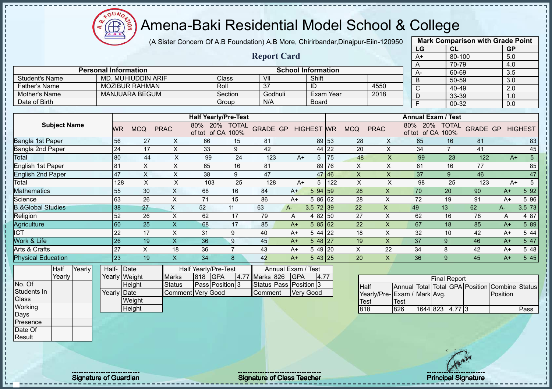$12\mu\text{V}$ Æ

## Amena-Baki Residential Model School & College

(A Sister Concern Of A.B Foundation) A.B More, Chirirbandar,Dinajpur-Eiin-120950

**Report Card**

|      | <b>Mark Comparison with Grade Point</b> |           |
|------|-----------------------------------------|-----------|
| LG   | CL                                      | <b>GP</b> |
| $A+$ | 80-100                                  | 5.0       |
| А    | 70-79                                   | 4.0       |
| A-   | 60-69                                   | 3.5       |
| B    | 50-59                                   | 3.0       |
| C    | 40-49                                   | 2.0       |
| D    | 33-39                                   | 1.0       |
| F    | 00-32                                   | 0.0       |
|      |                                         |           |

|                      | <b>Personal Information</b> |         |         | <b>School Information</b> |      |
|----------------------|-----------------------------|---------|---------|---------------------------|------|
| Student's Name       | MD. MUHIUDDIN ARIF          | Class   | VII     | Shift                     |      |
| <b>Father's Name</b> | <b>MOZIBUR RAHMAN</b>       | Roll    |         | ID                        | 4550 |
| Mother's Name        | MANJUARA BEGUM              | Section | Godhuli | Exam Year                 | 2018 |
| Date of Birth        |                             | Group   | N/A     | Board                     |      |

|                              |     |            |             | <b>Half Yearly/Pre-Test</b>   |                      |          |      |                   |       |            |             | <b>Annual Exam / Test</b> |                            |                 |      |                |
|------------------------------|-----|------------|-------------|-------------------------------|----------------------|----------|------|-------------------|-------|------------|-------------|---------------------------|----------------------------|-----------------|------|----------------|
| <b>Subject Name</b>          | WR  | <b>MCQ</b> | <b>PRAC</b> | 20%<br>80%<br>of CA<br>of tot | <b>TOTAL</b><br>100% | GRADE GP |      | <b>HIGHEST</b> WR |       | <b>MCQ</b> | <b>PRAC</b> | 20%<br>80%<br>of tot      | <b>TOTAL</b><br>of CA 100% | <b>GRADE GP</b> |      | <b>HIGHEST</b> |
| Bangla 1st Paper             | 56  | 27         | X.          | 66                            | 15                   | 81       |      |                   | 89 53 | 28         | X           | 65                        | 16                         | 81              |      | 83             |
| Bangla 2nd Paper             | 24  | 17         | X           | 33                            | 9                    | 42       |      |                   | 44 22 | 20         | X           | 34                        | 7                          | 41              |      | 45             |
| Total                        | 80  | 44         | X           | 99                            | 24                   | 123      | $A+$ | 5                 | 75    | 48         | X           | 99                        | 23                         | 122             |      | 5<br>$A+$      |
| English 1st Paper            | 81  | X          | X           | 65                            | 16                   | 81       |      | 89                | 176   | X          | X           | 61                        | 16                         | 77              |      | 85             |
| <b>English 2nd Paper</b>     | 47  | X          | X           | 38                            | 9                    | 47       |      |                   | 47 46 | X          | X           | 37                        | 9                          | 46              |      | 47             |
| Total                        | 128 | X          | X           | 103                           | 25                   | 128      | A+   | 5                 | 122   | X          | X           | 98                        | 25                         | 123             |      | 5<br>$A+$      |
| <b>Mathematics</b>           | 55  | 30         | X.          | 68                            | 16                   | 84       | $A+$ | 5 94 59           |       | 28         | X           | 70                        | 20                         | 90              | $A+$ | 5 9 2          |
| Science                      | 63  | 26         | X.          | 71                            | 15                   | 86       | $A+$ | 5 86 62           |       | 28         | X           | 72                        | 19                         | 91              | $A+$ | 5 96           |
| <b>B.&amp;Global Studies</b> | 38  | 27         | X           | 52                            | 11                   | 63       | A-   | $3.5$ 72 39       |       | 22         | X           | 49                        | 13                         | 62              | A-   | 3.5 73         |
| Religion                     | 52  | 26         | X           | 62                            | 17                   | 79       | A    | 4 82 50           |       | 27         | X           | 62                        | 16                         | 78              | A    | 4 87           |
| Agriculture                  | 160 | 25         | X           | 68                            | 17                   | 85       | $A+$ | 585 62            |       | 22         | X.          | 67                        | 18                         | 85              | $A+$ | 5 89           |
| <b>ICT</b>                   | 22  | 17         | X           | 31                            | 9                    | 40       | A+   | $544$ 22          |       | 18         | X           | 32                        | 10                         | 42              | $A+$ | 5 44           |
| Work & Life                  | 26  | 19         | X           | 36                            | 9                    | 45       | $A+$ | 548 27            |       | 19         | X           | 37                        | 9                          | 46              | $A+$ | 5 47           |
| Arts & Crafts                | 27  | X          | 18          | 36                            |                      | 43       | A+   | 5 49 20           |       | X          | 22          | 34                        | 8                          | 42              | $A+$ | 5 48           |
| <b>Physical Education</b>    | 23  | 19         |             | 34                            | 8                    | 42       | $A+$ | 543 25            |       | 20         | X.          | 36                        | 9                          | 45              | $A+$ | 5 4 5          |

| Half   | Yearly | Half-       | <b>IDate</b>  |                   |         | Half Yearly/Pre-Test   |                    | Annual Exam / Test     |       |
|--------|--------|-------------|---------------|-------------------|---------|------------------------|--------------------|------------------------|-------|
| Yearly |        |             | Yearly Weight | <b>Marks</b>      | 818 GPA |                        | 4.77 Marks 826 GPA |                        | 14.77 |
|        |        |             | Height        | <b>Status</b>     |         | <b>Pass Position 3</b> |                    | Status Pass Position 3 |       |
|        |        | Yearly Date |               | Comment Very Good |         |                        | <b>Comment</b>     | <b>Verv Good</b>       |       |
|        |        |             | Weight        |                   |         |                        |                    |                        |       |
|        |        |             | Height        |                   |         |                        |                    |                        |       |

|                             | <b>Final Report</b><br>Annual Total Total GPA Position Combine Status |                 |  |  |  |          |      |  |  |  |  |  |  |  |  |
|-----------------------------|-----------------------------------------------------------------------|-----------------|--|--|--|----------|------|--|--|--|--|--|--|--|--|
| <b>Half</b>                 |                                                                       |                 |  |  |  |          |      |  |  |  |  |  |  |  |  |
| Yearly/Pre-Exam / Mark Avg. |                                                                       |                 |  |  |  | Position |      |  |  |  |  |  |  |  |  |
| <b>Test</b>                 | Test                                                                  |                 |  |  |  |          |      |  |  |  |  |  |  |  |  |
| 818                         | 826                                                                   | 1644 823 4.77 3 |  |  |  |          | Pass |  |  |  |  |  |  |  |  |

No. Of Students In **Class Working** Days Presence Date Of Result

J.  $\mathbf{I}$  $\mathbf{I}$ j.

Signature of Guardian Signature of Class Teacher Principal Signature of Class Teacher Principal Signature 36/47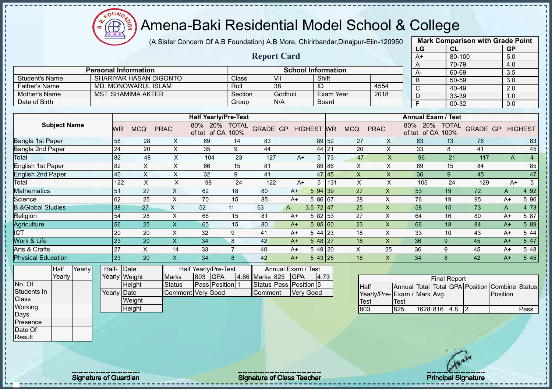(A Sister Concern Of A.B Foundation) A.B More, Chirirbandar,Dinajpur-Eiin-120950

 $12\mu\text{V}$ 

**CB** 

|                              |       |           |                             |                           |                                    |                |                 |                        |                   |                  |                           |                           |                           | LG                                      |                                    | <b>CL</b>           |                         | <b>GP</b>    |                 |
|------------------------------|-------|-----------|-----------------------------|---------------------------|------------------------------------|----------------|-----------------|------------------------|-------------------|------------------|---------------------------|---------------------------|---------------------------|-----------------------------------------|------------------------------------|---------------------|-------------------------|--------------|-----------------|
|                              |       |           |                             |                           |                                    |                |                 | <b>Report Card</b>     |                   |                  |                           |                           |                           | $A+$                                    |                                    | 80-100              |                         | 5.0          |                 |
|                              |       |           |                             |                           |                                    |                |                 |                        |                   |                  |                           |                           |                           | A                                       |                                    | 70-79               |                         | 4.0          |                 |
|                              |       |           | <b>Personal Information</b> |                           |                                    |                |                 |                        |                   |                  | <b>School Information</b> |                           |                           | А-                                      |                                    | 60-69               |                         | 3.5          |                 |
| <b>Student's Name</b>        |       |           | SHARIYAR HASAN DIGONTO      |                           |                                    | Class          |                 | VII                    |                   | Shift            |                           |                           |                           | B                                       |                                    | 50-59               |                         | 3.0          |                 |
| <b>Father's Name</b>         |       |           | MD. MONOWARUL ISLAM         |                           |                                    | Roll           |                 | 38                     |                   | ID               |                           |                           | 4554                      | C                                       |                                    | 40-49               |                         | 2.0          |                 |
| Mother's Name                |       |           | <b>MST. SHAMIMA AKTER</b>   |                           |                                    | Section        |                 | Godhuli                |                   |                  | Exam Year                 |                           | 2018                      | D                                       |                                    | 33-39               |                         | 1.0          |                 |
| Date of Birth                |       |           |                             |                           |                                    | Group          |                 | N/A                    |                   | Board            |                           |                           |                           | F                                       |                                    | 00-32               |                         | 0.0          |                 |
|                              |       |           |                             |                           |                                    |                |                 |                        |                   |                  |                           |                           |                           |                                         |                                    |                     |                         |              |                 |
|                              |       |           |                             |                           | <b>Half Yearly/Pre-Test</b>        |                |                 |                        |                   |                  |                           |                           |                           | <b>Annual Exam / Test</b>               |                                    |                     |                         |              |                 |
| <b>Subject Name</b>          |       | <b>WR</b> | <b>MCQ</b>                  | <b>PRAC</b>               | 80% 20% TOTAL<br>of tot of CA 100% |                | <b>GRADE GP</b> |                        | <b>HIGHEST WR</b> |                  |                           | <b>MCQ</b>                | <b>PRAC</b>               |                                         | 80% 20% TOTAL<br>of tot of CA 100% |                     | <b>GRADE GP HIGHEST</b> |              |                 |
| Bangla 1st Paper             |       | 58        | 28                          | $\times$                  | 69                                 | 14             | 83              |                        |                   | 89 52            |                           | 27                        | X                         | 63                                      |                                    | 13                  | 76                      |              | 83              |
| Bangla 2nd Paper             |       | 24        | 20                          | X                         | 35                                 | 9              | 44              |                        |                   | 44 21            |                           | 20                        | X                         | 33                                      |                                    | 8                   | 41                      |              | 45              |
| Total                        |       | 82        | 48                          | $\mathsf X$               | 104                                | 23             | 127             |                        | $A+$              | 5                | 73                        | 47                        | $\pmb{\times}$            | 96                                      |                                    | 21                  | 117                     | A            | $\overline{4}$  |
| English 1st Paper            |       | 82        | $\mathsf X$                 | X                         | 66                                 | 15             | 81              |                        |                   | 89 86            |                           | X                         | X                         | 69                                      |                                    | 15                  | 84                      |              | 85              |
| English 2nd Paper            |       | 40        | $\boldsymbol{\mathsf{X}}$   | $\boldsymbol{\mathsf{X}}$ | 32                                 | 9              | 41              |                        |                   | 47 45            |                           | $\mathsf X$               | $\mathsf{X}$              | 36                                      |                                    | 9                   | 45                      |              | 47              |
| Total                        |       | 122       | $\times$                    | $\pmb{\times}$            | 98                                 | 24             | 122             |                        | $A+$              | 5                | 131                       | $\boldsymbol{\mathsf{X}}$ | $\boldsymbol{\mathsf{X}}$ | 105                                     |                                    | 24                  | 129                     | $A+$         | $5\phantom{.0}$ |
| <b>Mathematics</b>           |       | 51        | 27                          | $\mathsf X$               | 62                                 | 18             | 80              | $A+$                   |                   | 5 94 39          |                           | 27                        | $\boldsymbol{\mathsf{X}}$ | 53                                      |                                    | 19                  | 72                      | A            | 4 9 2           |
| Science                      |       | 62        | 25                          | $\mathsf X$               | 70                                 | 15             | 85              | $A+$                   |                   | 5 86 67          |                           | 28                        | $\boldsymbol{\mathsf{X}}$ | 76                                      |                                    | 19                  | 95                      | $A+$         | 5 96            |
| <b>B.&amp;Global Studies</b> |       | 38        | 27                          | $\boldsymbol{\mathsf{X}}$ | 52                                 | 11             | 63              | $A -$                  |                   | 3.5 $72 \mid 47$ |                           | 25                        | $\boldsymbol{\mathsf{X}}$ | 58                                      |                                    | 15                  | 73                      | $\mathsf{A}$ | 4 73            |
| Religion                     |       | 54        | 28                          | $\boldsymbol{\mathsf{X}}$ | 66                                 | 15             | 81              | $A+$                   |                   | 5 82 53          |                           | 27                        | $\times$                  | 64                                      |                                    | 16                  | 80                      | $A+$         | 5 87            |
| Agriculture                  |       | 56        | 25                          | $\mathsf{X}$              | 65                                 | 15             | 80              | $A+$                   |                   | 585 60           |                           | 23                        | $\boldsymbol{\mathsf{X}}$ | 66                                      |                                    | 18                  | 84                      | $A+$         | 5 89            |
| $\overline{\text{ICT}}$      |       | 20        | 20                          | $\mathsf X$               | 32                                 | 9              | 41              | $A+$                   |                   | 5 44             | 23                        | 18                        | X                         | 33                                      |                                    | 10                  | 43                      | $A+$         | 5 44            |
| Work & Life                  |       | 23        | 20                          | X                         | 34                                 | 8              | 42              | $A+$                   |                   | 5 48 27          |                           | 18                        | $\boldsymbol{\mathsf{X}}$ | 36                                      |                                    | 9                   | 45                      | $A+$         | 5 47            |
| Arts & Crafts                |       | 27        | $\pmb{\times}$              | 14                        | 33                                 | $\overline{7}$ | 40              | $A+$                   |                   | 5 49 20          |                           | X                         | 25                        | 36                                      |                                    | 9                   | 45                      | $A+$         | 5 48            |
| <b>Physical Education</b>    |       | 23        | 20                          | X                         | 34                                 | 8              | 42              | $A+$                   |                   | 543 25           |                           | 18                        | $\boldsymbol{\mathsf{X}}$ | 34                                      |                                    | 8                   | 42                      | $A+$         | 5 45            |
| Yearly<br><b>Half</b>        | Half- |           | Date                        |                           | Half Yearly/Pre-Test               |                |                 | Annual Exam / Test     |                   |                  |                           |                           |                           |                                         |                                    |                     |                         |              |                 |
| Yearly                       |       |           | Yearly Weight               | <b>Marks</b>              | <b>GPA</b><br>803                  |                | 4.86 Marks 825  | <b>GPA</b>             |                   | 4.73             |                           |                           |                           |                                         |                                    |                     |                         |              |                 |
| No. Of                       |       |           | Height                      | <b>Status</b>             | Pass Position 1                    |                |                 | Status Pass Position 5 |                   |                  |                           | Half                      |                           | Annual Total Total GPA Position Combine |                                    | <b>Final Report</b> |                         |              |                 |
| Students In                  |       |           | Yearly Date                 |                           | <b>Comment Very Good</b>           |                | Comment         |                        | <b>Very Good</b>  |                  |                           |                           |                           | Yearly/Pre-Exam / Mark Avg.             |                                    |                     |                         | Position     | <b>Status</b>   |
| Class                        |       |           | Weight                      |                           |                                    |                |                 |                        |                   |                  |                           | Test                      |                           | <b>Test</b>                             |                                    |                     |                         |              |                 |
| Working                      |       |           | Height                      |                           |                                    |                |                 |                        |                   |                  |                           | 803                       |                           | 825                                     | 1628 816 4.8 2                     |                     |                         |              | Pass            |
| Days                         |       |           |                             |                           |                                    |                |                 |                        |                   |                  |                           |                           |                           |                                         |                                    |                     |                         |              |                 |
| Presence                     |       |           |                             |                           |                                    |                |                 |                        |                   |                  |                           |                           |                           |                                         |                                    |                     |                         |              |                 |
| Date Of                      |       |           |                             |                           |                                    |                |                 |                        |                   |                  |                           |                           |                           |                                         |                                    |                     |                         |              |                 |
| Result                       |       |           |                             |                           |                                    |                |                 |                        |                   |                  |                           |                           |                           |                                         |                                    |                     |                         |              |                 |

**Mark Comparison with Grade Point** 

Signature of Guardian Signature of Class T Teacher Principal Signature 37/47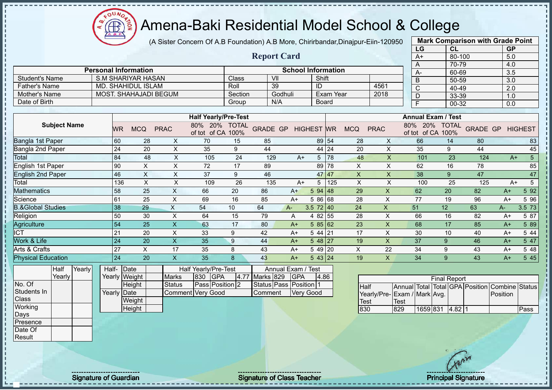(A Sister Concern Of A.B Foundation) A.B More, Chirirbandar,Dinajpur-Eiin-120950

 $12\mu\text{V}$ 

**CB** 

|                              |                    |                             |                           |                             |         |                 |                           |                   |                  |                           |                           | LG                                      | <b>CL</b>           |                 | <b>GP</b> |                 |
|------------------------------|--------------------|-----------------------------|---------------------------|-----------------------------|---------|-----------------|---------------------------|-------------------|------------------|---------------------------|---------------------------|-----------------------------------------|---------------------|-----------------|-----------|-----------------|
|                              |                    |                             |                           |                             |         |                 | <b>Report Card</b>        |                   |                  |                           |                           | $A+$                                    |                     | 80-100          | 5.0       |                 |
|                              |                    |                             |                           |                             |         |                 |                           |                   |                  |                           |                           | A                                       |                     | 70-79           | 4.0       |                 |
|                              |                    | <b>Personal Information</b> |                           |                             |         |                 | <b>School Information</b> |                   |                  |                           |                           | А-                                      |                     | 60-69           | 3.5       |                 |
| <b>Student's Name</b>        |                    | <b>S.M SHARIYAR HASAN</b>   |                           |                             | Class   | VII             |                           | Shift             |                  |                           |                           | B                                       |                     | 50-59           | 3.0       |                 |
| <b>Father's Name</b>         |                    | MD. SHAHIDUL ISLAM          |                           |                             | Roll    |                 | 39                        | ID                |                  |                           | 4561                      | C                                       |                     | 40-49           | 2.0       |                 |
| Mother's Name                |                    | MOST. SHAHAJADI BEGUM       |                           |                             | Section |                 | Godhuli                   |                   | <b>Exam Year</b> |                           | 2018                      | D                                       |                     | 33-39           | 1.0       |                 |
| Date of Birth                |                    |                             |                           |                             | Group   |                 | N/A                       |                   | Board            |                           |                           | $\overline{F}$                          |                     | 00-32           | 0.0       |                 |
|                              |                    |                             |                           | <b>Half Yearly/Pre-Test</b> |         |                 |                           |                   |                  |                           |                           | <b>Annual Exam / Test</b>               |                     |                 |           |                 |
| <b>Subject Name</b>          |                    |                             |                           | 80% 20% TOTAL               |         |                 |                           |                   |                  |                           |                           | 80% 20% TOTAL                           |                     |                 |           |                 |
|                              | WR                 | <b>MCQ</b>                  | <b>PRAC</b>               | of tot of CA 100%           |         | <b>GRADE GP</b> |                           | <b>HIGHEST</b> WR |                  | <b>MCQ</b>                | <b>PRAC</b>               | of tot of CA 100%                       |                     | <b>GRADE GP</b> |           | <b>HIGHEST</b>  |
| Bangla 1st Paper             | 60                 | 28                          | X                         | 70                          | 15      | 85              |                           |                   | 89 54            | 28                        | X                         | 66                                      | 14                  | 80              |           | 83              |
| Bangla 2nd Paper             | 24                 | 20                          | $\boldsymbol{\mathsf{X}}$ | 35                          | 9       | 44              |                           |                   | 44 24            | 20                        | $\pmb{\times}$            | 35                                      | $9\,$               | 44              |           | 45              |
| Total                        | 84                 | 48                          | $\boldsymbol{\mathsf{X}}$ | 105                         | 24      | 129             | $A+$                      | 5                 | 78               | 48                        | $\pmb{\times}$            | 101                                     | 23                  | 124             | $A+$      | $5\phantom{.0}$ |
| <b>English 1st Paper</b>     | 90                 | $\boldsymbol{\mathsf{X}}$   | X                         | 72                          | 17      | 89              |                           |                   | 89 78            | X                         | X                         | 62                                      | 16                  | 78              |           | 85              |
| <b>English 2nd Paper</b>     | 46                 | $\boldsymbol{\mathsf{X}}$   | $\boldsymbol{\mathsf{X}}$ | 37                          | 9       | 46              |                           |                   | 47 47            | $\pmb{\mathsf{X}}$        | $\pmb{\times}$            | 38                                      | 9                   | 47              |           | 47              |
| Total                        | 136                | $\boldsymbol{\mathsf{X}}$   | $\boldsymbol{\mathsf{X}}$ | 109                         | 26      | 135             | $A+$                      | 5                 | 125              | $\boldsymbol{\mathsf{X}}$ | $\boldsymbol{\mathsf{X}}$ | 100                                     | 25                  | 125             | $A+$      | $5\phantom{.0}$ |
| <b>Mathematics</b>           | 58                 | 25                          | $\pmb{\mathsf{X}}$        | 66                          | 20      | 86              | $A+$                      | 594   48          |                  | 29                        | $\boldsymbol{\mathsf{X}}$ | 62                                      | 20                  | 82              | $A+$      | 5 9 2           |
| Science                      | 61                 | 25                          | $\boldsymbol{\mathsf{X}}$ | 69                          | 16      | 85              | $A+$                      | 5 86 68           |                  | 28                        | $\times$                  | 77                                      | 19                  | 96              | $A+$      | 5 96            |
| <b>B.&amp;Global Studies</b> | 38                 | 29                          | $\mathsf X$               | 54                          | 10      | 64              | $A-$                      | $3.5$ 72 40       |                  | 24                        | $\boldsymbol{\mathsf{X}}$ | 51                                      | 12                  | 63              | $A -$     | 3.5 73          |
| Religion                     | 50                 | 30                          | $\times$                  | 64                          | 15      | 79              | A                         | 4 82 55           |                  | 28                        | $\times$                  | 66                                      | 16                  | 82              | $A+$      | 5 87            |
| Agriculture                  | 54                 | 25                          | $\boldsymbol{\mathsf{X}}$ | 63                          | 17      | 80              | $A+$                      | 58562             |                  | 23                        | $\boldsymbol{\mathsf{X}}$ | 68                                      | 17                  | 85              | $A+$      | 5 89            |
| $\overline{ICT}$             | 21                 | 20                          | $\boldsymbol{\mathsf{X}}$ | 33                          | 9       | 42              | $A+$                      | $544$ 21          |                  | 17                        | X                         | 30                                      | 10                  | 40              | $A+$      | 5 44            |
| Work & Life                  | 24                 | 20                          | $\mathsf{X}$              | 35                          | 9       | 44              | $A+$                      | $548$   27        |                  | 19                        | $\boldsymbol{\mathsf{X}}$ | 37                                      | 9                   | 46              | $A+$      | 5 47            |
| Arts & Crafts                | 27                 | X                           | 17                        | 35                          | 8       | 43              | $A+$                      | 5 49 20           |                  | X                         | 22                        | 34                                      | 9                   | 43              | $A+$      | 5 48            |
| <b>Physical Education</b>    | 24                 | 20                          | $\overline{\mathsf{X}}$   | 35                          | 8       | 43              | $A+$                      | 543 24            |                  | 19                        | $\boldsymbol{\mathsf{X}}$ | 34                                      | 9                   | 43              | $A+$      | 5 4 5           |
| Yearly<br>Half               | Half- Date         |                             |                           | Half Yearly/Pre-Test        |         |                 | Annual Exam / Test        |                   |                  |                           |                           |                                         |                     |                 |           |                 |
| Yearly                       |                    | Yearly Weight               | <b>Marks</b>              | 830<br><b>GPA</b>           | 4.77    | Marks 829       | <b>GPA</b>                |                   | 4.86             |                           |                           |                                         |                     |                 |           |                 |
| No. Of                       |                    | Height                      | <b>Status</b>             | Pass Position 2             |         |                 | Status Pass Position 1    |                   |                  | Half                      |                           | Annual Total Total GPA Position Combine | <b>Final Report</b> |                 |           | Status          |
| Students In                  | <b>Yearly Date</b> |                             |                           | <b>Comment Very Good</b>    |         | Comment         |                           | <b>Very Good</b>  |                  |                           |                           | Yearly/Pre- Exam / Mark Avg.            |                     |                 | Position  |                 |
| Class                        |                    | Weight                      |                           |                             |         |                 |                           |                   |                  | Test                      |                           | Test                                    |                     |                 |           |                 |
| Working                      |                    | Height                      |                           |                             |         |                 |                           |                   |                  | 830                       |                           | 829<br>1659 831                         |                     | $4.82 \mid 1$   |           | Pass            |
| Days                         |                    |                             |                           |                             |         |                 |                           |                   |                  |                           |                           |                                         |                     |                 |           |                 |
| Presence                     |                    |                             |                           |                             |         |                 |                           |                   |                  |                           |                           |                                         |                     |                 |           |                 |
| Date Of                      |                    |                             |                           |                             |         |                 |                           |                   |                  |                           |                           |                                         |                     |                 |           |                 |
| Result                       |                    |                             |                           |                             |         |                 |                           |                   |                  |                           |                           |                                         |                     |                 |           |                 |

**Mark Comparison with Grade Point** 

Signature of Guardian Signature of Class Teacher Principal Signature of Class Teacher Principal Signature 3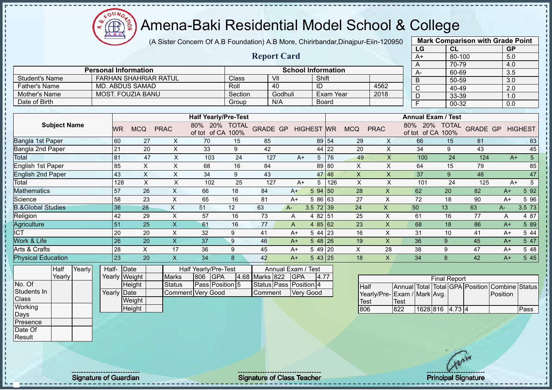(A Sister Concern Of A.B Foundation) A.B More, Chirirbandar,Dinajpur-Eiin-120950

 $12\mu\text{V}$ 

**CB** 

|                              |       |                 |                              |                           |                                    |                  |                 |                        |            |                           |                  |                           |                           | LG                                                                             |                     | <b>CL</b> |                 | <b>GP</b> |                 |
|------------------------------|-------|-----------------|------------------------------|---------------------------|------------------------------------|------------------|-----------------|------------------------|------------|---------------------------|------------------|---------------------------|---------------------------|--------------------------------------------------------------------------------|---------------------|-----------|-----------------|-----------|-----------------|
|                              |       |                 |                              |                           |                                    |                  |                 | <b>Report Card</b>     |            |                           |                  |                           |                           | $A+$                                                                           |                     | 80-100    |                 | 5.0       |                 |
|                              |       |                 |                              |                           |                                    |                  |                 |                        |            |                           |                  |                           |                           | A                                                                              |                     | 70-79     |                 | 4.0       |                 |
|                              |       |                 | <b>Personal Information</b>  |                           |                                    |                  |                 |                        |            | <b>School Information</b> |                  |                           |                           | A-                                                                             |                     | 60-69     |                 | 3.5       |                 |
| <b>Student's Name</b>        |       |                 | <b>FARHAN SHAHRIAR RATUL</b> |                           |                                    | Class            |                 | VII                    |            | Shift                     |                  |                           |                           | B                                                                              |                     | 50-59     |                 | 3.0       |                 |
| <b>Father's Name</b>         |       |                 | MD. ABDUS SAMAD              |                           |                                    | Roll             |                 | 40                     |            | ID                        |                  |                           | 4562                      | $\mathsf{C}$                                                                   |                     | 40-49     |                 | 2.0       |                 |
| Mother's Name                |       |                 | <b>MOST. FOUZIA BANU</b>     |                           |                                    | Section          |                 | Godhuli                |            |                           | <b>Exam Year</b> |                           | 2018                      | D                                                                              |                     | 33-39     |                 | 1.0       |                 |
| Date of Birth                |       |                 |                              |                           |                                    | Group            |                 | N/A                    |            |                           | Board            |                           |                           | F                                                                              |                     | 00-32     |                 | 0.0       |                 |
|                              |       |                 |                              |                           |                                    |                  |                 |                        |            |                           |                  |                           |                           |                                                                                |                     |           |                 |           |                 |
|                              |       |                 |                              |                           | <b>Half Yearly/Pre-Test</b>        |                  |                 |                        |            |                           |                  |                           |                           | <b>Annual Exam / Test</b>                                                      |                     |           |                 |           |                 |
| <b>Subject Name</b>          |       | WR              | <b>MCQ</b>                   | <b>PRAC</b>               | 80% 20% TOTAL<br>of tot of CA 100% |                  | <b>GRADE GP</b> |                        |            | <b>HIGHEST WR</b>         |                  | <b>MCQ</b>                | <b>PRAC</b>               | 80% 20% TOTAL<br>of tot of CA 100%                                             |                     |           | <b>GRADE GP</b> |           | <b>HIGHEST</b>  |
| Bangla 1st Paper             |       | 60              | 27                           | X                         | 70                                 | 15               | 85              |                        |            |                           | 89 54            | 29                        | X                         | 66                                                                             |                     | 15        | 81              |           | 83              |
| Bangla 2nd Paper             |       | 21              | 20                           | $\pmb{\times}$            | 33                                 | $\boldsymbol{9}$ | 42              |                        |            |                           | 44 22            | 20                        | $\pmb{\times}$            | 34                                                                             |                     | $9\,$     | 43              |           | 45              |
| Total                        |       | 81              | 47                           | $\pmb{\times}$            | 103                                | 24               |                 | 127                    | $A+$       | 5                         | 76               | 49                        | $\boldsymbol{\mathsf{X}}$ | 100                                                                            |                     | 24        | 124             | $A+$      | $5\phantom{.0}$ |
| English 1st Paper            |       | 85              | X                            | X                         | 68                                 | 16               | 84              |                        |            |                           | 89 80            | X                         | X                         | 64                                                                             |                     | 15        | 79              |           | 85              |
| <b>English 2nd Paper</b>     |       | 43              | $\boldsymbol{\mathsf{X}}$    | $\times$                  | 34                                 | 9                | 43              |                        |            |                           | 47 46            | $\boldsymbol{\mathsf{X}}$ | $\pmb{\times}$            | 37                                                                             |                     | 9         | 46              |           | 47              |
| Total                        |       | 128             | $\boldsymbol{\mathsf{X}}$    | X                         | 102                                | 25               |                 | 127                    | $A+$       | 5                         | 126              | $\boldsymbol{\mathsf{X}}$ | $\boldsymbol{\mathsf{X}}$ | 101                                                                            |                     | 24        | 125             | $A+$      | $\overline{5}$  |
| <b>Mathematics</b>           |       | 57              | 26                           | $\mathsf X$               | 66                                 | 18               | 84              |                        | $A+$       | $594$ 50                  |                  | 28                        | $\boldsymbol{\mathsf{X}}$ | 62                                                                             | 20                  |           | 82              | $A+$      | 5 9 2           |
| Science                      |       | 58              | 23                           | $\pmb{\times}$            | 65                                 | 16               | 81              |                        | $A+$       | 5 86 63                   |                  | 27                        | $\times$                  | 72                                                                             | 18                  |           | 90              | $A+$      | 5 9 6           |
| <b>B.&amp;Global Studies</b> |       | 36              | 28                           | $\boldsymbol{\mathsf{X}}$ | 51                                 | 12               | 63              | $A -$                  |            | 3.5 72 39                 |                  | 24                        | $\boldsymbol{\mathsf{X}}$ | 50                                                                             | 13                  |           | 63              | A-        | 3.5 73          |
| Religion                     |       | 42              | 29                           | $\pmb{\times}$            | 57                                 | 16               | 73              |                        | A          | 4 82 51                   |                  | 25                        | $\times$                  | 61                                                                             | 16                  |           | 77              | A         | 4 87            |
| Agriculture                  |       | 51              | 25                           | $\mathsf{X}$              | 61                                 | 16               | 77              |                        | A          | 4 $85 62$                 |                  | 23                        | $\boldsymbol{\mathsf{X}}$ | 68                                                                             | 18                  |           | 86              | $A+$      | 5 89            |
| $\overline{\text{ICT}}$      |       | 20              | 20                           | $\pmb{\times}$            | 32                                 | 9                | 41              |                        | $A+$       | $544$ 23                  |                  | 16                        | $\times$                  | 31                                                                             | 10                  |           | 41              | $A+$      | 5 4 4           |
| Work & Life                  |       | 26              | 20                           | $\mathsf{X}$              | 37                                 | 9                | 46              |                        | $A+$       | 5 48 26                   |                  | 19                        | $\times$                  | 36                                                                             | 9                   |           | 45              | $A+$      | 5 47            |
| Arts & Crafts                |       | 28              | $\pmb{\times}$               | 17                        | 36                                 | 9                | 45              |                        | $A+$       | 5 49 20                   |                  | $\pmb{\times}$            | 28                        | 38                                                                             | 9                   |           | 47              | $A+$      | 5 48            |
| <b>Physical Education</b>    |       | $\overline{23}$ | 20                           | $\mathsf{X}$              | 34                                 | 8                | 42              |                        | $A+$       | 543 25                    |                  | 18                        | $\boldsymbol{\mathsf{X}}$ | 34                                                                             | 8                   |           | 42              | $A+$      | 5 4 5           |
| Yearly<br>Half               | Half- | Date            |                              |                           | Half Yearly/Pre-Test               |                  |                 | Annual Exam / Test     |            |                           |                  |                           |                           |                                                                                |                     |           |                 |           |                 |
| Yearly                       |       | Yearly Weight   |                              | <b>Marks</b>              | <b>GPA</b><br>806                  |                  | 4.68 Marks 822  |                        | <b>GPA</b> | 4.77                      |                  |                           |                           |                                                                                |                     |           |                 |           |                 |
| No. Of                       |       |                 | Height                       | <b>Status</b>             | Pass Position 5                    |                  |                 | Status Pass Position 4 |            |                           |                  |                           |                           |                                                                                | <b>Final Report</b> |           |                 |           |                 |
| Students In                  |       | Yearly Date     |                              |                           | Comment Very Good                  |                  | Comment         |                        |            | <b>Very Good</b>          |                  | Half                      |                           | Annual Total Total GPA Position Combine Status<br>Yearly/Pre- Exam / Mark Avg. |                     |           |                 | Position  |                 |
| Class                        |       |                 | Weight                       |                           |                                    |                  |                 |                        |            |                           |                  | Test                      |                           | Test                                                                           |                     |           |                 |           |                 |
| Working                      |       |                 | Height                       |                           |                                    |                  |                 |                        |            |                           |                  | 806                       |                           | 822                                                                            | 1628 816 4.73 4     |           |                 |           | Pass            |
| Days                         |       |                 |                              |                           |                                    |                  |                 |                        |            |                           |                  |                           |                           |                                                                                |                     |           |                 |           |                 |
| Presence                     |       |                 |                              |                           |                                    |                  |                 |                        |            |                           |                  |                           |                           |                                                                                |                     |           |                 |           |                 |
| Date Of                      |       |                 |                              |                           |                                    |                  |                 |                        |            |                           |                  |                           |                           |                                                                                |                     |           |                 |           |                 |
| Result                       |       |                 |                              |                           |                                    |                  |                 |                        |            |                           |                  |                           |                           |                                                                                |                     |           |                 |           |                 |

**Mark Comparison with Grade Point** 

Signature of Guardian Signature of Class Teacher Principal Signature of Class Teacher Principal Signature 3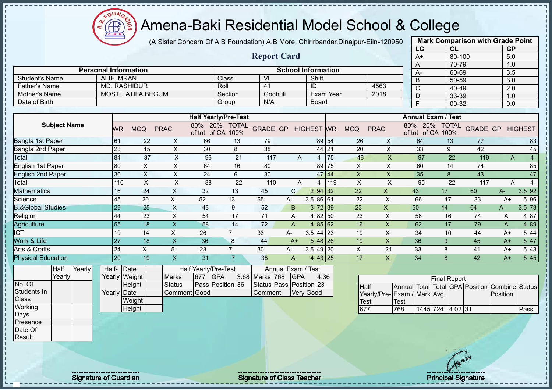(A Sister Concern Of A.B Foundation) A.B More, Chirirbandar,Dinajpur-Eiin-120950

 $12\mu\text{V}$ 

⋲⋕∙

ш

|                              |                    |                             |                           |                             |                  |                         |                    |                           |           |                           |                             |              | LG                        | CL                  |                            | <b>GP</b> |                |
|------------------------------|--------------------|-----------------------------|---------------------------|-----------------------------|------------------|-------------------------|--------------------|---------------------------|-----------|---------------------------|-----------------------------|--------------|---------------------------|---------------------|----------------------------|-----------|----------------|
|                              |                    |                             |                           |                             |                  | <b>Report Card</b>      |                    |                           |           |                           |                             |              | $A+$                      | 80-100              |                            | 5.0       |                |
|                              |                    |                             |                           |                             |                  |                         |                    |                           |           |                           |                             | A            |                           | $70-79$             |                            | 4.0       |                |
|                              |                    | <b>Personal Information</b> |                           |                             |                  |                         |                    | <b>School Information</b> |           |                           |                             |              | A-                        | 60-69               |                            | 3.5       |                |
| <b>Student's Name</b>        | <b>ALIF IMRAN</b>  |                             |                           |                             | Class            | VII                     |                    | Shift                     |           |                           |                             | B            |                           | 50-59               |                            | 3.0       |                |
| <b>Father's Name</b>         |                    | <b>MD. RASHIDUR</b>         |                           | Roll                        |                  | 41                      |                    | ID                        |           |                           | 4563                        | $\mathsf C$  |                           | 40-49               |                            | 2.0       |                |
| Mother's Name                |                    | <b>MOST. LATIFA BEGUM</b>   |                           |                             | Section          | Godhuli                 |                    |                           | Exam Year |                           | 2018                        | D            |                           | 33-39               |                            | 1.0       |                |
| Date of Birth                |                    |                             |                           |                             | Group            | N/A                     |                    | Board                     |           |                           |                             | F            |                           | 00-32               |                            | 0.0       |                |
|                              |                    |                             |                           | <b>Half Yearly/Pre-Test</b> |                  |                         |                    |                           |           |                           |                             |              | <b>Annual Exam / Test</b> |                     |                            |           |                |
| <b>Subject Name</b>          |                    |                             |                           | 80% 20% TOTAL               |                  |                         |                    |                           |           |                           |                             |              | 80% 20% TOTAL             |                     |                            |           |                |
|                              | <b>WR</b>          | <b>MCQ</b>                  | <b>PRAC</b>               | of tot of CA 100%           |                  | <b>GRADE GP</b>         |                    | <b>HIGHEST</b> WR         |           | <b>MCQ</b>                | <b>PRAC</b>                 |              | of tot of CA 100%         |                     | <b>GRADE GP</b>            |           | <b>HIGHEST</b> |
| Bangla 1st Paper             | 61                 | 22                          | $\boldsymbol{\mathsf{X}}$ | 66                          | 13               | 79                      |                    |                           | 89 54     | 26                        | X                           |              | 64                        | 13                  | 77                         |           | 83             |
| Bangla 2nd Paper             | 23                 | 15                          | $\pmb{\times}$            | 30                          | 8                | 38                      |                    |                           | 44 21     | 20                        | X                           |              | 33                        | 9                   | 42                         |           | 45             |
| Total                        | 84                 | 37                          | X                         | 96                          | 21               | 117                     | A                  | 4                         | 75        | 46                        | $\mathsf X$                 |              | 97                        | 22                  | 119                        | A         | $\overline{4}$ |
| <b>English 1st Paper</b>     | 80                 | $\times$                    | X                         | 64                          | 16               | 80                      |                    |                           | 89 75     | X                         | $\times$                    |              | 60                        | 14                  | 74                         |           | 85             |
| <b>English 2nd Paper</b>     | 30                 | $\boldsymbol{\mathsf{X}}$   | $\boldsymbol{\mathsf{X}}$ | 24                          | 6                | 30                      |                    |                           | 47 44     | $\boldsymbol{\mathsf{X}}$ | $\pmb{\times}$              |              | 35                        | 8                   | 43                         |           | 47             |
| Total                        | 110                | $\times$                    | $\mathsf X$               | 88                          | 22               | 110                     | A                  | $\overline{4}$            | 1119      | $\pmb{\times}$            | $\mathsf X$                 |              | 95                        | 22                  | 117                        | A         | $\overline{4}$ |
| <b>Mathematics</b>           | 16                 | 24                          | $\mathsf X$               | 32                          | 13               | 45                      | $\mathsf{C}$       | 2 94 32                   |           | 22                        | $\mathsf{X}$                | 43           |                           | 17                  | 60                         | A-        | 3.5 92         |
| Science                      | 45                 | 20                          | X                         | 52                          | 13               | 65                      | A-                 | 3.5 86 61                 |           | 22                        | $\sf X$                     |              | 66                        | 17                  | 83                         | $A+$      | 5 9 6          |
| <b>B.&amp;Global Studies</b> | 29                 | 25                          | $\boldsymbol{\mathsf{X}}$ | 43                          | 9                | 52                      | B                  | $3\,72$ 39                |           | 23                        | $\pmb{\times}$              | 50           |                           | 14                  | 64                         | $A -$     | 3.5 73         |
| Religion                     | 44                 | 23                          | $\times$                  | 54                          | 17               | 71                      | Α                  | 4 82 50                   |           | 23                        | $\boldsymbol{\mathsf{X}}$   |              | 58                        | 16                  | 74                         | A         | 4 87           |
| Agriculture                  | $\overline{55}$    | 18                          | $\mathsf{X}$              | 58                          | 14               | 72                      | $\overline{A}$     | 485 62                    |           | 16                        | X                           |              | 62                        | 17                  | 79                         | A         | 4 8 9          |
| $\overline{ICT}$             | 19                 | 14                          | X                         | 26                          | $\overline{7}$   | 33                      | A-                 | 3.5 44 23                 |           | 19                        | X                           |              | 34                        | 10                  | 44                         | $A+$      | 5 4 4          |
| Work & Life                  | 27                 | 18                          | $\overline{\mathsf{X}}$   | 36                          | $\boldsymbol{8}$ | 44                      | $A+$               | $548$ 26                  |           | 19                        | $\mathsf{x}$                |              | 36                        | 9                   | 45                         | $A+$      | 5 47           |
| Arts & Crafts                | 24                 | X                           | 5                         | 23                          | $\overline{7}$   | 30                      | A-                 | $3.549$ 20                |           | X                         | 21                          |              | 33                        | 8                   | 41                         | $A+$      | 5 48           |
| <b>Physical Education</b>    | 20                 | 19                          | $\overline{\mathsf{X}}$   | 31                          | $\overline{7}$   | 38                      | $\overline{A}$     | 4 43 25                   |           | 17                        | $\mathsf{x}$                |              | 34                        | 8                   | 42                         | $A+$      | 545            |
| Yearly<br>Half               | Half-              | Date                        |                           | Half Yearly/Pre-Test        |                  |                         | Annual Exam / Test |                           |           |                           |                             |              |                           |                     |                            |           |                |
| Yearly                       |                    | Yearly Weight               | <b>Marks</b>              | <b>GPA</b><br>677           | 3.68             | Marks 768               | <b>GPA</b>         | 4.36                      |           |                           |                             |              |                           | <b>Final Report</b> |                            |           |                |
| No. Of                       |                    | Height                      | <b>Status</b>             | Pass Position 36            |                  | Status Pass Position 23 |                    |                           |           |                           | Half                        | Annual Total |                           |                     | Total GPA Position Combine |           | <b>Status</b>  |
| Students In                  | <b>Yearly Date</b> |                             | Comment Good              |                             |                  | Comment                 |                    | <b>Very Good</b>          |           |                           | Yearly/Pre-Exam / Mark Avg. |              |                           |                     |                            | Position  |                |
| Class                        |                    | Weight                      |                           |                             |                  |                         |                    |                           |           |                           | Test                        | Test         |                           |                     |                            |           |                |
| Working                      |                    | Height                      |                           |                             |                  |                         |                    |                           |           | 677                       |                             | 768          | 1445 724 4.02 31          |                     |                            |           | Pass           |
| Days                         |                    |                             |                           |                             |                  |                         |                    |                           |           |                           |                             |              |                           |                     |                            |           |                |
| Presence                     |                    |                             |                           |                             |                  |                         |                    |                           |           |                           |                             |              |                           |                     |                            |           |                |
| Date Of<br>Result            |                    |                             |                           |                             |                  |                         |                    |                           |           |                           |                             |              |                           |                     |                            |           |                |
|                              |                    |                             |                           |                             |                  |                         |                    |                           |           |                           |                             |              |                           |                     |                            |           |                |

Signature of Guardian Signature of Class Teacher All Annual Signature of Class Teacher Principal Signature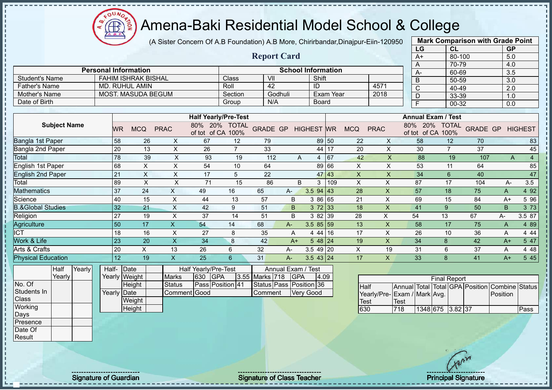(A Sister Concern Of A.B Foundation) A.B More, Chirirbandar,Dinajpur-Eiin-120950

|                              |           |                             |              |                         |                             |                 | <b>Report Card</b> |                              |           |            |                           | $A+$                          | 80-100               |                 | 5.0  |                |
|------------------------------|-----------|-----------------------------|--------------|-------------------------|-----------------------------|-----------------|--------------------|------------------------------|-----------|------------|---------------------------|-------------------------------|----------------------|-----------------|------|----------------|
|                              |           |                             |              |                         |                             |                 |                    |                              |           |            |                           | A                             | 70-79                |                 | 4.0  |                |
|                              |           | <b>Personal Information</b> |              |                         |                             |                 |                    | <b>School Information</b>    |           |            |                           | А-                            | 60-69                |                 | 3.5  |                |
| <b>Student's Name</b>        |           | <b>FAHIM ISHRAK BISHAL</b>  |              |                         | <b>Class</b>                | VII             |                    | Shift                        |           |            |                           | B                             | 50-59                |                 | 3.0  |                |
| <b>Father's Name</b>         |           | MD. RUHUL AMIN              |              |                         | Roll                        | 42              |                    | ID                           |           |            | 4571                      | С                             | 40-49                |                 | 2.0  |                |
| <b>Mother's Name</b>         |           | <b>MOST. MASUDA BEGUM</b>   |              |                         | Section                     |                 | Godhuli            |                              | Exam Year |            | 2018                      | D                             | 33-39                |                 | 1.0  |                |
| Date of Birth                |           |                             |              |                         | Group                       | N/A             |                    | <b>Board</b>                 |           |            |                           | F                             | 00-32                |                 | 0.0  |                |
|                              |           |                             |              |                         |                             |                 |                    |                              |           |            |                           |                               |                      |                 |      |                |
|                              |           |                             |              |                         | <b>Half Yearly/Pre-Test</b> |                 |                    |                              |           |            |                           | <b>Annual Exam / Test</b>     |                      |                 |      |                |
| <b>Subject Name</b>          | <b>WR</b> | <b>MCQ</b>                  | <b>PRAC</b>  | 80% 20%<br>of tot of CA | <b>TOTAL</b><br>100%        | <b>GRADE GP</b> |                    | <b>HIGHEST</b>               | <b>WR</b> | <b>MCQ</b> | <b>PRAC</b>               | 80%<br>20%<br>of CA<br>of tot | <b>TOTAL</b><br>100% | <b>GRADE GP</b> |      | <b>HIGHEST</b> |
| Bangla 1st Paper             | 58        | 26                          | X.           | 67                      | 12                          | 79              |                    |                              | 89 50     | 22         | X                         | 58                            | 12                   | 70              |      | 83             |
| Bangla 2nd Paper             | 20        | 13                          | X            | 26                      | $\overline{7}$              | 33              |                    | 44                           | 17        | 20         | X                         | 30                            | $\overline{7}$       | 37              |      | 45             |
| Total                        | 78        | 39                          | X            | 93                      | 19                          | 112             |                    | A<br>4                       | 67        | 42         | $\times$                  | 88                            | 19                   | 107             |      | 4<br>A         |
| English 1st Paper            | 68        | $\pmb{\times}$              | X            | 54                      | 10                          | 64              |                    | 89                           | 66        | X          | $\boldsymbol{\mathsf{X}}$ | 53                            | 11                   | 64              |      | 85             |
| <b>English 2nd Paper</b>     | 21        | X                           | X            | 17                      | 5                           | 22              |                    | 47                           | 43        | X          | $\times$                  | 34                            | $\boldsymbol{6}$     | 40              |      | 47             |
| Total                        | 89        | X                           | X            | 71                      | 15                          | 86              |                    | B<br>3                       | 109       | X          | X                         | 87                            | 17                   | 104             | A-   | 3.5            |
| <b>Mathematics</b>           | 37        | 24                          | X            | 49                      | 16                          | 65              | A-                 | $3.5$ 94 43                  |           | 28         | X                         | 57                            | 18                   | 75              | Α    | 4 9 2          |
| Science                      | 40        | 15                          | X            | 44                      | 13                          | 57              | B                  | 3 86 65                      |           | 21         | Χ                         | 69                            | 15                   | 84              | $A+$ | 5 9 6          |
| <b>B.&amp;Global Studies</b> | 32        | 21                          | X.           | 42                      | 9                           | 51              | B.                 | 372 33                       |           | 18         | X                         | 41                            | 9                    | 50              | B.   | 3 7 3          |
| Religion                     | 27        | 19                          | X            | 37                      | 14                          | 51              | B                  | 3 82 39                      |           | 28         | X                         | 54                            | 13                   | 67              | A-   | 3.5 87         |
| Agriculture                  | 50        | 17                          | $\mathsf{x}$ | 54                      | 14                          | 68              | A-                 | $3.585$ 5 5 5 $\overline{5}$ |           | 13         | X                         | 58                            | 17                   | 75              | A    | 4 8 9          |
| ICT                          | 18        | 16                          | X            | 27                      | 8                           | 35              | Α                  | 4 4 4                        | 16        | 17         | X                         | 26                            | 10                   | 36              | A    | 4 4 4          |
| Work & Life                  | 23        | 20                          | X            | 34                      | 8                           | 42              | $A+$               | $548$  24                    |           | 19         | X                         | 34                            | 8                    | 42              | $A+$ | 5 47           |
| Arts & Crafts                | 20        | X                           | 13           | 26                      | 6                           | 32              | $A-$               | $3.549$ 20                   |           | X          | 19                        | 31                            | 6                    | 37              | Α    | 4 4 8          |
| <b>Physical Education</b>    | 12        | 19                          | X            | 25                      | 6                           | 31              | $A-$               | $3.543$   24                 |           | 17         | X                         | 33                            | 8                    | 41              | $A+$ | 5 4 5          |
| Yearly<br>Half               | Half-     | Date                        |              | Half Yearly/Pre-Test    |                             |                 | Annual Exam / Test |                              |           |            |                           |                               |                      |                 |      |                |

Yearly Half-Yearly Weight **Date Height** Yearly Date **Weight Height** Half Yearly/Pre-Test<br>s 630 GPA Marks 630 Status **Pass Position** 41 Comment Good Annual Exam / Test<br>rks 718 GPA 4 3.55 Marks 718 GPA 4.09 Status Pass Position 36 Comment Very Good

 $12\mu\text{V}$ 

Œ

|                             |             |                  | <b>Final Report</b> |  |                                                |      |
|-----------------------------|-------------|------------------|---------------------|--|------------------------------------------------|------|
| <b>Half</b>                 |             |                  |                     |  | Annual Total Total GPA Position Combine Status |      |
| Yearly/Pre-Exam / Mark Avg. |             |                  |                     |  | Position                                       |      |
| Test                        | <b>Test</b> |                  |                     |  |                                                |      |
| 630                         | 718         | 1348 675 3.82 37 |                     |  |                                                | Pass |

**Mark Comparison with Grade Point** 

**LG CL GP**

Yearly

No. Of Students In **Class Working** Days Presence Date Of Result

л  $\blacksquare$ 

Signature of Guardian Signature of Class Teacher Principal Signature 41 Australian Signature 41/47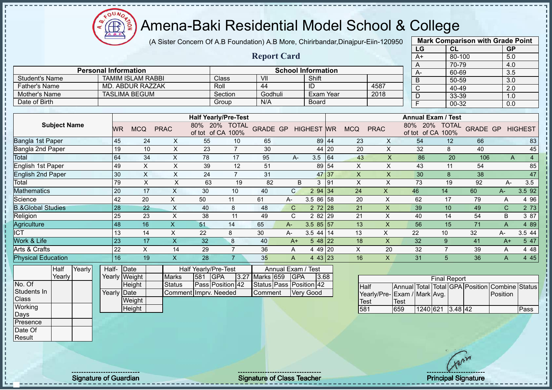

(A Sister Concern Of A.B Foundation) A.B More, Chirirbandar,Dinajpur-Eiin-120950

|                              |                             |                          |             |                                 |                             |                    |                           |                |           |            |             | LG                            | <b>CL</b>            |                 | GP           |                |
|------------------------------|-----------------------------|--------------------------|-------------|---------------------------------|-----------------------------|--------------------|---------------------------|----------------|-----------|------------|-------------|-------------------------------|----------------------|-----------------|--------------|----------------|
|                              |                             |                          |             |                                 |                             | <b>Report Card</b> |                           |                |           |            |             | $A+$                          | 80-100               |                 | 5.0          |                |
|                              |                             |                          |             |                                 |                             |                    |                           |                |           |            |             | A                             | 70-79                |                 | 4.0          |                |
|                              | <b>Personal Information</b> |                          |             |                                 |                             |                    | <b>School Information</b> |                |           |            |             | A-                            | 60-69                |                 | 3.5          |                |
| <b>Student's Name</b>        |                             | <b>TAMIM ISLAM RABBI</b> |             |                                 | Class                       | VII                |                           | Shift          |           |            |             | B                             | 50-59                |                 | 3.0          |                |
| <b>Father's Name</b>         |                             | MD. ABDUR RAZZAK         |             |                                 | Roll                        | 44                 |                           | ID             |           |            | 4587        | C                             | 40-49                |                 | 2.0          |                |
| Mother's Name                |                             | <b>TASLIMA BEGUM</b>     |             |                                 | Section                     | Godhuli            |                           | Exam Year      |           |            | 2018        | D                             | 33-39                |                 | 1.0          |                |
| Date of Birth                |                             |                          |             |                                 | Group                       | N/A                |                           | <b>Board</b>   |           |            |             | F                             | 00-32                |                 | 0.0          |                |
|                              |                             |                          |             |                                 |                             |                    |                           |                |           |            |             |                               |                      |                 |              |                |
|                              |                             |                          |             |                                 | <b>Half Yearly/Pre-Test</b> |                    |                           |                |           |            |             | <b>Annual Exam / Test</b>     |                      |                 |              |                |
| <b>Subject Name</b>          | <b>WR</b>                   | <b>MCQ</b>               | <b>PRAC</b> | 20%<br>80%<br>of tot of CA 100% | <b>TOTAL</b>                | <b>GRADE GP</b>    |                           | <b>HIGHEST</b> | <b>WR</b> | <b>MCQ</b> | <b>PRAC</b> | 80%<br>20%<br>of tot<br>of CA | <b>TOTAL</b><br>100% | <b>GRADE GP</b> |              | <b>HIGHEST</b> |
| Bangla 1st Paper             | 45                          | 24                       | X           | 55                              | 10                          | 65                 |                           |                | 89 44     | 23         | X           | 54                            | 12                   | 66              |              | 83             |
| Bangla 2nd Paper             | 19                          | 10                       | X           | 23                              | $\overline{7}$              | 30                 |                           | 44             | 20        | 20         | X           | 32                            | 8                    | 40              |              | 45             |
| Total                        | 64                          | 34                       | X           | 78                              | 17                          | 95                 | A-                        | 3.5            | 64        | 43         | X           | 86                            | 20                   | 106             | A            | 4              |
| <b>English 1st Paper</b>     | 49                          | X                        | X           | 39                              | 12                          | 51                 |                           | 89             | 54        | X          | X           | 43                            | 11                   | 54              |              | 85             |
| English 2nd Paper            | 30                          | X                        | X           | 24                              | $\overline{7}$              | 31                 |                           |                | 47 37     | X          | X           | 30                            | 8                    | 38              |              | 47             |
| Total                        | 79                          | X                        | X           | 63                              | 19                          | 82                 | B                         | 3              | 91        | X          | X           | 73                            | 19                   | 92              | A-           | 3.5            |
| <b>Mathematics</b>           | 20                          | 17                       | X           | 30                              | 10                          | 40                 | $\mathsf{C}$              | 2 94 34        |           | 24         | X           | 46                            | 14                   | 60              | $A -$        | 3.5 92         |
| Science                      | 42                          | 20                       | X           | 50                              | 11                          | 61                 | $A -$                     | 3.5 86 58      |           | 20         | X           | 62                            | 17                   | 79              | A            | 4 9 6          |
| <b>B.&amp;Global Studies</b> | 28                          | 22                       | X           | 40                              | 8                           | 48                 | $\mathsf{C}$              | $272$ 28       |           | 21         | X           | 39                            | 10                   | 49              | $\mathsf{C}$ | 2 73           |
| Religion                     | 25                          | 23                       | Χ           | 38                              | 11                          | 49                 | C                         | 2 8 2          | 29        | 21         | X           | 40                            | 14                   | 54              | B            | 3 87           |
| Agriculture                  | 48                          | 16                       | X           | 51                              | 14                          | 65                 | $A-$                      | $3.585$ 5 57   |           | 13         | X           | 56                            | 15                   | 71              | A            | 4 8 9          |
| <b>ICT</b>                   | 13                          | 14                       | $\times$    | 22                              | 8                           | 30                 | $A-$                      | $3.5$ 44 14    |           | 13         | X           | 22                            | 10                   | 32              | A-           | 3.5 44         |
| Work & Life                  | 23                          | 17                       | X           | 32                              | 8                           | 40                 | $A+$                      | $548$ 22       |           | 18         | X           | 32                            | 9                    | 41              | $A+$         | 5 47           |
| Arts & Crafts                | 22                          | X                        | 14          | 29                              | 7                           | 36                 | A                         | 4 49 20        |           | X          | 20          | 32                            | 7                    | 39              | Α            | 4 4 8          |
| <b>Physical Education</b>    | 16                          | 19                       | X           | 28                              | $\overline{7}$              | 35                 | A                         | 4 43 23        |           | 16         | X           | 31                            | 5                    | 36              | A            | 4 4 5          |

| <b>Half</b> | Yearly | Half-       | <b>IDate</b>  |                       | Half Yearly/Pre-Test    |                    | Annual Exam / Test      |       |
|-------------|--------|-------------|---------------|-----------------------|-------------------------|--------------------|-------------------------|-------|
| Yearly      |        |             | Yearly Weight | <b>Marks</b>          | 581 GPA                 | 3.27 Marks 659 GPA |                         | 13.68 |
|             |        |             | Height        | <b>Status</b>         | <b>Pass Position 42</b> |                    | Status Pass Position 42 |       |
|             |        | Yearly Date |               | Comment Imprv. Needed |                         | <b>Comment</b>     | <b>Verv Good</b>        |       |
|             |        |             | Weight        |                       |                         |                    |                         |       |
|             |        |             | Height        |                       |                         |                    |                         |       |

|                              |       |                  | <b>Final Report</b> |  |                                                |      |
|------------------------------|-------|------------------|---------------------|--|------------------------------------------------|------|
| Half                         |       |                  |                     |  | Annual Total Total GPA Position Combine Status |      |
| Yearly/Pre- Exam / Mark Avg. |       |                  |                     |  | Position                                       |      |
| <b>Test</b>                  | 'Test |                  |                     |  |                                                |      |
| 581                          | 659   | 1240 621 3.48 42 |                     |  |                                                | Pass |

**Mark Comparison with Grade Point**

No. Of Students In Class **Working** Days Presence Date Of **Result** 

Signature of Guardian Signature of Class Teacher Principal Signature of Class Teacher Principal Signature of Class Teacher Principal Signature of Class Teacher Principal Signature of Class Teacher Principal Signature of Cl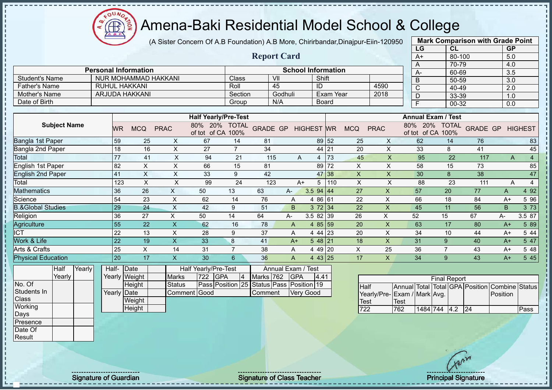(A Sister Concern Of A.B Foundation) A.B More, Chirirbandar,Dinajpur-Eiin-120950

 $12\mu\text{V}$ 

**CB** 

|                                |                     |        |                 |                             |                             |                                          |                                    |                 |                             |                           |              |                           |                           |             | LG                                 | <b>CL</b>           |                                 | <b>GP</b>                         |                |
|--------------------------------|---------------------|--------|-----------------|-----------------------------|-----------------------------|------------------------------------------|------------------------------------|-----------------|-----------------------------|---------------------------|--------------|---------------------------|---------------------------|-------------|------------------------------------|---------------------|---------------------------------|-----------------------------------|----------------|
|                                |                     |        |                 |                             |                             |                                          |                                    |                 | <b>Report Card</b>          |                           |              |                           |                           |             | $A+$                               | $80 - 100$          |                                 | 5.0                               |                |
|                                |                     |        |                 |                             |                             |                                          |                                    |                 |                             |                           |              |                           |                           |             | A                                  | 70-79               |                                 | 4.0                               |                |
|                                |                     |        |                 | <b>Personal Information</b> |                             |                                          |                                    |                 | $\overline{\mathsf{V}}$     | <b>School Information</b> |              |                           |                           |             | A-                                 | 60-69               |                                 | 3.5                               |                |
| <b>Student's Name</b>          |                     |        |                 |                             | <b>NUR MOHAMMAD HAKKANI</b> |                                          | Class<br>Roll                      |                 | 45                          | Shift                     |              |                           |                           |             | $\overline{B}$                     | 50-59               |                                 | $\overline{3.0}$                  |                |
| <b>Father's Name</b>           |                     |        |                 | <b>RUHUL HAKKANI</b>        |                             |                                          |                                    |                 |                             | ID                        | Exam Year    |                           | 4590                      |             | $\overline{C}$                     | 40-49               |                                 | 2.0                               |                |
| Mother's Name<br>Date of Birth |                     |        |                 | ARJUDA HAKKANI              |                             |                                          | Section                            |                 | Godhuli<br>N/A              |                           |              |                           | 2018                      |             | D                                  | 33-39               |                                 | 1.0                               |                |
|                                |                     |        |                 |                             |                             |                                          | Group                              |                 |                             |                           | <b>Board</b> |                           |                           |             | F                                  | 00-32               |                                 | 0.0                               |                |
|                                |                     |        |                 |                             |                             |                                          | <b>Half Yearly/Pre-Test</b>        |                 |                             |                           |              |                           |                           |             | <b>Annual Exam / Test</b>          |                     |                                 |                                   |                |
|                                | <b>Subject Name</b> |        | <b>WR</b>       | <b>MCQ</b>                  | <b>PRAC</b>                 |                                          | 80% 20% TOTAL<br>of tot of CA 100% | <b>GRADE GP</b> |                             | <b>HIGHEST WR</b>         |              | <b>MCQ</b>                | <b>PRAC</b>               |             | 80% 20% TOTAL<br>of tot of CA 100% |                     | <b>GRADE GP</b>                 |                                   | <b>HIGHEST</b> |
| Bangla 1st Paper               |                     |        | 59              | 25                          | X                           | 67                                       | 14                                 | 81              |                             | 89                        | 52           | 25                        | X                         |             | 62                                 | 14                  | 76                              |                                   | 83             |
| Bangla 2nd Paper               |                     |        | 18              | 16                          | X                           | 27                                       | $\overline{7}$                     | 34              |                             | 44                        | 21           | 20                        | X                         |             | 33                                 | 8                   | 41                              |                                   | 45             |
| Total                          |                     |        | 77              | 41                          | X                           | 94                                       | 21                                 | 115             | A                           | 4                         | 73           | 45                        | $\boldsymbol{\mathsf{X}}$ |             | 95                                 | 22                  | 117                             | $\mathsf{A}$                      | $\overline{4}$ |
| English 1st Paper              |                     |        | 82              | $\mathsf X$                 | $\pmb{\times}$              | 66                                       | 15                                 | 81              |                             | 89                        | 72           | X                         | X                         |             | 58                                 | 15                  | 73                              |                                   | 85             |
| <b>English 2nd Paper</b>       |                     |        | 41              | $\sf X$                     | X                           | 33                                       | 9                                  | 42              |                             | 47                        | 38           | $\times$                  | X                         |             | 30                                 | 8                   | 38                              |                                   | 47             |
| Total                          |                     |        | 123             | $\mathsf{X}$                | X                           | 99                                       | 24                                 | 123             | $A+$                        | 5                         | 110          | X                         | $\times$                  |             | 88                                 | 23                  | 111                             | A                                 | $\overline{4}$ |
| Mathematics                    |                     |        | 36              | 26                          | $\mathsf{X}% _{0}$          | 50                                       | 13                                 | 63              | A-                          | 3.5<br>94                 | 44           | 27                        | X                         |             | 57                                 | 20                  | 77                              | A                                 | 4 9 2          |
| Science                        |                     |        | 54              | 23                          | $\sf X$                     | 62                                       | 14                                 | 76              | A                           | 4 86 61                   |              | 22                        | $\mathsf{X}$              |             | 66                                 | 18                  | 84                              | $A+$                              | 5 96           |
| <b>B.&amp;Global Studies</b>   |                     |        | 29              | 24                          | $\overline{\mathsf{X}}$     | 42                                       | 9                                  | 51              | B                           | 372 34                    |              | 22                        | $\mathsf{x}$              |             | 45                                 | 11                  | 56                              | B                                 | 3 73           |
| Religion                       |                     |        | 36              | 27                          | X                           | 50                                       | 14                                 | 64              | $A -$                       | 3.5 82                    | 39           | 26                        | X                         |             | 52                                 | 15                  | 67                              | A-                                | 3.5 87         |
| Agriculture                    |                     |        | 55              | 22                          | $\overline{\mathsf{X}}$     | 62                                       | 16                                 | 78              | A                           | 4 8 5                     | 59           | 20                        | $\boldsymbol{\mathsf{X}}$ |             | 63                                 | 17                  | 80                              | $A+$                              | 5 89           |
| $\overline{\text{ICT}}$        |                     |        | $\overline{22}$ | 13                          | $\pmb{\times}$              | 28                                       | 9                                  | 37              | A                           | 4 4 4                     | 23           | 20                        | $\boldsymbol{\mathsf{X}}$ |             | 34                                 | 10                  | 44                              | $A+$                              | 5 4 4          |
| Work & Life                    |                     |        | 22              | 19                          | $\mathsf X$                 | 33                                       | $\boldsymbol{8}$                   | 41              | $A+$                        | 5 48                      | 21           | 18                        | $\mathsf{x}$              |             | 31                                 | 9                   | 40                              | $A+$                              | 5 47           |
| Arts & Crafts                  |                     |        | 25              | $\boldsymbol{\mathsf{X}}$   | 14                          | 31                                       | $\overline{7}$                     | 38              | Α                           | 4 4 9                     | 20           | $\boldsymbol{\mathsf{X}}$ | 25                        |             | 36                                 | $\overline{7}$      | 43                              | $A+$                              | 5 48           |
| <b>Physical Education</b>      |                     |        | $\overline{20}$ | 17                          | $\boldsymbol{\mathsf{X}}$   | 30                                       | 6                                  | 36              | A                           | 4 43 25                   |              | 17                        | $\mathsf{X}$              |             | 34                                 | 9                   | 43                              | $A+$                              | 5 4 5          |
|                                | Half<br>Yearly      | Yearly | Half-           | Date<br>Yearly Weight       | <b>Marks</b>                | Half Yearly/Pre-Test<br>$\overline{722}$ | <b>GPA</b><br>$\vert 4 \vert$      | Marks 762       | Annual Exam /<br><b>GPA</b> | <b>Test</b><br>4.41       |              |                           |                           |             |                                    |                     |                                 |                                   |                |
| No. Of                         |                     |        |                 | Height                      | <b>Status</b>               |                                          | Pass Position 25                   |                 | Status Pass Position 19     |                           |              |                           |                           |             |                                    | <b>Final Report</b> | Annual Total Total GPA Position |                                   |                |
| Students In                    |                     |        |                 | Yearly Date                 |                             | Comment Good                             |                                    | Comment         |                             | <b>Very Good</b>          |              | <b>Half</b>               | Yearly/Pre-               |             | Exam / Mark Avg.                   |                     |                                 | <b>Combine Status</b><br>Position |                |
| Class                          |                     |        |                 | Weight                      |                             |                                          |                                    |                 |                             |                           |              | <b>Test</b>               |                           | <b>Test</b> |                                    |                     |                                 |                                   |                |
| Working                        |                     |        |                 | Height                      |                             |                                          |                                    |                 |                             |                           |              | $\overline{722}$          |                           | 762         | 1484 744                           | 4.2                 | 24                              |                                   | Pass           |
| Days                           |                     |        |                 |                             |                             |                                          |                                    |                 |                             |                           |              |                           |                           |             |                                    |                     |                                 |                                   |                |

**Mark Comparison with Grade Point**<br>LG CL GP

Presence Date Of Result

Signature of Guardian Signature of Class Teacher All Changes and Signature of Class Teacher Principal Signature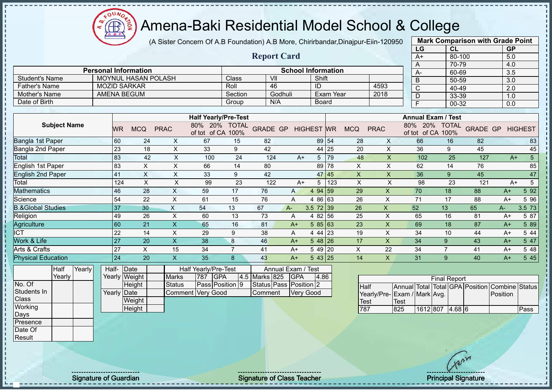(A Sister Concern Of A.B Foundation) A.B More, Chirirbandar,Dinajpur-Eiin-120950

 $12\mu\text{V}$ 

**CB** 

|                              |                     |        |                 |                             |             |                         |                 |                                          |                        |               |                |                           |           |             |                           |                  | LG                        |                     | CL           |                                 | <b>GP</b> |                        |
|------------------------------|---------------------|--------|-----------------|-----------------------------|-------------|-------------------------|-----------------|------------------------------------------|------------------------|---------------|----------------|---------------------------|-----------|-------------|---------------------------|------------------|---------------------------|---------------------|--------------|---------------------------------|-----------|------------------------|
|                              |                     |        |                 |                             |             |                         |                 |                                          | <b>Report Card</b>     |               |                |                           |           |             |                           |                  | $A+$                      |                     | 80-100       |                                 | 5.0       |                        |
|                              |                     |        |                 |                             |             |                         |                 |                                          |                        |               |                |                           |           |             |                           |                  | A                         |                     | 70-79        |                                 | 4.0       |                        |
|                              |                     |        |                 | <b>Personal Information</b> |             |                         |                 |                                          |                        |               |                | <b>School Information</b> |           |             |                           |                  | А-                        |                     | 60-69        |                                 | 3.5       |                        |
| <b>Student's Name</b>        |                     |        |                 | MOYNUL HASAN POLASH         |             |                         |                 | Class                                    | VII                    |               |                | Shift                     |           |             |                           |                  | B                         |                     | 50-59        |                                 | 3.0       |                        |
| <b>Father's Name</b>         |                     |        |                 | <b>MOZID SARKAR</b>         |             |                         |                 | Roll                                     | 46                     |               |                | ID                        |           |             | 4593                      |                  | Ć                         |                     | 40-49        |                                 | 2.0       |                        |
| Mother's Name                |                     |        |                 | <b>AMENA BEGUM</b>          |             |                         |                 | Section                                  |                        | Godhuli       |                |                           | Exam Year |             | 2018                      |                  | D                         |                     | 33-39        |                                 | 1.0       |                        |
| Date of Birth                |                     |        |                 |                             |             |                         |                 | Group                                    |                        | N/A           |                | <b>Board</b>              |           |             |                           |                  | $\overline{F}$            |                     | 00-32        |                                 | 0.0       |                        |
|                              |                     |        |                 |                             |             |                         |                 | <b>Half Yearly/Pre-Test</b>              |                        |               |                |                           |           |             |                           |                  | <b>Annual Exam / Test</b> |                     |              |                                 |           |                        |
|                              | <b>Subject Name</b> |        | <b>WR</b>       | <b>MCQ</b>                  | <b>PRAC</b> |                         | 80%             | 20%<br><b>TOTAL</b><br>of tot of CA 100% | <b>GRADE GP</b>        |               |                | <b>HIGHEST</b> WR         |           | <b>MCQ</b>  | <b>PRAC</b>               | 80%              | 20%<br>of tot of CA 100%  |                     | <b>TOTAL</b> | <b>GRADE GP</b>                 |           | <b>HIGHEST</b>         |
| Bangla 1st Paper             |                     |        | 60              | 24                          |             | X                       | 67              | 15                                       | 82                     |               |                | 89                        | 54        | 28          | X                         |                  | 66                        |                     | 16           | 82                              |           | 83                     |
| Bangla 2nd Paper             |                     |        | 23              |                             | 18          | X                       | 33              | 9                                        | 42                     |               |                | 44                        | 25        | 20          | $\mathsf{X}$              |                  | 36                        | 9                   |              | 45                              |           | 45                     |
| Total                        |                     |        | 83              |                             | 42          | X                       | 100             | 24                                       | 124                    |               | $A+$           | 5                         | 79        | 48          | $\sf X$                   |                  | 102                       |                     | 25           | 127                             |           | $\overline{5}$<br>$A+$ |
| English 1st Paper            |                     |        | 83              | X                           |             | X                       | 66              | 14                                       | 80                     |               |                | 89                        | 78        | $\times$    | X                         |                  | 62                        |                     | 14           | 76                              |           | 85                     |
| <b>English 2nd Paper</b>     |                     |        | 41              | X                           |             | X                       | 33              | 9                                        | 42                     |               |                | 47                        | 45        | X           | X                         |                  | 36                        | 9                   |              | 45                              |           | 47                     |
| Total                        |                     |        | 124             | $\sf X$                     |             | $\mathsf X$             | 99              | 23                                       | 122                    |               | $A+$           | 5                         | 123       | $\times$    | X                         |                  | 98                        |                     | 23           | 121                             |           | $\sqrt{5}$<br>$A+$     |
| <b>Mathematics</b>           |                     |        | 46              | 28                          |             | $\mathsf{X}$            | 59              | 17                                       | 76                     |               | $\overline{A}$ | 94<br>$\overline{4}$      | 59        | 29          | X                         |                  | 70                        | 18                  |              | 88                              | $A+$      | $5\overline{92}$       |
| Science                      |                     |        | 54              | 22                          |             | $\pmb{\times}$          | 61              | 15                                       | 76                     |               | Α              | 4 8 6                     | 63        | 26          | $\boldsymbol{\mathsf{X}}$ |                  | 71                        | 17                  |              | 88                              | $A+$      | 5 9 6                  |
| <b>B.&amp;Global Studies</b> |                     |        | 37              | 30                          |             | $\times$                | 54              | 13                                       | 67                     | $A -$         |                | 3.5 72                    | 39        | 26          | $\mathsf{X}$              |                  | 52                        | 13                  |              | 65                              | А-        | 3.5 73                 |
| Religion                     |                     |        | 49              | 26                          |             | $\pmb{\times}$          | 60              | 13                                       | 73                     |               | Α              | 4 8 2                     | 56        | 25          | X                         |                  | 65                        | 16                  |              | 81                              | $A+$      | 5 87                   |
| Agriculture                  |                     |        | 60              | 21                          |             | $\mathsf{X}$            | 65              | 16                                       | 81                     |               | $A+$           | 5 85                      | 63        | 23          | $\mathsf{x}$              |                  | 69                        | 18                  |              | 87                              | $A+$      | 5 89                   |
| <b>ICT</b>                   |                     |        | 22              | 14                          |             | X                       | 29              | 9                                        | 38                     |               | Α              | 4 4 4                     | 23        | 19          | X                         |                  | 34                        | 10                  |              | 44                              | $A+$      | 5 4 4                  |
| Work & Life                  |                     |        | $\overline{27}$ | $\overline{20}$             |             | $\overline{\mathsf{x}}$ | $\overline{38}$ | 8                                        | 46                     |               | $A+$           | $548$ 26                  |           | 17          | $\overline{X}$            |                  | 34                        | 9                   |              | 43                              | $A+$      | 547                    |
| Arts & Crafts                |                     |        | 27              | $\times$                    |             | 15                      | 34              | $\overline{7}$                           | 41                     |               | $A+$           | 5 49 20                   |           | X           | 22                        |                  | 34                        | $\overline{7}$      |              | 41                              | $A+$      | 5 48                   |
| <b>Physical Education</b>    |                     |        | 24              | 20                          |             | $\mathsf{X}$            | 35              | 8                                        | 43                     |               | $A+$           | 543 25                    |           | 14          | $\mathsf{X}$              |                  | 31                        | 9                   |              | 40                              | $A+$      | 5 4 5                  |
|                              | Half                | Yearly | Half-           | Date                        |             |                         |                 | Half Yearly/Pre-Test                     |                        | Annual Exam / |                | <b>Test</b>               |           |             |                           |                  |                           |                     |              |                                 |           |                        |
|                              | Yearly              |        |                 | Yearly Weight               |             | <b>Marks</b>            | 787             | <b>GPA</b><br>4.5                        | Marks 825              |               | <b>GPA</b>     | 4.86                      |           |             |                           |                  |                           | <b>Final Report</b> |              |                                 |           |                        |
| No. Of                       |                     |        |                 | Height                      |             | <b>Status</b>           |                 | Pass Position 9                          | Status Pass Position 2 |               |                |                           |           | Half        |                           |                  |                           |                     |              | Annual Total Total GPA Position |           | Combine Status         |
| Students In                  |                     |        | Yearly          | Date                        |             | Comment                 | Very Good       |                                          | Comment                |               | Very Good      |                           |           |             | Yearly/Pre-               | Exam / Mark Avg. |                           |                     |              |                                 | Position  |                        |
| <b>Class</b>                 |                     |        |                 | Weight                      |             |                         |                 |                                          |                        |               |                |                           |           | <b>Test</b> |                           | <b>Test</b>      |                           |                     |              |                                 |           |                        |
| Working                      |                     |        |                 | Height                      |             |                         |                 |                                          |                        |               |                |                           |           | 787         |                           | 825              | 1612 807 4.68 6           |                     |              |                                 |           | Pass                   |

**Mark Comparison with Grade Point**

Signature of Guardian Signature of Class Teacher Number of Class Teacher Principal Signature

Days Presence Date Of Result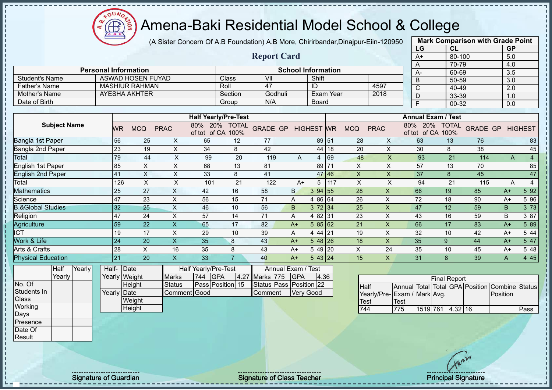(A Sister Concern Of A.B Foundation) A.B More, Chirirbandar,Dinajpur-Eiin-120950

|                              |                             |                          |              |                            |                             |                    |                           |                |           |            |             | LG                         | <b>CL</b>            |                 | <b>GP</b> |                |
|------------------------------|-----------------------------|--------------------------|--------------|----------------------------|-----------------------------|--------------------|---------------------------|----------------|-----------|------------|-------------|----------------------------|----------------------|-----------------|-----------|----------------|
|                              |                             |                          |              |                            |                             | <b>Report Card</b> |                           |                |           |            |             | $A+$                       | 80-100               |                 | 5.0       |                |
|                              |                             |                          |              |                            |                             |                    |                           |                |           |            |             | A                          | 70-79                |                 | 4.0       |                |
|                              | <b>Personal Information</b> |                          |              |                            |                             |                    | <b>School Information</b> |                |           |            |             | A-                         | 60-69                |                 | 3.5       |                |
| <b>Student's Name</b>        |                             | <b>ASWAD HOSEN FUYAD</b> |              |                            | Class                       | VII                |                           | Shift          |           |            |             | B                          | 50-59                |                 | 3.0       |                |
| <b>Father's Name</b>         |                             | <b>MASHIUR RAHMAN</b>    |              |                            | Roll                        | 47                 |                           | ID             |           |            | 4597        | C                          | 40-49                |                 | 2.0       |                |
| Mother's Name                |                             | AYESHA AKHTER            |              |                            | Section                     | Godhuli            |                           |                | Exam Year |            | 2018        | D                          | 33-39                |                 | 1.0       |                |
| Date of Birth                |                             |                          |              |                            | Group                       | N/A                |                           | <b>Board</b>   |           |            |             | E                          | 00-32                |                 | 0.0       |                |
|                              |                             |                          |              |                            |                             |                    |                           |                |           |            |             |                            |                      |                 |           |                |
|                              |                             |                          |              |                            | <b>Half Yearly/Pre-Test</b> |                    |                           |                |           |            |             | <b>Annual Exam / Test</b>  |                      |                 |           |                |
| <b>Subject Name</b>          | <b>WR</b>                   | <b>MCQ</b>               | <b>PRAC</b>  | 80%<br>20%<br>of tot of CA | <b>TOTAL</b><br>100%        | <b>GRADE GP</b>    |                           | <b>HIGHEST</b> | <b>WR</b> | <b>MCQ</b> | <b>PRAC</b> | 80%<br>20%<br>of tot of CA | <b>TOTAL</b><br>100% | <b>GRADE GP</b> |           | <b>HIGHEST</b> |
| Bangla 1st Paper             | 56                          | 25                       | X            | 65                         | 12                          | 77                 |                           | 89 51          |           | 28         | X           | 63                         | 13                   | 76              |           | 83             |
| Bangla 2nd Paper             | 23                          | 19                       | X            | 34                         | 8                           | 42                 |                           |                | 44 18     | 20         | X           | 30                         | 8                    | 38              |           | 45             |
| Total                        | 79                          | 44                       | X            | 99                         | 20                          | 119                | A                         | 4              | 69        | 48         | $\times$    | 93                         | 21                   | 114             | A         | $\overline{4}$ |
| <b>English 1st Paper</b>     | 85                          | X                        | X            | 68                         | 13                          | 81                 |                           | 89             | 71        | X          | X           | 57                         | 13                   | 70              |           | 85             |
| <b>English 2nd Paper</b>     | 41                          | X                        | X            | 33                         | 8                           | 41                 |                           |                | 47 46     | X          | $\sf X$     | 37                         | 8                    | 45              |           | 47             |
| Total                        | 126                         | X                        | X            | 101                        | 21                          | 122                | $A+$                      | 5              | 117       | X          | X           | 94                         | 21                   | 115             | A         | 4              |
| Mathematics                  | 25                          | 27                       | X            | 42                         | 16                          | 58                 | B.                        | 3 94 55        |           | 28         | X           | 66                         | 19                   | 85              | $A+$      | 5 9 2          |
| Science                      | 47                          | 23                       | X            | 56                         | 15                          | 71                 | Α                         | 4 86           | 64        | 26         | X           | 72                         | 18                   | 90              | $A+$      | 5 96           |
| <b>B.&amp;Global Studies</b> | 32                          | 25                       | X            | 46                         | 10                          | 56                 | B                         | 372 34         |           | 25         | X           | 47                         | 12                   | 59              | B         | 3 7 3          |
| Religion                     | 47                          | 24                       | X            | 57                         | 14                          | 71                 | A                         | 4 82 31        |           | 23         | X           | 43                         | 16                   | 59              | B         | 3 87           |
| Agriculture                  | 59                          | 22                       | X            | 65                         | 17                          | 82                 | $A+$                      | 585 62         |           | 21         | X           | 66                         | 17                   | 83              | $A+$      | 5 89           |
| <b>ICT</b>                   | 19                          | 17                       | X            | 29                         | 10                          | 39                 | A                         | 4 44 21        |           | 19         | X           | 32                         | 10                   | 42              | $A+$      | 5 4 4          |
| Work & Life                  | 24                          | 20                       | X.           | 35                         | 8                           | 43                 | $A+$                      | $548$   26     |           | 18         | X           | 35                         | 9                    | 44              | $A+$      | 5 47           |
| Arts & Crafts                | 28                          | X                        | 16           | 35                         | 8                           | 43                 | $A+$                      | 5 49 20        |           | X          | 24          | 35                         | 10                   | 45              | $A+$      | 5 48           |
| <b>Physical Education</b>    | 21                          | 20                       | $\mathsf{X}$ | 33                         | $\overline{7}$              | 40                 | $A+$                      | 543 24         |           | 15         | X           | 31                         | 8                    | 39              | A         | 4 4 5          |
| Yearly<br>Half               | Half-                       | Date                     |              | Half Yearly/Pre-Test       |                             | Annual Exam / Test |                           |                |           |            |             |                            |                      |                 |           |                |

**Yearly** No. Of Students In **Class Working** Days Presence Date Of

Result

 $\mathbf{I}$  $\mathbf{I}$  $\mathbf{I}$  $\blacksquare$  $\blacksquare$  $\blacksquare$  $\mathbf{I}$  $\mathbf{I}$ п J.

J. T. Í j.

Half-Yearly Weight Date **Height** Yearly Date **Weight Height** Half Yearly/Pre-Test Marks 744 GPA 4.27 Status **Pass Position** 15 Comment Good Annual Exam / Test Marks 775 GPA 4.36 Status Pass Position 22 Comment Very Good

 $12\mu\text{V}$ 

|                             |      |                  | <b>Final Report</b> |  |                                                |      |
|-----------------------------|------|------------------|---------------------|--|------------------------------------------------|------|
| <b>I</b> Half               |      |                  |                     |  | Annual Total Total GPA Position Combine Status |      |
| Yearly/Pre-Exam / Mark Avg. |      |                  |                     |  | Position                                       |      |
| <b>Test</b>                 | Test |                  |                     |  |                                                |      |
| 744                         | 775  | 1519 761 4.32 16 |                     |  |                                                | Pass |

**Mark Comparison with Grade Point**

Signature of Guardian Signature Signature of Class Teacher Number of Class Teacher Principal Signature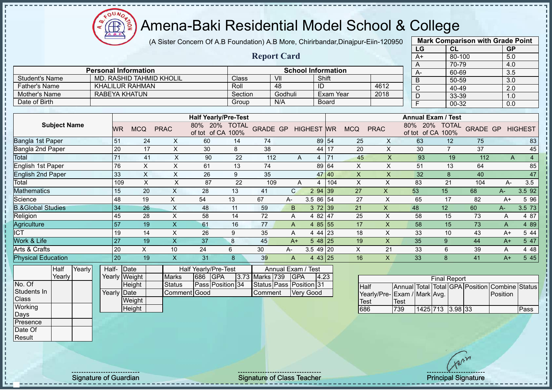(A Sister Concern Of A.B Foundation) A.B More, Chirirbandar,Dinajpur-Eiin-120950

|                              |                             |           |                |                                 |                             |                      |                    |                    |                           |                  |            |                         | LG                            | CL                   |                 | <b>GP</b> |                |
|------------------------------|-----------------------------|-----------|----------------|---------------------------------|-----------------------------|----------------------|--------------------|--------------------|---------------------------|------------------|------------|-------------------------|-------------------------------|----------------------|-----------------|-----------|----------------|
|                              |                             |           |                |                                 |                             |                      | <b>Report Card</b> |                    |                           |                  |            |                         | $A+$                          | 80-100               |                 | 5.0       |                |
|                              |                             |           |                |                                 |                             |                      |                    |                    |                           |                  |            |                         | Α                             | 70-79                |                 | 4.0       |                |
|                              | <b>Personal Information</b> |           |                |                                 |                             |                      |                    |                    | <b>School Information</b> |                  |            |                         | $A -$                         | 60-69                |                 | 3.5       |                |
| <b>Student's Name</b>        |                             |           |                | <b>MD. RASHID TAHMID KHOLIL</b> |                             | Class                | VII                |                    |                           | Shift            |            |                         | B                             | 50-59                |                 | 3.0       |                |
| <b>Father's Name</b>         | KHALILUR RAHMAN             |           |                |                                 |                             | Roll                 | 48                 |                    | ID                        |                  |            | 4612                    | $\mathsf{C}$                  | 40-49                |                 | 2.0       |                |
| <b>Mother's Name</b>         | <b>RABEYA KHATUN</b>        |           |                |                                 |                             | Section              |                    | Godhuli            |                           | <b>Exam Year</b> |            | 2018                    | D                             | 33-39                |                 | 1.0       |                |
| Date of Birth                |                             |           |                |                                 |                             | Group                |                    | N/A                |                           | <b>Board</b>     |            |                         | F                             | 00-32                |                 | 0.0       |                |
|                              |                             |           |                |                                 |                             |                      |                    |                    |                           |                  |            |                         |                               |                      |                 |           |                |
|                              |                             |           |                |                                 | <b>Half Yearly/Pre-Test</b> |                      |                    |                    |                           |                  |            |                         | <b>Annual Exam / Test</b>     |                      |                 |           |                |
| <b>Subject Name</b>          |                             | <b>WR</b> | <b>MCQ</b>     | <b>PRAC</b>                     | 20%<br>80%<br>of tot of CA  | <b>TOTAL</b><br>100% | <b>GRADE GP</b>    |                    | <b>HIGHEST</b> WR         |                  | <b>MCQ</b> | <b>PRAC</b>             | 80%<br>20%<br>of CA<br>of tot | <b>TOTAL</b><br>100% | <b>GRADE GP</b> |           | <b>HIGHEST</b> |
| Bangla 1st Paper             | 51                          |           | 24             | X                               | 60                          | 14                   | 74                 |                    |                           | 89 54            | 25         | X                       | 63                            | 12                   | 75              |           | 83             |
| Bangla 2nd Paper             | 20                          |           | 17             | X                               | 30                          | 8                    | 38                 |                    | 44                        | 17               | 20         | X                       | 30                            | $\overline{7}$       | 37              |           | 45             |
| Total                        | 71                          |           | 41             | X                               | 90                          | 22                   | 112                | A                  | $\overline{4}$            | 71               | 45         | $\times$                | 93                            | 19                   | 112             | A         | $\overline{4}$ |
| English 1st Paper            | 76                          |           | X              | X                               | 61                          | 13                   | 74                 |                    | 89                        | 64               | X          | X                       | 51                            | 13                   | 64              |           | 85             |
| <b>English 2nd Paper</b>     | 33                          |           | X              | X                               | 26                          | 9                    | 35                 |                    | 47                        | 40               | X          | X                       | 32                            | 8                    | 40              |           | 47             |
| Total                        |                             | 109       | $\sf X$        | Χ                               | 87                          | 22                   | 109                | A                  | 4                         | 104              | X          | X                       | 83                            | 21                   | 104             | A-        | 3.5            |
| <b>Mathematics</b>           |                             | 15        | 20             | X                               | 28                          | 13                   | 41                 | $\mathsf{C}$       | 2 94                      | 39               | 27         | $\mathsf{x}$            | 53                            | 15                   | 68              | A-        | 3.5 92         |
| Science                      | 48                          |           | 19             | X                               | 54                          | 13                   | 67                 | A-                 | 3.5 86 54                 |                  | 27         | X                       | 65                            | 17                   | 82              | $A+$      | 5 9 6          |
| <b>B.&amp;Global Studies</b> | 34                          |           | 26             | X                               | 48                          | 11                   | 59                 | B                  | 3 7 2                     | 39               | 21         | X                       | 48                            | 12                   | 60              | $A-$      | 3.5 73         |
| Religion                     | 45                          |           | 28             | X                               | 58                          | 14                   | 72                 | A                  | 4 8 2                     | 47               | 25         | X                       | 58                            | 15                   | 73              | A         | 4 87           |
| Agriculture                  | 57                          |           | 19             | X                               | 61                          | 16                   | 77                 | A                  | 4 85 55                   |                  | 17         | X                       | 58                            | 15                   | 73              | A         | 4 8 9          |
| <b>ICT</b>                   |                             | 19        | 14             | X                               | 26                          | 9                    | 35                 | Α                  | 4 4 4                     | 23               | 18         | X                       | 33                            | 10                   | 43              | $A+$      | 5 4 4          |
| Work & Life                  | 27                          |           | 19             | X                               | 37                          | $\boldsymbol{8}$     | 45                 | $A+$               | $548$ 25                  |                  | 19         | $\mathsf{x}$            | 35                            | 9                    | 44              | $A+$      | 5 47           |
| Arts & Crafts                | 20                          |           | $\pmb{\times}$ | 10                              | 24                          | 6                    | 30                 | A-                 | $3.549$ 20                |                  | X          | 21                      | 33                            | 6                    | 39              | A         | 4 4 8          |
| <b>Physical Education</b>    | 20                          |           | 19             | X                               | 31                          | 8                    | 39                 | A                  | 4 43 25                   |                  | 16         | $\overline{\mathsf{X}}$ | 33                            | 8                    | 41              | $A+$      | 5 4 5          |
| Yearly<br>Half               | Half-                       | Date      |                |                                 | Half Yearly/Pre-Test        |                      |                    | Annual Exam / Test |                           |                  |            |                         |                               |                      |                 |           |                |

Yearly No. Of Students In **Class Working** Days Presence Date Of

Result

| Half-       | <b>IDate</b>  |              | Half Yearly/Pre-Test | Annual Exam / Test |                    |  |                         |      |  |
|-------------|---------------|--------------|----------------------|--------------------|--------------------|--|-------------------------|------|--|
|             | Yearly Weight | <b>Marks</b> | 1686 IGPA            |                    | 3.73 Marks 739 GPA |  |                         | 4.23 |  |
|             | Height        | Status       | Pass Position 34     |                    |                    |  | Status Pass Position 31 |      |  |
| Yearly Date |               | Comment Good |                      |                    | <b>Comment</b>     |  | <b>Very Good</b>        |      |  |
|             | Weight        |              |                      |                    |                    |  |                         |      |  |
|             | Height        |              |                      |                    |                    |  |                         |      |  |

 $12\mu\text{V}$ 

| <b>Final Report</b>         |      |                  |  |  |  |                                                |      |  |  |  |  |  |
|-----------------------------|------|------------------|--|--|--|------------------------------------------------|------|--|--|--|--|--|
| <b>Half</b>                 |      |                  |  |  |  | Annual Total Total GPA Position Combine Status |      |  |  |  |  |  |
| Yearly/Pre-Exam / Mark Avg. |      |                  |  |  |  | <b>Position</b>                                |      |  |  |  |  |  |
| <b>Test</b>                 | Test |                  |  |  |  |                                                |      |  |  |  |  |  |
| 686                         | 739  | 1425 713 3.98 33 |  |  |  |                                                | Pass |  |  |  |  |  |

**Mark Comparison with Grade Point**

Signature of Guardian Signature of Class Teacher Number of Class Teacher Principal Signature